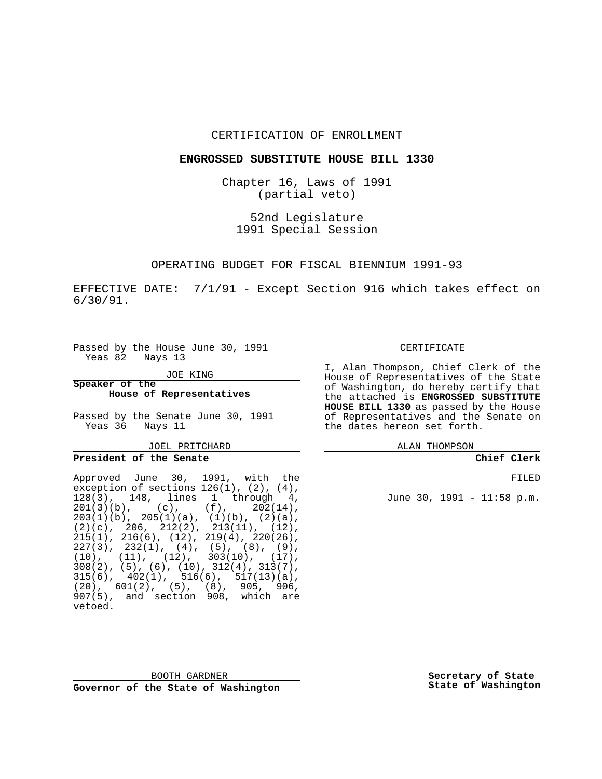#### CERTIFICATION OF ENROLLMENT

#### **ENGROSSED SUBSTITUTE HOUSE BILL 1330**

Chapter 16, Laws of 1991 (partial veto)

52nd Legislature 1991 Special Session

OPERATING BUDGET FOR FISCAL BIENNIUM 1991-93

EFFECTIVE DATE: 7/1/91 - Except Section 916 which takes effect on 6/30/91.

Passed by the House June 30, 1991<br>Yeas 82 Nays 13 Nays 13

JOE KING

#### **Speaker of the House of Representatives**

Passed by the Senate June 30, 1991 Yeas 36 Nays 11

JOEL PRITCHARD

#### **President of the Senate**

Approved June 30, 1991, with the exception of sections  $126(1)$ ,  $(2)$ ,  $(4)$ , 128(3), 148, lines 1 through 4,  $201(3)(b)$ , (c), (f),  $202(14)$ , 203(1)(b), 205(1)(a), (1)(b), (2)(a),  $(2)(c), 206, 212(2), 213(11), (12),$ 215(1), 216(6), (12), 219(4), 220(26),  $227(3)$ ,  $232(1)$ ,  $(4)$ ,  $(5)$ ,  $(8)$ ,  $(9)$ ,  $(10)$ ,  $(11)$ ,  $(12)$ ,  $303(10)$ ,  $(17)$ , 308(2), (5), (6), (10), 312(4), 313(7),  $315(6)$ ,  $402(1)$ ,  $516(6)$ ,  $517(13)(a)$ , (20), 601(2), (5), (8), 905, 906, 907(5), and section 908, which are vetoed.

#### CERTIFICATE

I, Alan Thompson, Chief Clerk of the House of Representatives of the State of Washington, do hereby certify that the attached is **ENGROSSED SUBSTITUTE HOUSE BILL 1330** as passed by the House of Representatives and the Senate on the dates hereon set forth.

| ALAN THOMPSON |  |
|---------------|--|
|---------------|--|

| FTLED. |
|--------|
|        |

June 30, 1991 - 11:58 p.m.

|  | BOOTH GARDNER |                                     |
|--|---------------|-------------------------------------|
|  |               | Governor of the State of Washington |

**Secretary of State State of Washington**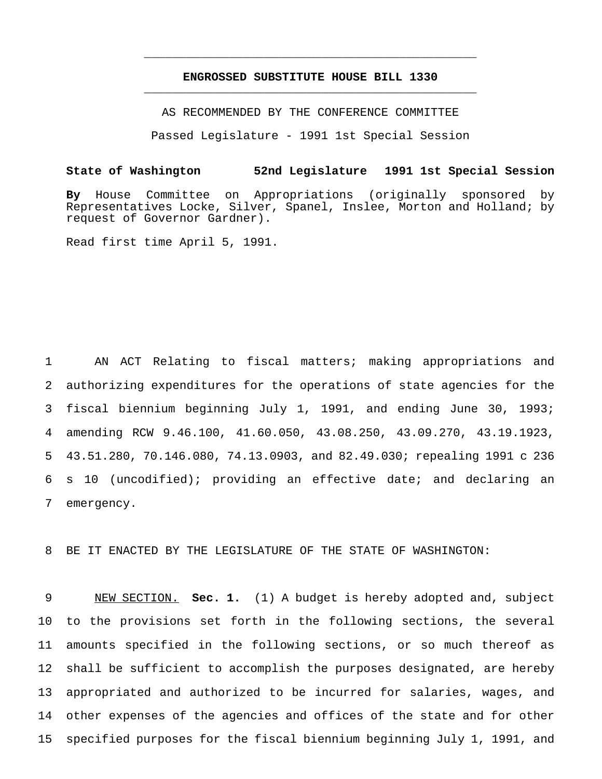## **ENGROSSED SUBSTITUTE HOUSE BILL 1330** \_\_\_\_\_\_\_\_\_\_\_\_\_\_\_\_\_\_\_\_\_\_\_\_\_\_\_\_\_\_\_\_\_\_\_\_\_\_\_\_\_\_\_\_\_\_\_

\_\_\_\_\_\_\_\_\_\_\_\_\_\_\_\_\_\_\_\_\_\_\_\_\_\_\_\_\_\_\_\_\_\_\_\_\_\_\_\_\_\_\_\_\_\_\_

AS RECOMMENDED BY THE CONFERENCE COMMITTEE Passed Legislature - 1991 1st Special Session

#### **State of Washington 52nd Legislature 1991 1st Special Session**

**By** House Committee on Appropriations (originally sponsored by Representatives Locke, Silver, Spanel, Inslee, Morton and Holland; by request of Governor Gardner).

Read first time April 5, 1991.

 AN ACT Relating to fiscal matters; making appropriations and authorizing expenditures for the operations of state agencies for the fiscal biennium beginning July 1, 1991, and ending June 30, 1993; amending RCW 9.46.100, 41.60.050, 43.08.250, 43.09.270, 43.19.1923, 43.51.280, 70.146.080, 74.13.0903, and 82.49.030; repealing 1991 c 236 s 10 (uncodified); providing an effective date; and declaring an emergency.

8 BE IT ENACTED BY THE LEGISLATURE OF THE STATE OF WASHINGTON:

 NEW SECTION. **Sec. 1.** (1) A budget is hereby adopted and, subject to the provisions set forth in the following sections, the several amounts specified in the following sections, or so much thereof as shall be sufficient to accomplish the purposes designated, are hereby appropriated and authorized to be incurred for salaries, wages, and other expenses of the agencies and offices of the state and for other specified purposes for the fiscal biennium beginning July 1, 1991, and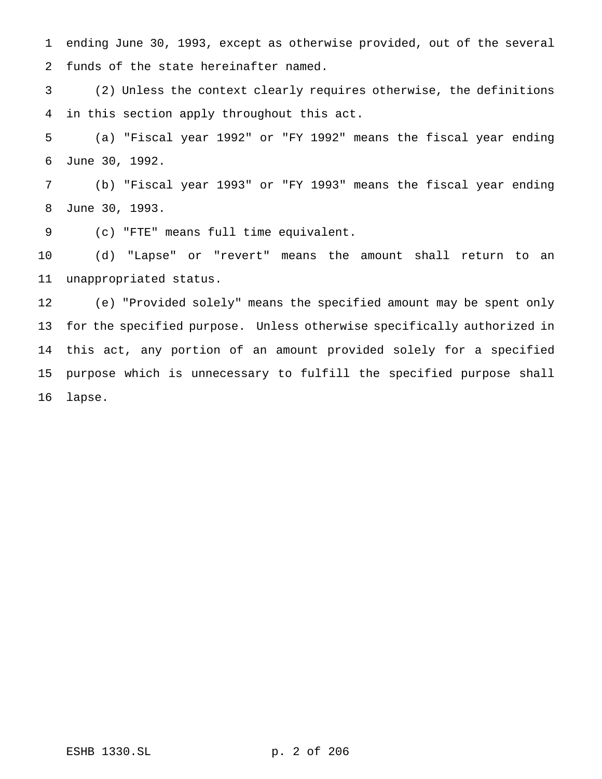ending June 30, 1993, except as otherwise provided, out of the several funds of the state hereinafter named.

 (2) Unless the context clearly requires otherwise, the definitions in this section apply throughout this act.

 (a) "Fiscal year 1992" or "FY 1992" means the fiscal year ending June 30, 1992.

 (b) "Fiscal year 1993" or "FY 1993" means the fiscal year ending June 30, 1993.

(c) "FTE" means full time equivalent.

 (d) "Lapse" or "revert" means the amount shall return to an unappropriated status.

 (e) "Provided solely" means the specified amount may be spent only for the specified purpose. Unless otherwise specifically authorized in this act, any portion of an amount provided solely for a specified purpose which is unnecessary to fulfill the specified purpose shall lapse.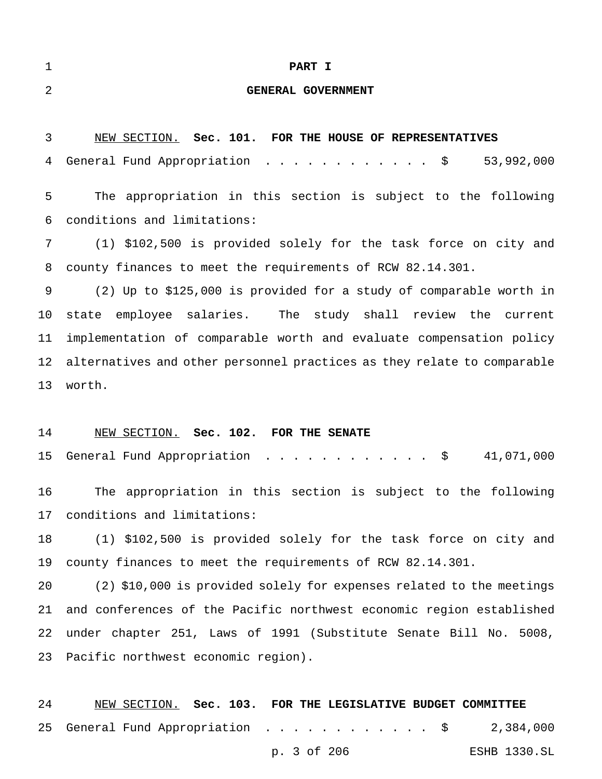#### **PART I**

#### **GENERAL GOVERNMENT**

 NEW SECTION. **Sec. 101. FOR THE HOUSE OF REPRESENTATIVES** General Fund Appropriation ............ \$ 53,992,000 The appropriation in this section is subject to the following conditions and limitations: (1) \$102,500 is provided solely for the task force on city and county finances to meet the requirements of RCW 82.14.301. (2) Up to \$125,000 is provided for a study of comparable worth in state employee salaries. The study shall review the current implementation of comparable worth and evaluate compensation policy alternatives and other personnel practices as they relate to comparable worth.

#### NEW SECTION. **Sec. 102. FOR THE SENATE**

General Fund Appropriation ............ \$ 41,071,000

 The appropriation in this section is subject to the following conditions and limitations:

 (1) \$102,500 is provided solely for the task force on city and county finances to meet the requirements of RCW 82.14.301.

 (2) \$10,000 is provided solely for expenses related to the meetings and conferences of the Pacific northwest economic region established under chapter 251, Laws of 1991 (Substitute Senate Bill No. 5008, Pacific northwest economic region).

| 24 | NEW SECTION. Sec. 103. FOR THE LEGISLATIVE BUDGET COMMITTEE |  |             |  |                                            |
|----|-------------------------------------------------------------|--|-------------|--|--------------------------------------------|
|    |                                                             |  |             |  | 25 General Fund Appropriation \$ 2,384,000 |
|    |                                                             |  | p. 3 of 206 |  | ESHB 1330.SL                               |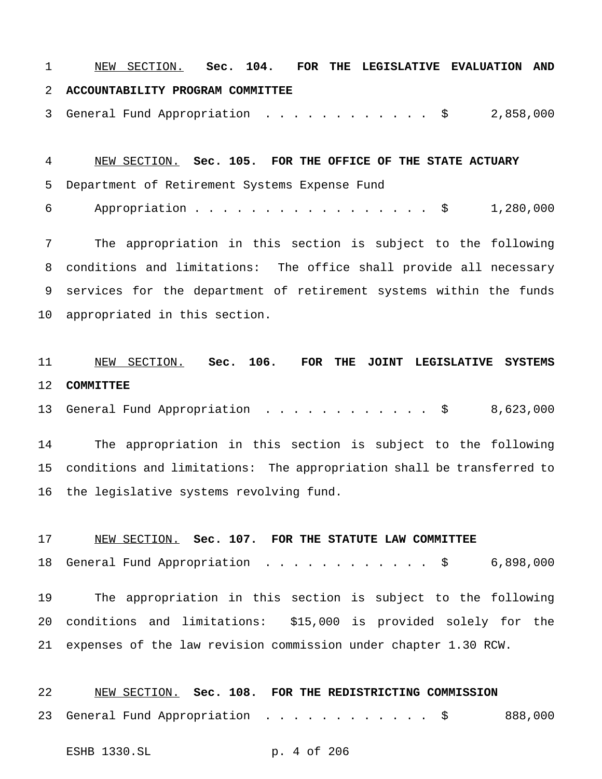NEW SECTION. **Sec. 104. FOR THE LEGISLATIVE EVALUATION AND ACCOUNTABILITY PROGRAM COMMITTEE**

3 General Fund Appropriation . . . . . . . . . . . \$ 2,858,000

 NEW SECTION. **Sec. 105. FOR THE OFFICE OF THE STATE ACTUARY** Department of Retirement Systems Expense Fund 6 Appropriation . . . . . . . . . . . . . . . \$ 1,280,000

 The appropriation in this section is subject to the following conditions and limitations: The office shall provide all necessary services for the department of retirement systems within the funds appropriated in this section.

 NEW SECTION. **Sec. 106. FOR THE JOINT LEGISLATIVE SYSTEMS COMMITTEE**

13 General Fund Appropriation . . . . . . . . . . . \$ 8,623,000

 The appropriation in this section is subject to the following conditions and limitations: The appropriation shall be transferred to the legislative systems revolving fund.

#### NEW SECTION. **Sec. 107. FOR THE STATUTE LAW COMMITTEE**

18 General Fund Appropriation . . . . . . . . . . . \$ 6,898,000

 The appropriation in this section is subject to the following conditions and limitations: \$15,000 is provided solely for the expenses of the law revision commission under chapter 1.30 RCW.

| 22 | NEW SECTION. Sec. 108. FOR THE REDISTRICTING COMMISSION |  |             |  |  |  |
|----|---------------------------------------------------------|--|-------------|--|--|--|
|    | 23 General Fund Appropriation \$ 888,000                |  |             |  |  |  |
|    | ESHB 1330.SL                                            |  | p. 4 of 206 |  |  |  |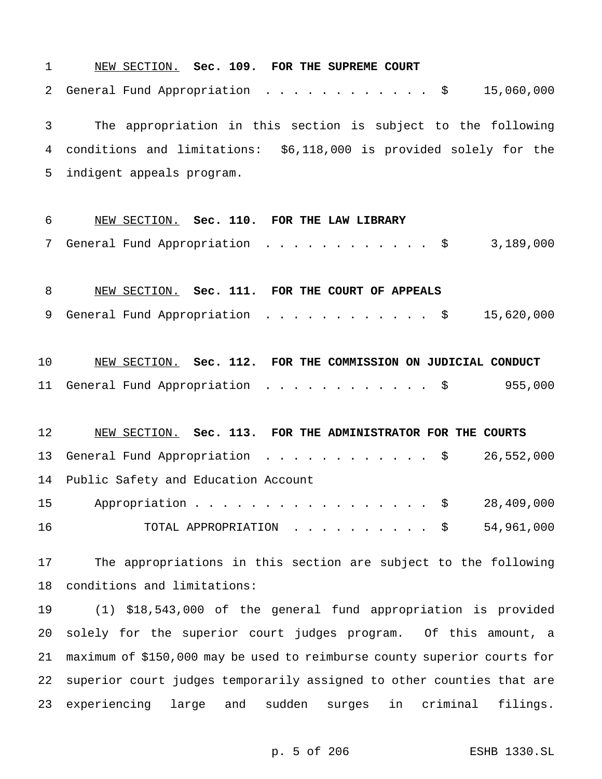NEW SECTION. **Sec. 109. FOR THE SUPREME COURT** 2 General Fund Appropriation . . . . . . . . . . . \$ 15,060,000 The appropriation in this section is subject to the following conditions and limitations: \$6,118,000 is provided solely for the indigent appeals program. NEW SECTION. **Sec. 110. FOR THE LAW LIBRARY** 7 General Fund Appropriation . . . . . . . . . . . \$ 3,189,000 NEW SECTION. **Sec. 111. FOR THE COURT OF APPEALS** 9 General Fund Appropriation . . . . . . . . . . . \$ 15,620,000 NEW SECTION. **Sec. 112. FOR THE COMMISSION ON JUDICIAL CONDUCT** 11 General Fund Appropriation . . . . . . . . . . . \$ 955,000 NEW SECTION. **Sec. 113. FOR THE ADMINISTRATOR FOR THE COURTS** 13 General Fund Appropriation . . . . . . . . . . . \$ 26,552,000 Public Safety and Education Account Appropriation................. \$ 28,409,000 TOTAL APPROPRIATION .......... \$ 54,961,000 The appropriations in this section are subject to the following conditions and limitations: (1) \$18,543,000 of the general fund appropriation is provided solely for the superior court judges program. Of this amount, a maximum of \$150,000 may be used to reimburse county superior courts for superior court judges temporarily assigned to other counties that are experiencing large and sudden surges in criminal filings.

p. 5 of 206 ESHB 1330.SL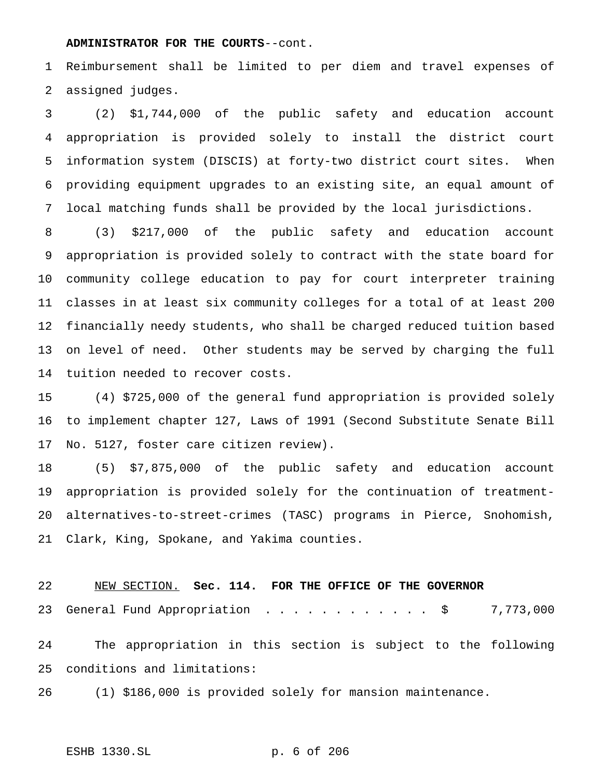#### **ADMINISTRATOR FOR THE COURTS**--cont.

 Reimbursement shall be limited to per diem and travel expenses of assigned judges.

 (2) \$1,744,000 of the public safety and education account appropriation is provided solely to install the district court information system (DISCIS) at forty-two district court sites. When providing equipment upgrades to an existing site, an equal amount of local matching funds shall be provided by the local jurisdictions.

 (3) \$217,000 of the public safety and education account appropriation is provided solely to contract with the state board for community college education to pay for court interpreter training classes in at least six community colleges for a total of at least 200 financially needy students, who shall be charged reduced tuition based on level of need. Other students may be served by charging the full tuition needed to recover costs.

 (4) \$725,000 of the general fund appropriation is provided solely to implement chapter 127, Laws of 1991 (Second Substitute Senate Bill No. 5127, foster care citizen review).

 (5) \$7,875,000 of the public safety and education account appropriation is provided solely for the continuation of treatment- alternatives-to-street-crimes (TASC) programs in Pierce, Snohomish, Clark, King, Spokane, and Yakima counties.

#### NEW SECTION. **Sec. 114. FOR THE OFFICE OF THE GOVERNOR**

23 General Fund Appropriation . . . . . . . . . . . \$ 7,773,000

 The appropriation in this section is subject to the following conditions and limitations:

(1) \$186,000 is provided solely for mansion maintenance.

```
ESHB 1330.SL p. 6 of 206
```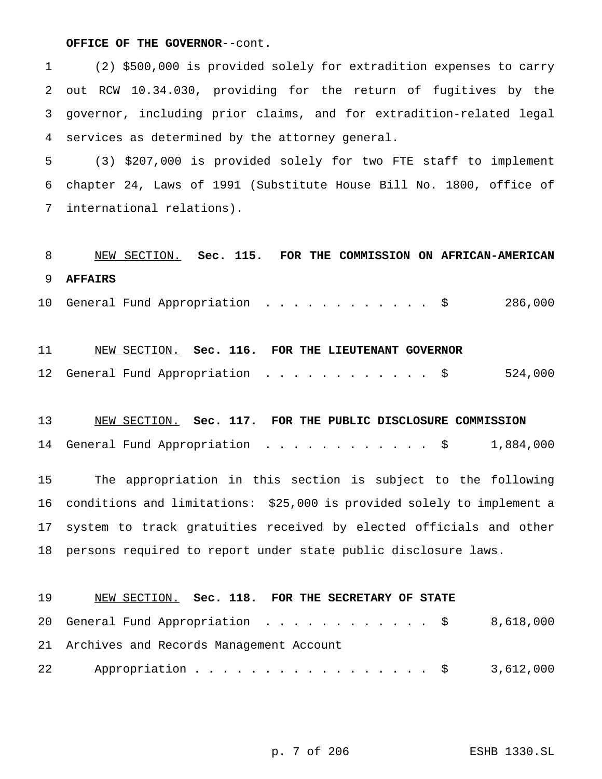#### **OFFICE OF THE GOVERNOR**--cont.

 (2) \$500,000 is provided solely for extradition expenses to carry out RCW 10.34.030, providing for the return of fugitives by the governor, including prior claims, and for extradition-related legal services as determined by the attorney general.

 (3) \$207,000 is provided solely for two FTE staff to implement chapter 24, Laws of 1991 (Substitute House Bill No. 1800, office of international relations).

# NEW SECTION. **Sec. 115. FOR THE COMMISSION ON AFRICAN-AMERICAN AFFAIRS** 10 General Fund Appropriation . . . . . . . . . . . \$ 286,000

# NEW SECTION. **Sec. 116. FOR THE LIEUTENANT GOVERNOR** General Fund Appropriation ............ \$ 524,000

# NEW SECTION. **Sec. 117. FOR THE PUBLIC DISCLOSURE COMMISSION** 14 General Fund Appropriation . . . . . . . . . . . \$ 1,884,000

 The appropriation in this section is subject to the following conditions and limitations: \$25,000 is provided solely to implement a system to track gratuities received by elected officials and other persons required to report under state public disclosure laws.

| 19 | NEW SECTION. Sec. 118. FOR THE SECRETARY OF STATE |  |
|----|---------------------------------------------------|--|
|    | 20 General Fund Appropriation \$ 8,618,000        |  |
|    | 21 Archives and Records Management Account        |  |
| 22 | Appropriation \$ 3,612,000                        |  |

p. 7 of 206 ESHB 1330.SL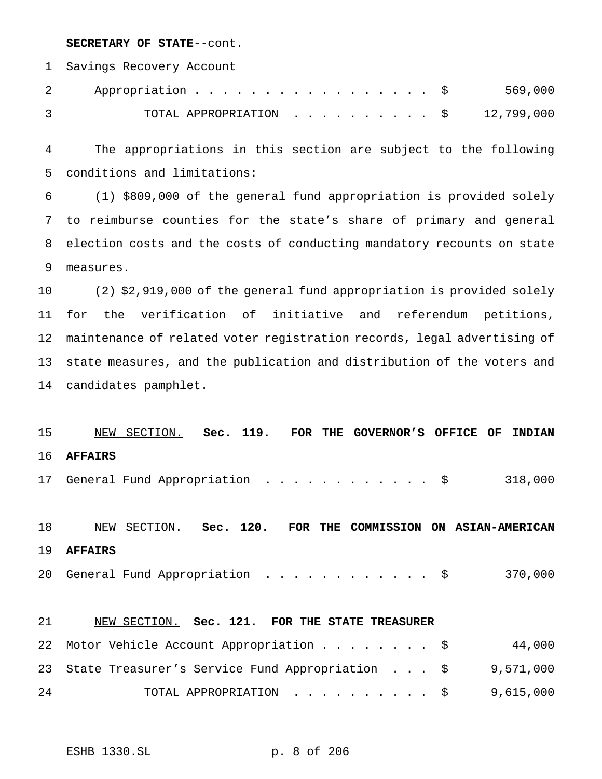#### **SECRETARY OF STATE**--cont.

Savings Recovery Account

| 2 Appropriation \$ 569,000                   |  |  |  |  |  |  |
|----------------------------------------------|--|--|--|--|--|--|
| TOTAL APPROPRIATION $\ldots$ , \$ 12,799,000 |  |  |  |  |  |  |

 The appropriations in this section are subject to the following conditions and limitations:

 (1) \$809,000 of the general fund appropriation is provided solely to reimburse counties for the state's share of primary and general election costs and the costs of conducting mandatory recounts on state measures.

 (2) \$2,919,000 of the general fund appropriation is provided solely for the verification of initiative and referendum petitions, maintenance of related voter registration records, legal advertising of state measures, and the publication and distribution of the voters and candidates pamphlet.

# NEW SECTION. **Sec. 119. FOR THE GOVERNOR'S OFFICE OF INDIAN AFFAIRS**

17 General Fund Appropriation . . . . . . . . . . . \$ 318,000

 NEW SECTION. **Sec. 120. FOR THE COMMISSION ON ASIAN-AMERICAN AFFAIRS** 20 General Fund Appropriation . . . . . . . . . . . \$ 370,000

| 21 | NEW SECTION. Sec. 121. FOR THE STATE TREASURER               |        |
|----|--------------------------------------------------------------|--------|
|    | 22 Motor Vehicle Account Appropriation \$                    | 44,000 |
|    | 23 State Treasurer's Service Fund Appropriation \$ 9,571,000 |        |
| 24 | TOTAL APPROPRIATION $\ldots$ , \$9,615,000                   |        |

ESHB 1330.SL p. 8 of 206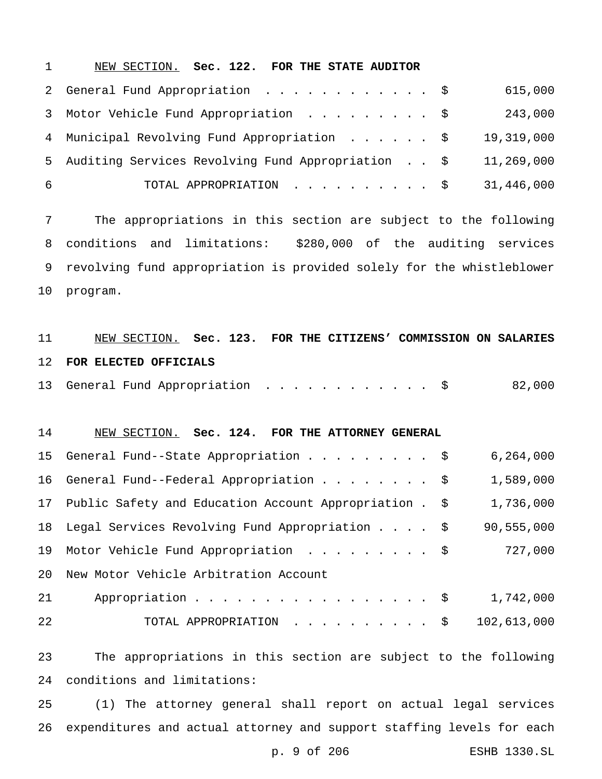NEW SECTION. **Sec. 122. FOR THE STATE AUDITOR** 2 General Fund Appropriation . . . . . . . . . . . \$ 615,000 3 Motor Vehicle Fund Appropriation . . . . . . . . \$ 243,000 4 Municipal Revolving Fund Appropriation . . . . . \$ 19,319,000 Auditing Services Revolving Fund Appropriation . . \$ 11,269,000 TOTAL APPROPRIATION .......... \$ 31,446,000

 The appropriations in this section are subject to the following conditions and limitations: \$280,000 of the auditing services revolving fund appropriation is provided solely for the whistleblower program.

# NEW SECTION. **Sec. 123. FOR THE CITIZENS' COMMISSION ON SALARIES FOR ELECTED OFFICIALS** 13 General Fund Appropriation . . . . . . . . . . . \$ 82,000

#### NEW SECTION. **Sec. 124. FOR THE ATTORNEY GENERAL**

|    | 15 General Fund--State Appropriation \$                               | 6, 264, 000 |
|----|-----------------------------------------------------------------------|-------------|
|    | 16 General Fund--Federal Appropriation \$                             | 1,589,000   |
|    | 17 Public Safety and Education Account Appropriation . \$             | 1,736,000   |
|    | 18 Legal Services Revolving Fund Appropriation \$                     | 90,555,000  |
|    | 19 Motor Vehicle Fund Appropriation \$                                | 727,000     |
| 20 | New Motor Vehicle Arbitration Account                                 |             |
| 21 | Appropriation \$                                                      | 1,742,000   |
| 22 | TOTAL APPROPRIATION $\cdot \cdot \cdot \cdot \cdot \cdot \cdot \cdot$ | 102,613,000 |

 The appropriations in this section are subject to the following conditions and limitations:

 (1) The attorney general shall report on actual legal services expenditures and actual attorney and support staffing levels for each

p. 9 of 206 ESHB 1330.SL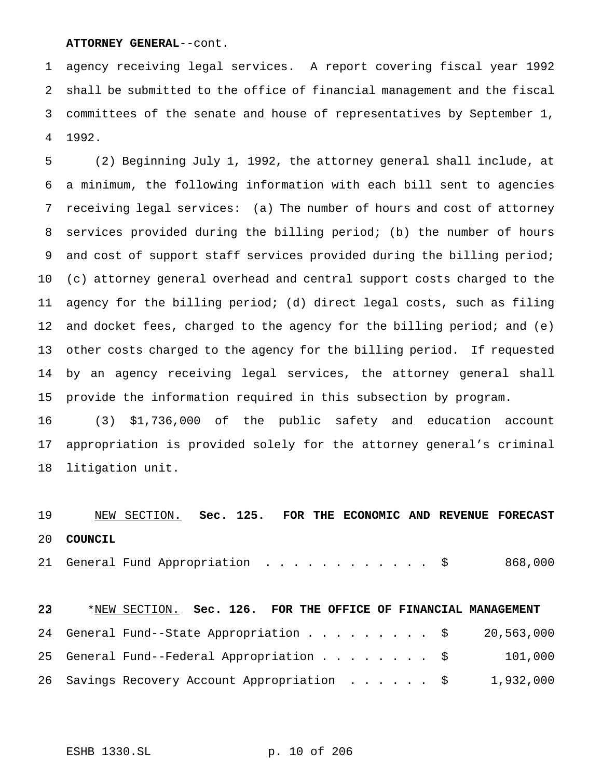#### **ATTORNEY GENERAL**--cont.

 agency receiving legal services. A report covering fiscal year 1992 shall be submitted to the office of financial management and the fiscal committees of the senate and house of representatives by September 1, 1992.

 (2) Beginning July 1, 1992, the attorney general shall include, at a minimum, the following information with each bill sent to agencies receiving legal services: (a) The number of hours and cost of attorney services provided during the billing period; (b) the number of hours and cost of support staff services provided during the billing period; (c) attorney general overhead and central support costs charged to the agency for the billing period; (d) direct legal costs, such as filing and docket fees, charged to the agency for the billing period; and (e) other costs charged to the agency for the billing period. If requested by an agency receiving legal services, the attorney general shall provide the information required in this subsection by program.

 (3) \$1,736,000 of the public safety and education account appropriation is provided solely for the attorney general's criminal litigation unit.

 NEW SECTION. **Sec. 125. FOR THE ECONOMIC AND REVENUE FORECAST COUNCIL** 21 General Fund Appropriation . . . . . . . . . . . \$ 868,000

 \*NEW SECTION. **Sec. 126. FOR THE OFFICE OF FINANCIAL MANAGEMENT** 24 General Fund--State Appropriation . . . . . . . . \$ 20,563,000 General Fund--Federal Appropriation........ \$ 101,000 26 Savings Recovery Account Appropriation . . . . . \$ 1,932,000

ESHB 1330.SL p. 10 of 206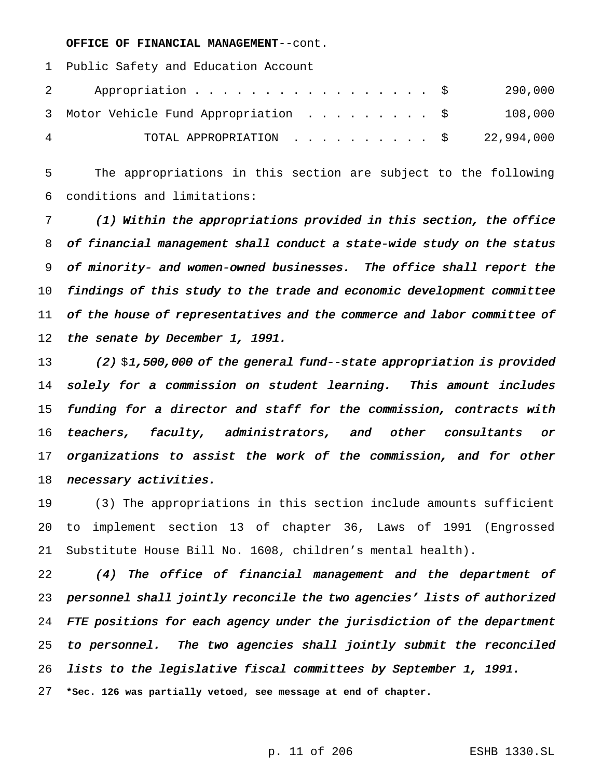#### **OFFICE OF FINANCIAL MANAGEMENT**--cont.

Public Safety and Education Account

|   | Appropriation \$<br>$\mathbf{2}$              | 290,000 |
|---|-----------------------------------------------|---------|
|   | 3 Motor Vehicle Fund Appropriation \$ 108,000 |         |
| 4 | TOTAL APPROPRIATION $\ldots$ , \$ 22,994,000  |         |

 The appropriations in this section are subject to the following conditions and limitations:

 (1) Within the appropriations provided in this section, the office of financial management shall conduct <sup>a</sup> state-wide study on the status of minority- and women-owned businesses. The office shall report the findings of this study to the trade and economic development committee 11 of the house of representatives and the commerce and labor committee of the senate by December 1, 1991.

13 (2) \$1,500,000 of the general fund--state appropriation is provided solely for <sup>a</sup> commission on student learning. This amount includes funding for <sup>a</sup> director and staff for the commission, contracts with teachers, faculty, administrators, and other consultants or organizations to assist the work of the commission, and for other 18 necessary activities.

 (3) The appropriations in this section include amounts sufficient to implement section 13 of chapter 36, Laws of 1991 (Engrossed Substitute House Bill No. 1608, children's mental health).

 (4) The office of financial management and the department of personnel shall jointly reconcile the two agencies' lists of authorized FTE positions for each agency under the jurisdiction of the department to personnel. The two agencies shall jointly submit the reconciled lists to the legislative fiscal committees by September 1, 1991.

**\*Sec. 126 was partially vetoed, see message at end of chapter.**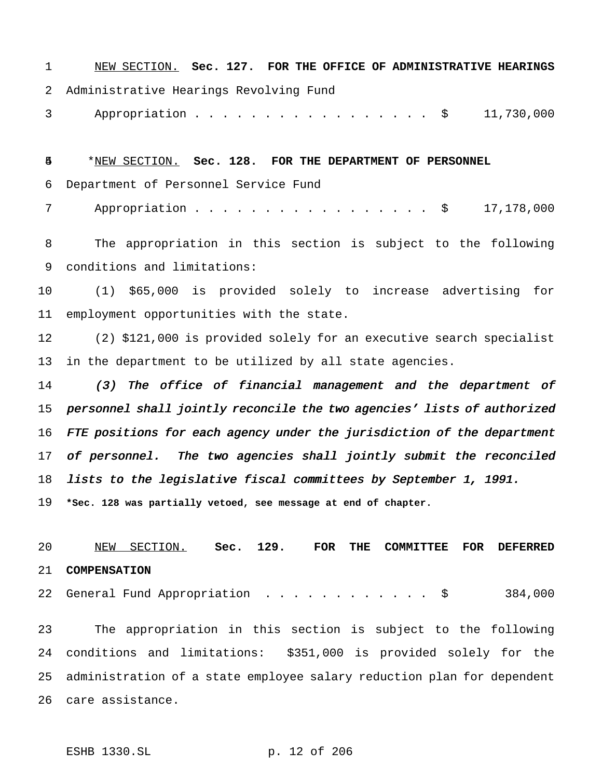NEW SECTION. **Sec. 127. FOR THE OFFICE OF ADMINISTRATIVE HEARINGS** Administrative Hearings Revolving Fund Appropriation................. \$ 11,730,000

\*NEW SECTION. **Sec. 128. FOR THE DEPARTMENT OF PERSONNEL**

Department of Personnel Service Fund

7 Appropriation . . . . . . . . . . . . . . . \$ 17,178,000

 The appropriation in this section is subject to the following conditions and limitations:

 (1) \$65,000 is provided solely to increase advertising for employment opportunities with the state.

 (2) \$121,000 is provided solely for an executive search specialist in the department to be utilized by all state agencies.

 (3) The office of financial management and the department of personnel shall jointly reconcile the two agencies' lists of authorized FTE positions for each agency under the jurisdiction of the department 17 of personnel. The two agencies shall jointly submit the reconciled 18 lists to the legislative fiscal committees by September 1, 1991.

**\*Sec. 128 was partially vetoed, see message at end of chapter.**

 NEW SECTION. **Sec. 129. FOR THE COMMITTEE FOR DEFERRED COMPENSATION**

22 General Fund Appropriation . . . . . . . . . . . \$ 384,000

 The appropriation in this section is subject to the following conditions and limitations: \$351,000 is provided solely for the administration of a state employee salary reduction plan for dependent care assistance.

ESHB 1330.SL p. 12 of 206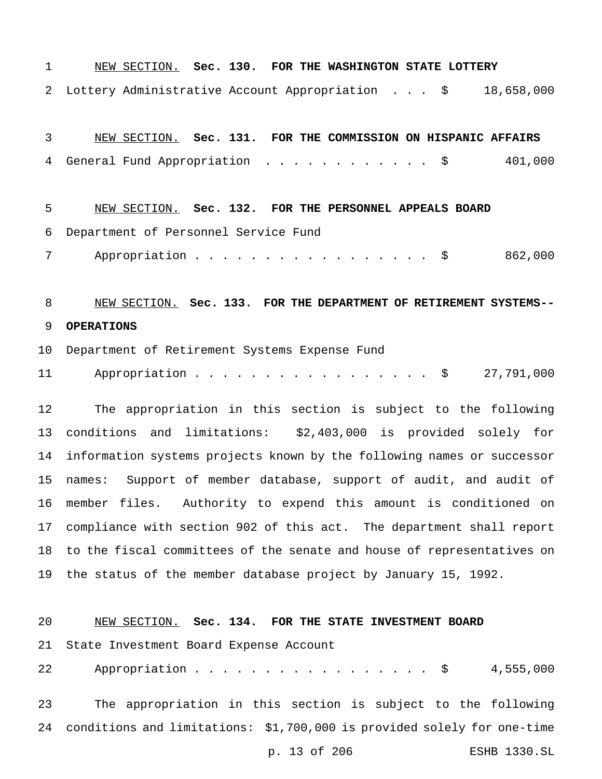NEW SECTION. **Sec. 130. FOR THE WASHINGTON STATE LOTTERY** Lottery Administrative Account Appropriation . . . \$ 18,658,000

 NEW SECTION. **Sec. 131. FOR THE COMMISSION ON HISPANIC AFFAIRS** 4 General Fund Appropriation . . . . . . . . . . . \$ 401,000

 NEW SECTION. **Sec. 132. FOR THE PERSONNEL APPEALS BOARD** Department of Personnel Service Fund 7 Appropriation . . . . . . . . . . . . . . . \$ 862,000

 NEW SECTION. **Sec. 133. FOR THE DEPARTMENT OF RETIREMENT SYSTEMS-- OPERATIONS**

 Department of Retirement Systems Expense Fund 11 Appropriation . . . . . . . . . . . . . . . \$ 27,791,000

 The appropriation in this section is subject to the following conditions and limitations: \$2,403,000 is provided solely for information systems projects known by the following names or successor names: Support of member database, support of audit, and audit of member files. Authority to expend this amount is conditioned on compliance with section 902 of this act. The department shall report to the fiscal committees of the senate and house of representatives on the status of the member database project by January 15, 1992.

 NEW SECTION. **Sec. 134. FOR THE STATE INVESTMENT BOARD** State Investment Board Expense Account 22 Appropriation . . . . . . . . . . . . . . . . \$ 4,555,000 The appropriation in this section is subject to the following conditions and limitations: \$1,700,000 is provided solely for one-time p. 13 of 206 ESHB 1330.SL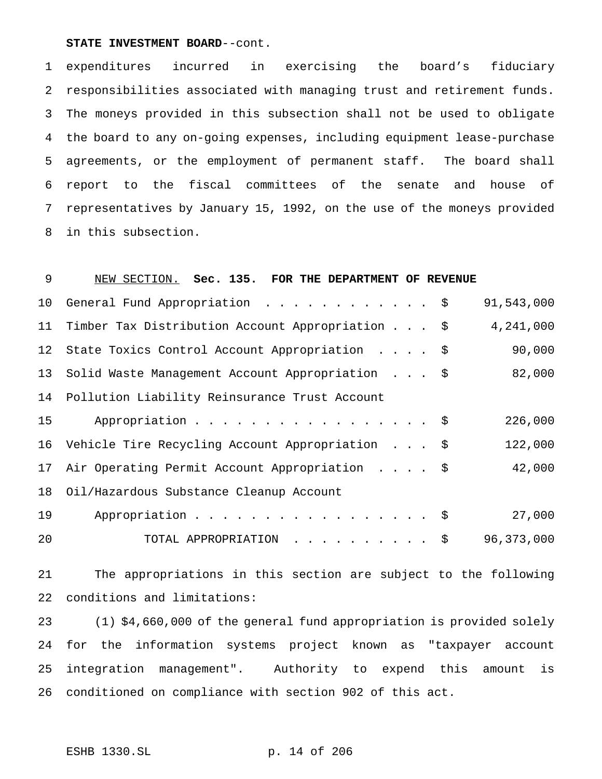#### **STATE INVESTMENT BOARD**--cont.

 expenditures incurred in exercising the board's fiduciary responsibilities associated with managing trust and retirement funds. The moneys provided in this subsection shall not be used to obligate the board to any on-going expenses, including equipment lease-purchase agreements, or the employment of permanent staff. The board shall report to the fiscal committees of the senate and house of representatives by January 15, 1992, on the use of the moneys provided in this subsection.

## NEW SECTION. **Sec. 135. FOR THE DEPARTMENT OF REVENUE**

|    | 10 General Fund Appropriation \$                   | 91,543,000   |
|----|----------------------------------------------------|--------------|
| 11 | Timber Tax Distribution Account Appropriation \$   | 4,241,000    |
| 12 | State Toxics Control Account Appropriation \$      | 90,000       |
| 13 | Solid Waste Management Account Appropriation \$    | 82,000       |
|    | 14 Pollution Liability Reinsurance Trust Account   |              |
| 15 | Appropriation \$                                   | 226,000      |
|    | 16 Vehicle Tire Recycling Account Appropriation \$ | 122,000      |
|    | 17 Air Operating Permit Account Appropriation \$   | 42,000       |
| 18 | Oil/Hazardous Substance Cleanup Account            |              |
| 19 | Appropriation \$                                   | 27,000       |
| 20 | TOTAL APPROPRIATION \$                             | 96, 373, 000 |

 The appropriations in this section are subject to the following conditions and limitations:

 (1) \$4,660,000 of the general fund appropriation is provided solely for the information systems project known as "taxpayer account integration management". Authority to expend this amount is conditioned on compliance with section 902 of this act.

```
ESHB 1330.SL p. 14 of 206
```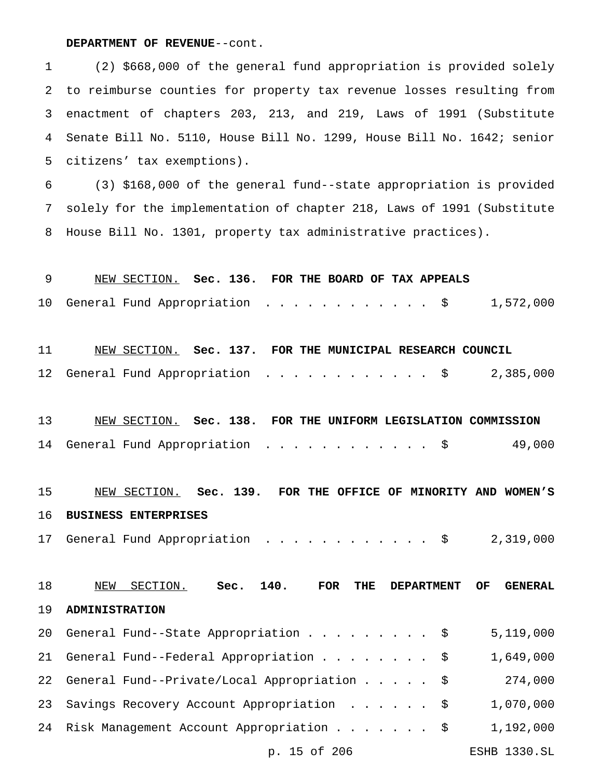#### **DEPARTMENT OF REVENUE**--cont.

 (2) \$668,000 of the general fund appropriation is provided solely to reimburse counties for property tax revenue losses resulting from enactment of chapters 203, 213, and 219, Laws of 1991 (Substitute Senate Bill No. 5110, House Bill No. 1299, House Bill No. 1642; senior citizens' tax exemptions).

 (3) \$168,000 of the general fund--state appropriation is provided solely for the implementation of chapter 218, Laws of 1991 (Substitute House Bill No. 1301, property tax administrative practices).

# NEW SECTION. **Sec. 136. FOR THE BOARD OF TAX APPEALS** General Fund Appropriation ............ \$ 1,572,000 NEW SECTION. **Sec. 137. FOR THE MUNICIPAL RESEARCH COUNCIL** General Fund Appropriation ............ \$ 2,385,000 NEW SECTION. **Sec. 138. FOR THE UNIFORM LEGISLATION COMMISSION** 14 General Fund Appropriation . . . . . . . . . . . \$ 49,000 NEW SECTION. **Sec. 139. FOR THE OFFICE OF MINORITY AND WOMEN'S BUSINESS ENTERPRISES** General Fund Appropriation ............ \$ 2,319,000 NEW SECTION. **Sec. 140. FOR THE DEPARTMENT OF GENERAL ADMINISTRATION** General Fund--State Appropriation......... \$ 5,119,000 General Fund--Federal Appropriation........ \$ 1,649,000 General Fund--Private/Local Appropriation..... \$ 274,000 Savings Recovery Account Appropriation ...... \$ 1,070,000 Risk Management Account Appropriation....... \$ 1,192,000 p. 15 of 206 ESHB 1330.SL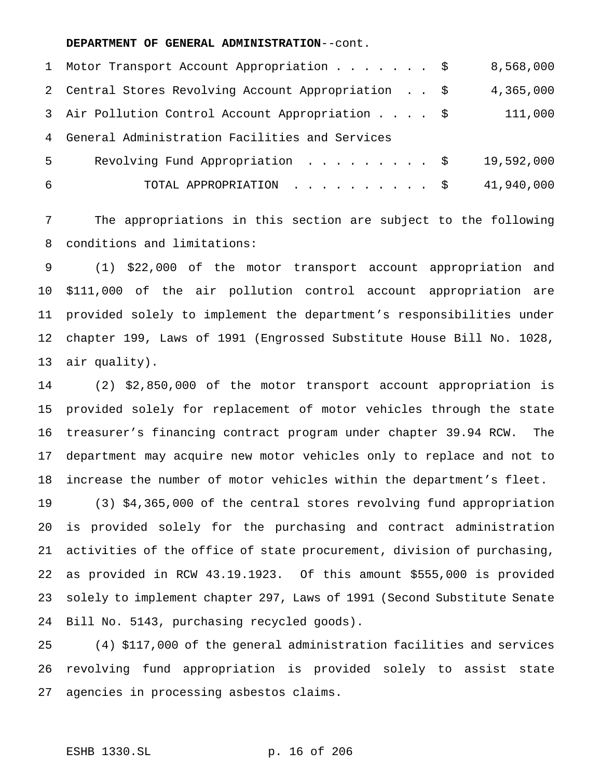**DEPARTMENT OF GENERAL ADMINISTRATION**--cont.

|   | 1 Motor Transport Account Appropriation \$          | 8,568,000  |
|---|-----------------------------------------------------|------------|
|   | 2 Central Stores Revolving Account Appropriation \$ | 4,365,000  |
|   | 3 Air Pollution Control Account Appropriation \$    | 111,000    |
|   | 4 General Administration Facilities and Services    |            |
| 5 | Revolving Fund Appropriation \$                     | 19,592,000 |
| 6 | TOTAL APPROPRIATION \$                              | 41,940,000 |

 The appropriations in this section are subject to the following conditions and limitations:

 (1) \$22,000 of the motor transport account appropriation and \$111,000 of the air pollution control account appropriation are provided solely to implement the department's responsibilities under chapter 199, Laws of 1991 (Engrossed Substitute House Bill No. 1028, air quality).

 (2) \$2,850,000 of the motor transport account appropriation is provided solely for replacement of motor vehicles through the state treasurer's financing contract program under chapter 39.94 RCW. The department may acquire new motor vehicles only to replace and not to increase the number of motor vehicles within the department's fleet.

 (3) \$4,365,000 of the central stores revolving fund appropriation is provided solely for the purchasing and contract administration activities of the office of state procurement, division of purchasing, as provided in RCW 43.19.1923. Of this amount \$555,000 is provided solely to implement chapter 297, Laws of 1991 (Second Substitute Senate Bill No. 5143, purchasing recycled goods).

 (4) \$117,000 of the general administration facilities and services revolving fund appropriation is provided solely to assist state agencies in processing asbestos claims.

ESHB 1330.SL p. 16 of 206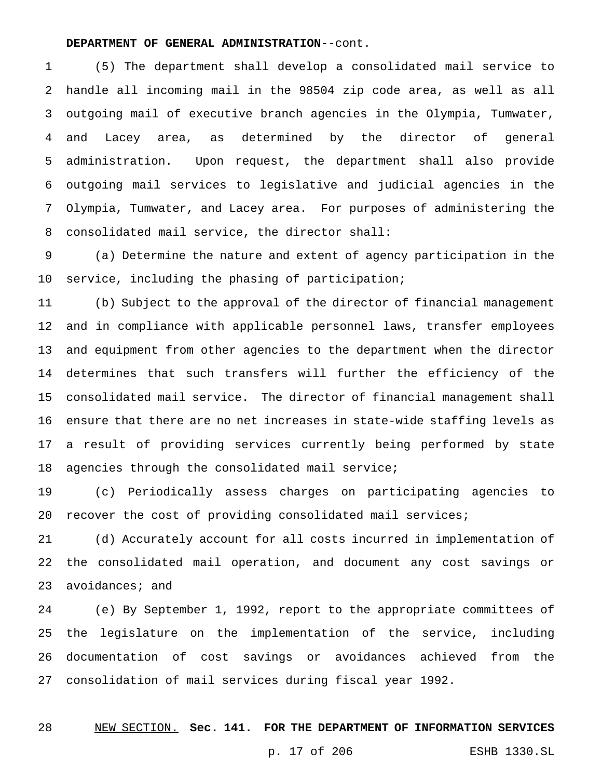#### **DEPARTMENT OF GENERAL ADMINISTRATION**--cont.

 (5) The department shall develop a consolidated mail service to handle all incoming mail in the 98504 zip code area, as well as all outgoing mail of executive branch agencies in the Olympia, Tumwater, and Lacey area, as determined by the director of general administration. Upon request, the department shall also provide outgoing mail services to legislative and judicial agencies in the Olympia, Tumwater, and Lacey area. For purposes of administering the consolidated mail service, the director shall:

 (a) Determine the nature and extent of agency participation in the service, including the phasing of participation;

 (b) Subject to the approval of the director of financial management and in compliance with applicable personnel laws, transfer employees and equipment from other agencies to the department when the director determines that such transfers will further the efficiency of the consolidated mail service. The director of financial management shall ensure that there are no net increases in state-wide staffing levels as a result of providing services currently being performed by state agencies through the consolidated mail service;

 (c) Periodically assess charges on participating agencies to recover the cost of providing consolidated mail services;

 (d) Accurately account for all costs incurred in implementation of the consolidated mail operation, and document any cost savings or 23 avoidances; and

 (e) By September 1, 1992, report to the appropriate committees of the legislature on the implementation of the service, including documentation of cost savings or avoidances achieved from the consolidation of mail services during fiscal year 1992.

#### NEW SECTION. **Sec. 141. FOR THE DEPARTMENT OF INFORMATION SERVICES**

p. 17 of 206 ESHB 1330.SL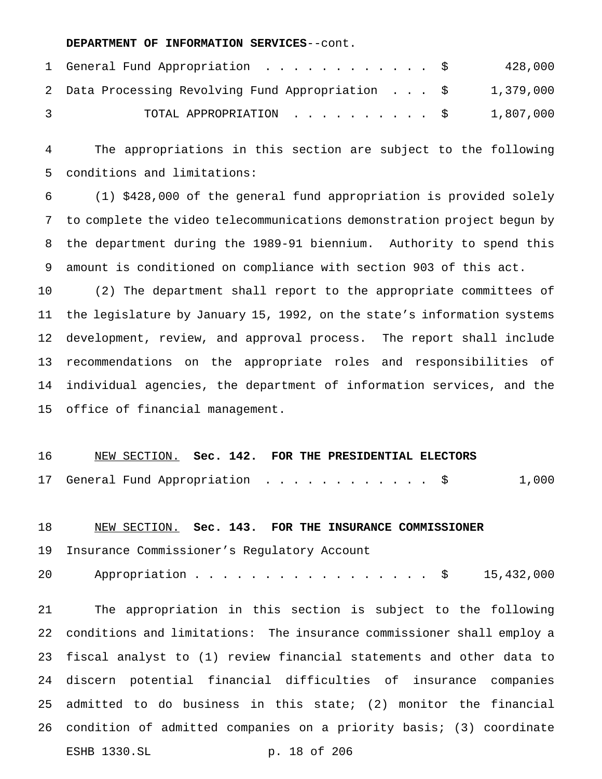#### **DEPARTMENT OF INFORMATION SERVICES**--cont.

|   | 1 General Fund Appropriation \$                   | 428,000   |
|---|---------------------------------------------------|-----------|
|   | 2 Data Processing Revolving Fund Appropriation \$ | 1,379,000 |
| 3 | TOTAL APPROPRIATION \$                            | 1,807,000 |

 The appropriations in this section are subject to the following conditions and limitations:

 (1) \$428,000 of the general fund appropriation is provided solely to complete the video telecommunications demonstration project begun by the department during the 1989-91 biennium. Authority to spend this amount is conditioned on compliance with section 903 of this act.

 (2) The department shall report to the appropriate committees of the legislature by January 15, 1992, on the state's information systems development, review, and approval process. The report shall include recommendations on the appropriate roles and responsibilities of individual agencies, the department of information services, and the office of financial management.

 NEW SECTION. **Sec. 142. FOR THE PRESIDENTIAL ELECTORS** 17 General Fund Appropriation . . . . . . . . . . . \$ 1,000

# NEW SECTION. **Sec. 143. FOR THE INSURANCE COMMISSIONER**

Insurance Commissioner's Regulatory Account

Appropriation................. \$ 15,432,000

 The appropriation in this section is subject to the following conditions and limitations: The insurance commissioner shall employ a fiscal analyst to (1) review financial statements and other data to discern potential financial difficulties of insurance companies admitted to do business in this state; (2) monitor the financial condition of admitted companies on a priority basis; (3) coordinate ESHB 1330.SL p. 18 of 206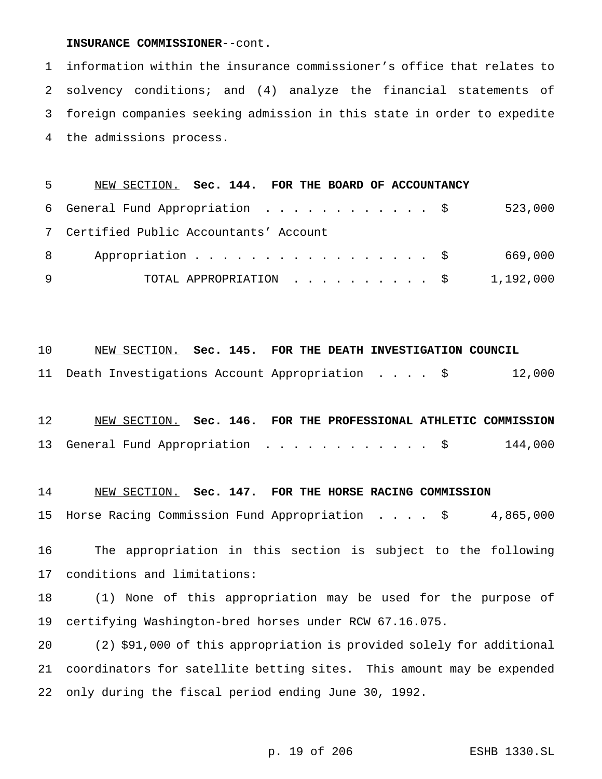#### **INSURANCE COMMISSIONER**--cont.

 information within the insurance commissioner's office that relates to solvency conditions; and (4) analyze the financial statements of foreign companies seeking admission in this state in order to expedite the admissions process.

| 5 - | NEW SECTION. Sec. 144. FOR THE BOARD OF ACCOUNTANCY |         |
|-----|-----------------------------------------------------|---------|
|     | 6 General Fund Appropriation \$                     | 523,000 |
|     | 7 Certified Public Accountants' Account             |         |
|     | Appropriation \$<br>8 - 10                          | 669,000 |
| -9  | TOTAL APPROPRIATION $\ldots$ , \$ 1,192,000         |         |

 NEW SECTION. **Sec. 145. FOR THE DEATH INVESTIGATION COUNCIL** Death Investigations Account Appropriation .... \$ 12,000

| 12                                       |  |  |  | NEW SECTION. Sec. 146. FOR THE PROFESSIONAL ATHLETIC COMMISSION |
|------------------------------------------|--|--|--|-----------------------------------------------------------------|
| 13 General Fund Appropriation \$ 144,000 |  |  |  |                                                                 |

## NEW SECTION. **Sec. 147. FOR THE HORSE RACING COMMISSION**

Horse Racing Commission Fund Appropriation .... \$ 4,865,000

 The appropriation in this section is subject to the following conditions and limitations:

 (1) None of this appropriation may be used for the purpose of certifying Washington-bred horses under RCW 67.16.075.

 (2) \$91,000 of this appropriation is provided solely for additional coordinators for satellite betting sites. This amount may be expended only during the fiscal period ending June 30, 1992.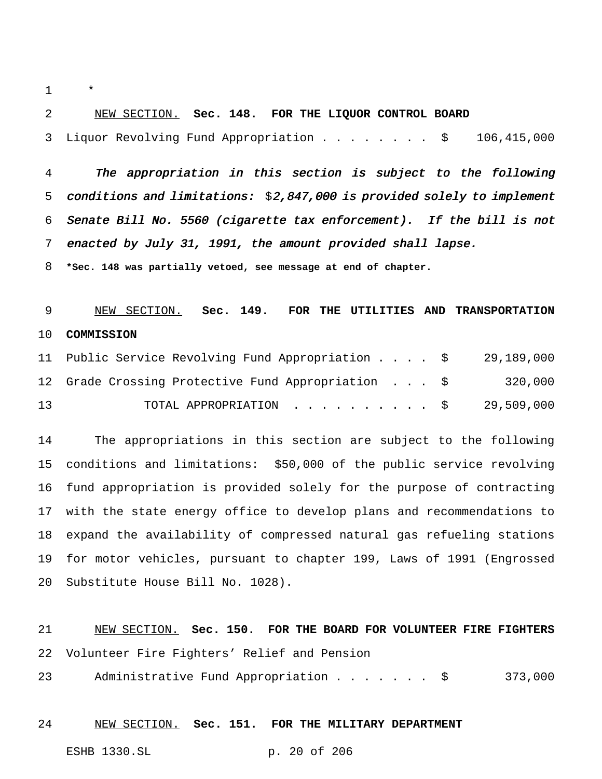\*

#### NEW SECTION. **Sec. 148. FOR THE LIQUOR CONTROL BOARD**

Liquor Revolving Fund Appropriation........ \$ 106,415,000

 The appropriation in this section is subject to the following 5 conditions and limitations:  $$2,847,000$  is provided solely to implement Senate Bill No. <sup>5560</sup> (cigarette tax enforcement). If the bill is not enacted by July 31, 1991, the amount provided shall lapse.

**\*Sec. 148 was partially vetoed, see message at end of chapter.**

# NEW SECTION. **Sec. 149. FOR THE UTILITIES AND TRANSPORTATION COMMISSION**

|    | 11 Public Service Revolving Fund Appropriation \$ 29,189,000 |         |
|----|--------------------------------------------------------------|---------|
|    | 12 Grade Crossing Protective Fund Appropriation \$           | 320,000 |
| 13 | TOTAL APPROPRIATION $\ldots$ , \$ 29,509,000                 |         |

 The appropriations in this section are subject to the following conditions and limitations: \$50,000 of the public service revolving fund appropriation is provided solely for the purpose of contracting with the state energy office to develop plans and recommendations to expand the availability of compressed natural gas refueling stations for motor vehicles, pursuant to chapter 199, Laws of 1991 (Engrossed Substitute House Bill No. 1028).

# NEW SECTION. **Sec. 150. FOR THE BOARD FOR VOLUNTEER FIRE FIGHTERS** Volunteer Fire Fighters' Relief and Pension

Administrative Fund Appropriation....... \$ 373,000

#### NEW SECTION. **Sec. 151. FOR THE MILITARY DEPARTMENT**

ESHB 1330.SL p. 20 of 206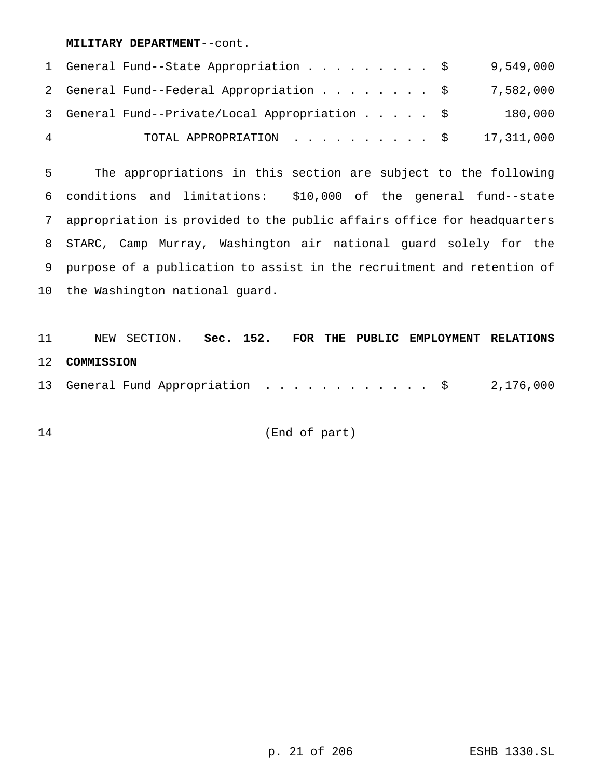#### **MILITARY DEPARTMENT**--cont.

|   | 1 General Fund--State Appropriation \$             |  |  | 9,549,000 |
|---|----------------------------------------------------|--|--|-----------|
|   | 2 General Fund--Federal Appropriation \$ 7,582,000 |  |  |           |
|   | 3 General Fund--Private/Local Appropriation \$     |  |  | 180,000   |
| 4 | TOTAL APPROPRIATION $\ldots$ , \$ 17,311,000       |  |  |           |

 The appropriations in this section are subject to the following conditions and limitations: \$10,000 of the general fund--state appropriation is provided to the public affairs office for headquarters STARC, Camp Murray, Washington air national guard solely for the purpose of a publication to assist in the recruitment and retention of the Washington national guard.

 NEW SECTION. **Sec. 152. FOR THE PUBLIC EMPLOYMENT RELATIONS COMMISSION** 13 General Fund Appropriation . . . . . . . . . . . \$ 2,176,000

(End of part)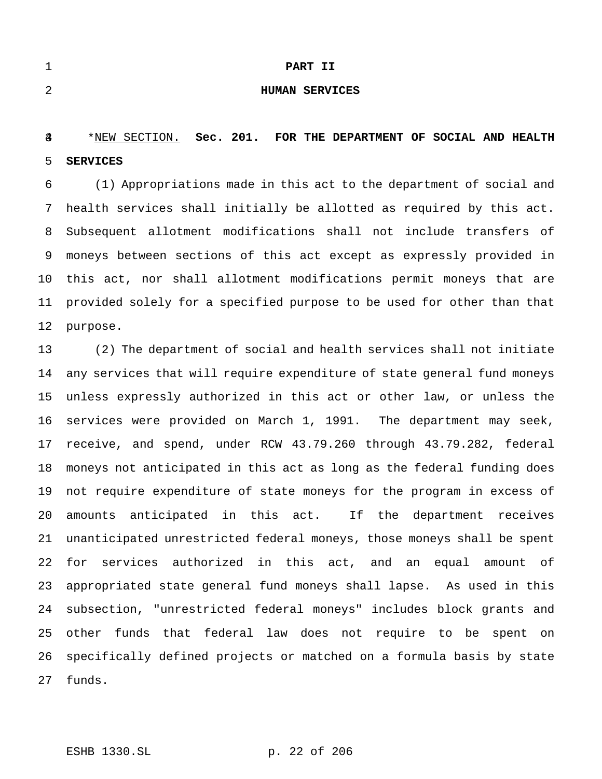|  |  | I |
|--|--|---|
|  |  |   |
|  |  |   |
|  |  |   |
|  |  |   |
|  |  |   |
|  |  |   |
|  |  |   |
|  |  |   |
|  |  |   |
|  |  |   |
|  |  |   |
|  |  |   |
|  |  |   |
|  |  |   |
|  |  |   |
|  |  |   |
|  |  |   |
|  |  |   |
|  |  |   |
|  |  |   |
|  |  |   |

#### **PART II**

#### **HUMAN SERVICES**

## \*NEW SECTION. **Sec. 201. FOR THE DEPARTMENT OF SOCIAL AND HEALTH SERVICES**

 (1) Appropriations made in this act to the department of social and health services shall initially be allotted as required by this act. Subsequent allotment modifications shall not include transfers of moneys between sections of this act except as expressly provided in this act, nor shall allotment modifications permit moneys that are provided solely for a specified purpose to be used for other than that purpose.

 (2) The department of social and health services shall not initiate any services that will require expenditure of state general fund moneys unless expressly authorized in this act or other law, or unless the services were provided on March 1, 1991. The department may seek, receive, and spend, under RCW 43.79.260 through 43.79.282, federal moneys not anticipated in this act as long as the federal funding does not require expenditure of state moneys for the program in excess of amounts anticipated in this act. If the department receives unanticipated unrestricted federal moneys, those moneys shall be spent for services authorized in this act, and an equal amount of appropriated state general fund moneys shall lapse. As used in this subsection, "unrestricted federal moneys" includes block grants and other funds that federal law does not require to be spent on specifically defined projects or matched on a formula basis by state funds.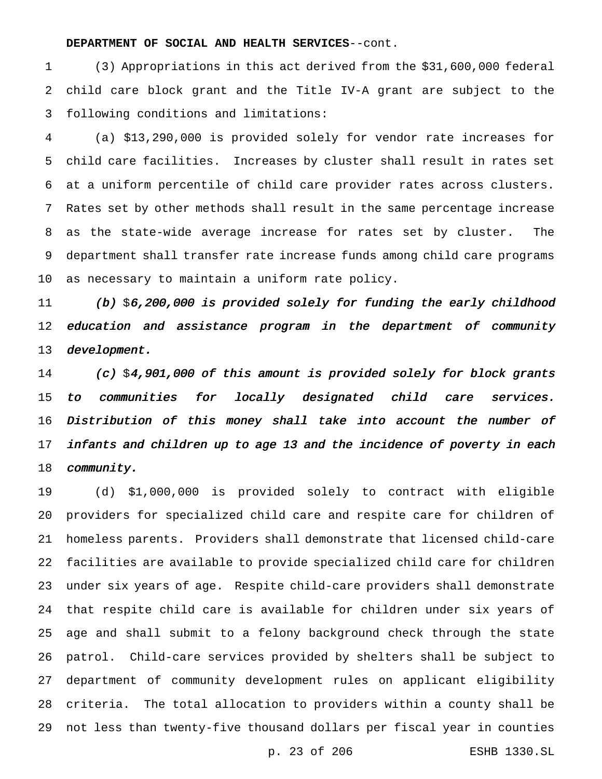#### **DEPARTMENT OF SOCIAL AND HEALTH SERVICES**--cont.

 (3) Appropriations in this act derived from the \$31,600,000 federal child care block grant and the Title IV-A grant are subject to the following conditions and limitations:

 (a) \$13,290,000 is provided solely for vendor rate increases for child care facilities. Increases by cluster shall result in rates set at a uniform percentile of child care provider rates across clusters. Rates set by other methods shall result in the same percentage increase as the state-wide average increase for rates set by cluster. The department shall transfer rate increase funds among child care programs as necessary to maintain a uniform rate policy.

11 (b)  $$6,200,000$  is provided solely for funding the early childhood education and assistance program in the department of community development.

14 (c)  $\frac{1}{4}$  (c)  $\frac{1}{4}$ ,901,000 of this amount is provided solely for block grants to communities for locally designated child care services. Distribution of this money shall take into account the number of 17 infants and children up to age 13 and the incidence of poverty in each 18 community.

 (d) \$1,000,000 is provided solely to contract with eligible providers for specialized child care and respite care for children of homeless parents. Providers shall demonstrate that licensed child-care facilities are available to provide specialized child care for children under six years of age. Respite child-care providers shall demonstrate that respite child care is available for children under six years of age and shall submit to a felony background check through the state patrol. Child-care services provided by shelters shall be subject to department of community development rules on applicant eligibility criteria. The total allocation to providers within a county shall be not less than twenty-five thousand dollars per fiscal year in counties

p. 23 of 206 ESHB 1330.SL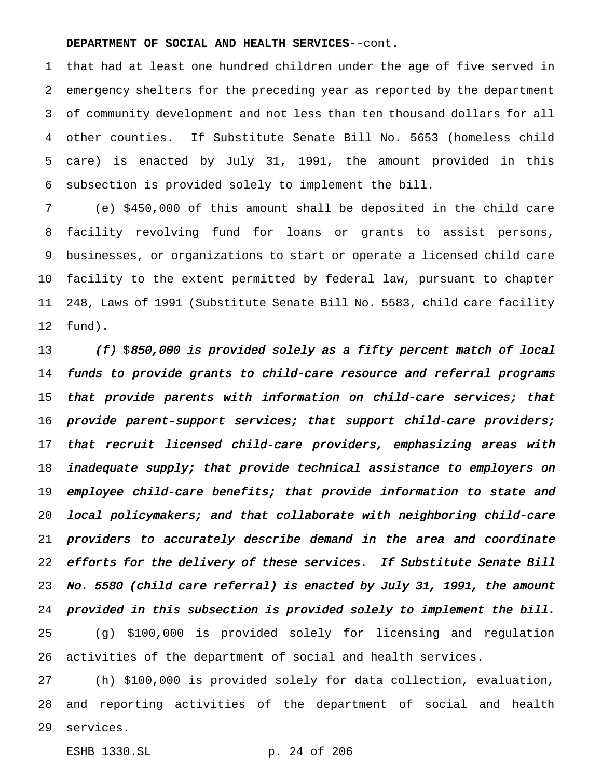#### **DEPARTMENT OF SOCIAL AND HEALTH SERVICES**--cont.

 that had at least one hundred children under the age of five served in emergency shelters for the preceding year as reported by the department of community development and not less than ten thousand dollars for all other counties. If Substitute Senate Bill No. 5653 (homeless child care) is enacted by July 31, 1991, the amount provided in this subsection is provided solely to implement the bill.

 (e) \$450,000 of this amount shall be deposited in the child care facility revolving fund for loans or grants to assist persons, businesses, or organizations to start or operate a licensed child care facility to the extent permitted by federal law, pursuant to chapter 248, Laws of 1991 (Substitute Senate Bill No. 5583, child care facility fund).

13 (f)  $\$850,000$  is provided solely as a fifty percent match of local funds to provide grants to child-care resource and referral programs that provide parents with information on child-care services; that provide parent-support services; that support child-care providers; that recruit licensed child-care providers, emphasizing areas with inadequate supply; that provide technical assistance to employers on employee child-care benefits; that provide information to state and local policymakers; and that collaborate with neighboring child-care providers to accurately describe demand in the area and coordinate 22 efforts for the delivery of these services. If Substitute Senate Bill No. <sup>5580</sup> (child care referral) is enacted by July 31, 1991, the amount provided in this subsection is provided solely to implement the bill. (g) \$100,000 is provided solely for licensing and regulation activities of the department of social and health services.

 (h) \$100,000 is provided solely for data collection, evaluation, and reporting activities of the department of social and health services.

ESHB 1330.SL p. 24 of 206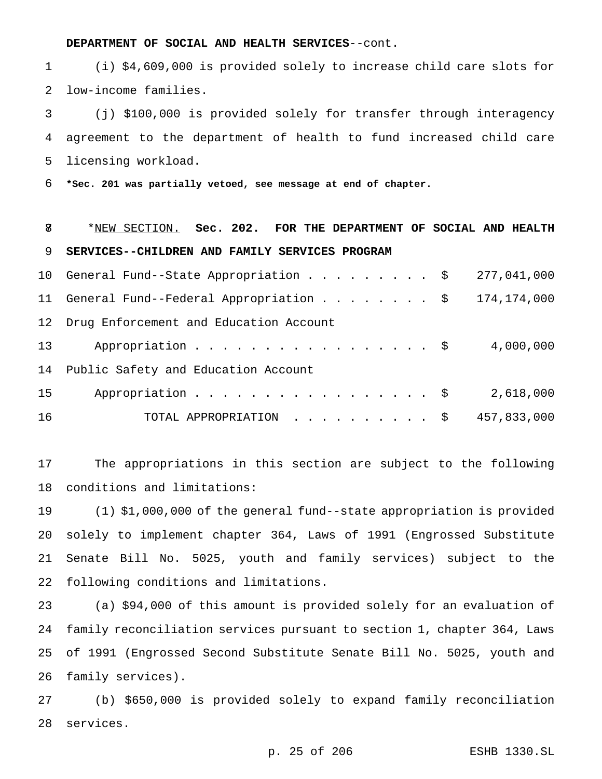**DEPARTMENT OF SOCIAL AND HEALTH SERVICES**--cont.

 (i) \$4,609,000 is provided solely to increase child care slots for low-income families.

 (j) \$100,000 is provided solely for transfer through interagency agreement to the department of health to fund increased child care licensing workload.

**\*Sec. 201 was partially vetoed, see message at end of chapter.**

 \*NEW SECTION. **Sec. 202. FOR THE DEPARTMENT OF SOCIAL AND HEALTH SERVICES--CHILDREN AND FAMILY SERVICES PROGRAM**

|                 | 10 General Fund--State Appropriation \$               | 277,041,000 |
|-----------------|-------------------------------------------------------|-------------|
|                 | 11 General Fund--Federal Appropriation \$ 174,174,000 |             |
|                 | 12 Drug Enforcement and Education Account             |             |
| 13              | Appropriation $\frac{1}{5}$                           | 4,000,000   |
|                 | 14 Public Safety and Education Account                |             |
| 15 <sub>1</sub> | Appropriation $\frac{1}{5}$                           | 2,618,000   |
| 16              | TOTAL APPROPRIATION \$                                | 457,833,000 |

 The appropriations in this section are subject to the following conditions and limitations:

 (1) \$1,000,000 of the general fund--state appropriation is provided solely to implement chapter 364, Laws of 1991 (Engrossed Substitute Senate Bill No. 5025, youth and family services) subject to the following conditions and limitations.

 (a) \$94,000 of this amount is provided solely for an evaluation of family reconciliation services pursuant to section 1, chapter 364, Laws of 1991 (Engrossed Second Substitute Senate Bill No. 5025, youth and family services).

 (b) \$650,000 is provided solely to expand family reconciliation services.

p. 25 of 206 ESHB 1330.SL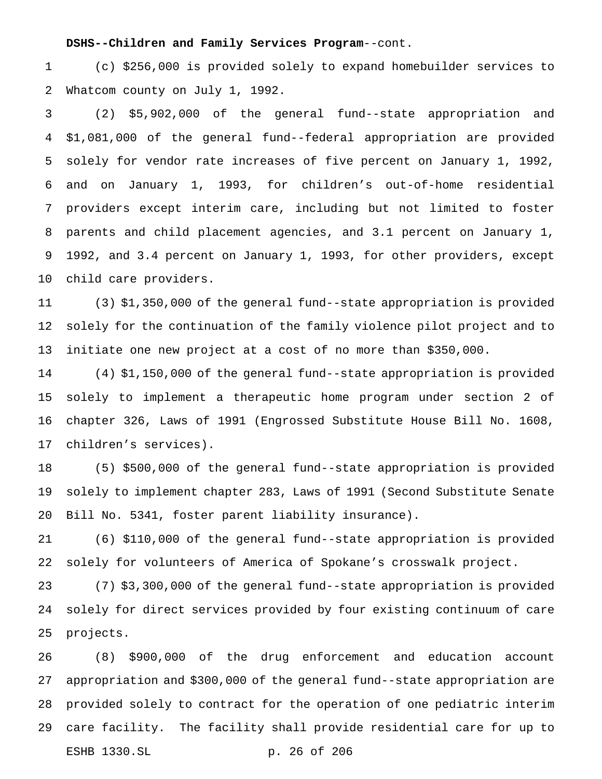#### **DSHS--Children and Family Services Program**--cont.

 (c) \$256,000 is provided solely to expand homebuilder services to Whatcom county on July 1, 1992.

 (2) \$5,902,000 of the general fund--state appropriation and \$1,081,000 of the general fund--federal appropriation are provided solely for vendor rate increases of five percent on January 1, 1992, and on January 1, 1993, for children's out-of-home residential providers except interim care, including but not limited to foster parents and child placement agencies, and 3.1 percent on January 1, 1992, and 3.4 percent on January 1, 1993, for other providers, except child care providers.

 (3) \$1,350,000 of the general fund--state appropriation is provided solely for the continuation of the family violence pilot project and to initiate one new project at a cost of no more than \$350,000.

 (4) \$1,150,000 of the general fund--state appropriation is provided solely to implement a therapeutic home program under section 2 of chapter 326, Laws of 1991 (Engrossed Substitute House Bill No. 1608, children's services).

 (5) \$500,000 of the general fund--state appropriation is provided solely to implement chapter 283, Laws of 1991 (Second Substitute Senate Bill No. 5341, foster parent liability insurance).

 (6) \$110,000 of the general fund--state appropriation is provided solely for volunteers of America of Spokane's crosswalk project.

 (7) \$3,300,000 of the general fund--state appropriation is provided solely for direct services provided by four existing continuum of care projects.

 (8) \$900,000 of the drug enforcement and education account appropriation and \$300,000 of the general fund--state appropriation are provided solely to contract for the operation of one pediatric interim care facility. The facility shall provide residential care for up to ESHB 1330.SL p. 26 of 206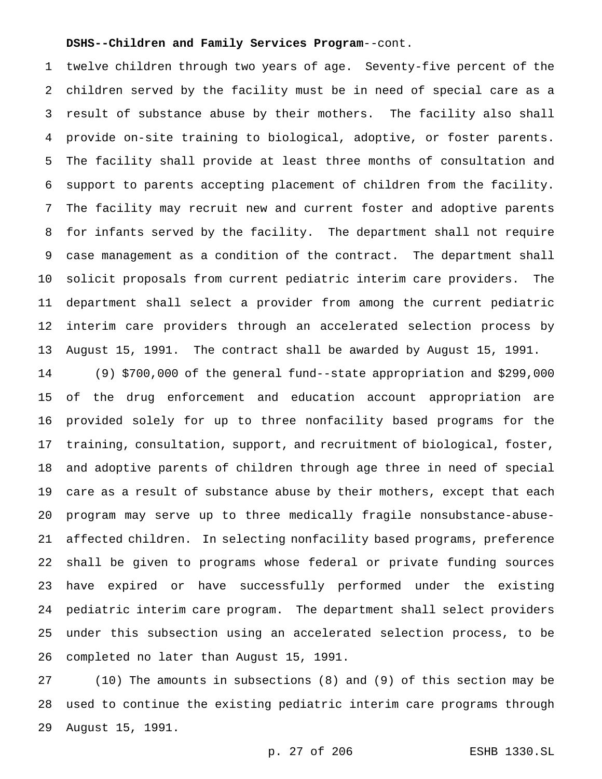### **DSHS--Children and Family Services Program**--cont.

 twelve children through two years of age. Seventy-five percent of the children served by the facility must be in need of special care as a result of substance abuse by their mothers. The facility also shall provide on-site training to biological, adoptive, or foster parents. The facility shall provide at least three months of consultation and support to parents accepting placement of children from the facility. The facility may recruit new and current foster and adoptive parents for infants served by the facility. The department shall not require case management as a condition of the contract. The department shall solicit proposals from current pediatric interim care providers. The department shall select a provider from among the current pediatric interim care providers through an accelerated selection process by August 15, 1991. The contract shall be awarded by August 15, 1991.

 (9) \$700,000 of the general fund--state appropriation and \$299,000 of the drug enforcement and education account appropriation are provided solely for up to three nonfacility based programs for the training, consultation, support, and recruitment of biological, foster, and adoptive parents of children through age three in need of special care as a result of substance abuse by their mothers, except that each program may serve up to three medically fragile nonsubstance-abuse- affected children. In selecting nonfacility based programs, preference shall be given to programs whose federal or private funding sources have expired or have successfully performed under the existing pediatric interim care program. The department shall select providers under this subsection using an accelerated selection process, to be completed no later than August 15, 1991.

 (10) The amounts in subsections (8) and (9) of this section may be used to continue the existing pediatric interim care programs through August 15, 1991.

p. 27 of 206 ESHB 1330.SL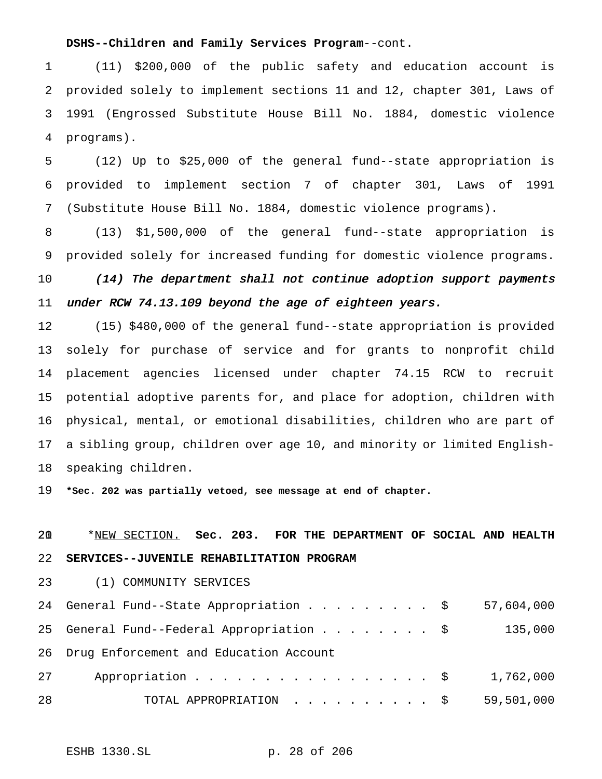#### **DSHS--Children and Family Services Program**--cont.

 (11) \$200,000 of the public safety and education account is provided solely to implement sections 11 and 12, chapter 301, Laws of 1991 (Engrossed Substitute House Bill No. 1884, domestic violence programs).

 (12) Up to \$25,000 of the general fund--state appropriation is provided to implement section 7 of chapter 301, Laws of 1991 (Substitute House Bill No. 1884, domestic violence programs).

 (13) \$1,500,000 of the general fund--state appropriation is provided solely for increased funding for domestic violence programs. (14) The department shall not continue adoption support payments 11 under RCW 74.13.109 beyond the age of eighteen years.

 (15) \$480,000 of the general fund--state appropriation is provided solely for purchase of service and for grants to nonprofit child placement agencies licensed under chapter 74.15 RCW to recruit potential adoptive parents for, and place for adoption, children with physical, mental, or emotional disabilities, children who are part of a sibling group, children over age 10, and minority or limited English-speaking children.

**\*Sec. 202 was partially vetoed, see message at end of chapter.**

# \*NEW SECTION. **Sec. 203. FOR THE DEPARTMENT OF SOCIAL AND HEALTH SERVICES--JUVENILE REHABILITATION PROGRAM**

#### (1) COMMUNITY SERVICES

|    | 24 General Fund--State Appropriation \$ 57,604,000 |            |
|----|----------------------------------------------------|------------|
|    | 25 General Fund--Federal Appropriation \$          | 135,000    |
|    | 26 Drug Enforcement and Education Account          |            |
| 27 | Appropriation $\frac{1}{2}$                        | 1,762,000  |
| 28 | TOTAL APPROPRIATION \$                             | 59,501,000 |

ESHB 1330.SL p. 28 of 206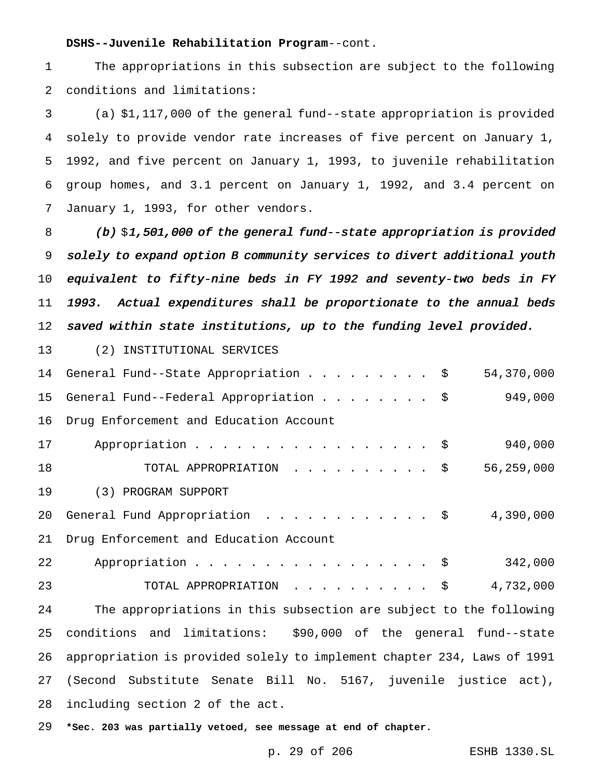#### **DSHS--Juvenile Rehabilitation Program**--cont.

 The appropriations in this subsection are subject to the following conditions and limitations:

 (a) \$1,117,000 of the general fund--state appropriation is provided solely to provide vendor rate increases of five percent on January 1, 1992, and five percent on January 1, 1993, to juvenile rehabilitation group homes, and 3.1 percent on January 1, 1992, and 3.4 percent on January 1, 1993, for other vendors.

8 (b)  $$1,501,000$  of the general fund--state appropriation is provided solely to expand option <sup>B</sup> community services to divert additional youth equivalent to fifty-nine beds in FY <sup>1992</sup> and seventy-two beds in FY 1993. Actual expenditures shall be proportionate to the annual beds 12 saved within state institutions, up to the funding level provided.

(2) INSTITUTIONAL SERVICES

| 14 | 54,370,000<br>General Fund--State Appropriation \$                      |
|----|-------------------------------------------------------------------------|
| 15 | 949,000<br>General Fund--Federal Appropriation \$                       |
| 16 | Drug Enforcement and Education Account                                  |
| 17 | 940,000<br>Appropriation $\frac{1}{9}$                                  |
| 18 | TOTAL APPROPRIATION \$<br>56,259,000                                    |
| 19 | (3) PROGRAM SUPPORT                                                     |
| 20 | General Fund Appropriation \$<br>4,390,000                              |
| 21 | Drug Enforcement and Education Account                                  |
| 22 | Appropriation $\frac{1}{5}$<br>342,000                                  |
| 23 | TOTAL APPROPRIATION \$<br>4,732,000                                     |
| 24 | The appropriations in this subsection are subject to the following      |
| 25 | conditions and limitations: \$90,000 of the general fund--state         |
| 26 | appropriation is provided solely to implement chapter 234, Laws of 1991 |
| 27 | (Second Substitute Senate Bill No. 5167, juvenile justice act),         |
| 28 | including section 2 of the act.                                         |
|    |                                                                         |

**\*Sec. 203 was partially vetoed, see message at end of chapter.**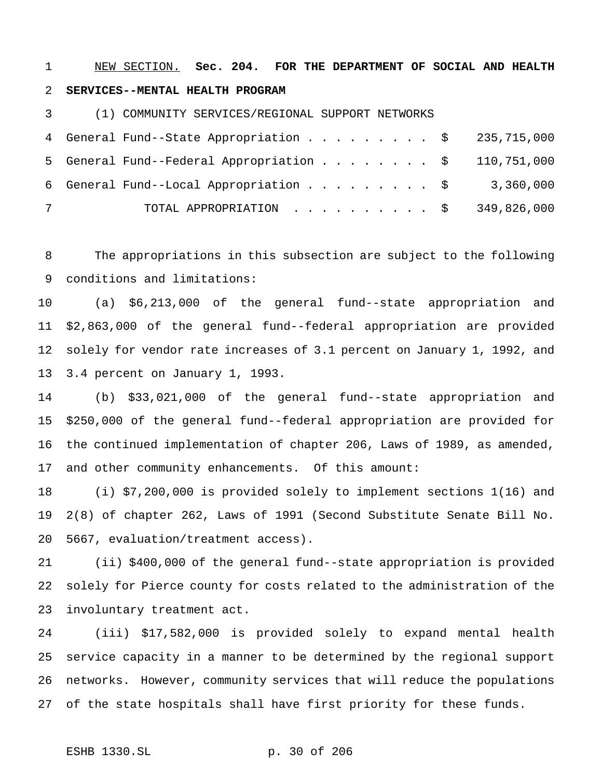NEW SECTION. **Sec. 204. FOR THE DEPARTMENT OF SOCIAL AND HEALTH SERVICES--MENTAL HEALTH PROGRAM**

(1) COMMUNITY SERVICES/REGIONAL SUPPORT NETWORKS

|   | 4 General Fund--State Appropriation \$ 235,715,000          |  |
|---|-------------------------------------------------------------|--|
|   | 5 General Fund--Federal Appropriation \$ 110,751,000        |  |
|   | 6 General Fund--Local Appropriation $\frac{1}{5}$ 3,360,000 |  |
| 7 | TOTAL APPROPRIATION $\ldots$ , \$ 349,826,000               |  |

 The appropriations in this subsection are subject to the following conditions and limitations:

 (a) \$6,213,000 of the general fund--state appropriation and \$2,863,000 of the general fund--federal appropriation are provided solely for vendor rate increases of 3.1 percent on January 1, 1992, and 3.4 percent on January 1, 1993.

 (b) \$33,021,000 of the general fund--state appropriation and \$250,000 of the general fund--federal appropriation are provided for the continued implementation of chapter 206, Laws of 1989, as amended, and other community enhancements. Of this amount:

 (i) \$7,200,000 is provided solely to implement sections 1(16) and 2(8) of chapter 262, Laws of 1991 (Second Substitute Senate Bill No. 5667, evaluation/treatment access).

 (ii) \$400,000 of the general fund--state appropriation is provided solely for Pierce county for costs related to the administration of the involuntary treatment act.

 (iii) \$17,582,000 is provided solely to expand mental health service capacity in a manner to be determined by the regional support networks. However, community services that will reduce the populations of the state hospitals shall have first priority for these funds.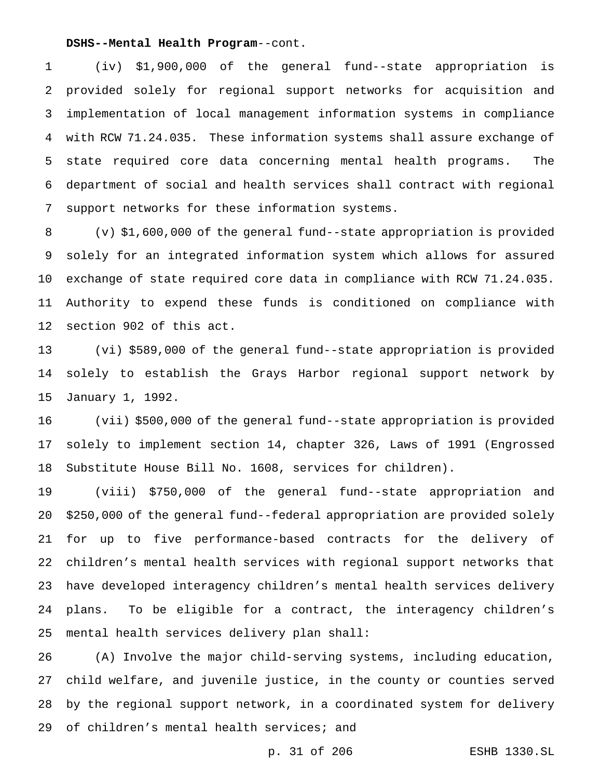#### **DSHS--Mental Health Program**--cont.

 (iv) \$1,900,000 of the general fund--state appropriation is provided solely for regional support networks for acquisition and implementation of local management information systems in compliance with RCW 71.24.035. These information systems shall assure exchange of state required core data concerning mental health programs. The department of social and health services shall contract with regional support networks for these information systems.

 (v) \$1,600,000 of the general fund--state appropriation is provided solely for an integrated information system which allows for assured exchange of state required core data in compliance with RCW 71.24.035. Authority to expend these funds is conditioned on compliance with section 902 of this act.

 (vi) \$589,000 of the general fund--state appropriation is provided solely to establish the Grays Harbor regional support network by January 1, 1992.

 (vii) \$500,000 of the general fund--state appropriation is provided solely to implement section 14, chapter 326, Laws of 1991 (Engrossed Substitute House Bill No. 1608, services for children).

 (viii) \$750,000 of the general fund--state appropriation and \$250,000 of the general fund--federal appropriation are provided solely for up to five performance-based contracts for the delivery of children's mental health services with regional support networks that have developed interagency children's mental health services delivery plans. To be eligible for a contract, the interagency children's mental health services delivery plan shall:

 (A) Involve the major child-serving systems, including education, child welfare, and juvenile justice, in the county or counties served by the regional support network, in a coordinated system for delivery 29 of children's mental health services; and

```
p. 31 of 206 ESHB 1330.SL
```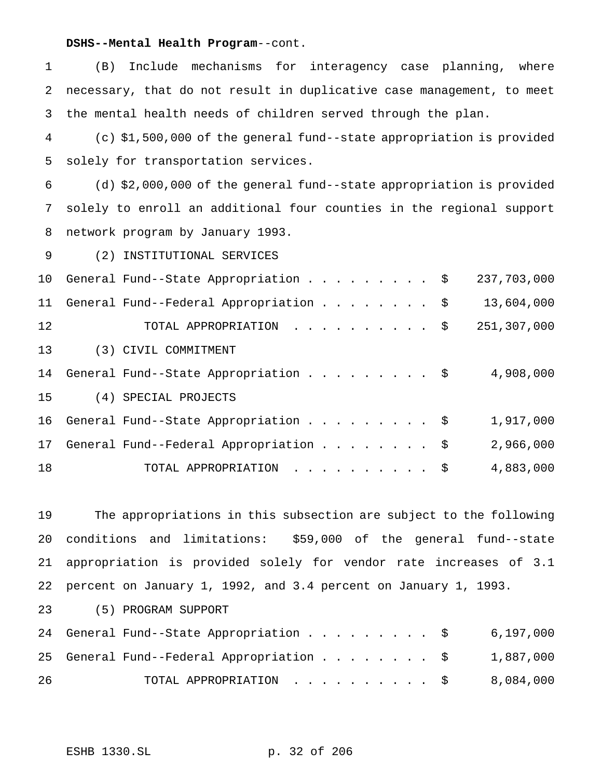### **DSHS--Mental Health Program**--cont.

 (B) Include mechanisms for interagency case planning, where necessary, that do not result in duplicative case management, to meet the mental health needs of children served through the plan.

 (c) \$1,500,000 of the general fund--state appropriation is provided solely for transportation services.

 (d) \$2,000,000 of the general fund--state appropriation is provided solely to enroll an additional four counties in the regional support network program by January 1993.

(2) INSTITUTIONAL SERVICES

|                 | 10 General Fund--State Appropriation \$   |  |  |  |  | 237,703,000 |
|-----------------|-------------------------------------------|--|--|--|--|-------------|
|                 | 11 General Fund--Federal Appropriation \$ |  |  |  |  | 13,604,000  |
| 12              | TOTAL APPROPRIATION \$                    |  |  |  |  | 251,307,000 |
| 13 <sup>7</sup> | (3) CIVIL COMMITMENT                      |  |  |  |  |             |
|                 | 14 General Fund--State Appropriation \$   |  |  |  |  | 4,908,000   |
| 15              | (4) SPECIAL PROJECTS                      |  |  |  |  |             |
|                 | 16 General Fund--State Appropriation \$   |  |  |  |  | 1,917,000   |
| 17              | General Fund--Federal Appropriation \$    |  |  |  |  | 2,966,000   |
| 18              | TOTAL APPROPRIATION \$                    |  |  |  |  | 4,883,000   |

 The appropriations in this subsection are subject to the following conditions and limitations: \$59,000 of the general fund--state appropriation is provided solely for vendor rate increases of 3.1 percent on January 1, 1992, and 3.4 percent on January 1, 1993.

(5) PROGRAM SUPPORT

|    | 24 General Fund--State Appropriation \$ 6,197,000   |  |  |  |  |  |  |
|----|-----------------------------------------------------|--|--|--|--|--|--|
|    | 25 General Fund--Federal Appropriation \$ 1,887,000 |  |  |  |  |  |  |
| 26 | TOTAL APPROPRIATION \$ 8,084,000                    |  |  |  |  |  |  |

ESHB 1330.SL p. 32 of 206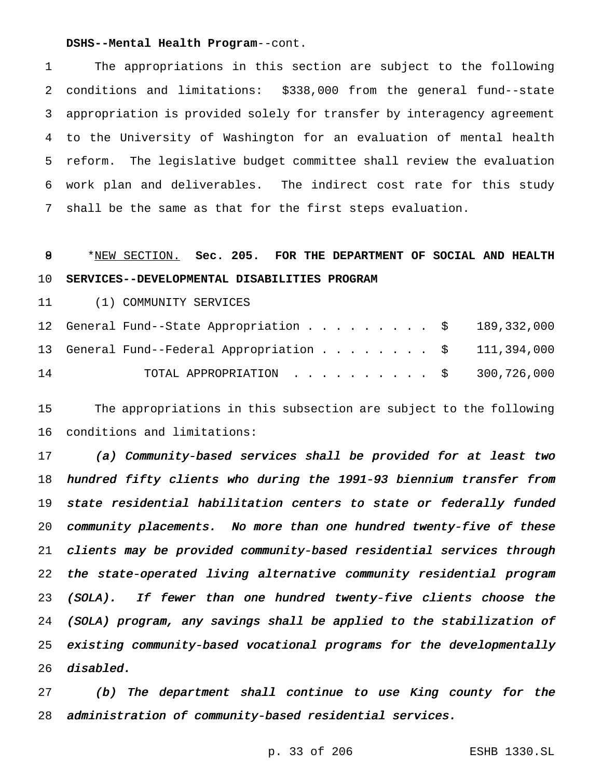#### **DSHS--Mental Health Program**--cont.

 The appropriations in this section are subject to the following conditions and limitations: \$338,000 from the general fund--state appropriation is provided solely for transfer by interagency agreement to the University of Washington for an evaluation of mental health reform. The legislative budget committee shall review the evaluation work plan and deliverables. The indirect cost rate for this study shall be the same as that for the first steps evaluation.

# \*NEW SECTION. **Sec. 205. FOR THE DEPARTMENT OF SOCIAL AND HEALTH SERVICES--DEVELOPMENTAL DISABILITIES PROGRAM**

(1) COMMUNITY SERVICES

|    | 12 General Fund--State Appropriation \$ 189,332,000   |  |  |  |  |  |  |                                               |
|----|-------------------------------------------------------|--|--|--|--|--|--|-----------------------------------------------|
|    | 13 General Fund--Federal Appropriation \$ 111,394,000 |  |  |  |  |  |  |                                               |
| 14 |                                                       |  |  |  |  |  |  | TOTAL APPROPRIATION $\ldots$ , \$ 300,726,000 |

 The appropriations in this subsection are subject to the following conditions and limitations:

 (a) Community-based services shall be provided for at least two hundred fifty clients who during the 1991-93 biennium transfer from state residential habilitation centers to state or federally funded community placements. No more than one hundred twenty-five of these clients may be provided community-based residential services through the state-operated living alternative community residential program (SOLA). If fewer than one hundred twenty-five clients choose the (SOLA) program, any savings shall be applied to the stabilization of existing community-based vocational programs for the developmentally disabled.

 (b) The department shall continue to use King county for the administration of community-based residential services.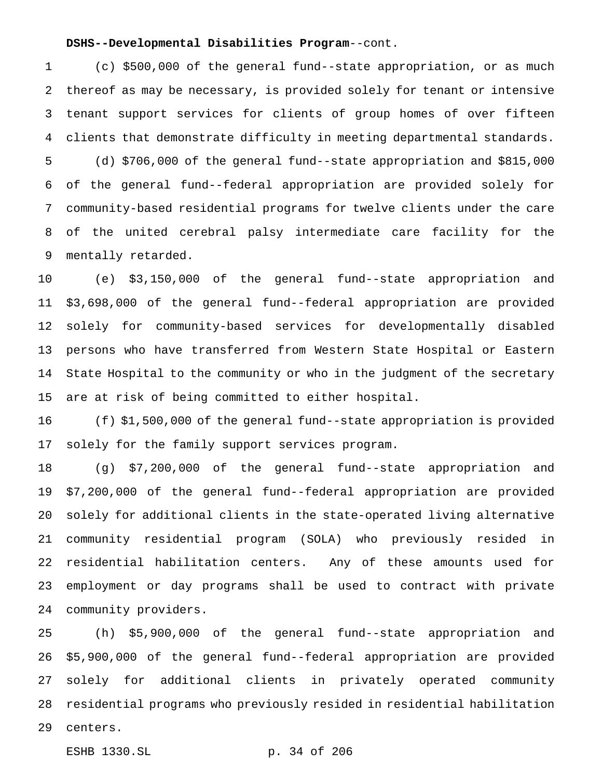#### **DSHS--Developmental Disabilities Program**--cont.

 (c) \$500,000 of the general fund--state appropriation, or as much thereof as may be necessary, is provided solely for tenant or intensive tenant support services for clients of group homes of over fifteen clients that demonstrate difficulty in meeting departmental standards.

 (d) \$706,000 of the general fund--state appropriation and \$815,000 of the general fund--federal appropriation are provided solely for community-based residential programs for twelve clients under the care of the united cerebral palsy intermediate care facility for the mentally retarded.

 (e) \$3,150,000 of the general fund--state appropriation and \$3,698,000 of the general fund--federal appropriation are provided solely for community-based services for developmentally disabled persons who have transferred from Western State Hospital or Eastern State Hospital to the community or who in the judgment of the secretary are at risk of being committed to either hospital.

 (f) \$1,500,000 of the general fund--state appropriation is provided solely for the family support services program.

 (g) \$7,200,000 of the general fund--state appropriation and \$7,200,000 of the general fund--federal appropriation are provided solely for additional clients in the state-operated living alternative community residential program (SOLA) who previously resided in residential habilitation centers. Any of these amounts used for employment or day programs shall be used to contract with private community providers.

 (h) \$5,900,000 of the general fund--state appropriation and \$5,900,000 of the general fund--federal appropriation are provided solely for additional clients in privately operated community residential programs who previously resided in residential habilitation centers.

ESHB 1330.SL p. 34 of 206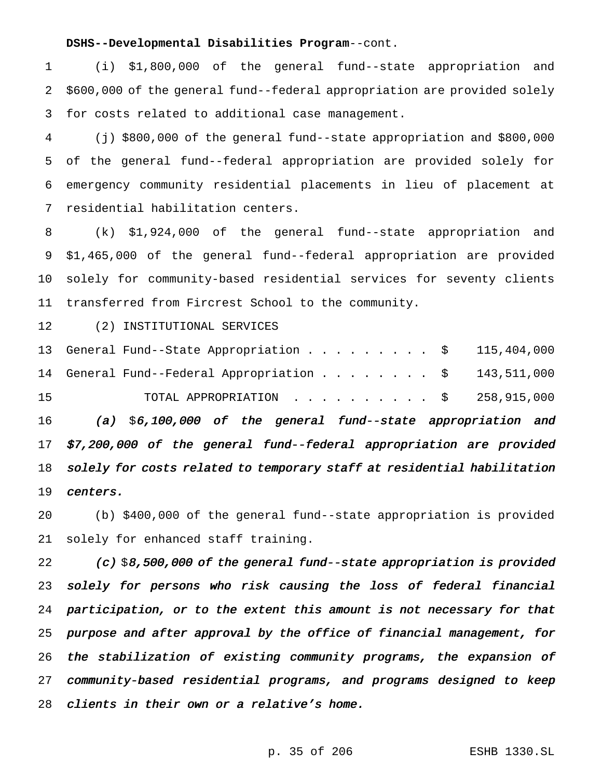## **DSHS--Developmental Disabilities Program**--cont.

 (i) \$1,800,000 of the general fund--state appropriation and \$600,000 of the general fund--federal appropriation are provided solely for costs related to additional case management.

 (j) \$800,000 of the general fund--state appropriation and \$800,000 of the general fund--federal appropriation are provided solely for emergency community residential placements in lieu of placement at residential habilitation centers.

 (k) \$1,924,000 of the general fund--state appropriation and \$1,465,000 of the general fund--federal appropriation are provided solely for community-based residential services for seventy clients transferred from Fircrest School to the community.

(2) INSTITUTIONAL SERVICES

 General Fund--State Appropriation......... \$ 115,404,000 General Fund--Federal Appropriation........ \$ 143,511,000 15 TOTAL APPROPRIATION . . . . . . . . . . \$ 258,915,000

16 (a) \$6,100,000 of the general fund--state appropriation and \$7,200,000 of the general fund--federal appropriation are provided solely for costs related to temporary staff at residential habilitation centers.

 (b) \$400,000 of the general fund--state appropriation is provided solely for enhanced staff training.

22 (c)  $8,500,000$  of the general fund--state appropriation is provided solely for persons who risk causing the loss of federal financial participation, or to the extent this amount is not necessary for that purpose and after approval by the office of financial management, for the stabilization of existing community programs, the expansion of community-based residential programs, and programs designed to keep clients in their own or <sup>a</sup> relative's home.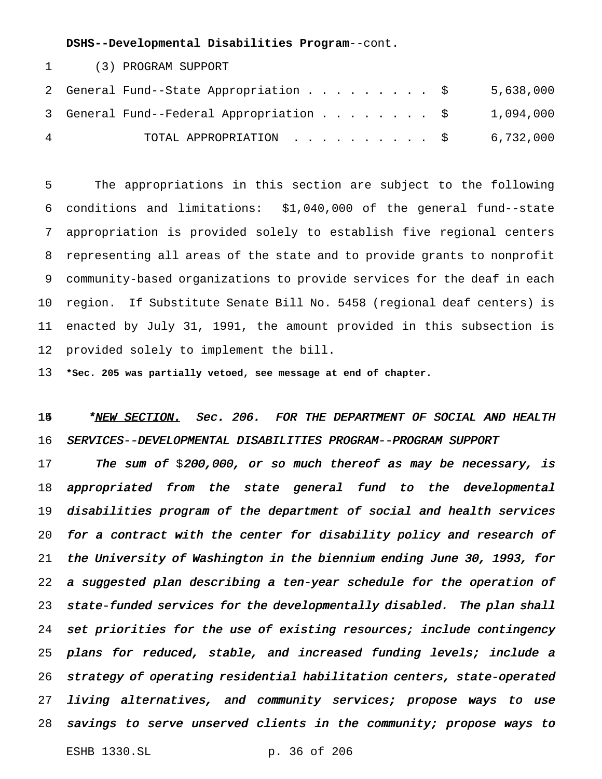**DSHS--Developmental Disabilities Program**--cont.

#### (3) PROGRAM SUPPORT

|   | 2 General Fund--State Appropriation \$             | 5,638,000 |
|---|----------------------------------------------------|-----------|
|   | 3 General Fund--Federal Appropriation \$ 1,094,000 |           |
| 4 | TOTAL APPROPRIATION $\ldots$ , \$ 6,732,000        |           |

 The appropriations in this section are subject to the following conditions and limitations: \$1,040,000 of the general fund--state appropriation is provided solely to establish five regional centers representing all areas of the state and to provide grants to nonprofit community-based organizations to provide services for the deaf in each region. If Substitute Senate Bill No. 5458 (regional deaf centers) is enacted by July 31, 1991, the amount provided in this subsection is provided solely to implement the bill.

**\*Sec. 205 was partially vetoed, see message at end of chapter.**

15 \*NEW SECTION. Sec. 206. FOR THE DEPARTMENT OF SOCIAL AND HEALTH SERVICES--DEVELOPMENTAL DISABILITIES PROGRAM--PROGRAM SUPPORT

17 The sum of  $$200,000$ , or so much thereof as may be necessary, is 18 appropriated from the state general fund to the developmental disabilities program of the department of social and health services for <sup>a</sup> contract with the center for disability policy and research of the University of Washington in the biennium ending June 30, 1993, for <sup>a</sup> suggested plan describing <sup>a</sup> ten-year schedule for the operation of state-funded services for the developmentally disabled. The plan shall set priorities for the use of existing resources; include contingency plans for reduced, stable, and increased funding levels; include <sup>a</sup> strategy of operating residential habilitation centers, state-operated 27 living alternatives, and community services; propose ways to use savings to serve unserved clients in the community; propose ways to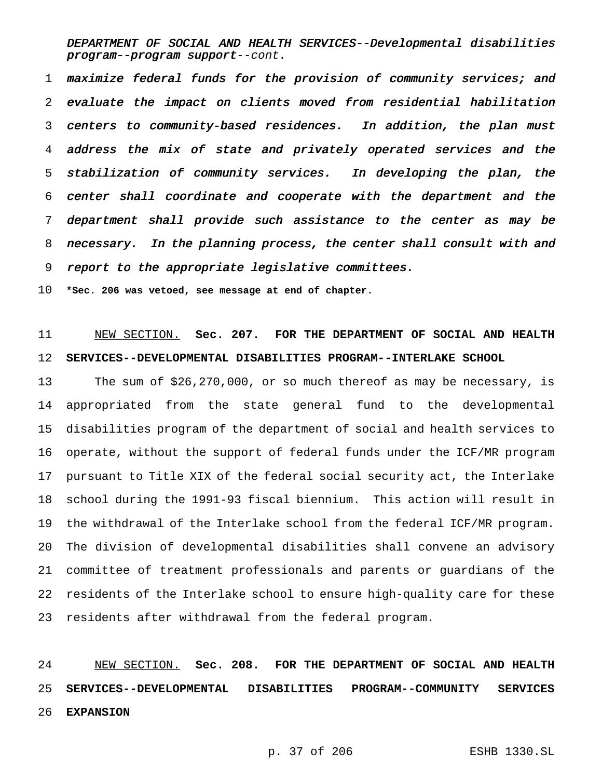DEPARTMENT OF SOCIAL AND HEALTH SERVICES--Developmental disabilities program--program support--cont.

 maximize federal funds for the provision of community services; and evaluate the impact on clients moved from residential habilitation centers to community-based residences. In addition, the plan must address the mix of state and privately operated services and the stabilization of community services. In developing the plan, the center shall coordinate and cooperate with the department and the department shall provide such assistance to the center as may be necessary. In the planning process, the center shall consult with and report to the appropriate legislative committees.

**\*Sec. 206 was vetoed, see message at end of chapter.**

## NEW SECTION. **Sec. 207. FOR THE DEPARTMENT OF SOCIAL AND HEALTH SERVICES--DEVELOPMENTAL DISABILITIES PROGRAM--INTERLAKE SCHOOL**

 The sum of \$26,270,000, or so much thereof as may be necessary, is appropriated from the state general fund to the developmental disabilities program of the department of social and health services to operate, without the support of federal funds under the ICF/MR program pursuant to Title XIX of the federal social security act, the Interlake school during the 1991-93 fiscal biennium. This action will result in the withdrawal of the Interlake school from the federal ICF/MR program. The division of developmental disabilities shall convene an advisory committee of treatment professionals and parents or guardians of the residents of the Interlake school to ensure high-quality care for these residents after withdrawal from the federal program.

 NEW SECTION. **Sec. 208. FOR THE DEPARTMENT OF SOCIAL AND HEALTH SERVICES--DEVELOPMENTAL DISABILITIES PROGRAM--COMMUNITY SERVICES EXPANSION**

p. 37 of 206 ESHB 1330.SL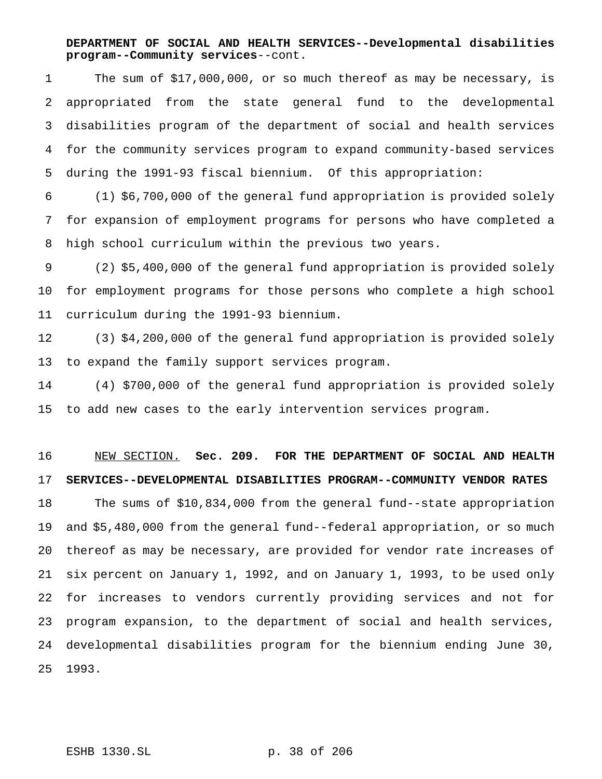### **DEPARTMENT OF SOCIAL AND HEALTH SERVICES--Developmental disabilities program--Community services**--cont.

 The sum of \$17,000,000, or so much thereof as may be necessary, is appropriated from the state general fund to the developmental disabilities program of the department of social and health services for the community services program to expand community-based services during the 1991-93 fiscal biennium. Of this appropriation:

 (1) \$6,700,000 of the general fund appropriation is provided solely for expansion of employment programs for persons who have completed a high school curriculum within the previous two years.

 (2) \$5,400,000 of the general fund appropriation is provided solely for employment programs for those persons who complete a high school curriculum during the 1991-93 biennium.

 (3) \$4,200,000 of the general fund appropriation is provided solely to expand the family support services program.

 (4) \$700,000 of the general fund appropriation is provided solely to add new cases to the early intervention services program.

 NEW SECTION. **Sec. 209. FOR THE DEPARTMENT OF SOCIAL AND HEALTH SERVICES--DEVELOPMENTAL DISABILITIES PROGRAM--COMMUNITY VENDOR RATES** The sums of \$10,834,000 from the general fund--state appropriation and \$5,480,000 from the general fund--federal appropriation, or so much thereof as may be necessary, are provided for vendor rate increases of six percent on January 1, 1992, and on January 1, 1993, to be used only for increases to vendors currently providing services and not for program expansion, to the department of social and health services, developmental disabilities program for the biennium ending June 30, 1993.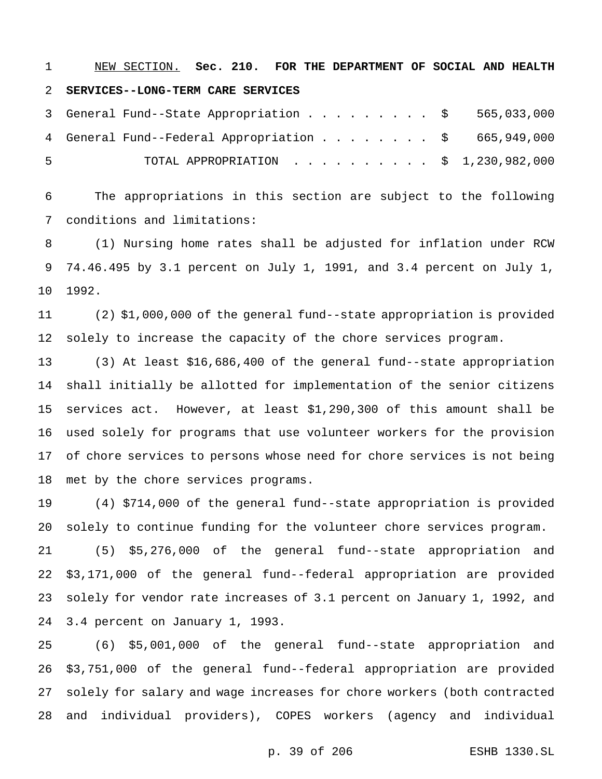NEW SECTION. **Sec. 210. FOR THE DEPARTMENT OF SOCIAL AND HEALTH SERVICES--LONG-TERM CARE SERVICES**

 General Fund--State Appropriation......... \$ 565,033,000 4 General Fund--Federal Appropriation . . . . . . . \$ 665,949,000 TOTAL APPROPRIATION .......... \$ 1,230,982,000

 The appropriations in this section are subject to the following conditions and limitations:

 (1) Nursing home rates shall be adjusted for inflation under RCW 74.46.495 by 3.1 percent on July 1, 1991, and 3.4 percent on July 1, 1992.

 (2) \$1,000,000 of the general fund--state appropriation is provided solely to increase the capacity of the chore services program.

 (3) At least \$16,686,400 of the general fund--state appropriation shall initially be allotted for implementation of the senior citizens services act. However, at least \$1,290,300 of this amount shall be used solely for programs that use volunteer workers for the provision of chore services to persons whose need for chore services is not being met by the chore services programs.

 (4) \$714,000 of the general fund--state appropriation is provided solely to continue funding for the volunteer chore services program.

 (5) \$5,276,000 of the general fund--state appropriation and \$3,171,000 of the general fund--federal appropriation are provided solely for vendor rate increases of 3.1 percent on January 1, 1992, and 3.4 percent on January 1, 1993.

 (6) \$5,001,000 of the general fund--state appropriation and \$3,751,000 of the general fund--federal appropriation are provided solely for salary and wage increases for chore workers (both contracted and individual providers), COPES workers (agency and individual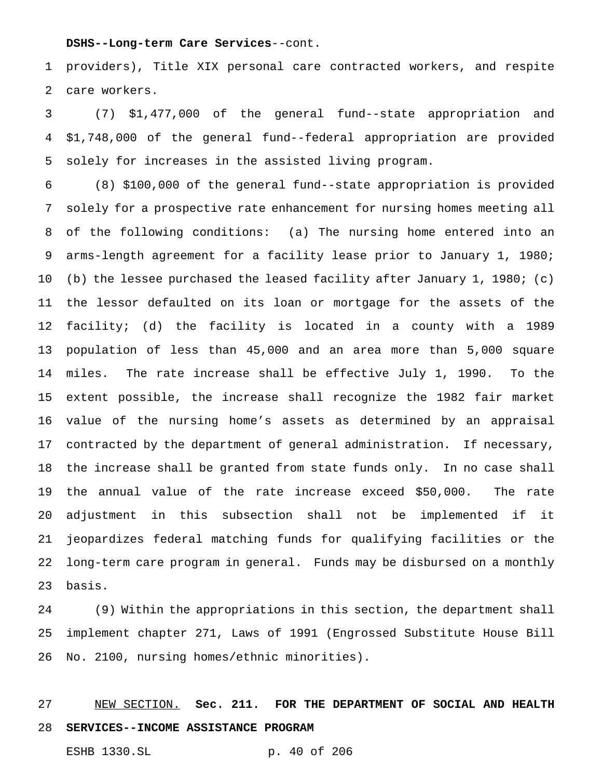#### **DSHS--Long-term Care Services**--cont.

 providers), Title XIX personal care contracted workers, and respite care workers.

 (7) \$1,477,000 of the general fund--state appropriation and \$1,748,000 of the general fund--federal appropriation are provided solely for increases in the assisted living program.

 (8) \$100,000 of the general fund--state appropriation is provided solely for a prospective rate enhancement for nursing homes meeting all of the following conditions: (a) The nursing home entered into an arms-length agreement for a facility lease prior to January 1, 1980; (b) the lessee purchased the leased facility after January 1, 1980; (c) the lessor defaulted on its loan or mortgage for the assets of the facility; (d) the facility is located in a county with a 1989 population of less than 45,000 and an area more than 5,000 square miles. The rate increase shall be effective July 1, 1990. To the extent possible, the increase shall recognize the 1982 fair market value of the nursing home's assets as determined by an appraisal contracted by the department of general administration. If necessary, the increase shall be granted from state funds only. In no case shall the annual value of the rate increase exceed \$50,000. The rate adjustment in this subsection shall not be implemented if it jeopardizes federal matching funds for qualifying facilities or the long-term care program in general. Funds may be disbursed on a monthly basis.

 (9) Within the appropriations in this section, the department shall implement chapter 271, Laws of 1991 (Engrossed Substitute House Bill No. 2100, nursing homes/ethnic minorities).

 NEW SECTION. **Sec. 211. FOR THE DEPARTMENT OF SOCIAL AND HEALTH SERVICES--INCOME ASSISTANCE PROGRAM**

ESHB 1330.SL p. 40 of 206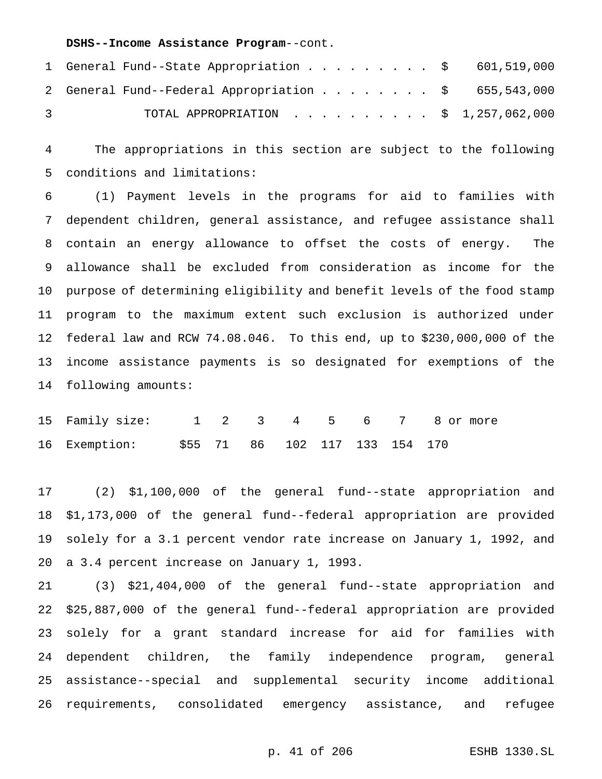**DSHS--Income Assistance Program**--cont.

|               |  |  |  |  |  |  |  | 1 General Fund--State Appropriation \$ 601,519,000   |
|---------------|--|--|--|--|--|--|--|------------------------------------------------------|
|               |  |  |  |  |  |  |  | 2 General Fund--Federal Appropriation \$ 655,543,000 |
| $\mathcal{R}$ |  |  |  |  |  |  |  | TOTAL APPROPRIATION $\ldots$ , \$ 1,257,062,000      |

 The appropriations in this section are subject to the following conditions and limitations:

 (1) Payment levels in the programs for aid to families with dependent children, general assistance, and refugee assistance shall contain an energy allowance to offset the costs of energy. The allowance shall be excluded from consideration as income for the purpose of determining eligibility and benefit levels of the food stamp program to the maximum extent such exclusion is authorized under federal law and RCW 74.08.046. To this end, up to \$230,000,000 of the income assistance payments is so designated for exemptions of the following amounts:

| 15 Family size: 1 2 3 4 5 6 7 8 or more      |  |  |  |  |  |
|----------------------------------------------|--|--|--|--|--|
| 16 Exemption: \$55 71 86 102 117 133 154 170 |  |  |  |  |  |

 (2) \$1,100,000 of the general fund--state appropriation and \$1,173,000 of the general fund--federal appropriation are provided solely for a 3.1 percent vendor rate increase on January 1, 1992, and a 3.4 percent increase on January 1, 1993.

 (3) \$21,404,000 of the general fund--state appropriation and \$25,887,000 of the general fund--federal appropriation are provided solely for a grant standard increase for aid for families with dependent children, the family independence program, general assistance--special and supplemental security income additional requirements, consolidated emergency assistance, and refugee

p. 41 of 206 ESHB 1330.SL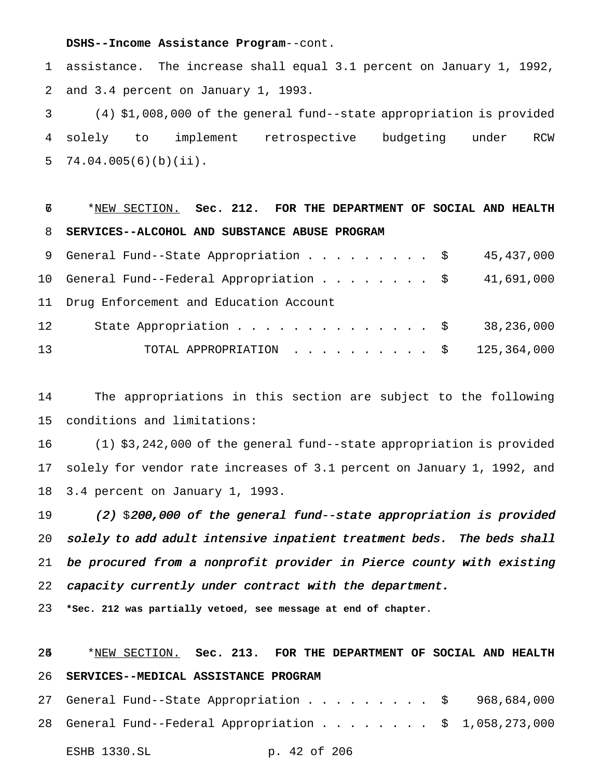#### **DSHS--Income Assistance Program**--cont.

 assistance. The increase shall equal 3.1 percent on January 1, 1992, and 3.4 percent on January 1, 1993.

 (4) \$1,008,000 of the general fund--state appropriation is provided solely to implement retrospective budgeting under RCW 74.04.005(6)(b)(ii).

 \*NEW SECTION. **Sec. 212. FOR THE DEPARTMENT OF SOCIAL AND HEALTH SERVICES--ALCOHOL AND SUBSTANCE ABUSE PROGRAM**

|                 | 9 General Fund--State Appropriation \$ 45,437,000    |  |
|-----------------|------------------------------------------------------|--|
|                 | 10 General Fund--Federal Appropriation \$ 41,691,000 |  |
|                 | 11 Drug Enforcement and Education Account            |  |
| 12 <sup>°</sup> | State Appropriation \$ 38,236,000                    |  |
| 13              | TOTAL APPROPRIATION $\ldots$ , \$ 125,364,000        |  |

 The appropriations in this section are subject to the following conditions and limitations:

 (1) \$3,242,000 of the general fund--state appropriation is provided solely for vendor rate increases of 3.1 percent on January 1, 1992, and 3.4 percent on January 1, 1993.

19 (2)  $$200,000$  of the general fund--state appropriation is provided 20 solely to add adult intensive inpatient treatment beds. The beds shall be procured from <sup>a</sup> nonprofit provider in Pierce county with existing capacity currently under contract with the department.

**\*Sec. 212 was partially vetoed, see message at end of chapter.**

 \*NEW SECTION. **Sec. 213. FOR THE DEPARTMENT OF SOCIAL AND HEALTH SERVICES--MEDICAL ASSISTANCE PROGRAM** General Fund--State Appropriation......... \$ 968,684,000 General Fund--Federal Appropriation........ \$ 1,058,273,000 ESHB 1330.SL p. 42 of 206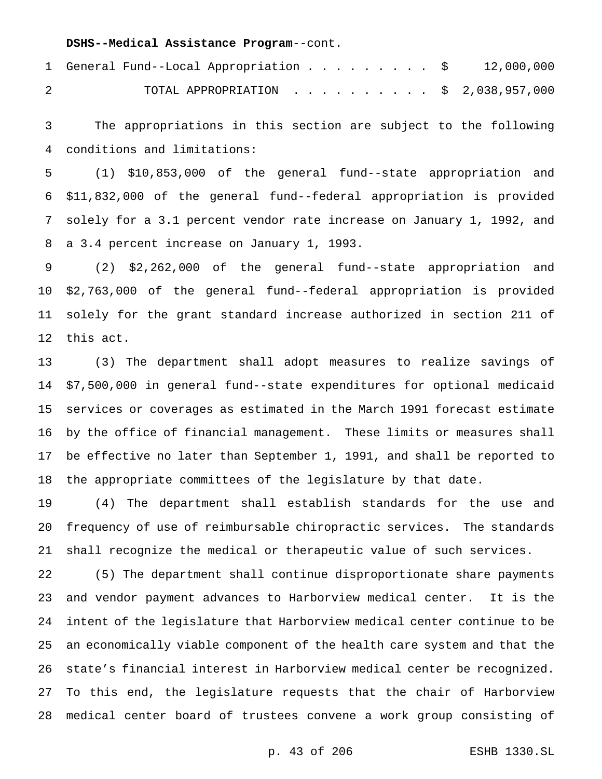#### **DSHS--Medical Assistance Program**--cont.

| 1 General Fund--Local Appropriation \$ 12,000,000 |  |  |  |  |  |  |
|---------------------------------------------------|--|--|--|--|--|--|
| TOTAL APPROPRIATION \$ 2,038,957,000              |  |  |  |  |  |  |

 The appropriations in this section are subject to the following conditions and limitations:

 (1) \$10,853,000 of the general fund--state appropriation and \$11,832,000 of the general fund--federal appropriation is provided solely for a 3.1 percent vendor rate increase on January 1, 1992, and a 3.4 percent increase on January 1, 1993.

 (2) \$2,262,000 of the general fund--state appropriation and \$2,763,000 of the general fund--federal appropriation is provided solely for the grant standard increase authorized in section 211 of this act.

 (3) The department shall adopt measures to realize savings of \$7,500,000 in general fund--state expenditures for optional medicaid services or coverages as estimated in the March 1991 forecast estimate by the office of financial management. These limits or measures shall be effective no later than September 1, 1991, and shall be reported to the appropriate committees of the legislature by that date.

 (4) The department shall establish standards for the use and frequency of use of reimbursable chiropractic services. The standards shall recognize the medical or therapeutic value of such services.

 (5) The department shall continue disproportionate share payments and vendor payment advances to Harborview medical center. It is the intent of the legislature that Harborview medical center continue to be an economically viable component of the health care system and that the state's financial interest in Harborview medical center be recognized. To this end, the legislature requests that the chair of Harborview medical center board of trustees convene a work group consisting of

p. 43 of 206 ESHB 1330.SL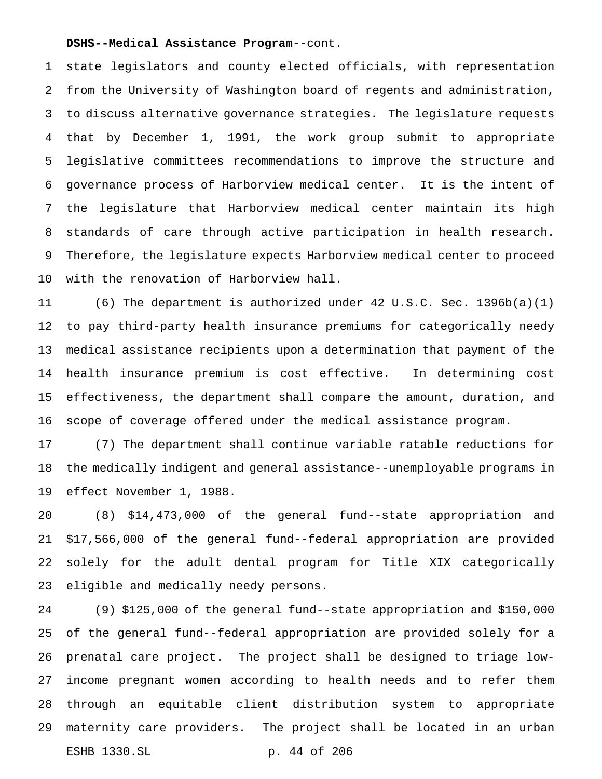#### **DSHS--Medical Assistance Program**--cont.

 state legislators and county elected officials, with representation from the University of Washington board of regents and administration, to discuss alternative governance strategies. The legislature requests that by December 1, 1991, the work group submit to appropriate legislative committees recommendations to improve the structure and governance process of Harborview medical center. It is the intent of the legislature that Harborview medical center maintain its high standards of care through active participation in health research. Therefore, the legislature expects Harborview medical center to proceed with the renovation of Harborview hall.

 (6) The department is authorized under 42 U.S.C. Sec. 1396b(a)(1) to pay third-party health insurance premiums for categorically needy medical assistance recipients upon a determination that payment of the health insurance premium is cost effective. In determining cost effectiveness, the department shall compare the amount, duration, and scope of coverage offered under the medical assistance program.

 (7) The department shall continue variable ratable reductions for the medically indigent and general assistance--unemployable programs in effect November 1, 1988.

 (8) \$14,473,000 of the general fund--state appropriation and \$17,566,000 of the general fund--federal appropriation are provided solely for the adult dental program for Title XIX categorically eligible and medically needy persons.

 (9) \$125,000 of the general fund--state appropriation and \$150,000 of the general fund--federal appropriation are provided solely for a prenatal care project. The project shall be designed to triage low- income pregnant women according to health needs and to refer them through an equitable client distribution system to appropriate maternity care providers. The project shall be located in an urban ESHB 1330.SL p. 44 of 206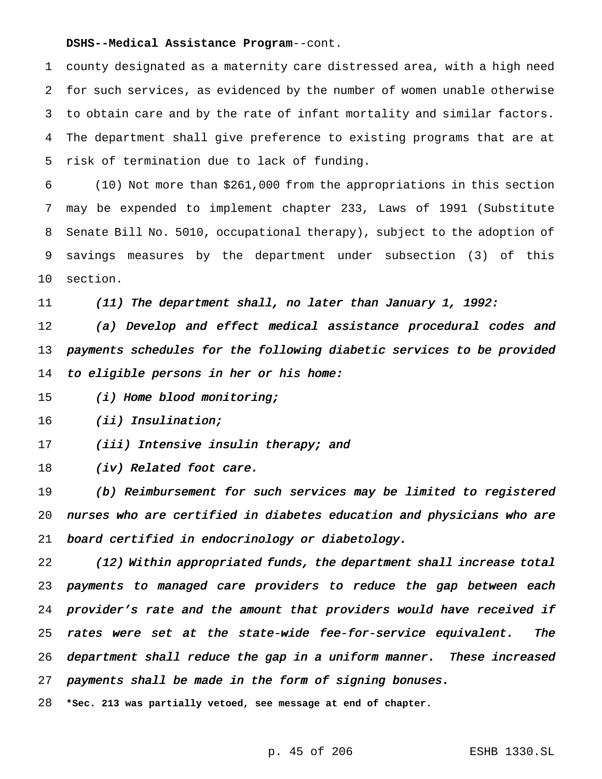#### **DSHS--Medical Assistance Program**--cont.

 county designated as a maternity care distressed area, with a high need for such services, as evidenced by the number of women unable otherwise to obtain care and by the rate of infant mortality and similar factors. The department shall give preference to existing programs that are at risk of termination due to lack of funding.

 (10) Not more than \$261,000 from the appropriations in this section may be expended to implement chapter 233, Laws of 1991 (Substitute Senate Bill No. 5010, occupational therapy), subject to the adoption of savings measures by the department under subsection (3) of this section.

(11) The department shall, no later than January 1, 1992:

 (a) Develop and effect medical assistance procedural codes and payments schedules for the following diabetic services to be provided to eligible persons in her or his home:

15 (i) Home blood monitoring;

(ii) Insulination;

17 (iii) Intensive insulin therapy; and

18 (iv) Related foot care.

 (b) Reimbursement for such services may be limited to registered nurses who are certified in diabetes education and physicians who are board certified in endocrinology or diabetology.

 (12) Within appropriated funds, the department shall increase total payments to managed care providers to reduce the gap between each 24 provider's rate and the amount that providers would have received if 25 rates were set at the state-wide fee-for-service equivalent. The department shall reduce the gap in <sup>a</sup> uniform manner. These increased payments shall be made in the form of signing bonuses.

**\*Sec. 213 was partially vetoed, see message at end of chapter.**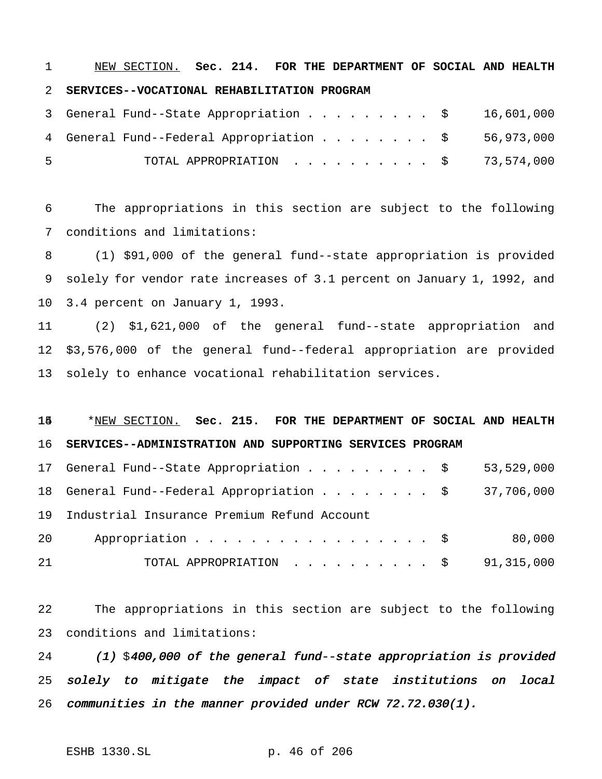NEW SECTION. **Sec. 214. FOR THE DEPARTMENT OF SOCIAL AND HEALTH SERVICES--VOCATIONAL REHABILITATION PROGRAM**

|   | 3 General Fund--State Appropriation \$ 16,601,000   |  |  |  |  |  |  |
|---|-----------------------------------------------------|--|--|--|--|--|--|
|   | 4 General Fund--Federal Appropriation \$ 56,973,000 |  |  |  |  |  |  |
| 5 | TOTAL APPROPRIATION $\ldots$ , \$ 73,574,000        |  |  |  |  |  |  |

 The appropriations in this section are subject to the following conditions and limitations:

 (1) \$91,000 of the general fund--state appropriation is provided solely for vendor rate increases of 3.1 percent on January 1, 1992, and 3.4 percent on January 1, 1993.

 (2) \$1,621,000 of the general fund--state appropriation and \$3,576,000 of the general fund--federal appropriation are provided solely to enhance vocational rehabilitation services.

### \*NEW SECTION. **Sec. 215. FOR THE DEPARTMENT OF SOCIAL AND HEALTH SERVICES--ADMINISTRATION AND SUPPORTING SERVICES PROGRAM**

|    | 17 General Fund--State Appropriation \$ 53,529,000   |        |
|----|------------------------------------------------------|--------|
|    | 18 General Fund--Federal Appropriation \$ 37,706,000 |        |
|    | 19 Industrial Insurance Premium Refund Account       |        |
| 20 | Appropriation $\frac{1}{2}$                          | 80,000 |
| 21 | TOTAL APPROPRIATION $\ldots$ , \$ 91,315,000         |        |

 The appropriations in this section are subject to the following conditions and limitations:

24 (1)  $$400,000$  of the general fund--state appropriation is provided solely to mitigate the impact of state institutions on local communities in the manner provided under RCW 72.72.030(1).

```
ESHB 1330.SL p. 46 of 206
```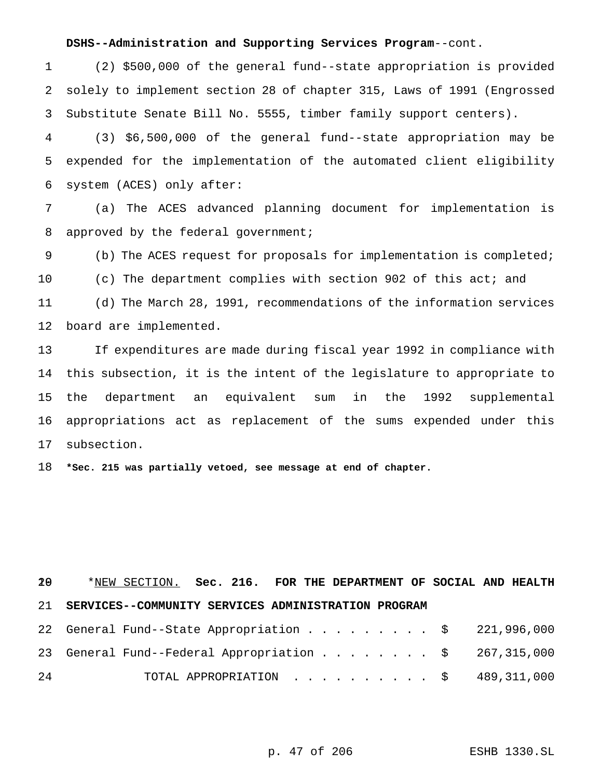#### **DSHS--Administration and Supporting Services Program**--cont.

 (2) \$500,000 of the general fund--state appropriation is provided solely to implement section 28 of chapter 315, Laws of 1991 (Engrossed Substitute Senate Bill No. 5555, timber family support centers).

 (3) \$6,500,000 of the general fund--state appropriation may be expended for the implementation of the automated client eligibility system (ACES) only after:

 (a) The ACES advanced planning document for implementation is 8 approved by the federal government;

 (b) The ACES request for proposals for implementation is completed; (c) The department complies with section 902 of this act; and (d) The March 28, 1991, recommendations of the information services board are implemented.

 If expenditures are made during fiscal year 1992 in compliance with this subsection, it is the intent of the legislature to appropriate to the department an equivalent sum in the 1992 supplemental appropriations act as replacement of the sums expended under this subsection.

**\*Sec. 215 was partially vetoed, see message at end of chapter.**

## \*NEW SECTION. **Sec. 216. FOR THE DEPARTMENT OF SOCIAL AND HEALTH SERVICES--COMMUNITY SERVICES ADMINISTRATION PROGRAM**

|     | 22 General Fund--State Appropriation \$ 221,996,000   |  |  |  |  |  |  |                                    |
|-----|-------------------------------------------------------|--|--|--|--|--|--|------------------------------------|
|     | 23 General Fund--Federal Appropriation \$ 267,315,000 |  |  |  |  |  |  |                                    |
| 2.4 |                                                       |  |  |  |  |  |  | TOTAL APPROPRIATION \$ 489,311,000 |

p. 47 of 206 ESHB 1330.SL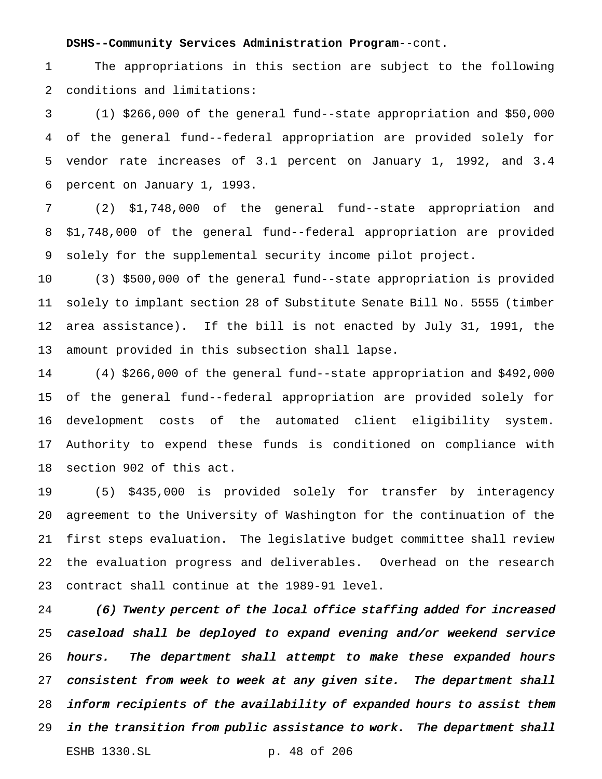#### **DSHS--Community Services Administration Program**--cont.

 The appropriations in this section are subject to the following conditions and limitations:

 (1) \$266,000 of the general fund--state appropriation and \$50,000 of the general fund--federal appropriation are provided solely for vendor rate increases of 3.1 percent on January 1, 1992, and 3.4 percent on January 1, 1993.

 (2) \$1,748,000 of the general fund--state appropriation and \$1,748,000 of the general fund--federal appropriation are provided solely for the supplemental security income pilot project.

 (3) \$500,000 of the general fund--state appropriation is provided solely to implant section 28 of Substitute Senate Bill No. 5555 (timber area assistance). If the bill is not enacted by July 31, 1991, the amount provided in this subsection shall lapse.

 (4) \$266,000 of the general fund--state appropriation and \$492,000 of the general fund--federal appropriation are provided solely for development costs of the automated client eligibility system. Authority to expend these funds is conditioned on compliance with section 902 of this act.

 (5) \$435,000 is provided solely for transfer by interagency agreement to the University of Washington for the continuation of the first steps evaluation. The legislative budget committee shall review the evaluation progress and deliverables. Overhead on the research contract shall continue at the 1989-91 level.

 (6) Twenty percent of the local office staffing added for increased caseload shall be deployed to expand evening and/or weekend service hours. The department shall attempt to make these expanded hours 27 consistent from week to week at any given site. The department shall inform recipients of the availability of expanded hours to assist them in the transition from public assistance to work. The department shall ESHB 1330.SL p. 48 of 206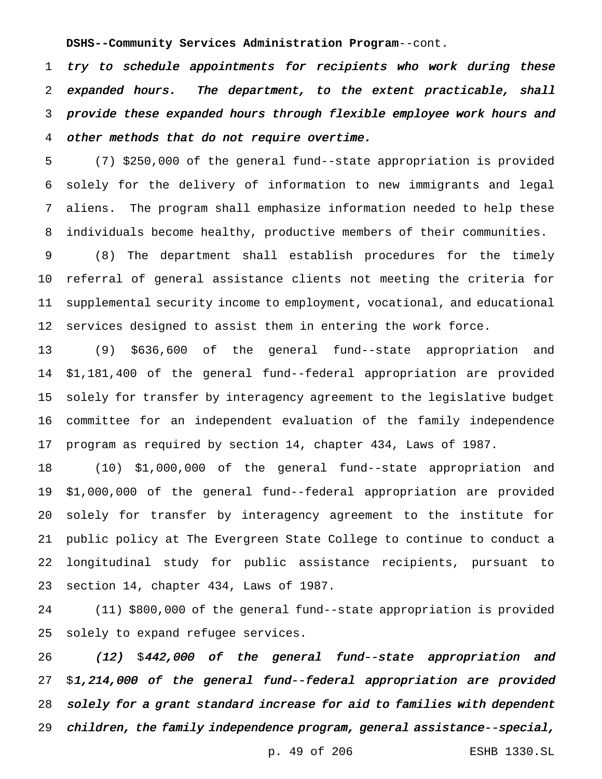**DSHS--Community Services Administration Program**--cont.

 try to schedule appointments for recipients who work during these expanded hours. The department, to the extent practicable, shall provide these expanded hours through flexible employee work hours and other methods that do not require overtime.

 (7) \$250,000 of the general fund--state appropriation is provided solely for the delivery of information to new immigrants and legal aliens. The program shall emphasize information needed to help these individuals become healthy, productive members of their communities.

 (8) The department shall establish procedures for the timely referral of general assistance clients not meeting the criteria for supplemental security income to employment, vocational, and educational services designed to assist them in entering the work force.

 (9) \$636,600 of the general fund--state appropriation and \$1,181,400 of the general fund--federal appropriation are provided solely for transfer by interagency agreement to the legislative budget committee for an independent evaluation of the family independence program as required by section 14, chapter 434, Laws of 1987.

 (10) \$1,000,000 of the general fund--state appropriation and \$1,000,000 of the general fund--federal appropriation are provided solely for transfer by interagency agreement to the institute for public policy at The Evergreen State College to continue to conduct a longitudinal study for public assistance recipients, pursuant to section 14, chapter 434, Laws of 1987.

 (11) \$800,000 of the general fund--state appropriation is provided solely to expand refugee services.

 $(12)$  \$442,000 of the general fund--state appropriation and \$1,214,000 of the general fund--federal appropriation are provided solely for <sup>a</sup> grant standard increase for aid to families with dependent children, the family independence program, general assistance--special,

p. 49 of 206 ESHB 1330.SL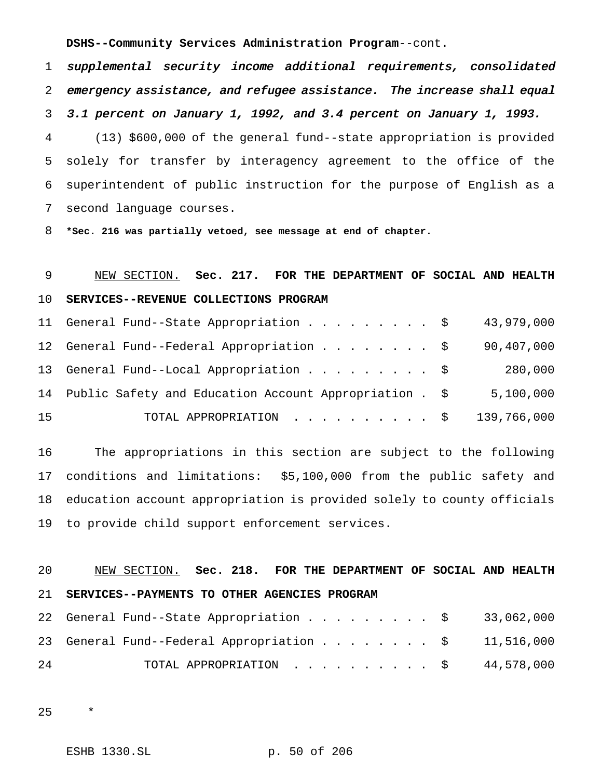**DSHS--Community Services Administration Program**--cont.

 supplemental security income additional requirements, consolidated emergency assistance, and refugee assistance. The increase shall equal 3.1 percent on January 1, 1992, and 3.4 percent on January 1, 1993.

 (13) \$600,000 of the general fund--state appropriation is provided solely for transfer by interagency agreement to the office of the superintendent of public instruction for the purpose of English as a second language courses.

**\*Sec. 216 was partially vetoed, see message at end of chapter.**

## NEW SECTION. **Sec. 217. FOR THE DEPARTMENT OF SOCIAL AND HEALTH SERVICES--REVENUE COLLECTIONS PROGRAM**

|    | 11 General Fund--State Appropriation \$                   | 43,979,000 |
|----|-----------------------------------------------------------|------------|
|    | 12 General Fund--Federal Appropriation \$                 | 90,407,000 |
|    | 13 General Fund--Local Appropriation \$                   | 280,000    |
|    | 14 Public Safety and Education Account Appropriation . \$ | 5,100,000  |
| 15 | TOTAL APPROPRIATION $\ldots$ , \$ 139,766,000             |            |

 The appropriations in this section are subject to the following conditions and limitations: \$5,100,000 from the public safety and education account appropriation is provided solely to county officials to provide child support enforcement services.

### NEW SECTION. **Sec. 218. FOR THE DEPARTMENT OF SOCIAL AND HEALTH SERVICES--PAYMENTS TO OTHER AGENCIES PROGRAM**

|    | 22 General Fund--State Appropriation \$ 33,062,000   |  |
|----|------------------------------------------------------|--|
|    | 23 General Fund--Federal Appropriation \$ 11,516,000 |  |
| 24 | TOTAL APPROPRIATION $\ldots$ , \$ 44,578,000         |  |

\*

ESHB 1330.SL p. 50 of 206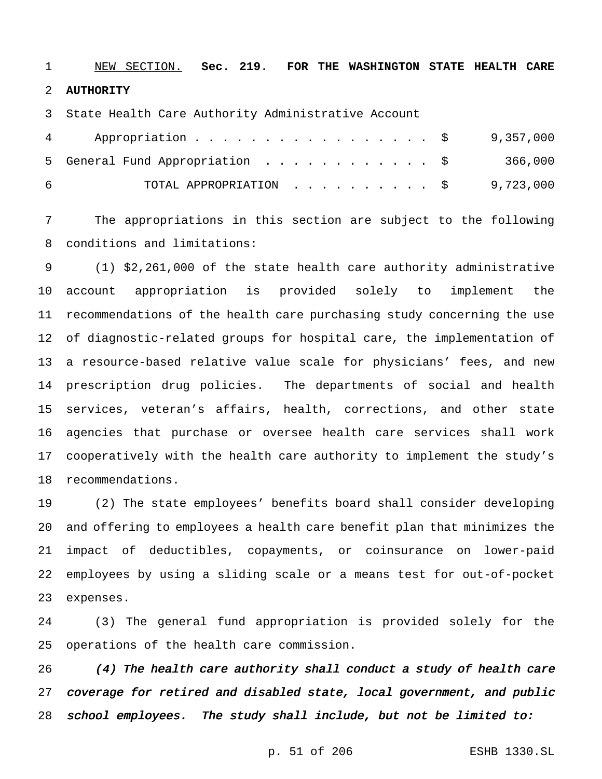NEW SECTION. **Sec. 219. FOR THE WASHINGTON STATE HEALTH CARE AUTHORITY**

State Health Care Authority Administrative Account

| $4\degree$ | Appropriation \$9,357,000                  |  |
|------------|--------------------------------------------|--|
|            | 5 General Fund Appropriation \$ 366,000    |  |
| -6         | TOTAL APPROPRIATION $\ldots$ , \$9,723,000 |  |

 The appropriations in this section are subject to the following conditions and limitations:

 (1) \$2,261,000 of the state health care authority administrative account appropriation is provided solely to implement the recommendations of the health care purchasing study concerning the use of diagnostic-related groups for hospital care, the implementation of a resource-based relative value scale for physicians' fees, and new prescription drug policies. The departments of social and health services, veteran's affairs, health, corrections, and other state agencies that purchase or oversee health care services shall work cooperatively with the health care authority to implement the study's recommendations.

 (2) The state employees' benefits board shall consider developing and offering to employees a health care benefit plan that minimizes the impact of deductibles, copayments, or coinsurance on lower-paid employees by using a sliding scale or a means test for out-of-pocket expenses.

 (3) The general fund appropriation is provided solely for the operations of the health care commission.

 (4) The health care authority shall conduct <sup>a</sup> study of health care coverage for retired and disabled state, local government, and public school employees. The study shall include, but not be limited to: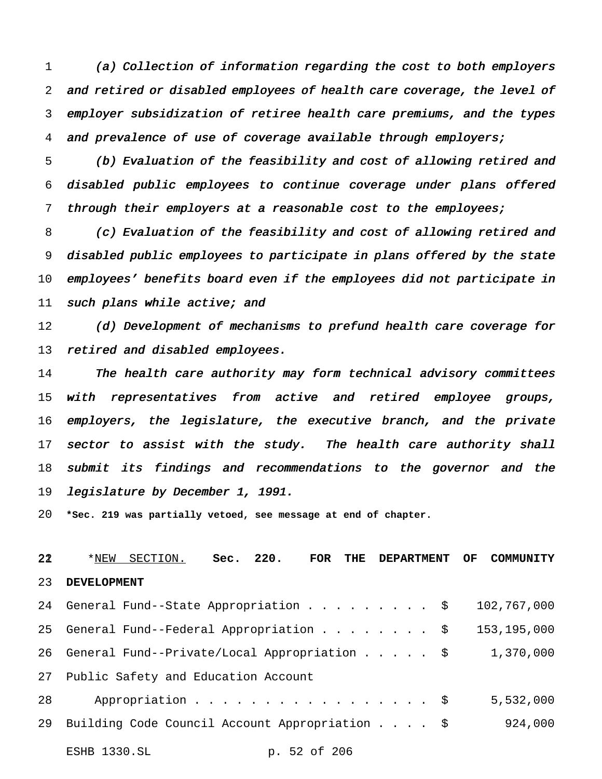(a) Collection of information regarding the cost to both employers and retired or disabled employees of health care coverage, the level of employer subsidization of retiree health care premiums, and the types and prevalence of use of coverage available through employers;

 (b) Evaluation of the feasibility and cost of allowing retired and disabled public employees to continue coverage under plans offered through their employers at <sup>a</sup> reasonable cost to the employees;

 (c) Evaluation of the feasibility and cost of allowing retired and disabled public employees to participate in plans offered by the state employees' benefits board even if the employees did not participate in 11 such plans while active; and

 (d) Development of mechanisms to prefund health care coverage for retired and disabled employees.

 The health care authority may form technical advisory committees with representatives from active and retired employee groups, employers, the legislature, the executive branch, and the private 17 sector to assist with the study. The health care authority shall submit its findings and recommendations to the governor and the legislature by December 1, 1991.

**\*Sec. 219 was partially vetoed, see message at end of chapter.**

| 22 |                     | *NEW SECTION.                                   | <b>Sec. 220. FOR</b> |  | THE DEPARTMENT | OF | <b>COMMUN</b> |         |
|----|---------------------|-------------------------------------------------|----------------------|--|----------------|----|---------------|---------|
| 23 | <b>DEVELOPMENT</b>  |                                                 |                      |  |                |    |               |         |
|    |                     | 24 General Fund--State Appropriation \$         |                      |  |                |    | 102,767,000   |         |
|    |                     | 25 General Fund--Federal Appropriation \$       |                      |  |                |    | 153,195,000   |         |
|    |                     | 26 General Fund--Private/Local Appropriation \$ |                      |  |                |    | 1,370,000     |         |
| 27 |                     | Public Safety and Education Account             |                      |  |                |    |               |         |
| 28 |                     | Appropriation \$                                |                      |  |                |    | 5,532,000     |         |
| 29 |                     | Building Code Council Account Appropriation \$  |                      |  |                |    |               | 924,000 |
|    | <b>ESHB 1330.SL</b> |                                                 | p. 52 of 206         |  |                |    |               |         |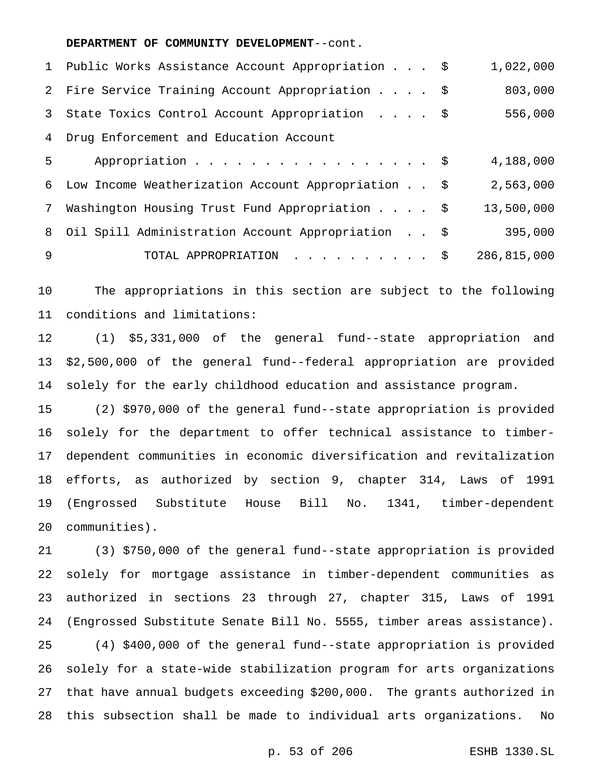|   | 1 Public Works Assistance Account Appropriation \$   |  | 1,022,000   |
|---|------------------------------------------------------|--|-------------|
|   | 2 Fire Service Training Account Appropriation \$     |  | 803,000     |
|   | 3 State Toxics Control Account Appropriation \$      |  | 556,000     |
|   | 4 Drug Enforcement and Education Account             |  |             |
| 5 | Appropriation \$                                     |  | 4,188,000   |
|   | 6 Low Income Weatherization Account Appropriation \$ |  | 2,563,000   |
|   | 7 Washington Housing Trust Fund Appropriation \$     |  | 13,500,000  |
|   | 8 Oil Spill Administration Account Appropriation \$  |  | 395,000     |
| 9 | TOTAL APPROPRIATION \$                               |  | 286,815,000 |

 The appropriations in this section are subject to the following conditions and limitations:

 (1) \$5,331,000 of the general fund--state appropriation and \$2,500,000 of the general fund--federal appropriation are provided solely for the early childhood education and assistance program.

 (2) \$970,000 of the general fund--state appropriation is provided solely for the department to offer technical assistance to timber- dependent communities in economic diversification and revitalization efforts, as authorized by section 9, chapter 314, Laws of 1991 (Engrossed Substitute House Bill No. 1341, timber-dependent communities).

 (3) \$750,000 of the general fund--state appropriation is provided solely for mortgage assistance in timber-dependent communities as authorized in sections 23 through 27, chapter 315, Laws of 1991 (Engrossed Substitute Senate Bill No. 5555, timber areas assistance). (4) \$400,000 of the general fund--state appropriation is provided solely for a state-wide stabilization program for arts organizations that have annual budgets exceeding \$200,000. The grants authorized in this subsection shall be made to individual arts organizations. No

p. 53 of 206 ESHB 1330.SL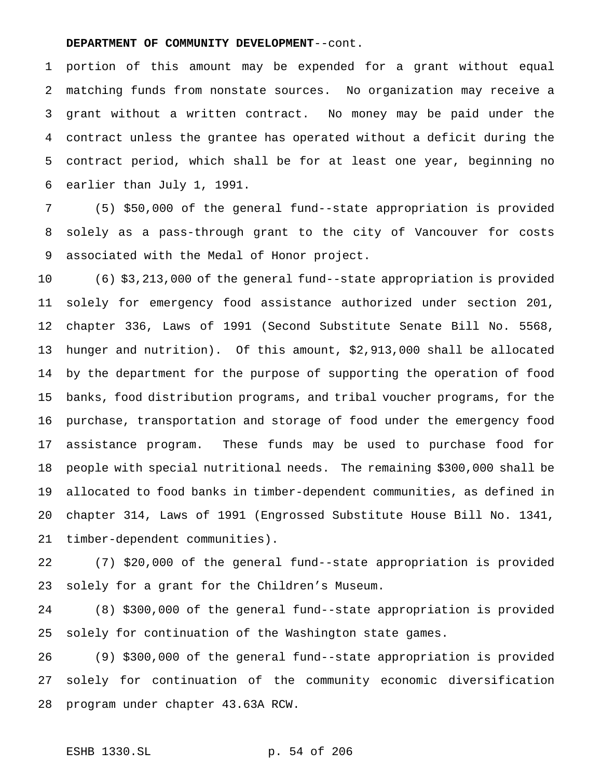portion of this amount may be expended for a grant without equal matching funds from nonstate sources. No organization may receive a grant without a written contract. No money may be paid under the contract unless the grantee has operated without a deficit during the contract period, which shall be for at least one year, beginning no earlier than July 1, 1991.

 (5) \$50,000 of the general fund--state appropriation is provided solely as a pass-through grant to the city of Vancouver for costs associated with the Medal of Honor project.

 (6) \$3,213,000 of the general fund--state appropriation is provided solely for emergency food assistance authorized under section 201, chapter 336, Laws of 1991 (Second Substitute Senate Bill No. 5568, hunger and nutrition). Of this amount, \$2,913,000 shall be allocated by the department for the purpose of supporting the operation of food banks, food distribution programs, and tribal voucher programs, for the purchase, transportation and storage of food under the emergency food assistance program. These funds may be used to purchase food for people with special nutritional needs. The remaining \$300,000 shall be allocated to food banks in timber-dependent communities, as defined in chapter 314, Laws of 1991 (Engrossed Substitute House Bill No. 1341, timber-dependent communities).

 (7) \$20,000 of the general fund--state appropriation is provided solely for a grant for the Children's Museum.

 (8) \$300,000 of the general fund--state appropriation is provided solely for continuation of the Washington state games.

 (9) \$300,000 of the general fund--state appropriation is provided solely for continuation of the community economic diversification program under chapter 43.63A RCW.

### ESHB 1330.SL p. 54 of 206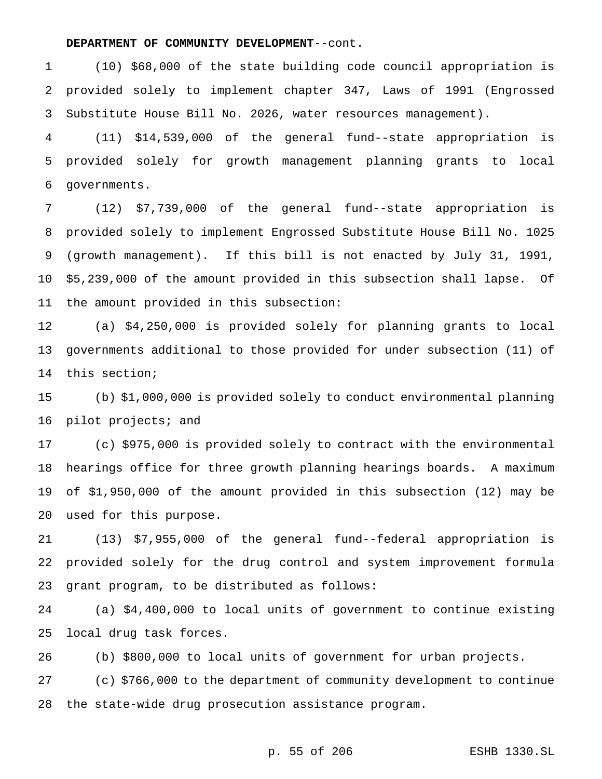(10) \$68,000 of the state building code council appropriation is provided solely to implement chapter 347, Laws of 1991 (Engrossed Substitute House Bill No. 2026, water resources management).

 (11) \$14,539,000 of the general fund--state appropriation is provided solely for growth management planning grants to local governments.

 (12) \$7,739,000 of the general fund--state appropriation is provided solely to implement Engrossed Substitute House Bill No. 1025 (growth management). If this bill is not enacted by July 31, 1991, \$5,239,000 of the amount provided in this subsection shall lapse. Of the amount provided in this subsection:

 (a) \$4,250,000 is provided solely for planning grants to local governments additional to those provided for under subsection (11) of this section;

 (b) \$1,000,000 is provided solely to conduct environmental planning pilot projects; and

 (c) \$975,000 is provided solely to contract with the environmental hearings office for three growth planning hearings boards. A maximum of \$1,950,000 of the amount provided in this subsection (12) may be used for this purpose.

 (13) \$7,955,000 of the general fund--federal appropriation is provided solely for the drug control and system improvement formula grant program, to be distributed as follows:

 (a) \$4,400,000 to local units of government to continue existing local drug task forces.

(b) \$800,000 to local units of government for urban projects.

 (c) \$766,000 to the department of community development to continue the state-wide drug prosecution assistance program.

p. 55 of 206 ESHB 1330.SL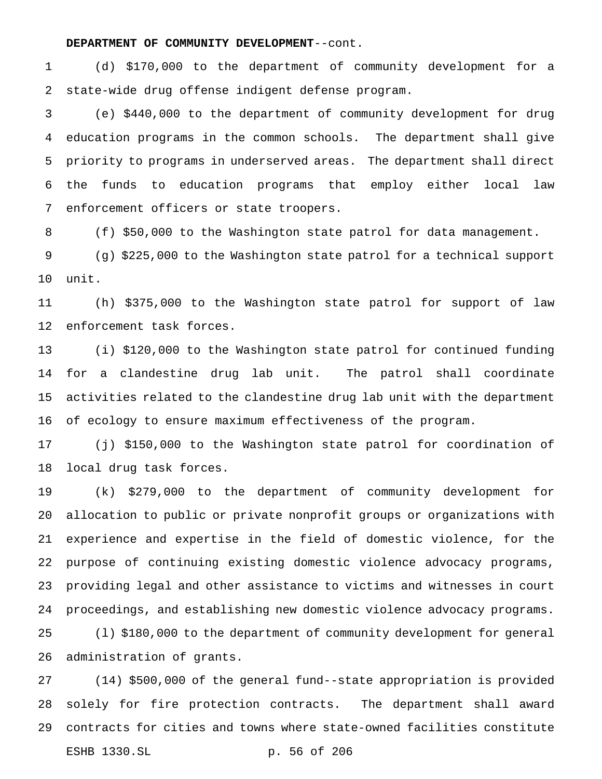(d) \$170,000 to the department of community development for a state-wide drug offense indigent defense program.

 (e) \$440,000 to the department of community development for drug education programs in the common schools. The department shall give priority to programs in underserved areas. The department shall direct the funds to education programs that employ either local law enforcement officers or state troopers.

(f) \$50,000 to the Washington state patrol for data management.

 (g) \$225,000 to the Washington state patrol for a technical support unit.

 (h) \$375,000 to the Washington state patrol for support of law enforcement task forces.

 (i) \$120,000 to the Washington state patrol for continued funding for a clandestine drug lab unit. The patrol shall coordinate activities related to the clandestine drug lab unit with the department of ecology to ensure maximum effectiveness of the program.

 (j) \$150,000 to the Washington state patrol for coordination of local drug task forces.

 (k) \$279,000 to the department of community development for allocation to public or private nonprofit groups or organizations with experience and expertise in the field of domestic violence, for the purpose of continuing existing domestic violence advocacy programs, providing legal and other assistance to victims and witnesses in court proceedings, and establishing new domestic violence advocacy programs. (l) \$180,000 to the department of community development for general administration of grants.

 (14) \$500,000 of the general fund--state appropriation is provided solely for fire protection contracts. The department shall award contracts for cities and towns where state-owned facilities constitute ESHB 1330.SL p. 56 of 206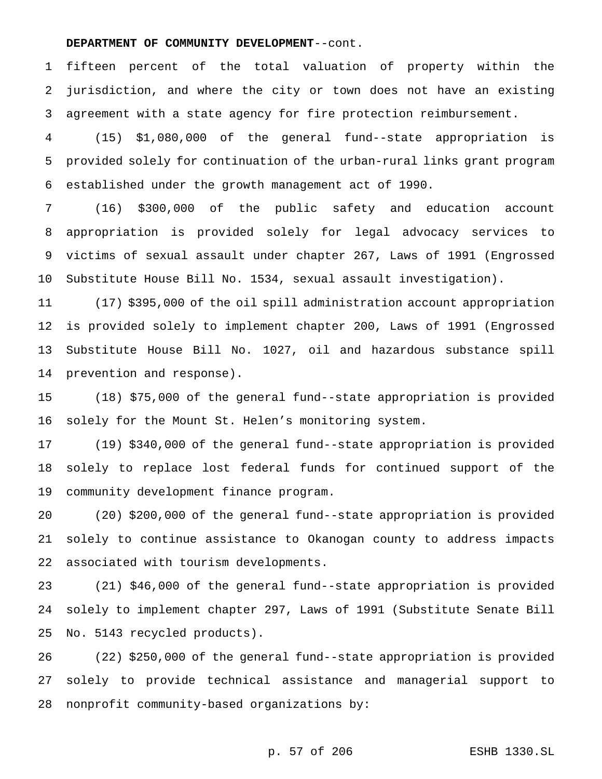fifteen percent of the total valuation of property within the jurisdiction, and where the city or town does not have an existing agreement with a state agency for fire protection reimbursement.

 (15) \$1,080,000 of the general fund--state appropriation is provided solely for continuation of the urban-rural links grant program established under the growth management act of 1990.

 (16) \$300,000 of the public safety and education account appropriation is provided solely for legal advocacy services to victims of sexual assault under chapter 267, Laws of 1991 (Engrossed Substitute House Bill No. 1534, sexual assault investigation).

 (17) \$395,000 of the oil spill administration account appropriation is provided solely to implement chapter 200, Laws of 1991 (Engrossed Substitute House Bill No. 1027, oil and hazardous substance spill prevention and response).

 (18) \$75,000 of the general fund--state appropriation is provided solely for the Mount St. Helen's monitoring system.

 (19) \$340,000 of the general fund--state appropriation is provided solely to replace lost federal funds for continued support of the community development finance program.

 (20) \$200,000 of the general fund--state appropriation is provided solely to continue assistance to Okanogan county to address impacts associated with tourism developments.

 (21) \$46,000 of the general fund--state appropriation is provided solely to implement chapter 297, Laws of 1991 (Substitute Senate Bill No. 5143 recycled products).

 (22) \$250,000 of the general fund--state appropriation is provided solely to provide technical assistance and managerial support to nonprofit community-based organizations by:

p. 57 of 206 ESHB 1330.SL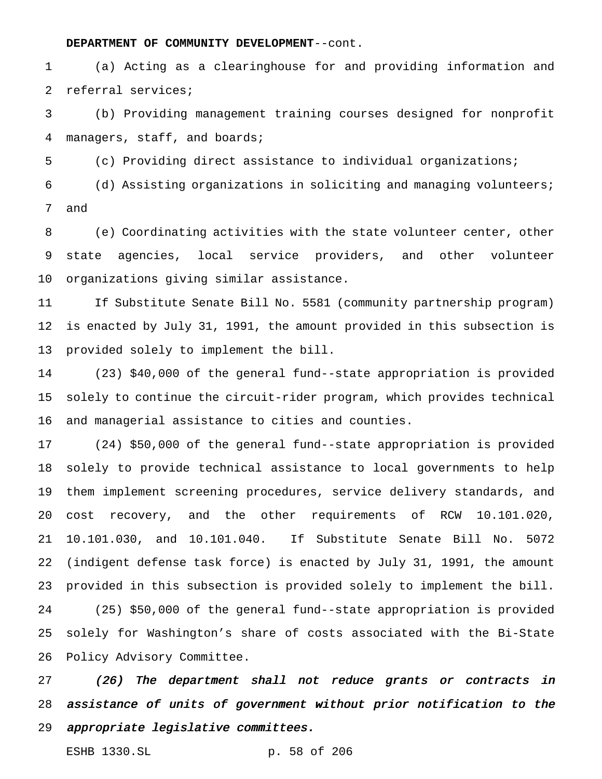(a) Acting as a clearinghouse for and providing information and referral services;

 (b) Providing management training courses designed for nonprofit managers, staff, and boards;

(c) Providing direct assistance to individual organizations;

 (d) Assisting organizations in soliciting and managing volunteers; and

 (e) Coordinating activities with the state volunteer center, other state agencies, local service providers, and other volunteer organizations giving similar assistance.

 If Substitute Senate Bill No. 5581 (community partnership program) is enacted by July 31, 1991, the amount provided in this subsection is provided solely to implement the bill.

 (23) \$40,000 of the general fund--state appropriation is provided solely to continue the circuit-rider program, which provides technical and managerial assistance to cities and counties.

 (24) \$50,000 of the general fund--state appropriation is provided solely to provide technical assistance to local governments to help them implement screening procedures, service delivery standards, and cost recovery, and the other requirements of RCW 10.101.020, 10.101.030, and 10.101.040. If Substitute Senate Bill No. 5072 (indigent defense task force) is enacted by July 31, 1991, the amount provided in this subsection is provided solely to implement the bill. (25) \$50,000 of the general fund--state appropriation is provided solely for Washington's share of costs associated with the Bi-State Policy Advisory Committee.

 (26) The department shall not reduce grants or contracts in assistance of units of government without prior notification to the appropriate legislative committees.

ESHB 1330.SL p. 58 of 206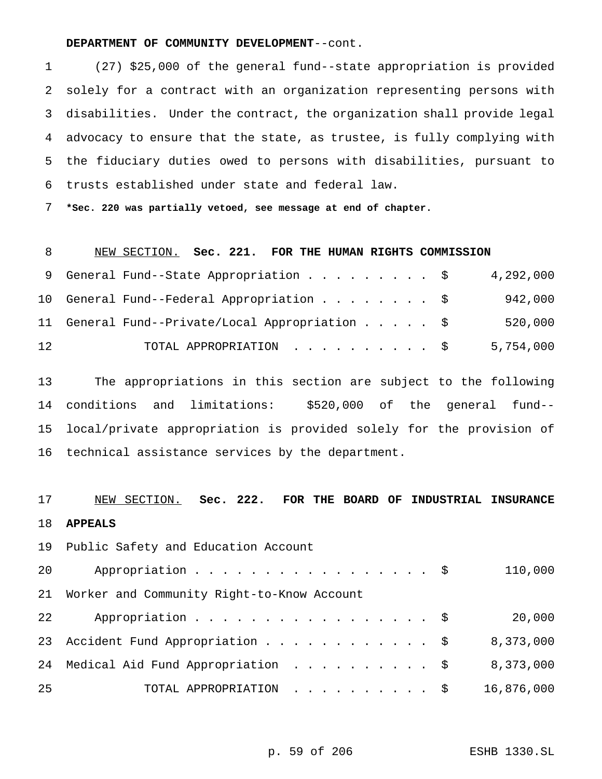(27) \$25,000 of the general fund--state appropriation is provided solely for a contract with an organization representing persons with disabilities. Under the contract, the organization shall provide legal advocacy to ensure that the state, as trustee, is fully complying with the fiduciary duties owed to persons with disabilities, pursuant to trusts established under state and federal law.

**\*Sec. 220 was partially vetoed, see message at end of chapter.**

#### NEW SECTION. **Sec. 221. FOR THE HUMAN RIGHTS COMMISSION**

|    | 9 General Fund--State Appropriation \$          |  |  |  | 4,292,000 |
|----|-------------------------------------------------|--|--|--|-----------|
|    | 10 General Fund--Federal Appropriation \$       |  |  |  | 942,000   |
|    | 11 General Fund--Private/Local Appropriation \$ |  |  |  | 520,000   |
| 12 | TOTAL APPROPRIATION \$                          |  |  |  | 5,754,000 |

 The appropriations in this section are subject to the following conditions and limitations: \$520,000 of the general fund-- local/private appropriation is provided solely for the provision of technical assistance services by the department.

### NEW SECTION. **Sec. 222. FOR THE BOARD OF INDUSTRIAL INSURANCE APPEALS**

 Public Safety and Education Account 20 Appropriation . . . . . . . . . . . . . . . \$ 110,000 Worker and Community Right-to-Know Account 22 Appropriation . . . . . . . . . . . . . . . \$ 20,000 Accident Fund Appropriation............ \$ 8,373,000 24 Medical Aid Fund Appropriation . . . . . . . . . \$ 8,373,000 TOTAL APPROPRIATION .......... \$ 16,876,000

p. 59 of 206 ESHB 1330.SL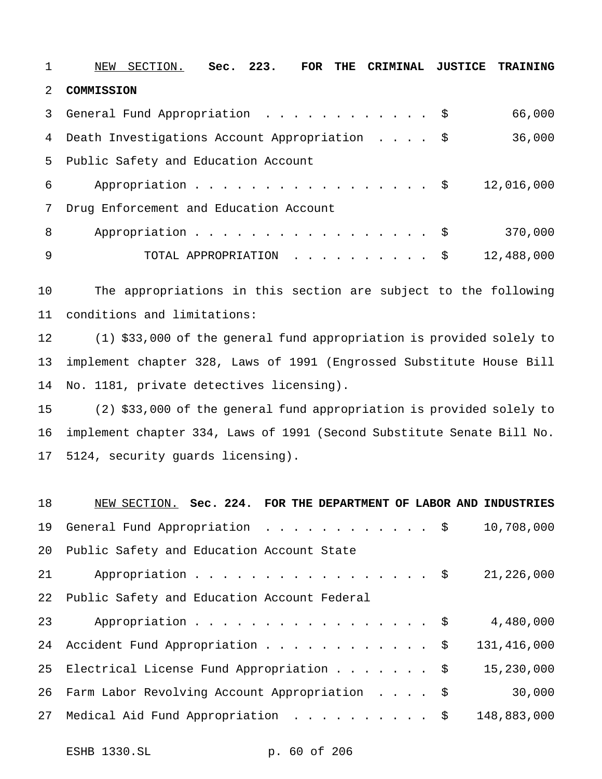|   | Sec. 223. FOR THE CRIMINAL JUSTICE TRAINING<br>NEW SECTION. |
|---|-------------------------------------------------------------|
| 2 | COMMISSION                                                  |
|   | 3 General Fund Appropriation \$<br>66,000                   |
|   | 4 Death Investigations Account Appropriation \$<br>36,000   |
|   | 5 Public Safety and Education Account                       |
| 6 | Appropriation \$<br>12,016,000                              |
| 7 | Drug Enforcement and Education Account                      |
| 8 | Appropriation \$<br>370,000                                 |
| 9 | 12,488,000<br>TOTAL APPROPRIATION \$                        |

 The appropriations in this section are subject to the following conditions and limitations:

 (1) \$33,000 of the general fund appropriation is provided solely to implement chapter 328, Laws of 1991 (Engrossed Substitute House Bill No. 1181, private detectives licensing).

 (2) \$33,000 of the general fund appropriation is provided solely to implement chapter 334, Laws of 1991 (Second Substitute Senate Bill No. 5124, security guards licensing).

| 18 | NEW SECTION. Sec. 224. FOR THE DEPARTMENT OF LABOR AND INDUSTRIES |  |  |  |             |
|----|-------------------------------------------------------------------|--|--|--|-------------|
| 19 | General Fund Appropriation $\ldots$ \$                            |  |  |  | 10,708,000  |
| 20 | Public Safety and Education Account State                         |  |  |  |             |
| 21 | Appropriation $\frac{1}{9}$                                       |  |  |  | 21,226,000  |
| 22 | Public Safety and Education Account Federal                       |  |  |  |             |
| 23 | Appropriation \$                                                  |  |  |  | 4,480,000   |
| 24 | Accident Fund Appropriation \$                                    |  |  |  | 131,416,000 |
|    | 25 Electrical License Fund Appropriation \$                       |  |  |  | 15,230,000  |
| 26 | Farm Labor Revolving Account Appropriation \$                     |  |  |  | 30,000      |
| 27 | Medical Aid Fund Appropriation \$                                 |  |  |  | 148,883,000 |
|    |                                                                   |  |  |  |             |

ESHB 1330.SL p. 60 of 206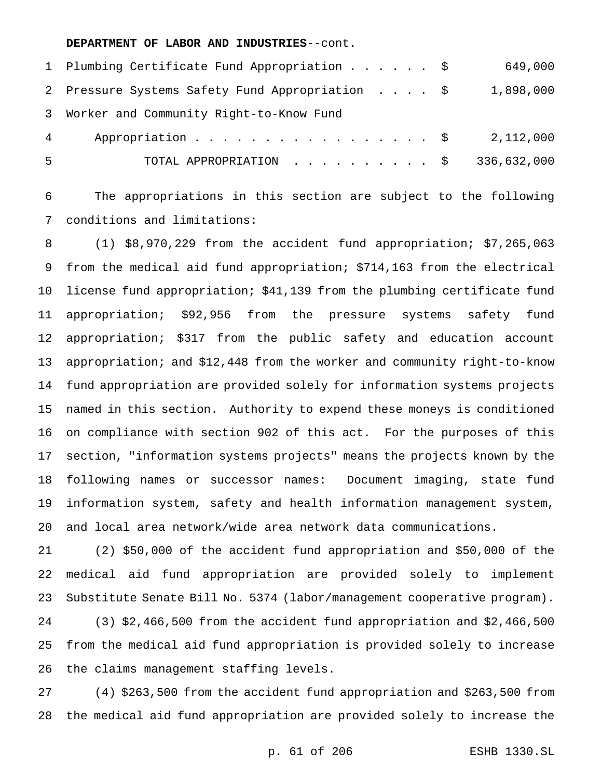**DEPARTMENT OF LABOR AND INDUSTRIES**--cont.

|   | 1 Plumbing Certificate Fund Appropriation \$    | 649,000     |
|---|-------------------------------------------------|-------------|
|   | 2 Pressure Systems Safety Fund Appropriation \$ | 1,898,000   |
|   | 3 Worker and Community Right-to-Know Fund       |             |
| 4 | Appropriation $\frac{1}{5}$                     | 2,112,000   |
| 5 | TOTAL APPROPRIATION \$                          | 336,632,000 |

 The appropriations in this section are subject to the following conditions and limitations:

 (1) \$8,970,229 from the accident fund appropriation; \$7,265,063 from the medical aid fund appropriation; \$714,163 from the electrical license fund appropriation; \$41,139 from the plumbing certificate fund appropriation; \$92,956 from the pressure systems safety fund appropriation; \$317 from the public safety and education account appropriation; and \$12,448 from the worker and community right-to-know fund appropriation are provided solely for information systems projects named in this section. Authority to expend these moneys is conditioned on compliance with section 902 of this act. For the purposes of this section, "information systems projects" means the projects known by the following names or successor names: Document imaging, state fund information system, safety and health information management system, and local area network/wide area network data communications.

 (2) \$50,000 of the accident fund appropriation and \$50,000 of the medical aid fund appropriation are provided solely to implement Substitute Senate Bill No. 5374 (labor/management cooperative program). (3) \$2,466,500 from the accident fund appropriation and \$2,466,500 from the medical aid fund appropriation is provided solely to increase the claims management staffing levels.

 (4) \$263,500 from the accident fund appropriation and \$263,500 from the medical aid fund appropriation are provided solely to increase the

p. 61 of 206 ESHB 1330.SL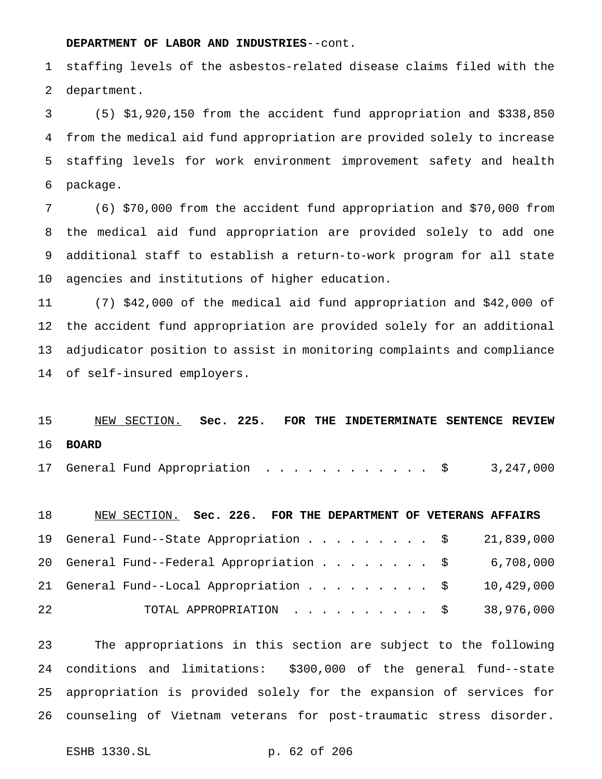#### **DEPARTMENT OF LABOR AND INDUSTRIES**--cont.

 staffing levels of the asbestos-related disease claims filed with the department.

 (5) \$1,920,150 from the accident fund appropriation and \$338,850 from the medical aid fund appropriation are provided solely to increase staffing levels for work environment improvement safety and health package.

 (6) \$70,000 from the accident fund appropriation and \$70,000 from the medical aid fund appropriation are provided solely to add one additional staff to establish a return-to-work program for all state agencies and institutions of higher education.

 (7) \$42,000 of the medical aid fund appropriation and \$42,000 of the accident fund appropriation are provided solely for an additional adjudicator position to assist in monitoring complaints and compliance of self-insured employers.

# NEW SECTION. **Sec. 225. FOR THE INDETERMINATE SENTENCE REVIEW BOARD**

17 General Fund Appropriation . . . . . . . . . . . \$ 3,247,000

# NEW SECTION. **Sec. 226. FOR THE DEPARTMENT OF VETERANS AFFAIRS** General Fund--State Appropriation......... \$ 21,839,000 General Fund--Federal Appropriation........ \$ 6,708,000 General Fund--Local Appropriation......... \$ 10,429,000 TOTAL APPROPRIATION .......... \$ 38,976,000

 The appropriations in this section are subject to the following conditions and limitations: \$300,000 of the general fund--state appropriation is provided solely for the expansion of services for counseling of Vietnam veterans for post-traumatic stress disorder.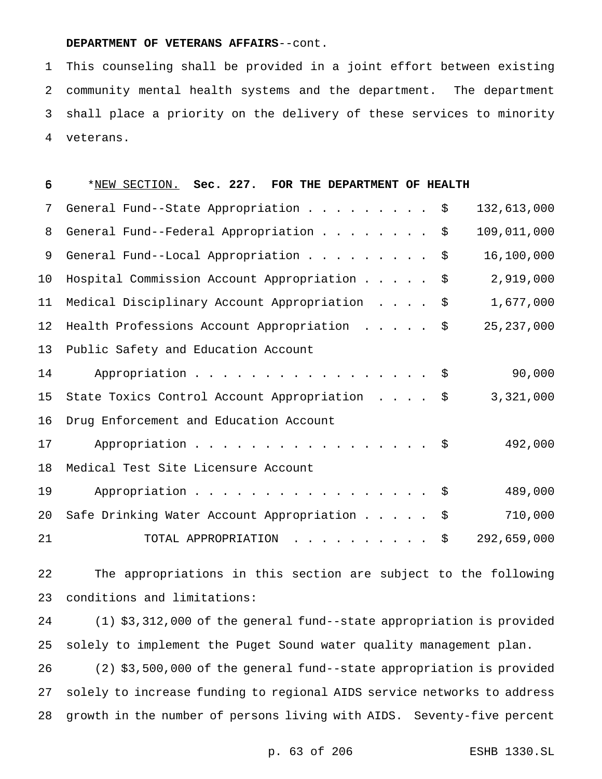#### **DEPARTMENT OF VETERANS AFFAIRS**--cont.

 This counseling shall be provided in a joint effort between existing community mental health systems and the department. The department shall place a priority on the delivery of these services to minority veterans.

#### \*NEW SECTION. **Sec. 227. FOR THE DEPARTMENT OF HEALTH**

| 7  | General Fund--State Appropriation \$          | 132,613,000  |
|----|-----------------------------------------------|--------------|
| 8  | General Fund--Federal Appropriation \$        | 109,011,000  |
| 9  | General Fund--Local Appropriation \$          | 16,100,000   |
| 10 | Hospital Commission Account Appropriation \$  | 2,919,000    |
| 11 | Medical Disciplinary Account Appropriation \$ | 1,677,000    |
| 12 | Health Professions Account Appropriation \$   | 25, 237, 000 |
| 13 | Public Safety and Education Account           |              |
| 14 | Appropriation \$                              | 90,000       |
| 15 | State Toxics Control Account Appropriation \$ | 3,321,000    |
| 16 | Drug Enforcement and Education Account        |              |
| 17 | Appropriation \$                              | 492,000      |
| 18 | Medical Test Site Licensure Account           |              |
| 19 | Appropriation $\frac{1}{5}$                   | 489,000      |
| 20 | Safe Drinking Water Account Appropriation \$  | 710,000      |
| 21 | TOTAL APPROPRIATION \$                        | 292,659,000  |

 The appropriations in this section are subject to the following conditions and limitations:

 (1) \$3,312,000 of the general fund--state appropriation is provided solely to implement the Puget Sound water quality management plan.

 (2) \$3,500,000 of the general fund--state appropriation is provided solely to increase funding to regional AIDS service networks to address growth in the number of persons living with AIDS. Seventy-five percent

p. 63 of 206 ESHB 1330.SL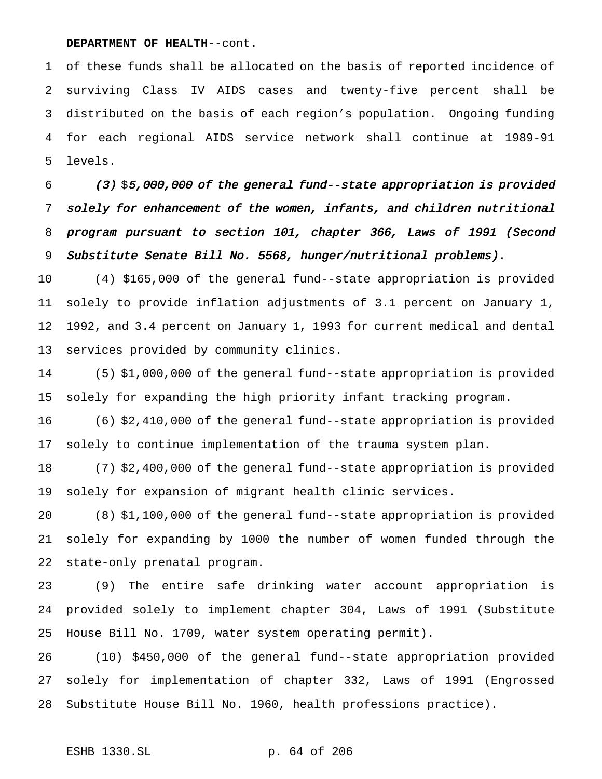#### **DEPARTMENT OF HEALTH**--cont.

 of these funds shall be allocated on the basis of reported incidence of surviving Class IV AIDS cases and twenty-five percent shall be distributed on the basis of each region's population. Ongoing funding for each regional AIDS service network shall continue at 1989-91 levels.

 (3) \$5,000,000 of the general fund--state appropriation is provided solely for enhancement of the women, infants, and children nutritional program pursuant to section 101, chapter 366, Laws of <sup>1991</sup> (Second Substitute Senate Bill No. 5568, hunger/nutritional problems).

 (4) \$165,000 of the general fund--state appropriation is provided solely to provide inflation adjustments of 3.1 percent on January 1, 1992, and 3.4 percent on January 1, 1993 for current medical and dental services provided by community clinics.

 (5) \$1,000,000 of the general fund--state appropriation is provided solely for expanding the high priority infant tracking program.

 (6) \$2,410,000 of the general fund--state appropriation is provided solely to continue implementation of the trauma system plan.

 (7) \$2,400,000 of the general fund--state appropriation is provided solely for expansion of migrant health clinic services.

 (8) \$1,100,000 of the general fund--state appropriation is provided solely for expanding by 1000 the number of women funded through the state-only prenatal program.

 (9) The entire safe drinking water account appropriation is provided solely to implement chapter 304, Laws of 1991 (Substitute House Bill No. 1709, water system operating permit).

 (10) \$450,000 of the general fund--state appropriation provided solely for implementation of chapter 332, Laws of 1991 (Engrossed Substitute House Bill No. 1960, health professions practice).

#### ESHB 1330.SL p. 64 of 206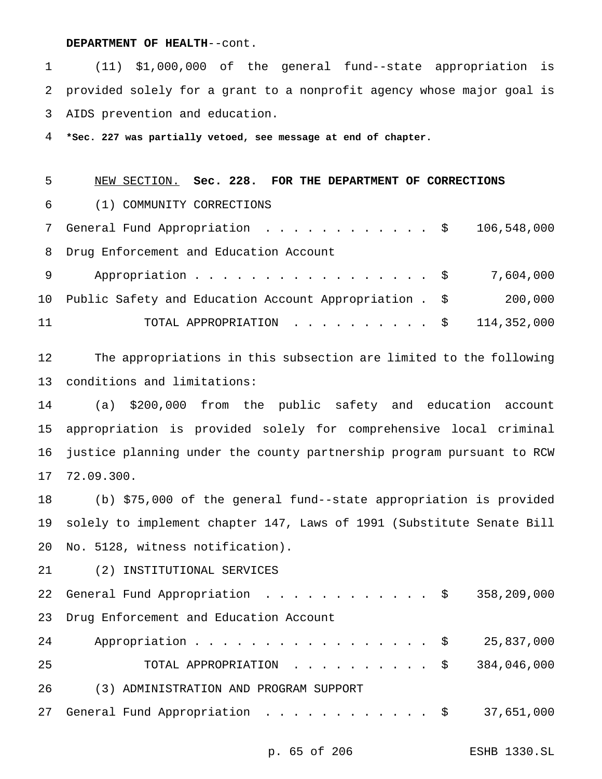#### **DEPARTMENT OF HEALTH**--cont.

 (11) \$1,000,000 of the general fund--state appropriation is provided solely for a grant to a nonprofit agency whose major goal is AIDS prevention and education.

**\*Sec. 227 was partially vetoed, see message at end of chapter.**

#### NEW SECTION. **Sec. 228. FOR THE DEPARTMENT OF CORRECTIONS**

(1) COMMUNITY CORRECTIONS

7 General Fund Appropriation . . . . . . . . . . . \$ 106,548,000 Drug Enforcement and Education Account

| - 9 | Appropriation \$ 7,604,000                                |         |
|-----|-----------------------------------------------------------|---------|
|     | 10 Public Safety and Education Account Appropriation . \$ | 200,000 |
| 11  | TOTAL APPROPRIATION $\ldots$ , \$ 114,352,000             |         |

 The appropriations in this subsection are limited to the following conditions and limitations:

 (a) \$200,000 from the public safety and education account appropriation is provided solely for comprehensive local criminal justice planning under the county partnership program pursuant to RCW 72.09.300.

 (b) \$75,000 of the general fund--state appropriation is provided solely to implement chapter 147, Laws of 1991 (Substitute Senate Bill No. 5128, witness notification).

(2) INSTITUTIONAL SERVICES

|    | 22 General Fund Appropriation \$ 358,209,000  |  |
|----|-----------------------------------------------|--|
|    | 23 Drug Enforcement and Education Account     |  |
| 24 | Appropriation \$ 25,837,000                   |  |
| 25 | TOTAL APPROPRIATION $\ldots$ , \$ 384,046,000 |  |
| 26 | (3) ADMINISTRATION AND PROGRAM SUPPORT        |  |
|    | 27 General Fund Appropriation \$ 37,651,000   |  |

p. 65 of 206 ESHB 1330.SL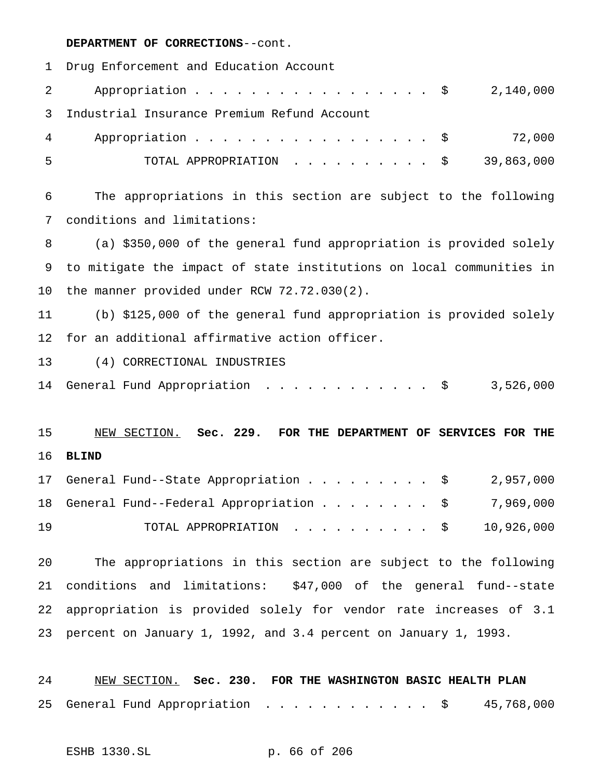#### **DEPARTMENT OF CORRECTIONS**--cont.

Drug Enforcement and Education Account

2 Appropriation . . . . . . . . . . . . . . . . \$ 2,140,000 Industrial Insurance Premium Refund Account Appropriation................. \$ 72,000 TOTAL APPROPRIATION .......... \$ 39,863,000

 The appropriations in this section are subject to the following conditions and limitations:

 (a) \$350,000 of the general fund appropriation is provided solely to mitigate the impact of state institutions on local communities in the manner provided under RCW 72.72.030(2).

 (b) \$125,000 of the general fund appropriation is provided solely for an additional affirmative action officer.

(4) CORRECTIONAL INDUSTRIES

14 General Fund Appropriation . . . . . . . . . . . \$ 3,526,000

 NEW SECTION. **Sec. 229. FOR THE DEPARTMENT OF SERVICES FOR THE BLIND**

|    | 17 General Fund--State Appropriation \$ 2,957,000   |  |  |  |  |  |                                              |
|----|-----------------------------------------------------|--|--|--|--|--|----------------------------------------------|
|    | 18 General Fund--Federal Appropriation \$ 7,969,000 |  |  |  |  |  |                                              |
| 19 |                                                     |  |  |  |  |  | TOTAL APPROPRIATION $\ldots$ , \$ 10,926,000 |

 The appropriations in this section are subject to the following conditions and limitations: \$47,000 of the general fund--state appropriation is provided solely for vendor rate increases of 3.1 percent on January 1, 1992, and 3.4 percent on January 1, 1993.

 NEW SECTION. **Sec. 230. FOR THE WASHINGTON BASIC HEALTH PLAN** General Fund Appropriation ............ \$ 45,768,000

```
ESHB 1330.SL p. 66 of 206
```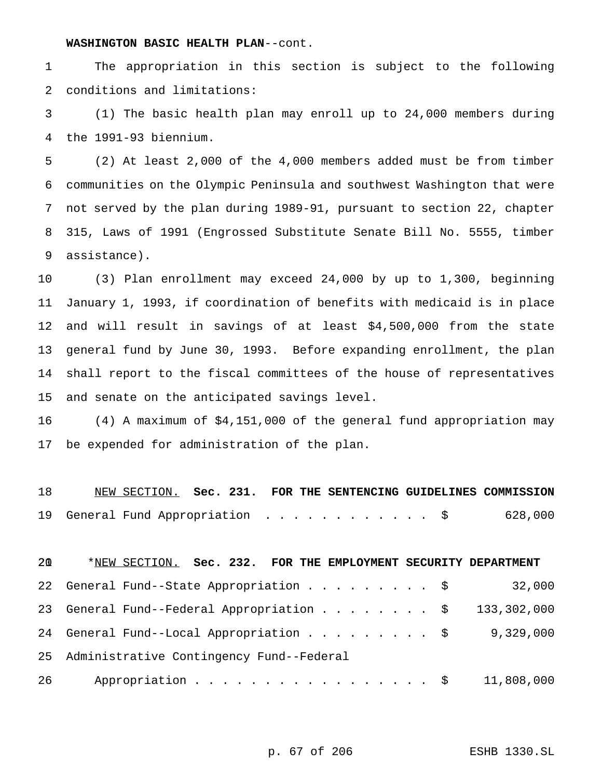#### **WASHINGTON BASIC HEALTH PLAN**--cont.

 The appropriation in this section is subject to the following conditions and limitations:

 (1) The basic health plan may enroll up to 24,000 members during the 1991-93 biennium.

 (2) At least 2,000 of the 4,000 members added must be from timber communities on the Olympic Peninsula and southwest Washington that were not served by the plan during 1989-91, pursuant to section 22, chapter 315, Laws of 1991 (Engrossed Substitute Senate Bill No. 5555, timber assistance).

 (3) Plan enrollment may exceed 24,000 by up to 1,300, beginning January 1, 1993, if coordination of benefits with medicaid is in place and will result in savings of at least \$4,500,000 from the state general fund by June 30, 1993. Before expanding enrollment, the plan shall report to the fiscal committees of the house of representatives and senate on the anticipated savings level.

 (4) A maximum of \$4,151,000 of the general fund appropriation may be expended for administration of the plan.

 NEW SECTION. **Sec. 231. FOR THE SENTENCING GUIDELINES COMMISSION** General Fund Appropriation ............ \$ 628,000

| 20 | *NEW SECTION. Sec. 232. FOR THE EMPLOYMENT SECURITY DEPARTMENT |           |
|----|----------------------------------------------------------------|-----------|
|    | 22 General Fund--State Appropriation \$                        | 32,000    |
|    | 23 General Fund--Federal Appropriation \$ 133,302,000          |           |
|    | 24 General Fund--Local Appropriation \$                        | 9,329,000 |
|    | 25 Administrative Contingency Fund--Federal                    |           |
| 26 | Appropriation \$ 11,808,000                                    |           |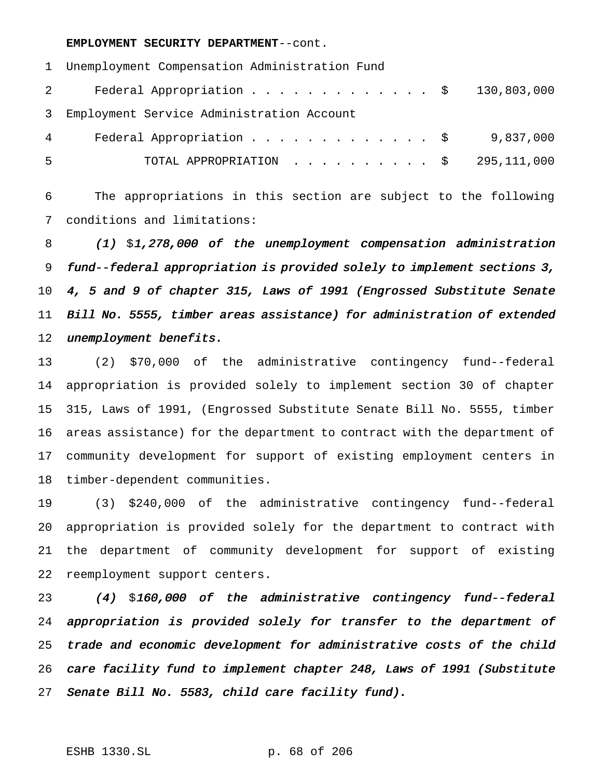#### **EMPLOYMENT SECURITY DEPARTMENT**--cont.

Unemployment Compensation Administration Fund

 Federal Appropriation............. \$ 130,803,000 Employment Service Administration Account

|                | 4 Federal Appropriation \$9,837,000           |  |  |  |  |  |  |
|----------------|-----------------------------------------------|--|--|--|--|--|--|
| 5 <sup>5</sup> | TOTAL APPROPRIATION $\ldots$ , \$ 295,111,000 |  |  |  |  |  |  |

 The appropriations in this section are subject to the following conditions and limitations:

8 (1) \$1,278,000 of the unemployment compensation administration fund--federal appropriation is provided solely to implement sections 3, 4, <sup>5</sup> and <sup>9</sup> of chapter 315, Laws of <sup>1991</sup> (Engrossed Substitute Senate Bill No. 5555, timber areas assistance) for administration of extended unemployment benefits.

 (2) \$70,000 of the administrative contingency fund--federal appropriation is provided solely to implement section 30 of chapter 315, Laws of 1991, (Engrossed Substitute Senate Bill No. 5555, timber areas assistance) for the department to contract with the department of community development for support of existing employment centers in timber-dependent communities.

 (3) \$240,000 of the administrative contingency fund--federal appropriation is provided solely for the department to contract with the department of community development for support of existing reemployment support centers.

23 (4) \$160,000 of the administrative contingency fund--federal appropriation is provided solely for transfer to the department of trade and economic development for administrative costs of the child care facility fund to implement chapter 248, Laws of <sup>1991</sup> (Substitute Senate Bill No. 5583, child care facility fund).

#### ESHB 1330.SL p. 68 of 206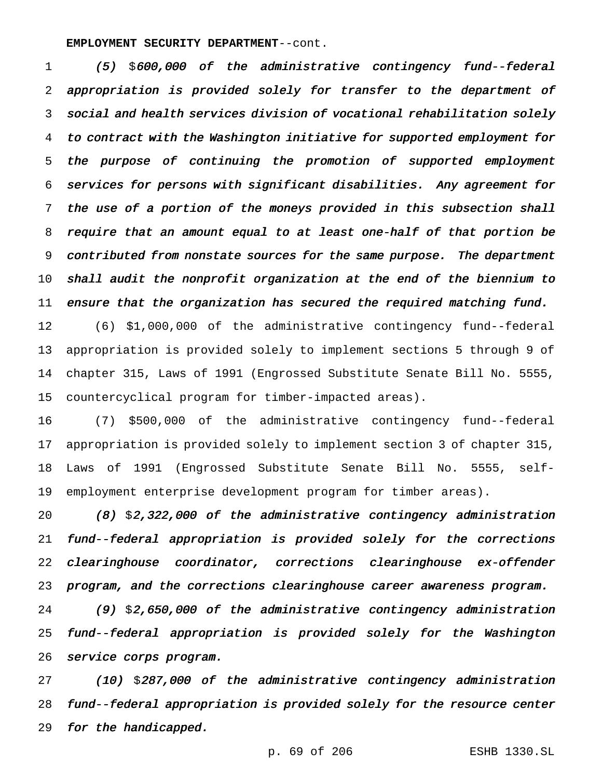### **EMPLOYMENT SECURITY DEPARTMENT**--cont.

1 (5) \$600,000 of the administrative contingency fund--federal appropriation is provided solely for transfer to the department of social and health services division of vocational rehabilitation solely to contract with the Washington initiative for supported employment for the purpose of continuing the promotion of supported employment services for persons with significant disabilities. Any agreement for the use of <sup>a</sup> portion of the moneys provided in this subsection shall require that an amount equal to at least one-half of that portion be contributed from nonstate sources for the same purpose. The department shall audit the nonprofit organization at the end of the biennium to ensure that the organization has secured the required matching fund.

 (6) \$1,000,000 of the administrative contingency fund--federal appropriation is provided solely to implement sections 5 through 9 of chapter 315, Laws of 1991 (Engrossed Substitute Senate Bill No. 5555, countercyclical program for timber-impacted areas).

 (7) \$500,000 of the administrative contingency fund--federal appropriation is provided solely to implement section 3 of chapter 315, Laws of 1991 (Engrossed Substitute Senate Bill No. 5555, self-employment enterprise development program for timber areas).

20 (8)  $$2,322,000$  of the administrative contingency administration fund--federal appropriation is provided solely for the corrections clearinghouse coordinator, corrections clearinghouse ex-offender program, and the corrections clearinghouse career awareness program.

24 (9)  $$2,650,000$  of the administrative contingency administration fund--federal appropriation is provided solely for the Washington service corps program.

27 (10) \$287,000 of the administrative contingency administration fund--federal appropriation is provided solely for the resource center for the handicapped.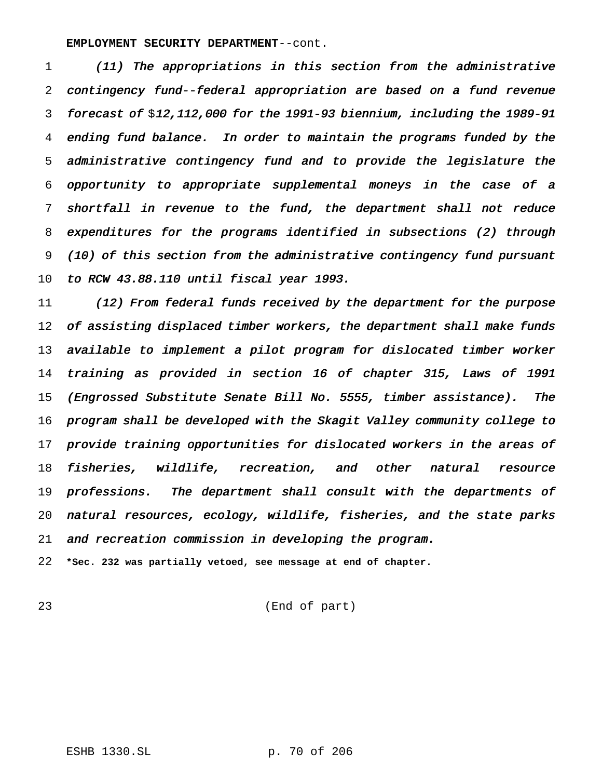#### **EMPLOYMENT SECURITY DEPARTMENT**--cont.

 (11) The appropriations in this section from the administrative contingency fund--federal appropriation are based on <sup>a</sup> fund revenue 3 forecast of  $$12,112,000$  for the 1991-93 biennium, including the 1989-91 ending fund balance. In order to maintain the programs funded by the administrative contingency fund and to provide the legislature the opportunity to appropriate supplemental moneys in the case of <sup>a</sup> shortfall in revenue to the fund, the department shall not reduce expenditures for the programs identified in subsections (2) through (10) of this section from the administrative contingency fund pursuant to RCW 43.88.110 until fiscal year 1993.

11 (12) From federal funds received by the department for the purpose 12 of assisting displaced timber workers, the department shall make funds available to implement <sup>a</sup> pilot program for dislocated timber worker training as provided in section <sup>16</sup> of chapter 315, Laws of <sup>1991</sup> (Engrossed Substitute Senate Bill No. 5555, timber assistance). The program shall be developed with the Skagit Valley community college to provide training opportunities for dislocated workers in the areas of fisheries, wildlife, recreation, and other natural resource 19 professions. The department shall consult with the departments of natural resources, ecology, wildlife, fisheries, and the state parks and recreation commission in developing the program.

**\*Sec. 232 was partially vetoed, see message at end of chapter.**

(End of part)

ESHB 1330.SL p. 70 of 206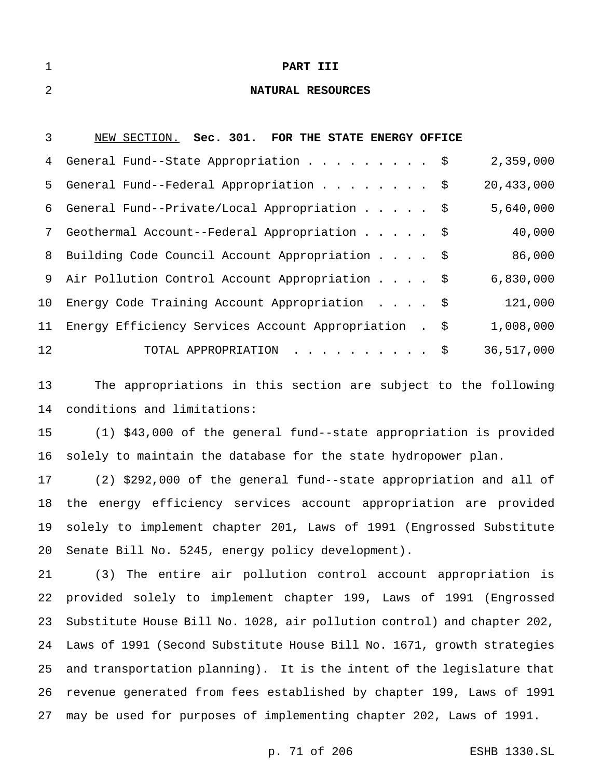| ◄<br>- | <b>PART</b> | ----<br>ᆂᆂᆂ |
|--------|-------------|-------------|
|        |             |             |

#### **NATURAL RESOURCES**

| 3  | NEW SECTION. Sec. 301. FOR THE STATE ENERGY OFFICE    |            |
|----|-------------------------------------------------------|------------|
|    | 4 General Fund--State Appropriation \$                | 2,359,000  |
|    | 5 General Fund--Federal Appropriation \$              | 20,433,000 |
|    | 6 General Fund--Private/Local Appropriation \$        | 5,640,000  |
| 7  | Geothermal Account--Federal Appropriation \$          | 40,000     |
| 8  | Building Code Council Account Appropriation \$        | 86,000     |
| 9  | Air Pollution Control Account Appropriation \$        | 6,830,000  |
| 10 | Energy Code Training Account Appropriation \$         | 121,000    |
| 11 | Energy Efficiency Services Account Appropriation . \$ | 1,008,000  |
| 12 | TOTAL APPROPRIATION                                   | 36,517,000 |

 The appropriations in this section are subject to the following conditions and limitations:

 (1) \$43,000 of the general fund--state appropriation is provided solely to maintain the database for the state hydropower plan.

 (2) \$292,000 of the general fund--state appropriation and all of the energy efficiency services account appropriation are provided solely to implement chapter 201, Laws of 1991 (Engrossed Substitute Senate Bill No. 5245, energy policy development).

 (3) The entire air pollution control account appropriation is provided solely to implement chapter 199, Laws of 1991 (Engrossed Substitute House Bill No. 1028, air pollution control) and chapter 202, Laws of 1991 (Second Substitute House Bill No. 1671, growth strategies and transportation planning). It is the intent of the legislature that revenue generated from fees established by chapter 199, Laws of 1991 may be used for purposes of implementing chapter 202, Laws of 1991.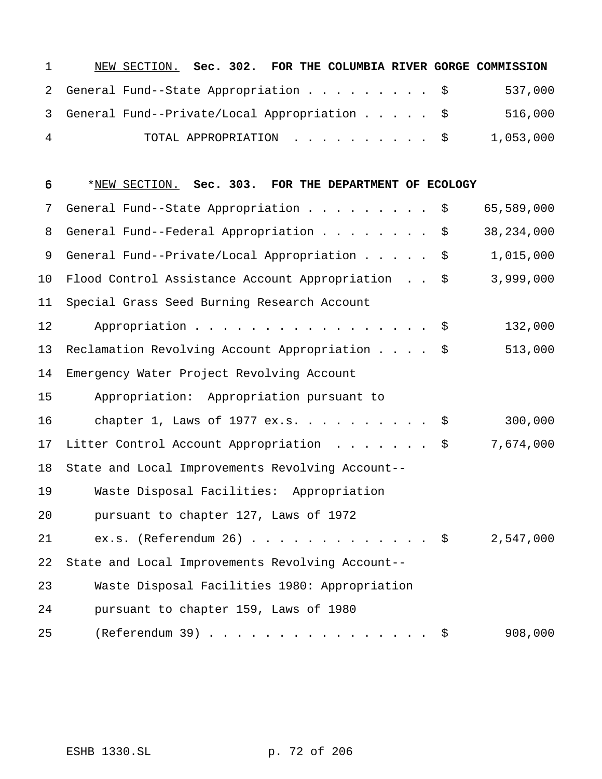| $\mathbf{1}$   |                                                |  |  |  |  | NEW SECTION. Sec. 302. FOR THE COLUMBIA RIVER GORGE COMMISSION |
|----------------|------------------------------------------------|--|--|--|--|----------------------------------------------------------------|
|                | 2 General Fund--State Appropriation \$         |  |  |  |  | 537,000                                                        |
|                | 3 General Fund--Private/Local Appropriation \$ |  |  |  |  | 516,000                                                        |
| $\overline{4}$ |                                                |  |  |  |  | TOTAL APPROPRIATION $\ldots$ , \$ 1,053,000                    |

| 5  | *NEW SECTION. Sec. 303. FOR THE DEPARTMENT OF ECOLOGY |              |
|----|-------------------------------------------------------|--------------|
| 7  | General Fund--State Appropriation \$                  | 65,589,000   |
| 8  | General Fund--Federal Appropriation<br>\$             | 38, 234, 000 |
| 9  | General Fund--Private/Local Appropriation \$          | 1,015,000    |
| 10 | Flood Control Assistance Account Appropriation \$     | 3,999,000    |
| 11 | Special Grass Seed Burning Research Account           |              |
| 12 | Appropriation $\frac{1}{5}$                           | 132,000      |
| 13 | Reclamation Revolving Account Appropriation \$        | 513,000      |
| 14 | Emergency Water Project Revolving Account             |              |
| 15 | Appropriation: Appropriation pursuant to              |              |
| 16 | chapter 1, Laws of 1977 ex.s. \$                      | 300,000      |
| 17 | Litter Control Account Appropriation \$               | 7,674,000    |
| 18 | State and Local Improvements Revolving Account--      |              |
| 19 | Waste Disposal Facilities: Appropriation              |              |
| 20 | pursuant to chapter 127, Laws of 1972                 |              |
| 21 | ex.s. (Referendum 26) $\frac{1}{5}$                   | 2,547,000    |
| 22 | State and Local Improvements Revolving Account--      |              |
| 23 | Waste Disposal Facilities 1980: Appropriation         |              |
| 24 | pursuant to chapter 159, Laws of 1980                 |              |
| 25 | $(Referendum 39)$<br>\$                               | 908,000      |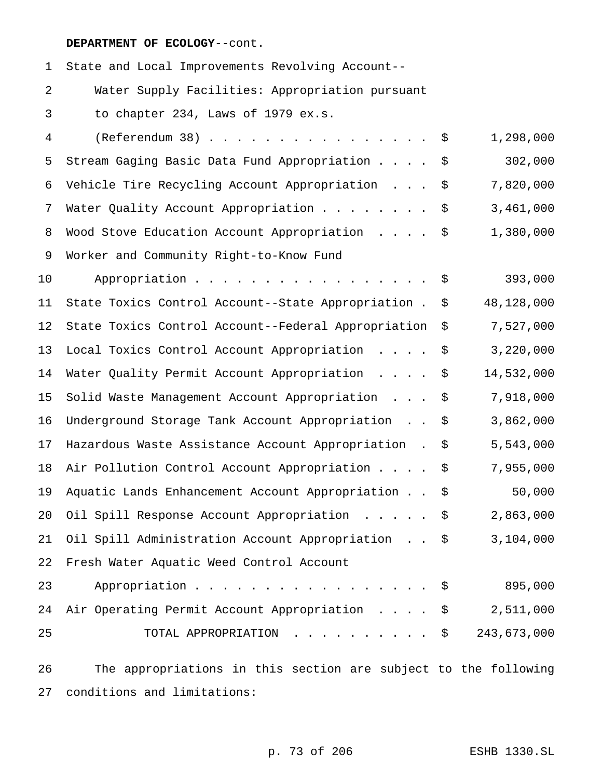| $\mathbf 1$ | State and Local Improvements Revolving Account--    |                   |
|-------------|-----------------------------------------------------|-------------------|
| 2           | Water Supply Facilities: Appropriation pursuant     |                   |
| 3           | to chapter 234, Laws of 1979 ex.s.                  |                   |
| 4           | $(Referendum 38)$                                   | \$<br>1,298,000   |
| 5           | Stream Gaging Basic Data Fund Appropriation         | \$<br>302,000     |
| 6           | Vehicle Tire Recycling Account Appropriation        | \$<br>7,820,000   |
| 7           | Water Quality Account Appropriation                 | \$<br>3,461,000   |
| 8           | Wood Stove Education Account Appropriation          | \$<br>1,380,000   |
| 9           | Worker and Community Right-to-Know Fund             |                   |
| 10          | Appropriation                                       | \$<br>393,000     |
| 11          | State Toxics Control Account--State Appropriation.  | \$<br>48,128,000  |
| 12          | State Toxics Control Account--Federal Appropriation | \$<br>7,527,000   |
| 13          | Local Toxics Control Account Appropriation          | \$<br>3,220,000   |
| 14          | Water Quality Permit Account Appropriation          | \$<br>14,532,000  |
| 15          | Solid Waste Management Account Appropriation        | \$<br>7,918,000   |
| 16          | Underground Storage Tank Account Appropriation      | \$<br>3,862,000   |
| 17          | Hazardous Waste Assistance Account Appropriation.   | \$<br>5,543,000   |
| 18          | Air Pollution Control Account Appropriation         | \$<br>7,955,000   |
| 19          | Aquatic Lands Enhancement Account Appropriation     | \$<br>50,000      |
| 20          | Oil Spill Response Account Appropriation \$         | 2,863,000         |
| 21          | Oil Spill Administration Account Appropriation \$   | 3,104,000         |
| 22          | Fresh Water Aquatic Weed Control Account            |                   |
| 23          | Appropriation                                       | \$<br>895,000     |
| 24          | Air Operating Permit Account Appropriation          | \$<br>2,511,000   |
| 25          | TOTAL APPROPRIATION                                 | \$<br>243,673,000 |

 The appropriations in this section are subject to the following conditions and limitations: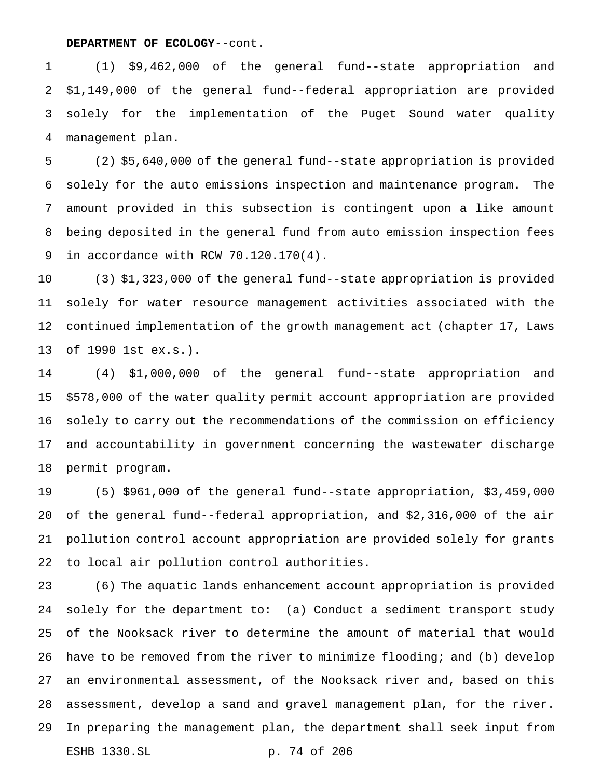(1) \$9,462,000 of the general fund--state appropriation and \$1,149,000 of the general fund--federal appropriation are provided solely for the implementation of the Puget Sound water quality management plan.

 (2) \$5,640,000 of the general fund--state appropriation is provided solely for the auto emissions inspection and maintenance program. The amount provided in this subsection is contingent upon a like amount being deposited in the general fund from auto emission inspection fees in accordance with RCW 70.120.170(4).

 (3) \$1,323,000 of the general fund--state appropriation is provided solely for water resource management activities associated with the continued implementation of the growth management act (chapter 17, Laws of 1990 1st ex.s.).

 (4) \$1,000,000 of the general fund--state appropriation and \$578,000 of the water quality permit account appropriation are provided solely to carry out the recommendations of the commission on efficiency and accountability in government concerning the wastewater discharge permit program.

 (5) \$961,000 of the general fund--state appropriation, \$3,459,000 of the general fund--federal appropriation, and \$2,316,000 of the air pollution control account appropriation are provided solely for grants to local air pollution control authorities.

 (6) The aquatic lands enhancement account appropriation is provided solely for the department to: (a) Conduct a sediment transport study of the Nooksack river to determine the amount of material that would have to be removed from the river to minimize flooding; and (b) develop an environmental assessment, of the Nooksack river and, based on this assessment, develop a sand and gravel management plan, for the river. In preparing the management plan, the department shall seek input from ESHB 1330.SL p. 74 of 206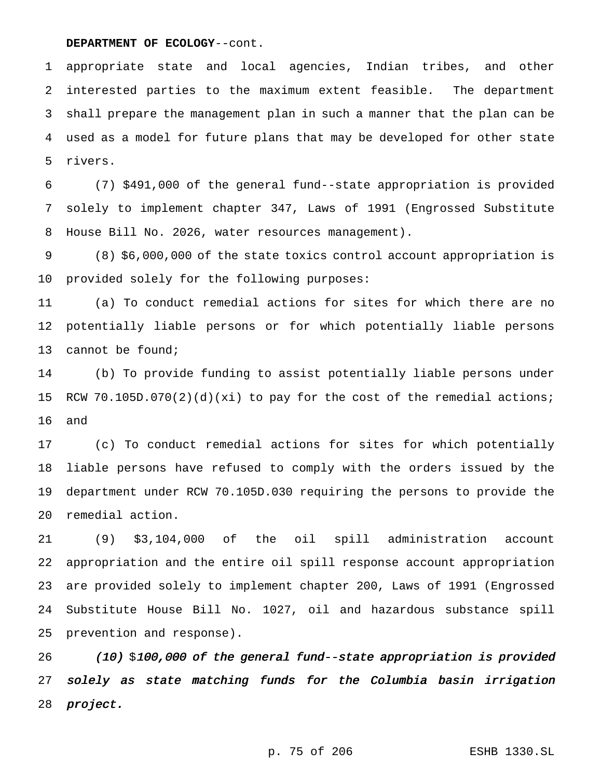appropriate state and local agencies, Indian tribes, and other interested parties to the maximum extent feasible. The department shall prepare the management plan in such a manner that the plan can be used as a model for future plans that may be developed for other state rivers.

 (7) \$491,000 of the general fund--state appropriation is provided solely to implement chapter 347, Laws of 1991 (Engrossed Substitute House Bill No. 2026, water resources management).

 (8) \$6,000,000 of the state toxics control account appropriation is provided solely for the following purposes:

 (a) To conduct remedial actions for sites for which there are no potentially liable persons or for which potentially liable persons cannot be found;

 (b) To provide funding to assist potentially liable persons under RCW 70.105D.070(2)(d)(xi) to pay for the cost of the remedial actions; and

 (c) To conduct remedial actions for sites for which potentially liable persons have refused to comply with the orders issued by the department under RCW 70.105D.030 requiring the persons to provide the remedial action.

 (9) \$3,104,000 of the oil spill administration account appropriation and the entire oil spill response account appropriation are provided solely to implement chapter 200, Laws of 1991 (Engrossed Substitute House Bill No. 1027, oil and hazardous substance spill prevention and response).

 (10) \$100,000 of the general fund--state appropriation is provided solely as state matching funds for the Columbia basin irrigation project.

p. 75 of 206 ESHB 1330.SL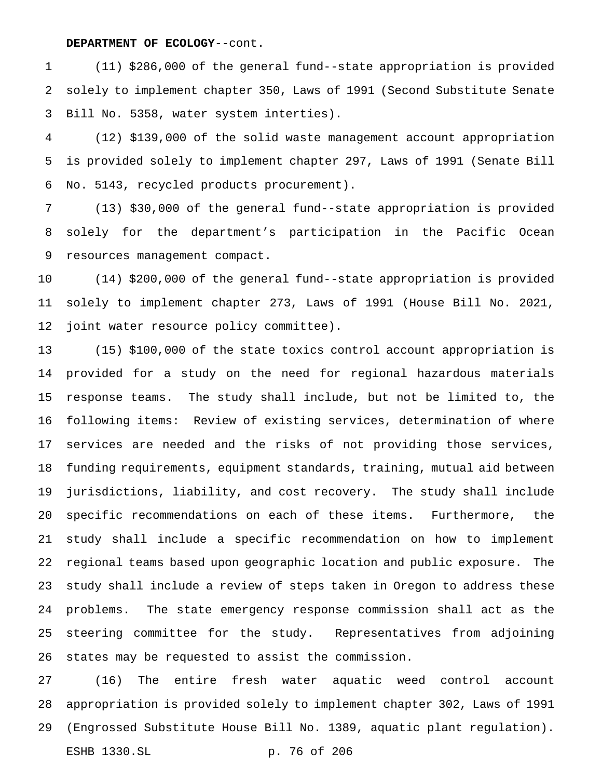(11) \$286,000 of the general fund--state appropriation is provided solely to implement chapter 350, Laws of 1991 (Second Substitute Senate Bill No. 5358, water system interties).

 (12) \$139,000 of the solid waste management account appropriation is provided solely to implement chapter 297, Laws of 1991 (Senate Bill No. 5143, recycled products procurement).

 (13) \$30,000 of the general fund--state appropriation is provided solely for the department's participation in the Pacific Ocean resources management compact.

 (14) \$200,000 of the general fund--state appropriation is provided solely to implement chapter 273, Laws of 1991 (House Bill No. 2021, joint water resource policy committee).

 (15) \$100,000 of the state toxics control account appropriation is provided for a study on the need for regional hazardous materials response teams. The study shall include, but not be limited to, the following items: Review of existing services, determination of where services are needed and the risks of not providing those services, funding requirements, equipment standards, training, mutual aid between jurisdictions, liability, and cost recovery. The study shall include specific recommendations on each of these items. Furthermore, the study shall include a specific recommendation on how to implement regional teams based upon geographic location and public exposure. The study shall include a review of steps taken in Oregon to address these problems. The state emergency response commission shall act as the steering committee for the study. Representatives from adjoining states may be requested to assist the commission.

 (16) The entire fresh water aquatic weed control account appropriation is provided solely to implement chapter 302, Laws of 1991 (Engrossed Substitute House Bill No. 1389, aquatic plant regulation). ESHB 1330.SL p. 76 of 206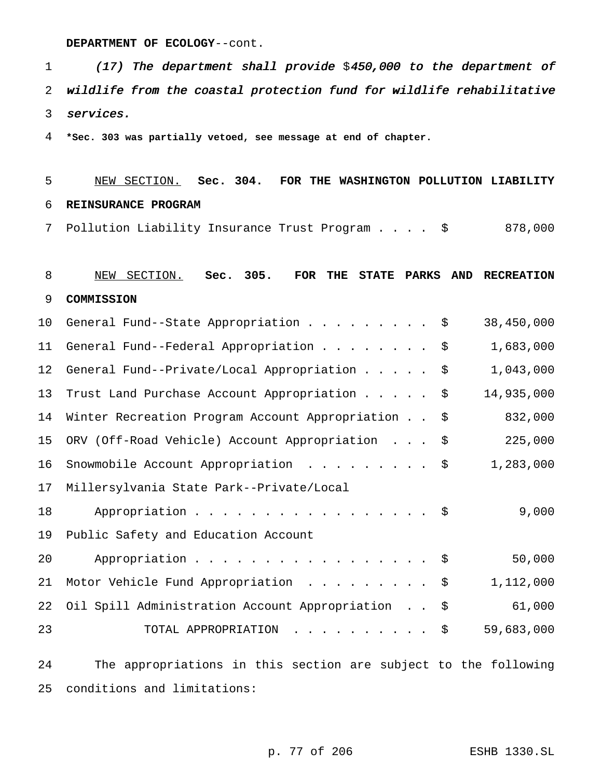1 (17) The department shall provide \$450,000 to the department of wildlife from the coastal protection fund for wildlife rehabilitative services.

**\*Sec. 303 was partially vetoed, see message at end of chapter.**

# NEW SECTION. **Sec. 304. FOR THE WASHINGTON POLLUTION LIABILITY REINSURANCE PROGRAM**

7 Pollution Liability Insurance Trust Program . . . . \$ 878,000

# NEW SECTION. **Sec. 305. FOR THE STATE PARKS AND RECREATION COMMISSION**

| 10 <sup>°</sup> | General Fund--State Appropriation \$               |  | 38,450,000 |
|-----------------|----------------------------------------------------|--|------------|
| 11              | General Fund--Federal Appropriation \$             |  | 1,683,000  |
| 12              | General Fund--Private/Local Appropriation \$       |  | 1,043,000  |
| 13              | Trust Land Purchase Account Appropriation \$       |  | 14,935,000 |
| 14              | Winter Recreation Program Account Appropriation \$ |  | 832,000    |
| 15              | ORV (Off-Road Vehicle) Account Appropriation \$    |  | 225,000    |
| 16              | Snowmobile Account Appropriation $\ldots$ \$       |  | 1,283,000  |
| 17              | Millersylvania State Park--Private/Local           |  |            |
| 18              | Appropriation \$                                   |  | 9,000      |
| 19              | Public Safety and Education Account                |  |            |
| 20              | Appropriation \$                                   |  | 50,000     |
| 21              | Motor Vehicle Fund Appropriation \$                |  | 1,112,000  |
| 22              | Oil Spill Administration Account Appropriation \$  |  | 61,000     |
| 23              | TOTAL APPROPRIATION \$                             |  | 59,683,000 |

 The appropriations in this section are subject to the following conditions and limitations:

p. 77 of 206 ESHB 1330.SL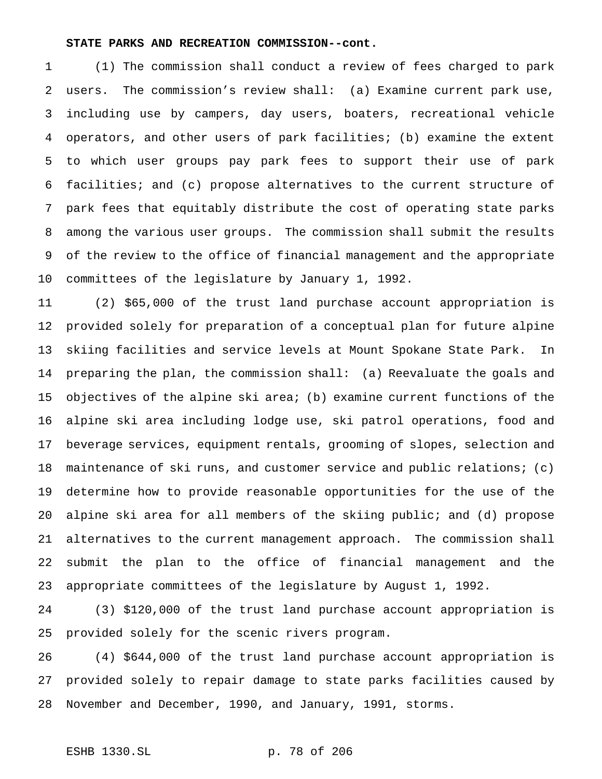#### **STATE PARKS AND RECREATION COMMISSION--cont.**

 (1) The commission shall conduct a review of fees charged to park users. The commission's review shall: (a) Examine current park use, including use by campers, day users, boaters, recreational vehicle operators, and other users of park facilities; (b) examine the extent to which user groups pay park fees to support their use of park facilities; and (c) propose alternatives to the current structure of park fees that equitably distribute the cost of operating state parks among the various user groups. The commission shall submit the results of the review to the office of financial management and the appropriate committees of the legislature by January 1, 1992.

 (2) \$65,000 of the trust land purchase account appropriation is provided solely for preparation of a conceptual plan for future alpine skiing facilities and service levels at Mount Spokane State Park. In preparing the plan, the commission shall: (a) Reevaluate the goals and objectives of the alpine ski area; (b) examine current functions of the alpine ski area including lodge use, ski patrol operations, food and beverage services, equipment rentals, grooming of slopes, selection and maintenance of ski runs, and customer service and public relations; (c) determine how to provide reasonable opportunities for the use of the alpine ski area for all members of the skiing public; and (d) propose alternatives to the current management approach. The commission shall submit the plan to the office of financial management and the appropriate committees of the legislature by August 1, 1992.

 (3) \$120,000 of the trust land purchase account appropriation is provided solely for the scenic rivers program.

 (4) \$644,000 of the trust land purchase account appropriation is provided solely to repair damage to state parks facilities caused by November and December, 1990, and January, 1991, storms.

```
ESHB 1330.SL p. 78 of 206
```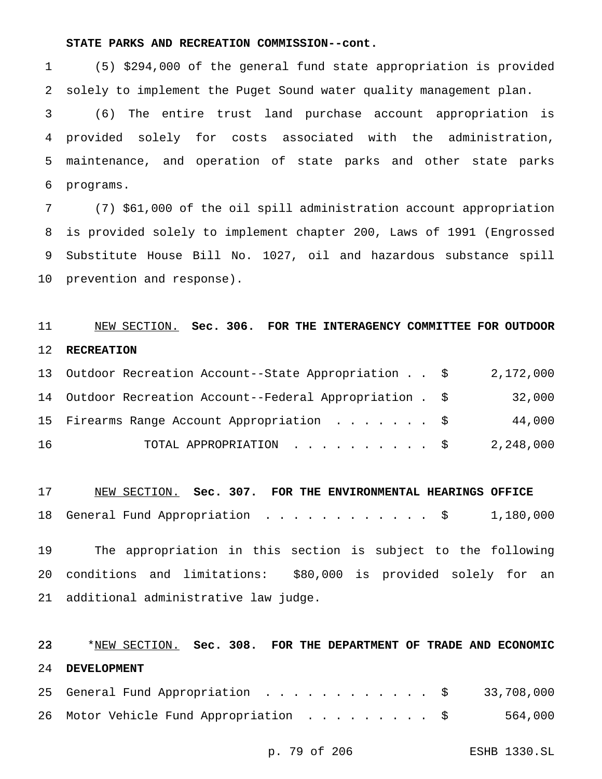#### **STATE PARKS AND RECREATION COMMISSION--cont.**

 (5) \$294,000 of the general fund state appropriation is provided solely to implement the Puget Sound water quality management plan.

 (6) The entire trust land purchase account appropriation is provided solely for costs associated with the administration, maintenance, and operation of state parks and other state parks programs.

 (7) \$61,000 of the oil spill administration account appropriation is provided solely to implement chapter 200, Laws of 1991 (Engrossed Substitute House Bill No. 1027, oil and hazardous substance spill prevention and response).

# NEW SECTION. **Sec. 306. FOR THE INTERAGENCY COMMITTEE FOR OUTDOOR RECREATION**

|    | 13 Outdoor Recreation Account--State Appropriation \$     |  | 2,172,000 |
|----|-----------------------------------------------------------|--|-----------|
|    | 14 Outdoor Recreation Account--Federal Appropriation . \$ |  | 32,000    |
|    | 15 Firearms Range Account Appropriation \$                |  | 44,000    |
| 16 | TOTAL APPROPRIATION \$                                    |  | 2,248,000 |

 NEW SECTION. **Sec. 307. FOR THE ENVIRONMENTAL HEARINGS OFFICE** General Fund Appropriation ............ \$ 1,180,000

 The appropriation in this section is subject to the following conditions and limitations: \$80,000 is provided solely for an additional administrative law judge.

# \*NEW SECTION. **Sec. 308. FOR THE DEPARTMENT OF TRADE AND ECONOMIC DEVELOPMENT** 25 General Fund Appropriation . . . . . . . . . . . \$ 33,708,000 26 Motor Vehicle Fund Appropriation . . . . . . . . \$ 564,000

p. 79 of 206 ESHB 1330.SL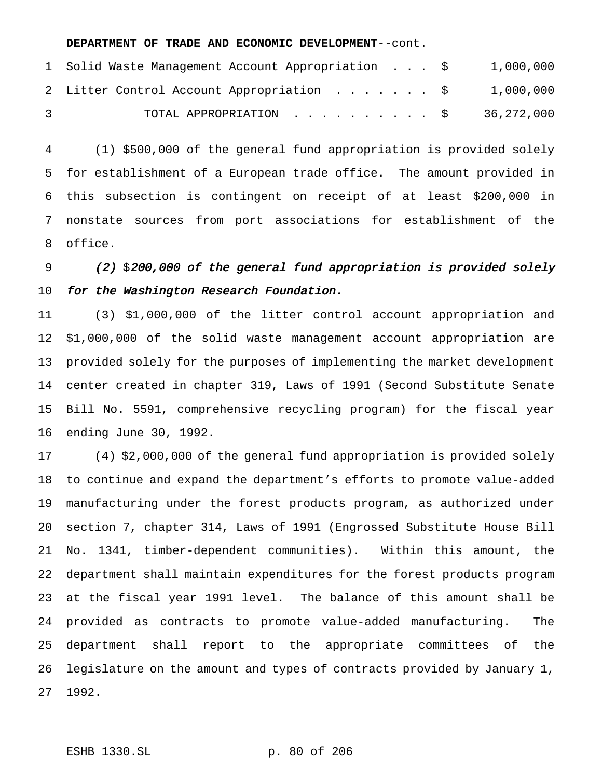#### **DEPARTMENT OF TRADE AND ECONOMIC DEVELOPMENT**--cont.

|   | 1 Solid Waste Management Account Appropriation \$   | 1,000,000 |
|---|-----------------------------------------------------|-----------|
|   | 2 Litter Control Account Appropriation \$ 1,000,000 |           |
| 3 | TOTAL APPROPRIATION $\ldots$ , \$ 36,272,000        |           |

 (1) \$500,000 of the general fund appropriation is provided solely for establishment of a European trade office. The amount provided in this subsection is contingent on receipt of at least \$200,000 in nonstate sources from port associations for establishment of the office.

9 (2)  $$200,000$  of the general fund appropriation is provided solely 10 for the Washington Research Foundation.

 (3) \$1,000,000 of the litter control account appropriation and \$1,000,000 of the solid waste management account appropriation are provided solely for the purposes of implementing the market development center created in chapter 319, Laws of 1991 (Second Substitute Senate Bill No. 5591, comprehensive recycling program) for the fiscal year ending June 30, 1992.

 (4) \$2,000,000 of the general fund appropriation is provided solely to continue and expand the department's efforts to promote value-added manufacturing under the forest products program, as authorized under section 7, chapter 314, Laws of 1991 (Engrossed Substitute House Bill No. 1341, timber-dependent communities). Within this amount, the department shall maintain expenditures for the forest products program at the fiscal year 1991 level. The balance of this amount shall be provided as contracts to promote value-added manufacturing. The department shall report to the appropriate committees of the legislature on the amount and types of contracts provided by January 1, 1992.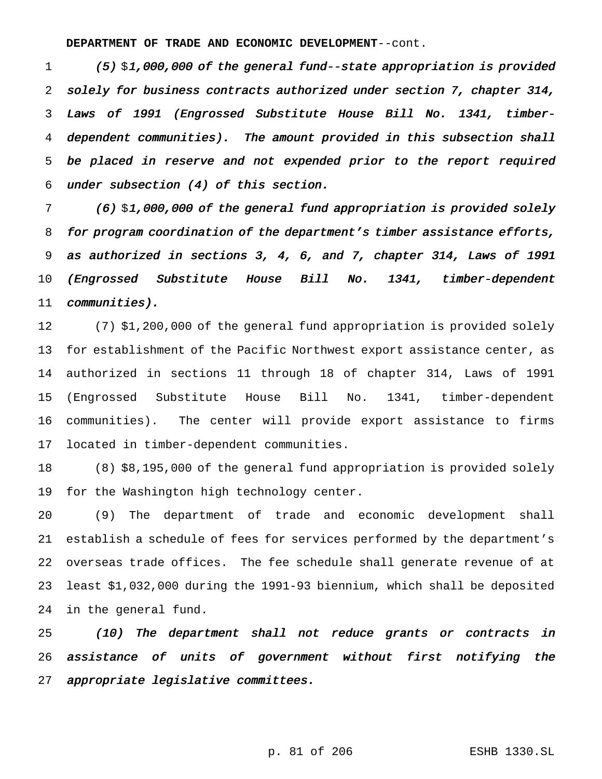**DEPARTMENT OF TRADE AND ECONOMIC DEVELOPMENT**--cont.

 $(5)$  \$1,000,000 of the general fund--state appropriation is provided solely for business contracts authorized under section 7, chapter 314, Laws of <sup>1991</sup> (Engrossed Substitute House Bill No. 1341, timber- dependent communities). The amount provided in this subsection shall be placed in reserve and not expended prior to the report required under subsection (4) of this section.

 (6) \$1,000,000 of the general fund appropriation is provided solely 8 for program coordination of the department's timber assistance efforts, as authorized in sections 3, 4, 6, and 7, chapter 314, Laws of <sup>1991</sup> (Engrossed Substitute House Bill No. 1341, timber-dependent communities).

 (7) \$1,200,000 of the general fund appropriation is provided solely for establishment of the Pacific Northwest export assistance center, as authorized in sections 11 through 18 of chapter 314, Laws of 1991 (Engrossed Substitute House Bill No. 1341, timber-dependent communities). The center will provide export assistance to firms located in timber-dependent communities.

 (8) \$8,195,000 of the general fund appropriation is provided solely for the Washington high technology center.

 (9) The department of trade and economic development shall establish a schedule of fees for services performed by the department's overseas trade offices. The fee schedule shall generate revenue of at least \$1,032,000 during the 1991-93 biennium, which shall be deposited in the general fund.

 (10) The department shall not reduce grants or contracts in assistance of units of government without first notifying the appropriate legislative committees.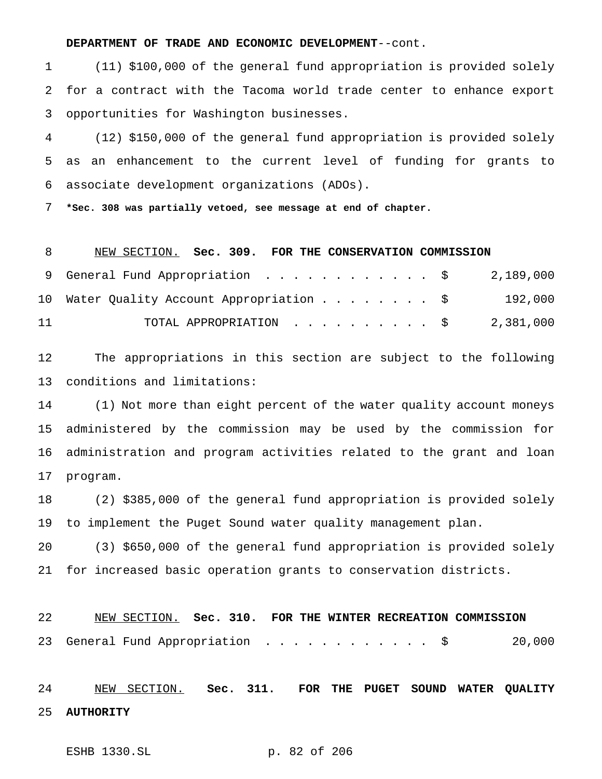#### **DEPARTMENT OF TRADE AND ECONOMIC DEVELOPMENT**--cont.

 (11) \$100,000 of the general fund appropriation is provided solely for a contract with the Tacoma world trade center to enhance export opportunities for Washington businesses.

 (12) \$150,000 of the general fund appropriation is provided solely as an enhancement to the current level of funding for grants to associate development organizations (ADOs).

**\*Sec. 308 was partially vetoed, see message at end of chapter.**

#### NEW SECTION. **Sec. 309. FOR THE CONSERVATION COMMISSION**

|    | 9 General Fund Appropriation \$ 2,189,000   |         |
|----|---------------------------------------------|---------|
|    | 10 Water Quality Account Appropriation \$   | 192,000 |
| 11 | TOTAL APPROPRIATION $\ldots$ , \$ 2,381,000 |         |

 The appropriations in this section are subject to the following conditions and limitations:

 (1) Not more than eight percent of the water quality account moneys administered by the commission may be used by the commission for administration and program activities related to the grant and loan program.

 (2) \$385,000 of the general fund appropriation is provided solely to implement the Puget Sound water quality management plan.

 (3) \$650,000 of the general fund appropriation is provided solely for increased basic operation grants to conservation districts.

 NEW SECTION. **Sec. 310. FOR THE WINTER RECREATION COMMISSION** 23 General Fund Appropriation . . . . . . . . . . . \$ 20,000

 NEW SECTION. **Sec. 311. FOR THE PUGET SOUND WATER QUALITY AUTHORITY**

ESHB 1330.SL p. 82 of 206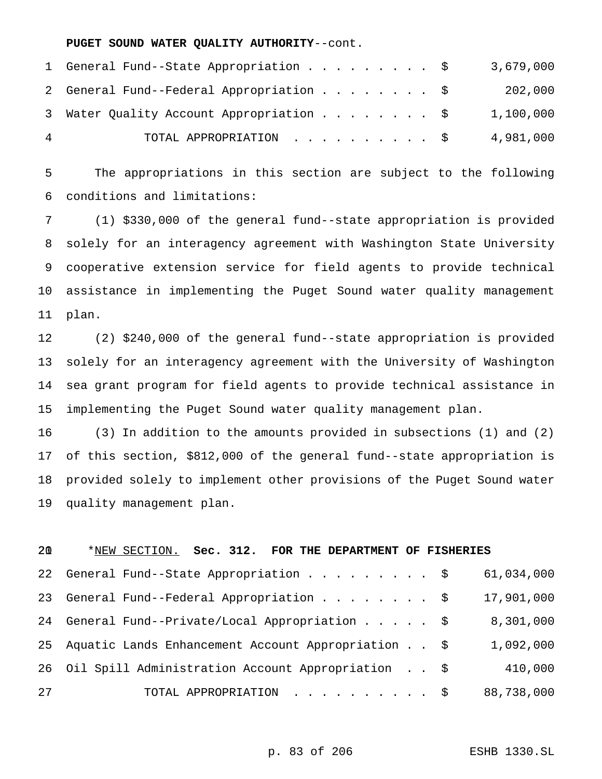**PUGET SOUND WATER QUALITY AUTHORITY**--cont.

|                | 1 General Fund--State Appropriation \$   | 3,679,000 |
|----------------|------------------------------------------|-----------|
|                | 2 General Fund--Federal Appropriation \$ | 202,000   |
|                | 3 Water Quality Account Appropriation \$ | 1,100,000 |
| $\overline{4}$ | TOTAL APPROPRIATION \$                   | 4,981,000 |

 The appropriations in this section are subject to the following conditions and limitations:

 (1) \$330,000 of the general fund--state appropriation is provided solely for an interagency agreement with Washington State University cooperative extension service for field agents to provide technical assistance in implementing the Puget Sound water quality management plan.

 (2) \$240,000 of the general fund--state appropriation is provided solely for an interagency agreement with the University of Washington sea grant program for field agents to provide technical assistance in implementing the Puget Sound water quality management plan.

 (3) In addition to the amounts provided in subsections (1) and (2) of this section, \$812,000 of the general fund--state appropriation is provided solely to implement other provisions of the Puget Sound water quality management plan.

#### \*NEW SECTION. **Sec. 312. FOR THE DEPARTMENT OF FISHERIES**

|    | 22 General Fund--State Appropriation \$               | 61,034,000 |
|----|-------------------------------------------------------|------------|
|    | 23 General Fund--Federal Appropriation \$             | 17,901,000 |
|    | 24 General Fund--Private/Local Appropriation \$       | 8,301,000  |
|    | 25 Aquatic Lands Enhancement Account Appropriation \$ | 1,092,000  |
|    | 26 Oil Spill Administration Account Appropriation \$  | 410,000    |
| 27 | TOTAL APPROPRIATION \$                                | 88,738,000 |

p. 83 of 206 ESHB 1330.SL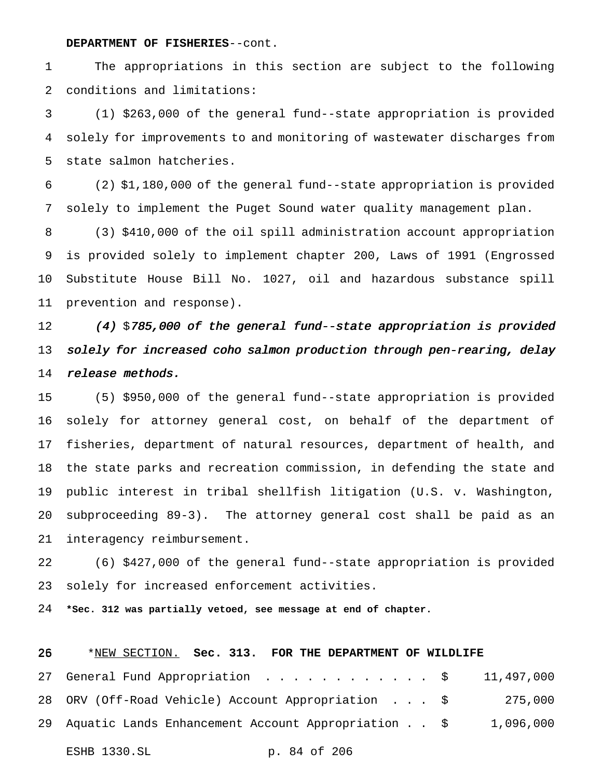## **DEPARTMENT OF FISHERIES**--cont.

 The appropriations in this section are subject to the following conditions and limitations:

 (1) \$263,000 of the general fund--state appropriation is provided solely for improvements to and monitoring of wastewater discharges from state salmon hatcheries.

 (2) \$1,180,000 of the general fund--state appropriation is provided solely to implement the Puget Sound water quality management plan.

 (3) \$410,000 of the oil spill administration account appropriation is provided solely to implement chapter 200, Laws of 1991 (Engrossed Substitute House Bill No. 1027, oil and hazardous substance spill prevention and response).

12 (4) \$785,000 of the general fund--state appropriation is provided solely for increased coho salmon production through pen-rearing, delay release methods.

 (5) \$950,000 of the general fund--state appropriation is provided solely for attorney general cost, on behalf of the department of fisheries, department of natural resources, department of health, and the state parks and recreation commission, in defending the state and public interest in tribal shellfish litigation (U.S. v. Washington, subproceeding 89-3). The attorney general cost shall be paid as an interagency reimbursement.

 (6) \$427,000 of the general fund--state appropriation is provided solely for increased enforcement activities.

**\*Sec. 312 was partially vetoed, see message at end of chapter.**

| 25 | *NEW SECTION. Sec. 313. FOR THE DEPARTMENT OF WILDLIFE          |              |  |         |
|----|-----------------------------------------------------------------|--------------|--|---------|
|    | 27 General Fund Appropriation \$ 11,497,000                     |              |  |         |
|    | 28 ORV (Off-Road Vehicle) Account Appropriation \$              |              |  | 275,000 |
|    | 29 Aquatic Lands Enhancement Account Appropriation \$ 1,096,000 |              |  |         |
|    | ESHB 1330.SL                                                    | p. 84 of 206 |  |         |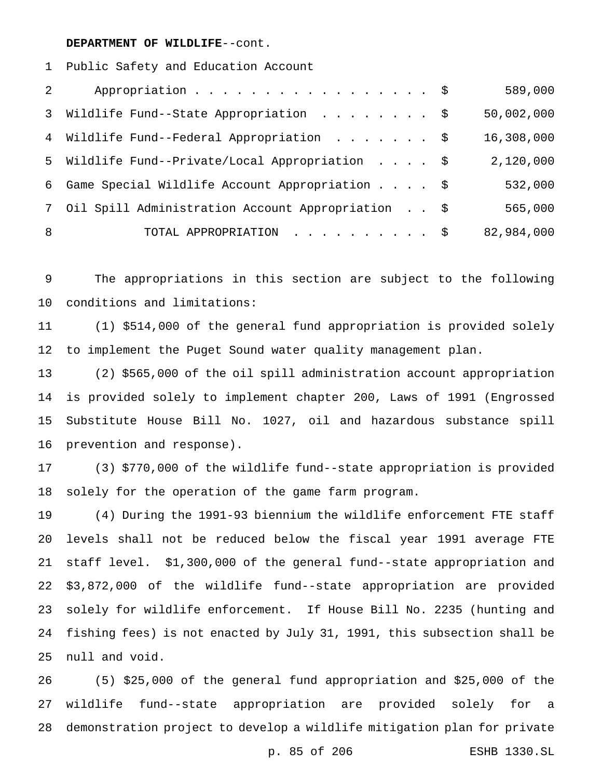#### **DEPARTMENT OF WILDLIFE**--cont.

Public Safety and Education Account

| $\overline{2}$ | Appropriation \$                                  | 589,000    |
|----------------|---------------------------------------------------|------------|
|                | 3 Wildlife Fund--State Appropriation \$           | 50,002,000 |
|                | 4 Wildlife Fund--Federal Appropriation \$         | 16,308,000 |
|                | 5 Wildlife Fund--Private/Local Appropriation \$   | 2,120,000  |
| 6              | Game Special Wildlife Account Appropriation \$    | 532,000    |
| 7              | Oil Spill Administration Account Appropriation \$ | 565,000    |
| 8              | TOTAL APPROPRIATION \$                            | 82,984,000 |

 The appropriations in this section are subject to the following conditions and limitations:

 (1) \$514,000 of the general fund appropriation is provided solely to implement the Puget Sound water quality management plan.

 (2) \$565,000 of the oil spill administration account appropriation is provided solely to implement chapter 200, Laws of 1991 (Engrossed Substitute House Bill No. 1027, oil and hazardous substance spill prevention and response).

 (3) \$770,000 of the wildlife fund--state appropriation is provided solely for the operation of the game farm program.

 (4) During the 1991-93 biennium the wildlife enforcement FTE staff levels shall not be reduced below the fiscal year 1991 average FTE staff level. \$1,300,000 of the general fund--state appropriation and \$3,872,000 of the wildlife fund--state appropriation are provided solely for wildlife enforcement. If House Bill No. 2235 (hunting and fishing fees) is not enacted by July 31, 1991, this subsection shall be null and void.

 (5) \$25,000 of the general fund appropriation and \$25,000 of the wildlife fund--state appropriation are provided solely for a demonstration project to develop a wildlife mitigation plan for private

p. 85 of 206 ESHB 1330.SL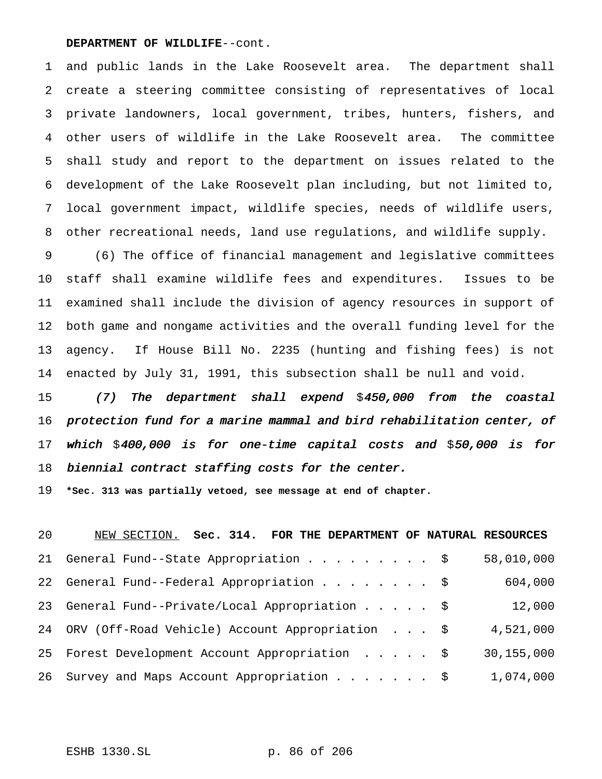#### **DEPARTMENT OF WILDLIFE**--cont.

 and public lands in the Lake Roosevelt area. The department shall create a steering committee consisting of representatives of local private landowners, local government, tribes, hunters, fishers, and other users of wildlife in the Lake Roosevelt area. The committee shall study and report to the department on issues related to the development of the Lake Roosevelt plan including, but not limited to, local government impact, wildlife species, needs of wildlife users, other recreational needs, land use regulations, and wildlife supply.

 (6) The office of financial management and legislative committees staff shall examine wildlife fees and expenditures. Issues to be examined shall include the division of agency resources in support of both game and nongame activities and the overall funding level for the agency. If House Bill No. 2235 (hunting and fishing fees) is not enacted by July 31, 1991, this subsection shall be null and void.

15 (7) The department shall expend \$450,000 from the coastal protection fund for <sup>a</sup> marine mammal and bird rehabilitation center, of 17 which  $$400,000$  is for one-time capital costs and  $$50,000$  is for biennial contract staffing costs for the center.

**\*Sec. 313 was partially vetoed, see message at end of chapter.**

| 20 | NEW SECTION. Sec. 314. FOR THE DEPARTMENT OF NATURAL RESOURCES |              |
|----|----------------------------------------------------------------|--------------|
|    | 21 General Fund--State Appropriation \$                        | 58,010,000   |
|    | 22 General Fund--Federal Appropriation \$                      | 604,000      |
|    | 23 General Fund--Private/Local Appropriation \$                | 12,000       |
|    | 24 ORV (Off-Road Vehicle) Account Appropriation \$             | 4,521,000    |
|    | 25 Forest Development Account Appropriation \$                 | 30, 155, 000 |
|    | 26 Survey and Maps Account Appropriation \$                    | 1,074,000    |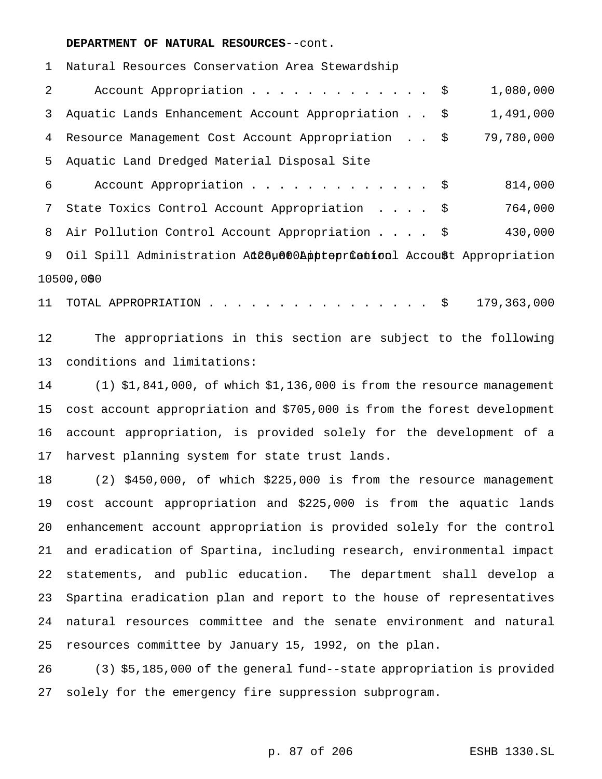Natural Resources Conservation Area Stewardship 2 Account Appropriation . . . . . . . . . . . . \$ 1,080,000 Aquatic Lands Enhancement Account Appropriation . . \$ 1,491,000 Resource Management Cost Account Appropriation . . \$ 79,780,000 Aquatic Land Dredged Material Disposal Site Account Appropriation............. \$ 814,000 State Toxics Control Account Appropriation .... \$ 764,000 8 Air Pollution Control Account Appropriation . . . . \$ 430,000 9 Oil Spill Administration Ac28uft00AppteprCantonl Account Appropriation 10500,000

11 TOTAL APPROPRIATION . . . . . . . . . . . . . . . \$ 179,363,000

 The appropriations in this section are subject to the following conditions and limitations:

 (1) \$1,841,000, of which \$1,136,000 is from the resource management cost account appropriation and \$705,000 is from the forest development account appropriation, is provided solely for the development of a harvest planning system for state trust lands.

 (2) \$450,000, of which \$225,000 is from the resource management cost account appropriation and \$225,000 is from the aquatic lands enhancement account appropriation is provided solely for the control and eradication of Spartina, including research, environmental impact statements, and public education. The department shall develop a Spartina eradication plan and report to the house of representatives natural resources committee and the senate environment and natural resources committee by January 15, 1992, on the plan.

 (3) \$5,185,000 of the general fund--state appropriation is provided solely for the emergency fire suppression subprogram.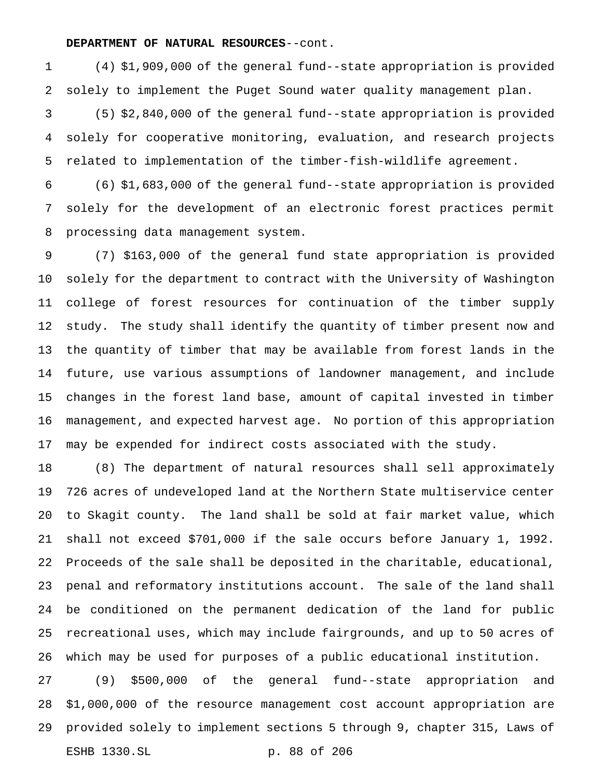(4) \$1,909,000 of the general fund--state appropriation is provided solely to implement the Puget Sound water quality management plan.

 (5) \$2,840,000 of the general fund--state appropriation is provided solely for cooperative monitoring, evaluation, and research projects related to implementation of the timber-fish-wildlife agreement.

 (6) \$1,683,000 of the general fund--state appropriation is provided solely for the development of an electronic forest practices permit processing data management system.

 (7) \$163,000 of the general fund state appropriation is provided solely for the department to contract with the University of Washington college of forest resources for continuation of the timber supply study. The study shall identify the quantity of timber present now and the quantity of timber that may be available from forest lands in the future, use various assumptions of landowner management, and include changes in the forest land base, amount of capital invested in timber management, and expected harvest age. No portion of this appropriation may be expended for indirect costs associated with the study.

 (8) The department of natural resources shall sell approximately 726 acres of undeveloped land at the Northern State multiservice center to Skagit county. The land shall be sold at fair market value, which shall not exceed \$701,000 if the sale occurs before January 1, 1992. Proceeds of the sale shall be deposited in the charitable, educational, penal and reformatory institutions account. The sale of the land shall be conditioned on the permanent dedication of the land for public recreational uses, which may include fairgrounds, and up to 50 acres of which may be used for purposes of a public educational institution.

 (9) \$500,000 of the general fund--state appropriation and \$1,000,000 of the resource management cost account appropriation are provided solely to implement sections 5 through 9, chapter 315, Laws of ESHB 1330.SL p. 88 of 206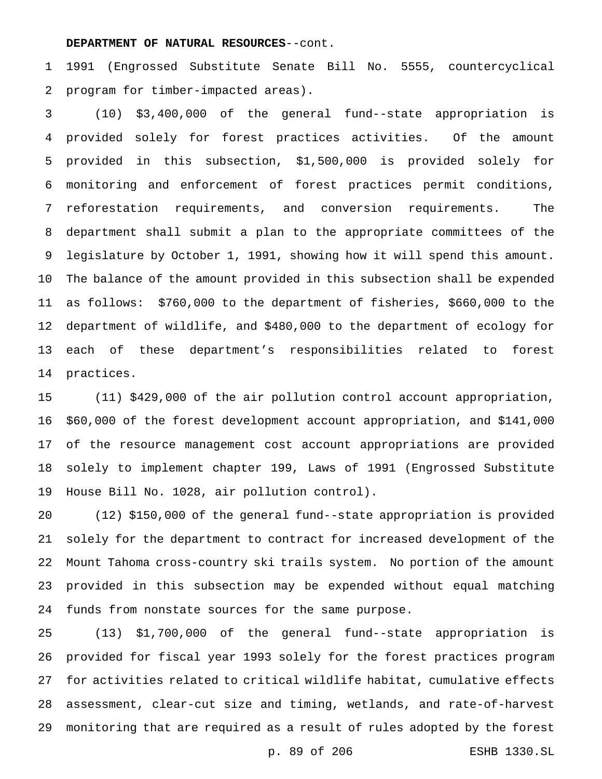1991 (Engrossed Substitute Senate Bill No. 5555, countercyclical program for timber-impacted areas).

 (10) \$3,400,000 of the general fund--state appropriation is provided solely for forest practices activities. Of the amount provided in this subsection, \$1,500,000 is provided solely for monitoring and enforcement of forest practices permit conditions, reforestation requirements, and conversion requirements. The department shall submit a plan to the appropriate committees of the legislature by October 1, 1991, showing how it will spend this amount. The balance of the amount provided in this subsection shall be expended as follows: \$760,000 to the department of fisheries, \$660,000 to the department of wildlife, and \$480,000 to the department of ecology for each of these department's responsibilities related to forest practices.

 (11) \$429,000 of the air pollution control account appropriation, \$60,000 of the forest development account appropriation, and \$141,000 of the resource management cost account appropriations are provided solely to implement chapter 199, Laws of 1991 (Engrossed Substitute House Bill No. 1028, air pollution control).

 (12) \$150,000 of the general fund--state appropriation is provided solely for the department to contract for increased development of the Mount Tahoma cross-country ski trails system. No portion of the amount provided in this subsection may be expended without equal matching funds from nonstate sources for the same purpose.

 (13) \$1,700,000 of the general fund--state appropriation is provided for fiscal year 1993 solely for the forest practices program for activities related to critical wildlife habitat, cumulative effects assessment, clear-cut size and timing, wetlands, and rate-of-harvest monitoring that are required as a result of rules adopted by the forest

p. 89 of 206 ESHB 1330.SL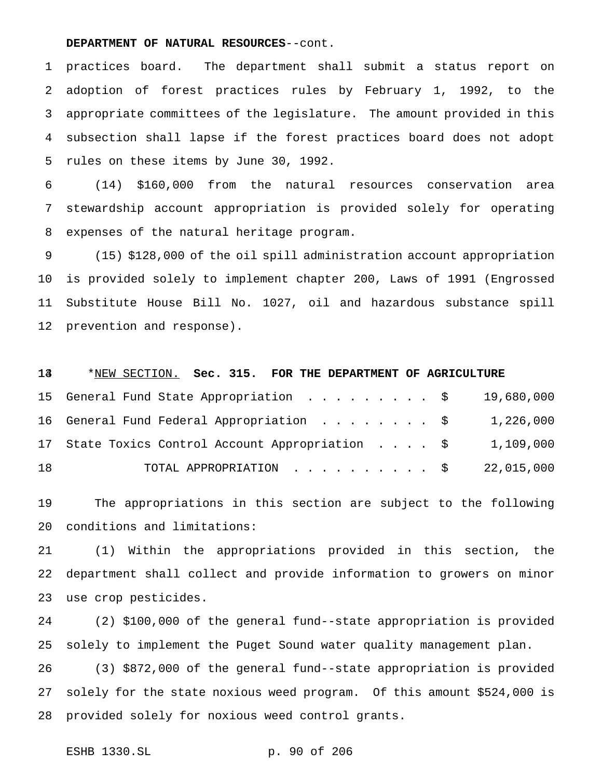practices board. The department shall submit a status report on adoption of forest practices rules by February 1, 1992, to the appropriate committees of the legislature. The amount provided in this subsection shall lapse if the forest practices board does not adopt rules on these items by June 30, 1992.

 (14) \$160,000 from the natural resources conservation area stewardship account appropriation is provided solely for operating expenses of the natural heritage program.

 (15) \$128,000 of the oil spill administration account appropriation is provided solely to implement chapter 200, Laws of 1991 (Engrossed Substitute House Bill No. 1027, oil and hazardous substance spill prevention and response).

## \*NEW SECTION. **Sec. 315. FOR THE DEPARTMENT OF AGRICULTURE**

|    | 15 General Fund State Appropriation \$ 19,680,000          |  |
|----|------------------------------------------------------------|--|
|    | 16 General Fund Federal Appropriation \$ 1,226,000         |  |
|    | 17 State Toxics Control Account Appropriation \$ 1,109,000 |  |
| 18 | TOTAL APPROPRIATION $\ldots$ , \$ 22,015,000               |  |

 The appropriations in this section are subject to the following conditions and limitations:

 (1) Within the appropriations provided in this section, the department shall collect and provide information to growers on minor use crop pesticides.

 (2) \$100,000 of the general fund--state appropriation is provided solely to implement the Puget Sound water quality management plan.

 (3) \$872,000 of the general fund--state appropriation is provided solely for the state noxious weed program. Of this amount \$524,000 is provided solely for noxious weed control grants.

ESHB 1330.SL p. 90 of 206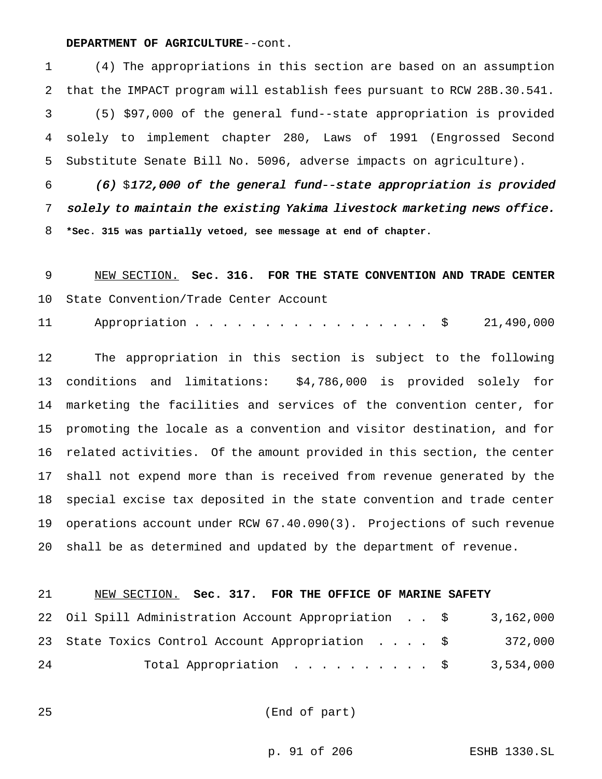#### **DEPARTMENT OF AGRICULTURE**--cont.

 (4) The appropriations in this section are based on an assumption that the IMPACT program will establish fees pursuant to RCW 28B.30.541. (5) \$97,000 of the general fund--state appropriation is provided solely to implement chapter 280, Laws of 1991 (Engrossed Second Substitute Senate Bill No. 5096, adverse impacts on agriculture).

 (6) \$172,000 of the general fund--state appropriation is provided solely to maintain the existing Yakima livestock marketing news office. **\*Sec. 315 was partially vetoed, see message at end of chapter.**

# NEW SECTION. **Sec. 316. FOR THE STATE CONVENTION AND TRADE CENTER** State Convention/Trade Center Account

11 Appropriation . . . . . . . . . . . . . . . \$ 21,490,000

 The appropriation in this section is subject to the following conditions and limitations: \$4,786,000 is provided solely for marketing the facilities and services of the convention center, for promoting the locale as a convention and visitor destination, and for related activities. Of the amount provided in this section, the center shall not expend more than is received from revenue generated by the special excise tax deposited in the state convention and trade center operations account under RCW 67.40.090(3). Projections of such revenue shall be as determined and updated by the department of revenue.

### NEW SECTION. **Sec. 317. FOR THE OFFICE OF MARINE SAFETY**

|    | 22 Oil Spill Administration Account Appropriation \$ | 3,162,000 |
|----|------------------------------------------------------|-----------|
|    | 23 State Toxics Control Account Appropriation \$     | 372,000   |
| 24 | Total Appropriation $\ldots$ \$                      | 3,534,000 |

(End of part)

p. 91 of 206 ESHB 1330.SL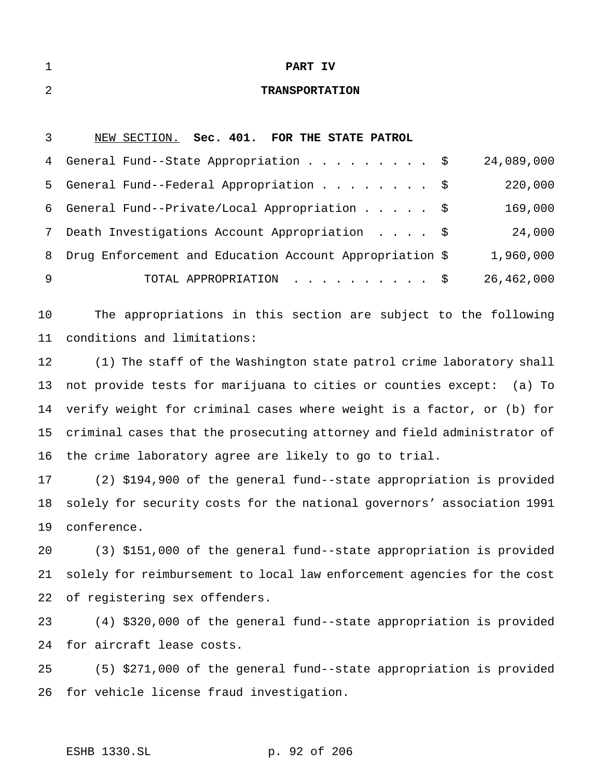| $\mathbf 1$    | PART IV                                                                 |
|----------------|-------------------------------------------------------------------------|
| $\overline{2}$ | <b>TRANSPORTATION</b>                                                   |
|                |                                                                         |
| 3              | NEW SECTION. Sec. 401. FOR THE STATE PATROL                             |
| 4              | 24,089,000<br>General Fund--State Appropriation \$                      |
| 5              | 220,000<br>General Fund--Federal Appropriation<br>\$                    |
| 6              | 169,000<br>General Fund--Private/Local Appropriation<br>\$              |
| 7              | Death Investigations Account Appropriation<br>24,000<br>\$              |
| 8              | Drug Enforcement and Education Account Appropriation \$<br>1,960,000    |
| 9              | 26,462,000<br>TOTAL APPROPRIATION<br>- \$                               |
| 10             | The appropriations in this section are subject to the following         |
| 11             | conditions and limitations:                                             |
| 12             | (1) The staff of the Washington state patrol crime laboratory shall     |
| 13             | not provide tests for marijuana to cities or counties except:<br>(a) To |
| 14             | verify weight for criminal cases where weight is a factor, or (b) for   |
| 15             | criminal cases that the prosecuting attorney and field administrator of |
| 16             | the crime laboratory agree are likely to go to trial.                   |
| 17             | (2) \$194,900 of the general fund--state appropriation is provided      |
| 18             | solely for security costs for the national governors' association 1991  |
| 19             | conference.                                                             |
| 20             | (3) \$151,000 of the general fund--state appropriation is provided      |
| 21             | solely for reimbursement to local law enforcement agencies for the cost |
| 22             | of registering sex offenders.                                           |
| 23             | (4) \$320,000 of the general fund--state appropriation is provided      |
| 24             | for aircraft lease costs.                                               |
| 25             | (5) \$271,000 of the general fund--state appropriation is provided      |
| 26             | for vehicle license fraud investigation.                                |
|                |                                                                         |

ESHB 1330.SL p. 92 of 206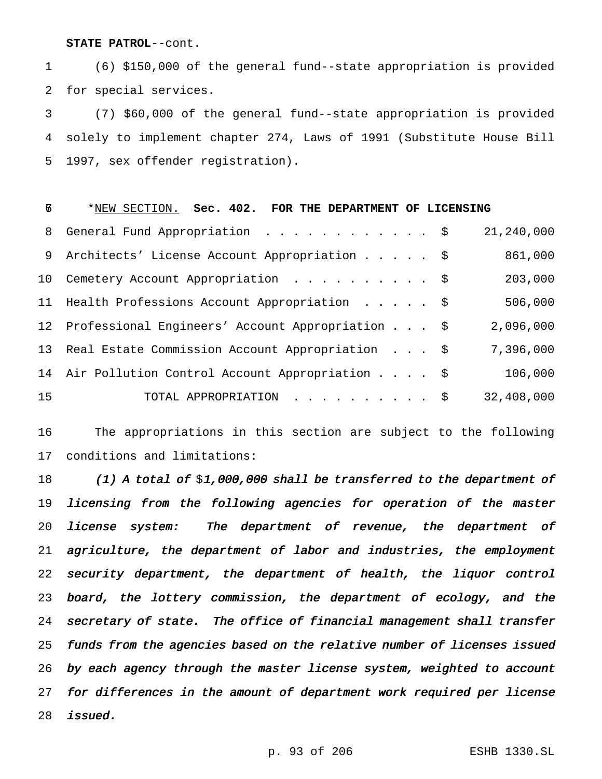**STATE PATROL**--cont.

 (6) \$150,000 of the general fund--state appropriation is provided for special services.

 (7) \$60,000 of the general fund--state appropriation is provided solely to implement chapter 274, Laws of 1991 (Substitute House Bill 1997, sex offender registration).

| В  | *NEW SECTION. Sec. 402. FOR THE DEPARTMENT OF LICENSING |            |
|----|---------------------------------------------------------|------------|
|    | 8 General Fund Appropriation \$                         | 21,240,000 |
|    | 9 Architects' License Account Appropriation \$          | 861,000    |
|    | 10 Cemetery Account Appropriation \$                    | 203,000    |
|    | 11 Health Professions Account Appropriation \$          | 506,000    |
|    | 12 Professional Engineers' Account Appropriation \$     | 2,096,000  |
|    | 13 Real Estate Commission Account Appropriation \$      | 7,396,000  |
|    | 14 Air Pollution Control Account Appropriation \$       | 106,000    |
| 15 | TOTAL APPROPRIATION \$                                  | 32,408,000 |

 The appropriations in this section are subject to the following conditions and limitations:

18 (1) A total of  $$1,000,000$  shall be transferred to the department of licensing from the following agencies for operation of the master license system: The department of revenue, the department of agriculture, the department of labor and industries, the employment security department, the department of health, the liquor control board, the lottery commission, the department of ecology, and the secretary of state. The office of financial management shall transfer funds from the agencies based on the relative number of licenses issued by each agency through the master license system, weighted to account for differences in the amount of department work required per license issued.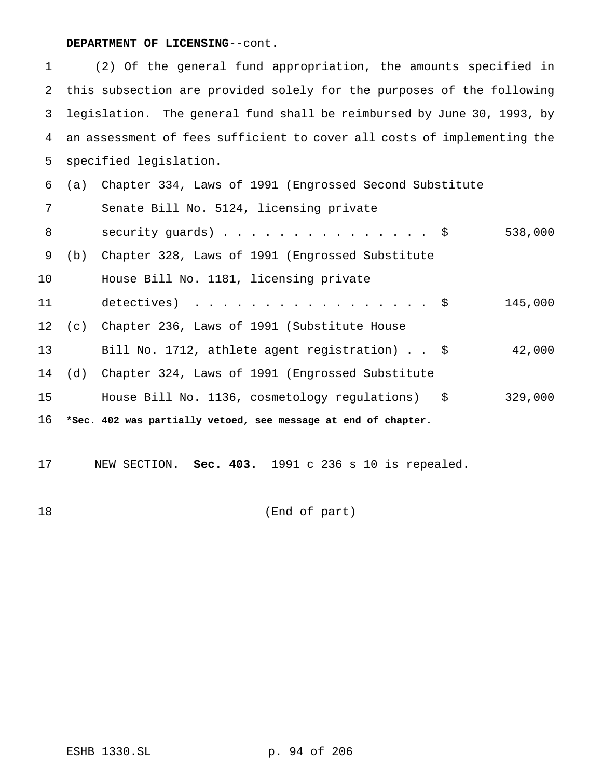# **DEPARTMENT OF LICENSING**--cont.

| $\mathbf 1$ |                                                                         | (2) Of the general fund appropriation, the amounts specified in        |  |  |  |  |  |
|-------------|-------------------------------------------------------------------------|------------------------------------------------------------------------|--|--|--|--|--|
| 2           |                                                                         | this subsection are provided solely for the purposes of the following  |  |  |  |  |  |
| 3           |                                                                         | legislation. The general fund shall be reimbursed by June 30, 1993, by |  |  |  |  |  |
| 4           | an assessment of fees sufficient to cover all costs of implementing the |                                                                        |  |  |  |  |  |
| 5           | specified legislation.                                                  |                                                                        |  |  |  |  |  |
| 6           | (a)                                                                     | Chapter 334, Laws of 1991 (Engrossed Second Substitute                 |  |  |  |  |  |
| 7           |                                                                         | Senate Bill No. 5124, licensing private                                |  |  |  |  |  |
| 8           |                                                                         | security guards) $\ldots$ \$<br>538,000                                |  |  |  |  |  |
| 9           | (b)                                                                     | Chapter 328, Laws of 1991 (Engrossed Substitute                        |  |  |  |  |  |
| 10          |                                                                         | House Bill No. 1181, licensing private                                 |  |  |  |  |  |
| 11          |                                                                         | detectives) $\ldots$ \$<br>145,000                                     |  |  |  |  |  |
| 12          | (c)                                                                     | Chapter 236, Laws of 1991 (Substitute House                            |  |  |  |  |  |
| 13          |                                                                         | 42,000<br>Bill No. 1712, athlete agent registration) $\$$              |  |  |  |  |  |
| 14          | (d)                                                                     | Chapter 324, Laws of 1991 (Engrossed Substitute                        |  |  |  |  |  |
| 15          |                                                                         | 329,000<br>House Bill No. 1136, cosmetology regulations) $\frac{1}{2}$ |  |  |  |  |  |
| 16          |                                                                         | *Sec. 402 was partially vetoed, see message at end of chapter.         |  |  |  |  |  |

NEW SECTION. **Sec. 403.** 1991 c 236 s 10 is repealed.

(End of part)

ESHB 1330.SL p. 94 of 206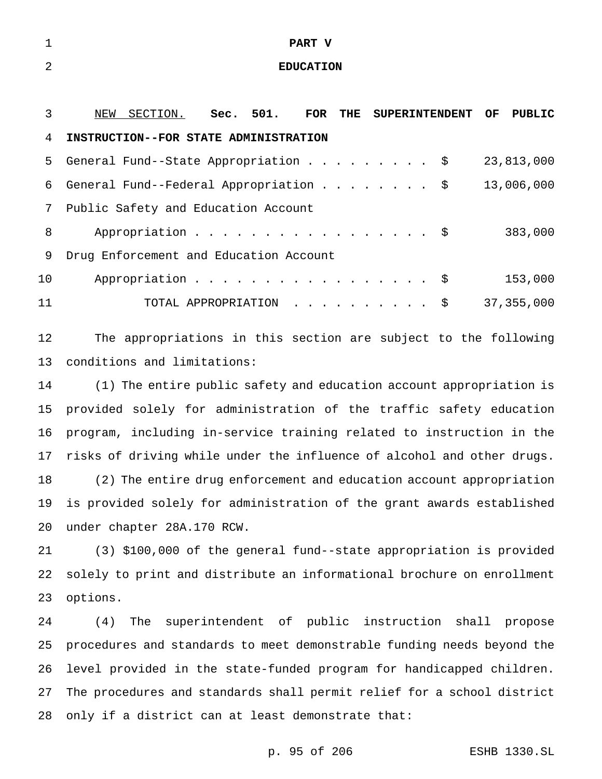|   |                  |          |      |      | PART V |     |                       |    |        |
|---|------------------|----------|------|------|--------|-----|-----------------------|----|--------|
| 2 | <b>EDUCATION</b> |          |      |      |        |     |                       |    |        |
|   |                  |          |      |      |        |     |                       |    |        |
|   | NEW              | SECTION. | Sec. | 501. | FOR    | THE | <b>SUPERINTENDENT</b> | OF | PUBLIC |

| 4  | INSTRUCTION--FOR STATE ADMINISTRATION    |              |
|----|------------------------------------------|--------------|
| 5  | General Fund--State Appropriation \$     | 23,813,000   |
|    | 6 General Fund--Federal Appropriation \$ | 13,006,000   |
| 7  | Public Safety and Education Account      |              |
| 8  | Appropriation \$                         | 383,000      |
| 9  | Drug Enforcement and Education Account   |              |
| 10 | Appropriation \$                         | 153,000      |
| 11 | TOTAL APPROPRIATION \$                   | 37, 355, 000 |

 The appropriations in this section are subject to the following conditions and limitations:

 (1) The entire public safety and education account appropriation is provided solely for administration of the traffic safety education program, including in-service training related to instruction in the risks of driving while under the influence of alcohol and other drugs. (2) The entire drug enforcement and education account appropriation is provided solely for administration of the grant awards established under chapter 28A.170 RCW.

 (3) \$100,000 of the general fund--state appropriation is provided solely to print and distribute an informational brochure on enrollment options.

 (4) The superintendent of public instruction shall propose procedures and standards to meet demonstrable funding needs beyond the level provided in the state-funded program for handicapped children. The procedures and standards shall permit relief for a school district only if a district can at least demonstrate that: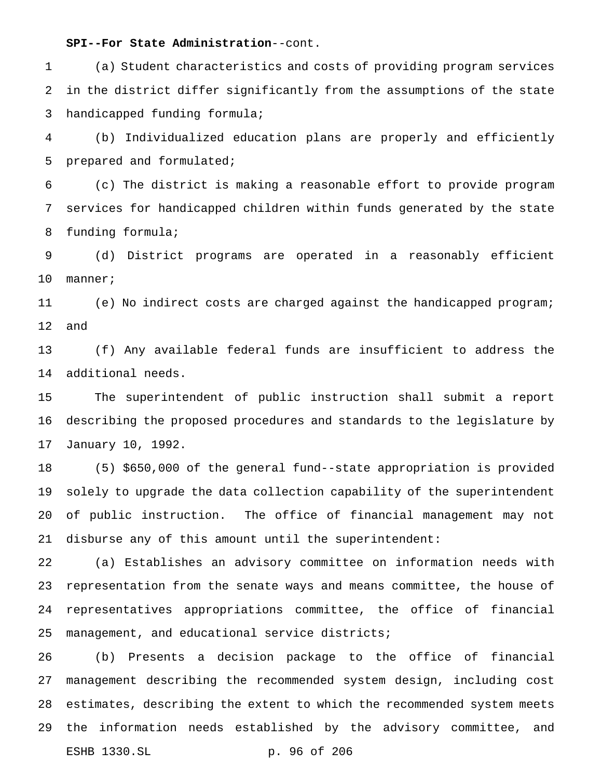#### **SPI--For State Administration**--cont.

 (a) Student characteristics and costs of providing program services in the district differ significantly from the assumptions of the state handicapped funding formula;

 (b) Individualized education plans are properly and efficiently prepared and formulated;

 (c) The district is making a reasonable effort to provide program services for handicapped children within funds generated by the state funding formula;

 (d) District programs are operated in a reasonably efficient manner;

 (e) No indirect costs are charged against the handicapped program; and

 (f) Any available federal funds are insufficient to address the additional needs.

 The superintendent of public instruction shall submit a report describing the proposed procedures and standards to the legislature by January 10, 1992.

 (5) \$650,000 of the general fund--state appropriation is provided solely to upgrade the data collection capability of the superintendent of public instruction. The office of financial management may not disburse any of this amount until the superintendent:

 (a) Establishes an advisory committee on information needs with representation from the senate ways and means committee, the house of representatives appropriations committee, the office of financial management, and educational service districts;

 (b) Presents a decision package to the office of financial management describing the recommended system design, including cost estimates, describing the extent to which the recommended system meets the information needs established by the advisory committee, and ESHB 1330.SL p. 96 of 206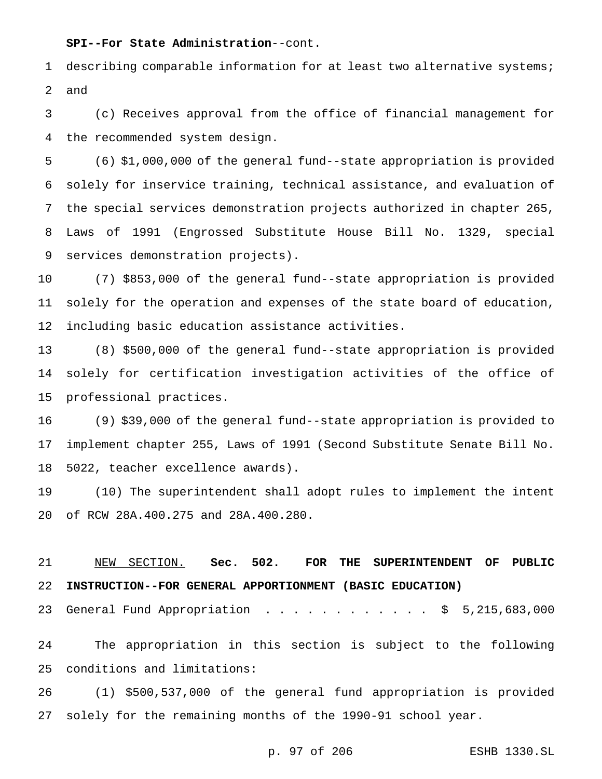## **SPI--For State Administration**--cont.

 describing comparable information for at least two alternative systems; and

 (c) Receives approval from the office of financial management for the recommended system design.

 (6) \$1,000,000 of the general fund--state appropriation is provided solely for inservice training, technical assistance, and evaluation of the special services demonstration projects authorized in chapter 265, Laws of 1991 (Engrossed Substitute House Bill No. 1329, special services demonstration projects).

 (7) \$853,000 of the general fund--state appropriation is provided solely for the operation and expenses of the state board of education, including basic education assistance activities.

 (8) \$500,000 of the general fund--state appropriation is provided solely for certification investigation activities of the office of professional practices.

 (9) \$39,000 of the general fund--state appropriation is provided to implement chapter 255, Laws of 1991 (Second Substitute Senate Bill No. 5022, teacher excellence awards).

 (10) The superintendent shall adopt rules to implement the intent of RCW 28A.400.275 and 28A.400.280.

 NEW SECTION. **Sec. 502. FOR THE SUPERINTENDENT OF PUBLIC INSTRUCTION--FOR GENERAL APPORTIONMENT (BASIC EDUCATION)**

General Fund Appropriation ............ \$ 5,215,683,000

 The appropriation in this section is subject to the following conditions and limitations:

 (1) \$500,537,000 of the general fund appropriation is provided solely for the remaining months of the 1990-91 school year.

p. 97 of 206 ESHB 1330.SL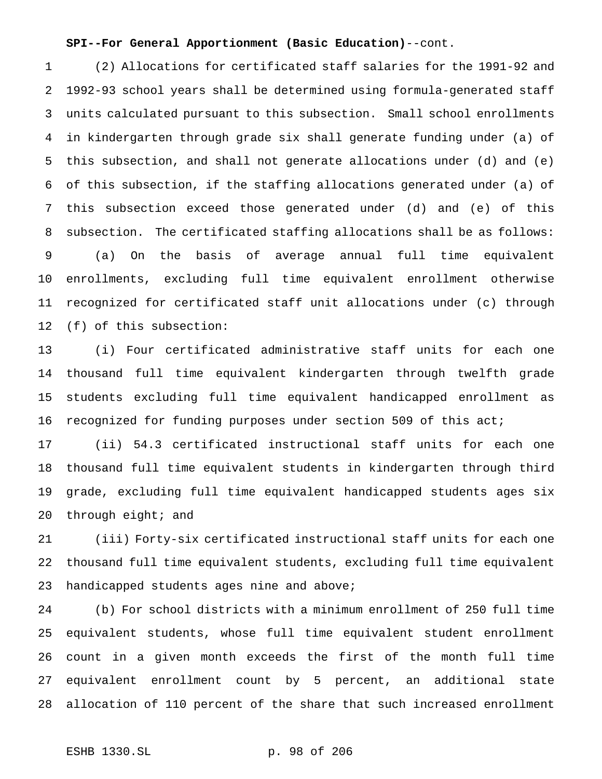(2) Allocations for certificated staff salaries for the 1991-92 and 1992-93 school years shall be determined using formula-generated staff units calculated pursuant to this subsection. Small school enrollments in kindergarten through grade six shall generate funding under (a) of this subsection, and shall not generate allocations under (d) and (e) of this subsection, if the staffing allocations generated under (a) of this subsection exceed those generated under (d) and (e) of this subsection. The certificated staffing allocations shall be as follows: (a) On the basis of average annual full time equivalent enrollments, excluding full time equivalent enrollment otherwise recognized for certificated staff unit allocations under (c) through (f) of this subsection:

 (i) Four certificated administrative staff units for each one thousand full time equivalent kindergarten through twelfth grade students excluding full time equivalent handicapped enrollment as recognized for funding purposes under section 509 of this act;

 (ii) 54.3 certificated instructional staff units for each one thousand full time equivalent students in kindergarten through third grade, excluding full time equivalent handicapped students ages six 20 through eight; and

 (iii) Forty-six certificated instructional staff units for each one thousand full time equivalent students, excluding full time equivalent 23 handicapped students ages nine and above;

 (b) For school districts with a minimum enrollment of 250 full time equivalent students, whose full time equivalent student enrollment count in a given month exceeds the first of the month full time equivalent enrollment count by 5 percent, an additional state allocation of 110 percent of the share that such increased enrollment

ESHB 1330.SL p. 98 of 206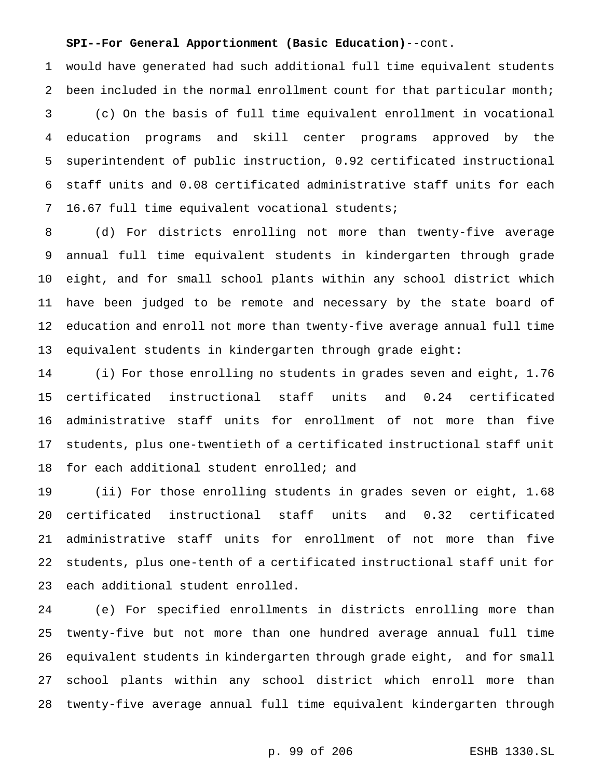would have generated had such additional full time equivalent students 2 been included in the normal enrollment count for that particular month; (c) On the basis of full time equivalent enrollment in vocational education programs and skill center programs approved by the superintendent of public instruction, 0.92 certificated instructional staff units and 0.08 certificated administrative staff units for each 16.67 full time equivalent vocational students;

 (d) For districts enrolling not more than twenty-five average annual full time equivalent students in kindergarten through grade eight, and for small school plants within any school district which have been judged to be remote and necessary by the state board of education and enroll not more than twenty-five average annual full time equivalent students in kindergarten through grade eight:

 (i) For those enrolling no students in grades seven and eight, 1.76 certificated instructional staff units and 0.24 certificated administrative staff units for enrollment of not more than five students, plus one-twentieth of a certificated instructional staff unit 18 for each additional student enrolled; and

 (ii) For those enrolling students in grades seven or eight, 1.68 certificated instructional staff units and 0.32 certificated administrative staff units for enrollment of not more than five students, plus one-tenth of a certificated instructional staff unit for each additional student enrolled.

 (e) For specified enrollments in districts enrolling more than twenty-five but not more than one hundred average annual full time equivalent students in kindergarten through grade eight, and for small school plants within any school district which enroll more than twenty-five average annual full time equivalent kindergarten through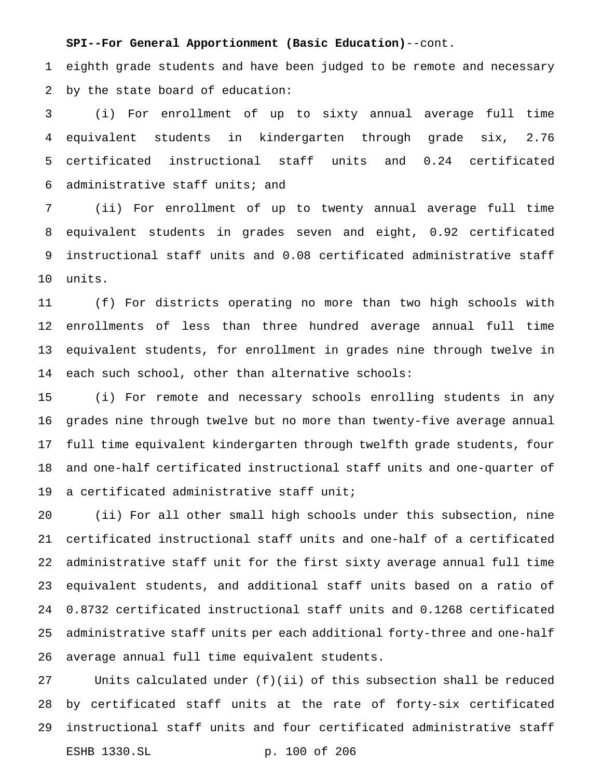eighth grade students and have been judged to be remote and necessary by the state board of education:

 (i) For enrollment of up to sixty annual average full time equivalent students in kindergarten through grade six, 2.76 certificated instructional staff units and 0.24 certificated administrative staff units; and

 (ii) For enrollment of up to twenty annual average full time equivalent students in grades seven and eight, 0.92 certificated instructional staff units and 0.08 certificated administrative staff units.

 (f) For districts operating no more than two high schools with enrollments of less than three hundred average annual full time equivalent students, for enrollment in grades nine through twelve in each such school, other than alternative schools:

 (i) For remote and necessary schools enrolling students in any grades nine through twelve but no more than twenty-five average annual full time equivalent kindergarten through twelfth grade students, four and one-half certificated instructional staff units and one-quarter of a certificated administrative staff unit;

 (ii) For all other small high schools under this subsection, nine certificated instructional staff units and one-half of a certificated administrative staff unit for the first sixty average annual full time equivalent students, and additional staff units based on a ratio of 0.8732 certificated instructional staff units and 0.1268 certificated administrative staff units per each additional forty-three and one-half average annual full time equivalent students.

 Units calculated under (f)(ii) of this subsection shall be reduced by certificated staff units at the rate of forty-six certificated instructional staff units and four certificated administrative staff ESHB 1330.SL p. 100 of 206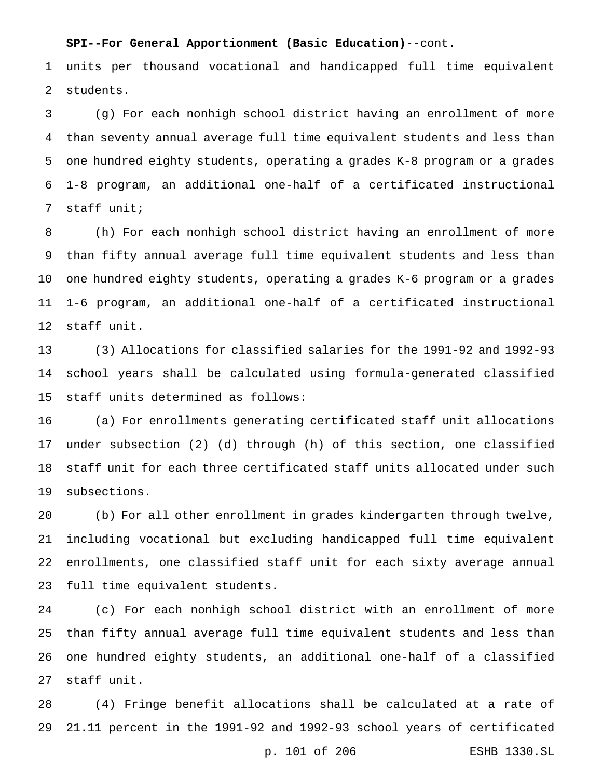units per thousand vocational and handicapped full time equivalent students.

 (g) For each nonhigh school district having an enrollment of more than seventy annual average full time equivalent students and less than one hundred eighty students, operating a grades K-8 program or a grades 1-8 program, an additional one-half of a certificated instructional staff unit;

 (h) For each nonhigh school district having an enrollment of more than fifty annual average full time equivalent students and less than one hundred eighty students, operating a grades K-6 program or a grades 1-6 program, an additional one-half of a certificated instructional staff unit.

 (3) Allocations for classified salaries for the 1991-92 and 1992-93 school years shall be calculated using formula-generated classified staff units determined as follows:

 (a) For enrollments generating certificated staff unit allocations under subsection (2) (d) through (h) of this section, one classified staff unit for each three certificated staff units allocated under such subsections.

 (b) For all other enrollment in grades kindergarten through twelve, including vocational but excluding handicapped full time equivalent enrollments, one classified staff unit for each sixty average annual full time equivalent students.

 (c) For each nonhigh school district with an enrollment of more than fifty annual average full time equivalent students and less than one hundred eighty students, an additional one-half of a classified staff unit.

 (4) Fringe benefit allocations shall be calculated at a rate of 21.11 percent in the 1991-92 and 1992-93 school years of certificated

p. 101 of 206 ESHB 1330.SL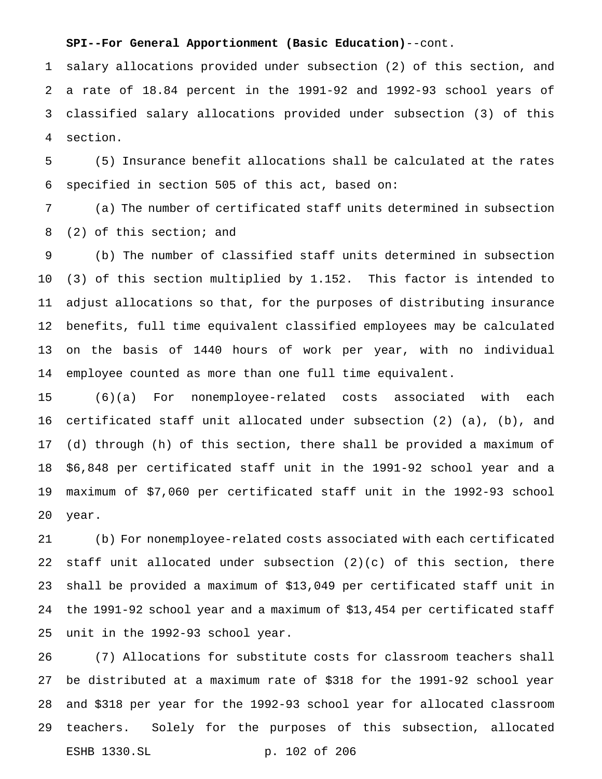salary allocations provided under subsection (2) of this section, and a rate of 18.84 percent in the 1991-92 and 1992-93 school years of classified salary allocations provided under subsection (3) of this section.

 (5) Insurance benefit allocations shall be calculated at the rates specified in section 505 of this act, based on:

 (a) The number of certificated staff units determined in subsection (2) of this section; and

 (b) The number of classified staff units determined in subsection (3) of this section multiplied by 1.152. This factor is intended to adjust allocations so that, for the purposes of distributing insurance benefits, full time equivalent classified employees may be calculated on the basis of 1440 hours of work per year, with no individual employee counted as more than one full time equivalent.

 (6)(a) For nonemployee-related costs associated with each certificated staff unit allocated under subsection (2) (a), (b), and (d) through (h) of this section, there shall be provided a maximum of \$6,848 per certificated staff unit in the 1991-92 school year and a maximum of \$7,060 per certificated staff unit in the 1992-93 school year.

 (b) For nonemployee-related costs associated with each certificated staff unit allocated under subsection (2)(c) of this section, there shall be provided a maximum of \$13,049 per certificated staff unit in the 1991-92 school year and a maximum of \$13,454 per certificated staff unit in the 1992-93 school year.

 (7) Allocations for substitute costs for classroom teachers shall be distributed at a maximum rate of \$318 for the 1991-92 school year and \$318 per year for the 1992-93 school year for allocated classroom teachers. Solely for the purposes of this subsection, allocated ESHB 1330.SL p. 102 of 206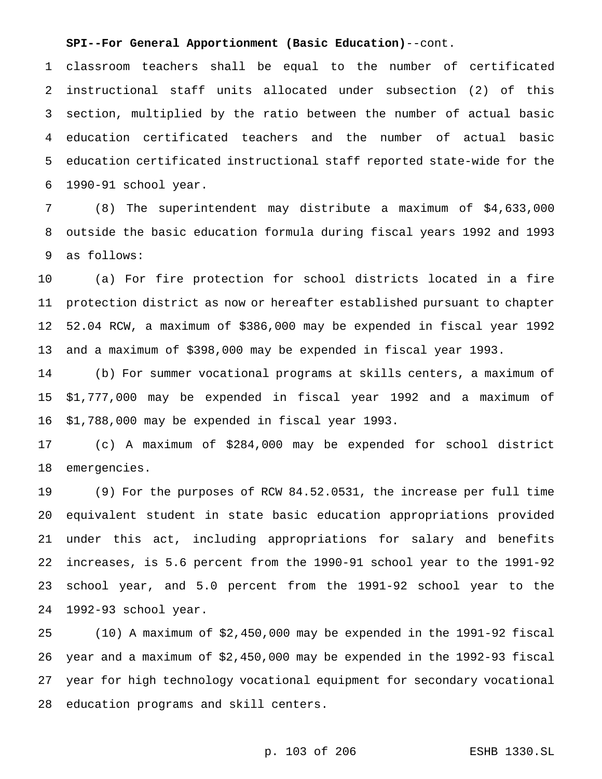classroom teachers shall be equal to the number of certificated instructional staff units allocated under subsection (2) of this section, multiplied by the ratio between the number of actual basic education certificated teachers and the number of actual basic education certificated instructional staff reported state-wide for the 1990-91 school year.

 (8) The superintendent may distribute a maximum of \$4,633,000 outside the basic education formula during fiscal years 1992 and 1993 as follows:

 (a) For fire protection for school districts located in a fire protection district as now or hereafter established pursuant to chapter 52.04 RCW, a maximum of \$386,000 may be expended in fiscal year 1992 and a maximum of \$398,000 may be expended in fiscal year 1993.

 (b) For summer vocational programs at skills centers, a maximum of \$1,777,000 may be expended in fiscal year 1992 and a maximum of \$1,788,000 may be expended in fiscal year 1993.

 (c) A maximum of \$284,000 may be expended for school district emergencies.

 (9) For the purposes of RCW 84.52.0531, the increase per full time equivalent student in state basic education appropriations provided under this act, including appropriations for salary and benefits increases, is 5.6 percent from the 1990-91 school year to the 1991-92 school year, and 5.0 percent from the 1991-92 school year to the 1992-93 school year.

 (10) A maximum of \$2,450,000 may be expended in the 1991-92 fiscal year and a maximum of \$2,450,000 may be expended in the 1992-93 fiscal year for high technology vocational equipment for secondary vocational education programs and skill centers.

# p. 103 of 206 ESHB 1330.SL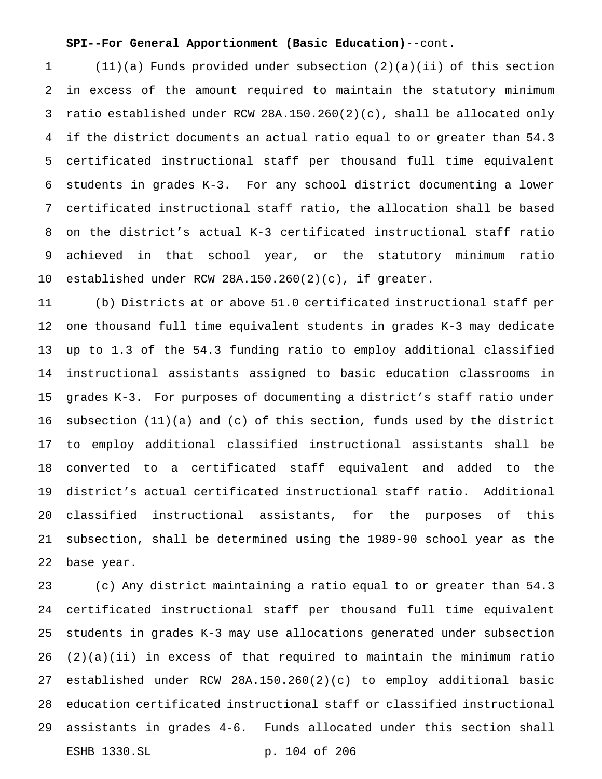(11)(a) Funds provided under subsection (2)(a)(ii) of this section in excess of the amount required to maintain the statutory minimum ratio established under RCW 28A.150.260(2)(c), shall be allocated only if the district documents an actual ratio equal to or greater than 54.3 certificated instructional staff per thousand full time equivalent students in grades K-3. For any school district documenting a lower certificated instructional staff ratio, the allocation shall be based on the district's actual K-3 certificated instructional staff ratio achieved in that school year, or the statutory minimum ratio established under RCW 28A.150.260(2)(c), if greater.

 (b) Districts at or above 51.0 certificated instructional staff per one thousand full time equivalent students in grades K-3 may dedicate up to 1.3 of the 54.3 funding ratio to employ additional classified instructional assistants assigned to basic education classrooms in grades K-3. For purposes of documenting a district's staff ratio under subsection (11)(a) and (c) of this section, funds used by the district to employ additional classified instructional assistants shall be converted to a certificated staff equivalent and added to the district's actual certificated instructional staff ratio. Additional classified instructional assistants, for the purposes of this subsection, shall be determined using the 1989-90 school year as the base year.

 (c) Any district maintaining a ratio equal to or greater than 54.3 certificated instructional staff per thousand full time equivalent students in grades K-3 may use allocations generated under subsection  $(2)(a)(ii)$  in excess of that required to maintain the minimum ratio established under RCW 28A.150.260(2)(c) to employ additional basic education certificated instructional staff or classified instructional assistants in grades 4-6. Funds allocated under this section shall ESHB 1330.SL p. 104 of 206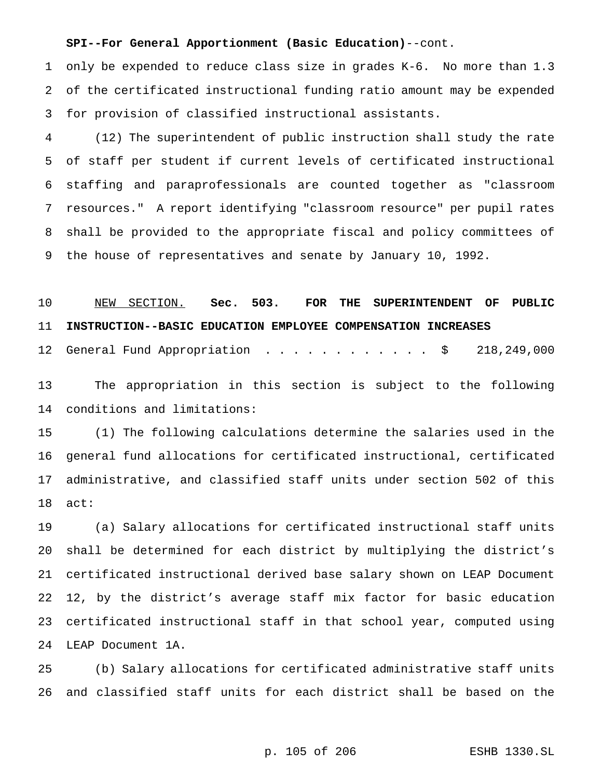only be expended to reduce class size in grades K-6. No more than 1.3 of the certificated instructional funding ratio amount may be expended for provision of classified instructional assistants.

 (12) The superintendent of public instruction shall study the rate of staff per student if current levels of certificated instructional staffing and paraprofessionals are counted together as "classroom resources." A report identifying "classroom resource" per pupil rates shall be provided to the appropriate fiscal and policy committees of the house of representatives and senate by January 10, 1992.

# NEW SECTION. **Sec. 503. FOR THE SUPERINTENDENT OF PUBLIC INSTRUCTION--BASIC EDUCATION EMPLOYEE COMPENSATION INCREASES**

12 General Fund Appropriation . . . . . . . . . . . \$ 218,249,000

 The appropriation in this section is subject to the following conditions and limitations:

 (1) The following calculations determine the salaries used in the general fund allocations for certificated instructional, certificated administrative, and classified staff units under section 502 of this act:

 (a) Salary allocations for certificated instructional staff units shall be determined for each district by multiplying the district's certificated instructional derived base salary shown on LEAP Document 12, by the district's average staff mix factor for basic education certificated instructional staff in that school year, computed using LEAP Document 1A.

 (b) Salary allocations for certificated administrative staff units and classified staff units for each district shall be based on the

#### p. 105 of 206 ESHB 1330.SL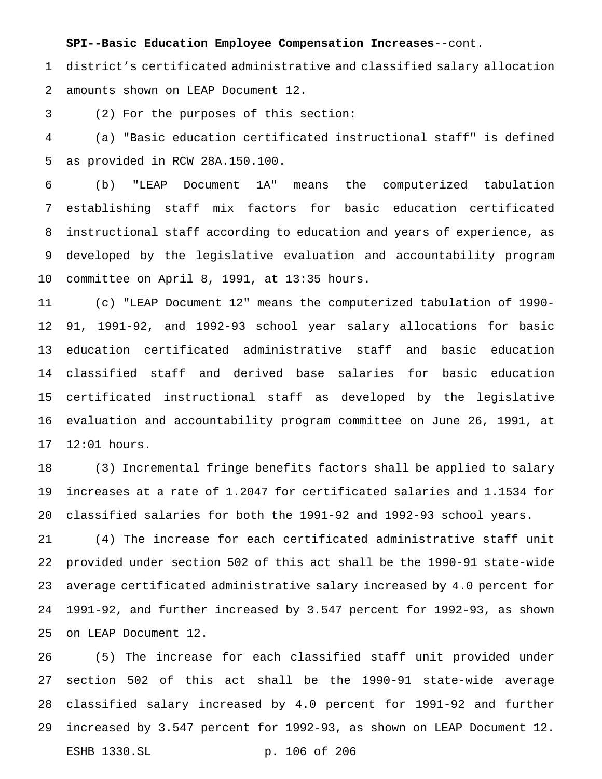**SPI--Basic Education Employee Compensation Increases**--cont.

 district's certificated administrative and classified salary allocation amounts shown on LEAP Document 12.

(2) For the purposes of this section:

 (a) "Basic education certificated instructional staff" is defined as provided in RCW 28A.150.100.

 (b) "LEAP Document 1A" means the computerized tabulation establishing staff mix factors for basic education certificated instructional staff according to education and years of experience, as developed by the legislative evaluation and accountability program committee on April 8, 1991, at 13:35 hours.

 (c) "LEAP Document 12" means the computerized tabulation of 1990- 91, 1991-92, and 1992-93 school year salary allocations for basic education certificated administrative staff and basic education classified staff and derived base salaries for basic education certificated instructional staff as developed by the legislative evaluation and accountability program committee on June 26, 1991, at 12:01 hours.

 (3) Incremental fringe benefits factors shall be applied to salary increases at a rate of 1.2047 for certificated salaries and 1.1534 for classified salaries for both the 1991-92 and 1992-93 school years.

 (4) The increase for each certificated administrative staff unit provided under section 502 of this act shall be the 1990-91 state-wide average certificated administrative salary increased by 4.0 percent for 1991-92, and further increased by 3.547 percent for 1992-93, as shown on LEAP Document 12.

 (5) The increase for each classified staff unit provided under section 502 of this act shall be the 1990-91 state-wide average classified salary increased by 4.0 percent for 1991-92 and further increased by 3.547 percent for 1992-93, as shown on LEAP Document 12. ESHB 1330.SL p. 106 of 206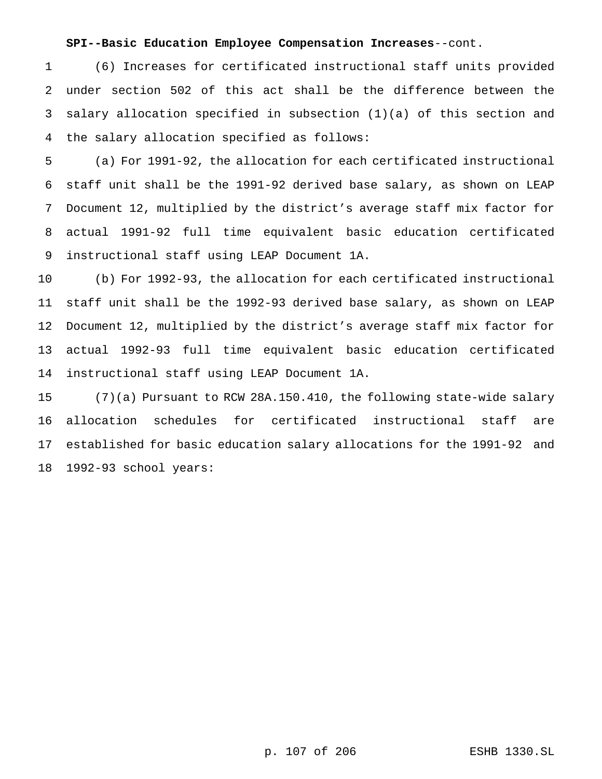### **SPI--Basic Education Employee Compensation Increases**--cont.

 (6) Increases for certificated instructional staff units provided under section 502 of this act shall be the difference between the salary allocation specified in subsection (1)(a) of this section and the salary allocation specified as follows:

 (a) For 1991-92, the allocation for each certificated instructional staff unit shall be the 1991-92 derived base salary, as shown on LEAP Document 12, multiplied by the district's average staff mix factor for actual 1991-92 full time equivalent basic education certificated instructional staff using LEAP Document 1A.

 (b) For 1992-93, the allocation for each certificated instructional staff unit shall be the 1992-93 derived base salary, as shown on LEAP Document 12, multiplied by the district's average staff mix factor for actual 1992-93 full time equivalent basic education certificated instructional staff using LEAP Document 1A.

 (7)(a) Pursuant to RCW 28A.150.410, the following state-wide salary allocation schedules for certificated instructional staff are established for basic education salary allocations for the 1991-92 and 1992-93 school years: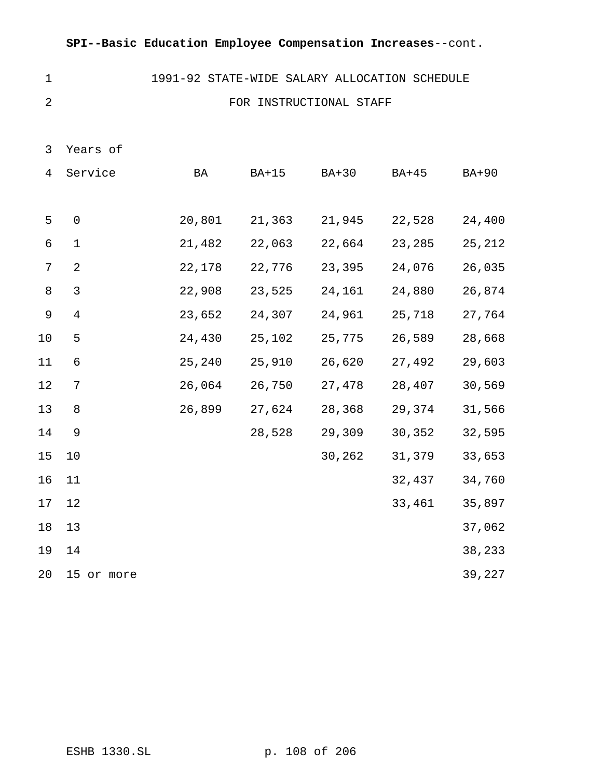1991-92 STATE-WIDE SALARY ALLOCATION SCHEDULE

#### FOR INSTRUCTIONAL STAFF

Years of

| 4           | Service             | BA     | <b>BA+15</b> | BA+30  | $BA+45$ | <b>BA+90</b> |
|-------------|---------------------|--------|--------------|--------|---------|--------------|
|             |                     |        |              |        |         |              |
| 5           | $\mathsf{O}\xspace$ | 20,801 | 21,363       | 21,945 | 22,528  | 24,400       |
| 6           | 1                   | 21,482 | 22,063       | 22,664 | 23,285  | 25,212       |
| 7           | $\sqrt{2}$          | 22,178 | 22,776       | 23,395 | 24,076  | 26,035       |
| 8           | 3                   | 22,908 | 23,525       | 24,161 | 24,880  | 26,874       |
| $\mathsf 9$ | $\overline{4}$      | 23,652 | 24,307       | 24,961 | 25,718  | 27,764       |
| 10          | 5                   | 24,430 | 25,102       | 25,775 | 26,589  | 28,668       |
| $11$        | 6                   | 25,240 | 25,910       | 26,620 | 27,492  | 29,603       |
| 12          | 7                   | 26,064 | 26,750       | 27,478 | 28,407  | 30,569       |
| 13          | 8                   | 26,899 | 27,624       | 28,368 | 29,374  | 31,566       |
| 14          | $\mathsf 9$         |        | 28,528       | 29,309 | 30,352  | 32,595       |
| 15          | 10                  |        |              | 30,262 | 31,379  | 33,653       |
| 16          | 11                  |        |              |        | 32,437  | 34,760       |
| 17          | 12                  |        |              |        | 33,461  | 35,897       |
| 18          | 13                  |        |              |        |         | 37,062       |
| 19          | 14                  |        |              |        |         | 38,233       |
| 20          | 15 or more          |        |              |        |         | 39,227       |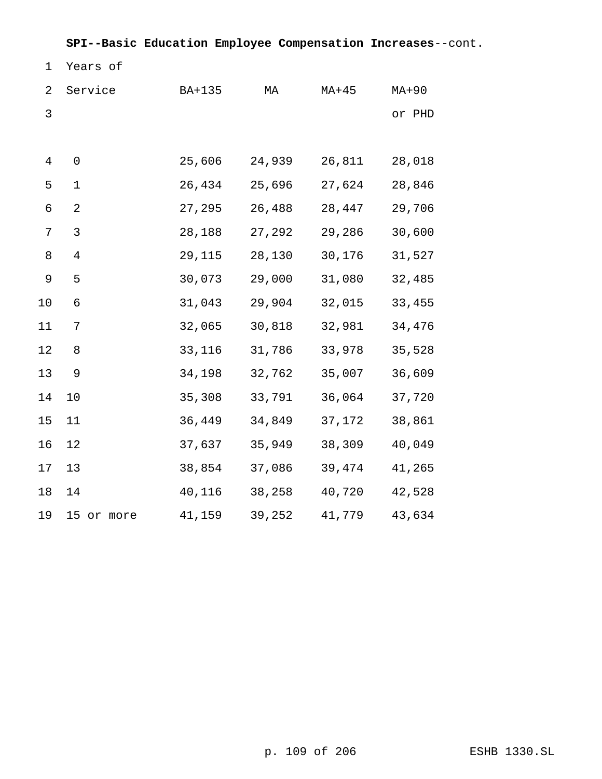| 1              | Years of            |        |        |        |         |
|----------------|---------------------|--------|--------|--------|---------|
| $\overline{2}$ | Service             | BA+135 | МA     | MA+45  | $MA+90$ |
| $\mathfrak{Z}$ |                     |        |        |        | or PHD  |
|                |                     |        |        |        |         |
| $\overline{4}$ | $\mathsf{O}\xspace$ | 25,606 | 24,939 | 26,811 | 28,018  |
| 5              | $\mathbf 1$         | 26,434 | 25,696 | 27,624 | 28,846  |
| 6              | $\sqrt{2}$          | 27,295 | 26,488 | 28,447 | 29,706  |
| $\overline{7}$ | 3                   | 28,188 | 27,292 | 29,286 | 30,600  |
| $\,8\,$        | $\overline{4}$      | 29,115 | 28,130 | 30,176 | 31,527  |
| 9              | 5                   | 30,073 | 29,000 | 31,080 | 32,485  |
| 10             | 6                   | 31,043 | 29,904 | 32,015 | 33,455  |
| 11             | $\overline{7}$      | 32,065 | 30,818 | 32,981 | 34,476  |
| 12             | 8                   | 33,116 | 31,786 | 33,978 | 35,528  |
| 13             | 9                   | 34,198 | 32,762 | 35,007 | 36,609  |
| 14             | 10                  | 35,308 | 33,791 | 36,064 | 37,720  |
| 15             | 11                  | 36,449 | 34,849 | 37,172 | 38,861  |
| 16             | 12                  | 37,637 | 35,949 | 38,309 | 40,049  |
| 17             | 13                  | 38,854 | 37,086 | 39,474 | 41,265  |
| 18             | 14                  | 40,116 | 38,258 | 40,720 | 42,528  |
| 19             | 15 or more          | 41,159 | 39,252 | 41,779 | 43,634  |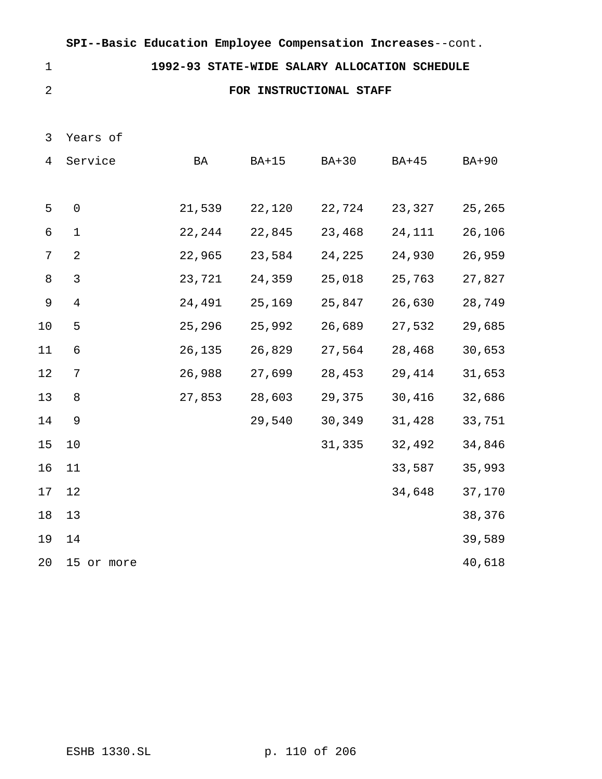# **1992-93 STATE-WIDE SALARY ALLOCATION SCHEDULE**

# **FOR INSTRUCTIONAL STAFF**

Years of

| $\overline{4}$ | Service        | BA     | <b>BA+15</b> | $BA+30$ | $BA+45$ | <b>BA+90</b> |
|----------------|----------------|--------|--------------|---------|---------|--------------|
|                |                |        |              |         |         |              |
| 5              | $\mathsf 0$    | 21,539 | 22,120       | 22,724  | 23,327  | 25,265       |
| $\epsilon$     | $\mathbf 1$    | 22,244 | 22,845       | 23,468  | 24,111  | 26,106       |
| 7              | $\sqrt{2}$     | 22,965 | 23,584       | 24,225  | 24,930  | 26,959       |
| $\,8\,$        | $\mathsf{3}$   | 23,721 | 24,359       | 25,018  | 25,763  | 27,827       |
| $\mathsf 9$    | $\overline{4}$ | 24,491 | 25,169       | 25,847  | 26,630  | 28,749       |
| 10             | 5              | 25,296 | 25,992       | 26,689  | 27,532  | 29,685       |
| 11             | 6              | 26,135 | 26,829       | 27,564  | 28,468  | 30,653       |
| 12             | 7              | 26,988 | 27,699       | 28,453  | 29,414  | 31,653       |
| 13             | $\,8\,$        | 27,853 | 28,603       | 29,375  | 30,416  | 32,686       |
| 14             | $\mathsf 9$    |        | 29,540       | 30,349  | 31,428  | 33,751       |
| 15             | 10             |        |              | 31,335  | 32,492  | 34,846       |
| 16             | 11             |        |              |         | 33,587  | 35,993       |
| 17             | 12             |        |              |         | 34,648  | 37,170       |
| 18             | 13             |        |              |         |         | 38,376       |
| 19             | 14             |        |              |         |         | 39,589       |
| 20             | 15 or more     |        |              |         |         | 40,618       |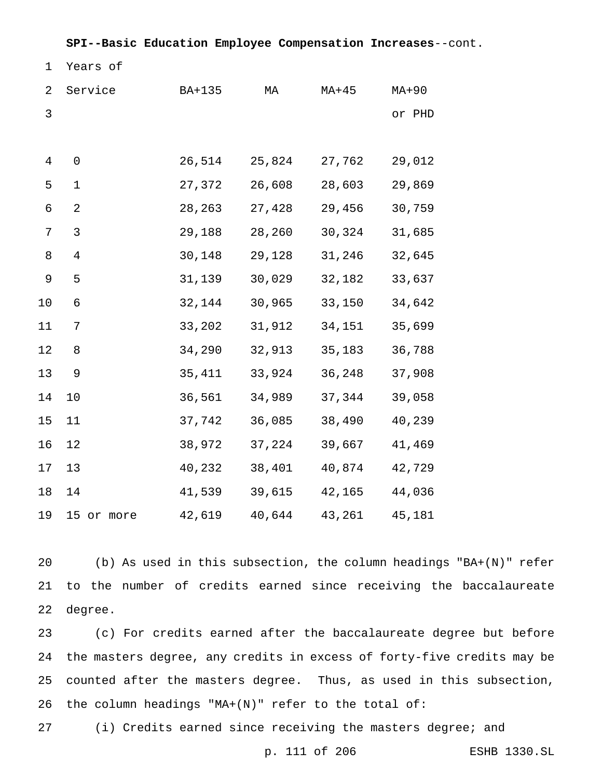| 1              | Years of       |        |        |         |         |
|----------------|----------------|--------|--------|---------|---------|
| $\overline{2}$ | Service        | BA+135 | МA     | $MA+45$ | $MA+90$ |
| $\mathsf{3}$   |                |        |        |         | or PHD  |
|                |                |        |        |         |         |
| $\overline{4}$ | $\mathsf 0$    | 26,514 | 25,824 | 27,762  | 29,012  |
| 5              | $1\,$          | 27,372 | 26,608 | 28,603  | 29,869  |
| 6              | $\sqrt{2}$     | 28,263 | 27,428 | 29,456  | 30,759  |
| $\overline{7}$ | $\mathfrak{Z}$ | 29,188 | 28,260 | 30,324  | 31,685  |
| 8              | $\overline{4}$ | 30,148 | 29,128 | 31,246  | 32,645  |
| 9              | 5              | 31,139 | 30,029 | 32,182  | 33,637  |
| 10             | $\epsilon$     | 32,144 | 30,965 | 33,150  | 34,642  |
| 11             | 7              | 33,202 | 31,912 | 34,151  | 35,699  |
| 12             | 8              | 34,290 | 32,913 | 35,183  | 36,788  |
| 13             | 9              | 35,411 | 33,924 | 36,248  | 37,908  |
| 14             | 10             | 36,561 | 34,989 | 37,344  | 39,058  |
| 15             | 11             | 37,742 | 36,085 | 38,490  | 40,239  |
| 16             | 12             | 38,972 | 37,224 | 39,667  | 41,469  |
| 17             | 13             | 40,232 | 38,401 | 40,874  | 42,729  |
| 18             | 14             | 41,539 | 39,615 | 42,165  | 44,036  |
| 19             | 15 or more     | 42,619 | 40,644 | 43,261  | 45,181  |

 (b) As used in this subsection, the column headings "BA+(N)" refer to the number of credits earned since receiving the baccalaureate degree.

 (c) For credits earned after the baccalaureate degree but before the masters degree, any credits in excess of forty-five credits may be counted after the masters degree. Thus, as used in this subsection, the column headings "MA+(N)" refer to the total of:

(i) Credits earned since receiving the masters degree; and

p. 111 of 206 ESHB 1330.SL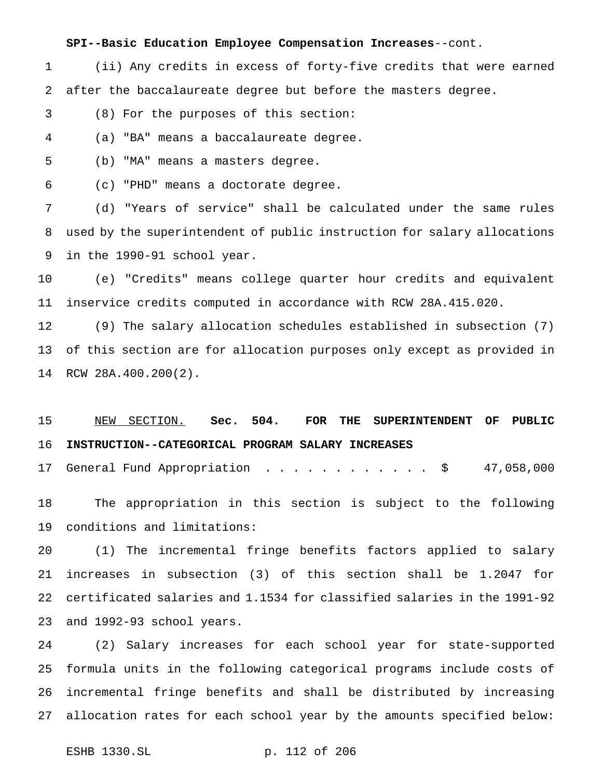(ii) Any credits in excess of forty-five credits that were earned after the baccalaureate degree but before the masters degree.

(8) For the purposes of this section:

(a) "BA" means a baccalaureate degree.

(b) "MA" means a masters degree.

(c) "PHD" means a doctorate degree.

 (d) "Years of service" shall be calculated under the same rules used by the superintendent of public instruction for salary allocations in the 1990-91 school year.

 (e) "Credits" means college quarter hour credits and equivalent inservice credits computed in accordance with RCW 28A.415.020.

 (9) The salary allocation schedules established in subsection (7) of this section are for allocation purposes only except as provided in RCW 28A.400.200(2).

 NEW SECTION. **Sec. 504. FOR THE SUPERINTENDENT OF PUBLIC INSTRUCTION--CATEGORICAL PROGRAM SALARY INCREASES**

17 General Fund Appropriation . . . . . . . . . . . \$ 47,058,000

 The appropriation in this section is subject to the following conditions and limitations:

 (1) The incremental fringe benefits factors applied to salary increases in subsection (3) of this section shall be 1.2047 for certificated salaries and 1.1534 for classified salaries in the 1991-92 and 1992-93 school years.

 (2) Salary increases for each school year for state-supported formula units in the following categorical programs include costs of incremental fringe benefits and shall be distributed by increasing allocation rates for each school year by the amounts specified below:

ESHB 1330.SL p. 112 of 206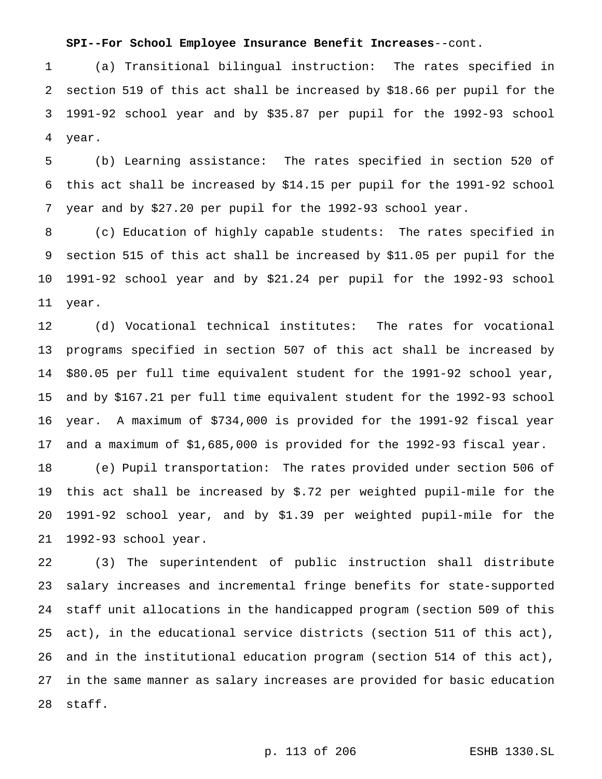### **SPI--For School Employee Insurance Benefit Increases**--cont.

 (a) Transitional bilingual instruction: The rates specified in section 519 of this act shall be increased by \$18.66 per pupil for the 1991-92 school year and by \$35.87 per pupil for the 1992-93 school year.

 (b) Learning assistance: The rates specified in section 520 of this act shall be increased by \$14.15 per pupil for the 1991-92 school year and by \$27.20 per pupil for the 1992-93 school year.

 (c) Education of highly capable students: The rates specified in section 515 of this act shall be increased by \$11.05 per pupil for the 1991-92 school year and by \$21.24 per pupil for the 1992-93 school year.

 (d) Vocational technical institutes: The rates for vocational programs specified in section 507 of this act shall be increased by \$80.05 per full time equivalent student for the 1991-92 school year, and by \$167.21 per full time equivalent student for the 1992-93 school year. A maximum of \$734,000 is provided for the 1991-92 fiscal year and a maximum of \$1,685,000 is provided for the 1992-93 fiscal year.

 (e) Pupil transportation: The rates provided under section 506 of this act shall be increased by \$.72 per weighted pupil-mile for the 1991-92 school year, and by \$1.39 per weighted pupil-mile for the 1992-93 school year.

 (3) The superintendent of public instruction shall distribute salary increases and incremental fringe benefits for state-supported staff unit allocations in the handicapped program (section 509 of this act), in the educational service districts (section 511 of this act), and in the institutional education program (section 514 of this act), in the same manner as salary increases are provided for basic education staff.

#### p. 113 of 206 ESHB 1330.SL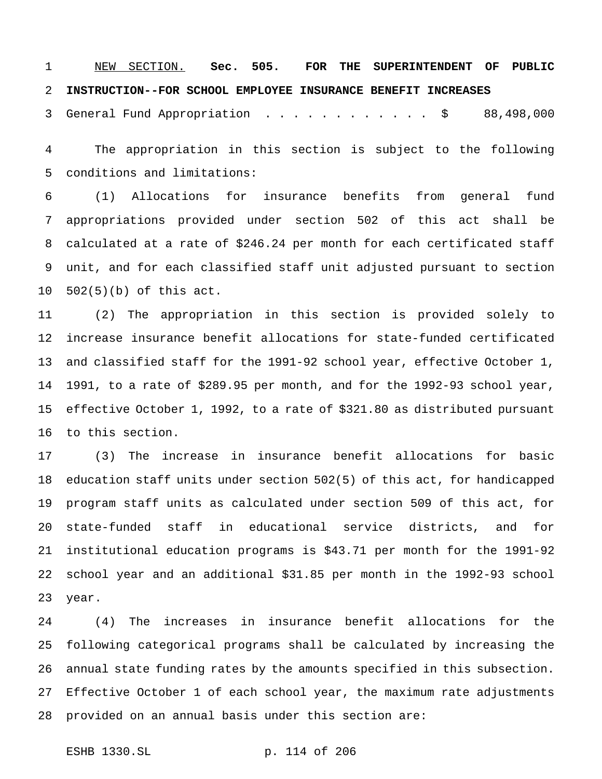NEW SECTION. **Sec. 505. FOR THE SUPERINTENDENT OF PUBLIC INSTRUCTION--FOR SCHOOL EMPLOYEE INSURANCE BENEFIT INCREASES** General Fund Appropriation ............ \$ 88,498,000

 The appropriation in this section is subject to the following conditions and limitations:

 (1) Allocations for insurance benefits from general fund appropriations provided under section 502 of this act shall be calculated at a rate of \$246.24 per month for each certificated staff unit, and for each classified staff unit adjusted pursuant to section 502(5)(b) of this act.

 (2) The appropriation in this section is provided solely to increase insurance benefit allocations for state-funded certificated and classified staff for the 1991-92 school year, effective October 1, 1991, to a rate of \$289.95 per month, and for the 1992-93 school year, effective October 1, 1992, to a rate of \$321.80 as distributed pursuant to this section.

 (3) The increase in insurance benefit allocations for basic education staff units under section 502(5) of this act, for handicapped program staff units as calculated under section 509 of this act, for state-funded staff in educational service districts, and for institutional education programs is \$43.71 per month for the 1991-92 school year and an additional \$31.85 per month in the 1992-93 school year.

 (4) The increases in insurance benefit allocations for the following categorical programs shall be calculated by increasing the annual state funding rates by the amounts specified in this subsection. Effective October 1 of each school year, the maximum rate adjustments provided on an annual basis under this section are:

ESHB 1330.SL p. 114 of 206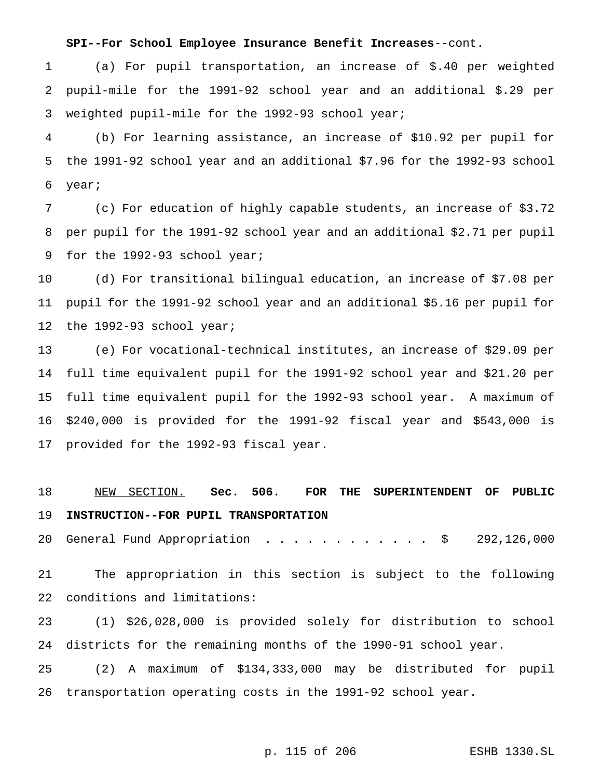## **SPI--For School Employee Insurance Benefit Increases**--cont.

 (a) For pupil transportation, an increase of \$.40 per weighted pupil-mile for the 1991-92 school year and an additional \$.29 per weighted pupil-mile for the 1992-93 school year;

 (b) For learning assistance, an increase of \$10.92 per pupil for the 1991-92 school year and an additional \$7.96 for the 1992-93 school year;

 (c) For education of highly capable students, an increase of \$3.72 per pupil for the 1991-92 school year and an additional \$2.71 per pupil 9 for the 1992-93 school year;

 (d) For transitional bilingual education, an increase of \$7.08 per pupil for the 1991-92 school year and an additional \$5.16 per pupil for the 1992-93 school year;

 (e) For vocational-technical institutes, an increase of \$29.09 per full time equivalent pupil for the 1991-92 school year and \$21.20 per full time equivalent pupil for the 1992-93 school year. A maximum of \$240,000 is provided for the 1991-92 fiscal year and \$543,000 is provided for the 1992-93 fiscal year.

# NEW SECTION. **Sec. 506. FOR THE SUPERINTENDENT OF PUBLIC INSTRUCTION--FOR PUPIL TRANSPORTATION**

20 General Fund Appropriation . . . . . . . . . . . \$ 292,126,000

 The appropriation in this section is subject to the following conditions and limitations:

 (1) \$26,028,000 is provided solely for distribution to school districts for the remaining months of the 1990-91 school year.

 (2) A maximum of \$134,333,000 may be distributed for pupil transportation operating costs in the 1991-92 school year.

#### p. 115 of 206 ESHB 1330.SL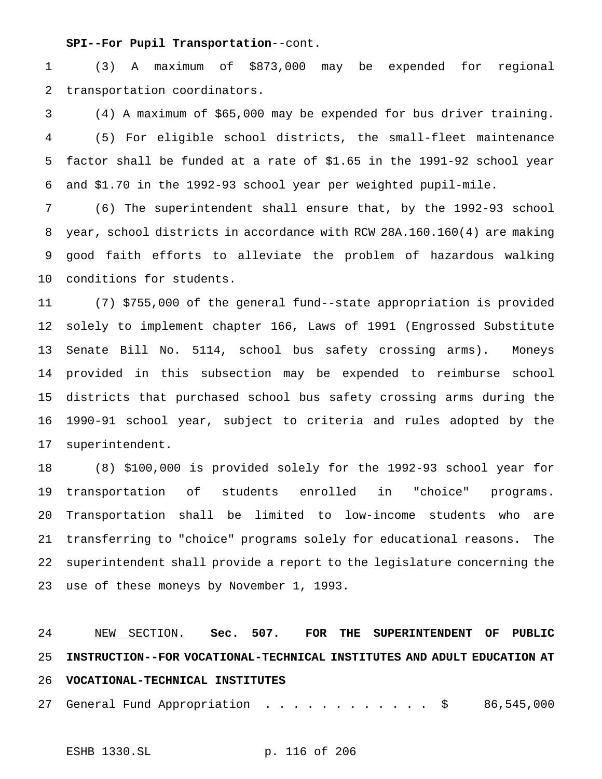### **SPI--For Pupil Transportation**--cont.

 (3) A maximum of \$873,000 may be expended for regional transportation coordinators.

 (4) A maximum of \$65,000 may be expended for bus driver training. (5) For eligible school districts, the small-fleet maintenance factor shall be funded at a rate of \$1.65 in the 1991-92 school year and \$1.70 in the 1992-93 school year per weighted pupil-mile.

 (6) The superintendent shall ensure that, by the 1992-93 school year, school districts in accordance with RCW 28A.160.160(4) are making good faith efforts to alleviate the problem of hazardous walking conditions for students.

 (7) \$755,000 of the general fund--state appropriation is provided solely to implement chapter 166, Laws of 1991 (Engrossed Substitute Senate Bill No. 5114, school bus safety crossing arms). Moneys provided in this subsection may be expended to reimburse school districts that purchased school bus safety crossing arms during the 1990-91 school year, subject to criteria and rules adopted by the superintendent.

 (8) \$100,000 is provided solely for the 1992-93 school year for transportation of students enrolled in "choice" programs. Transportation shall be limited to low-income students who are transferring to "choice" programs solely for educational reasons. The superintendent shall provide a report to the legislature concerning the use of these moneys by November 1, 1993.

 NEW SECTION. **Sec. 507. FOR THE SUPERINTENDENT OF PUBLIC INSTRUCTION--FOR VOCATIONAL-TECHNICAL INSTITUTES AND ADULT EDUCATION AT VOCATIONAL-TECHNICAL INSTITUTES**

27 General Fund Appropriation . . . . . . . . . . . \$ 86,545,000

ESHB 1330.SL p. 116 of 206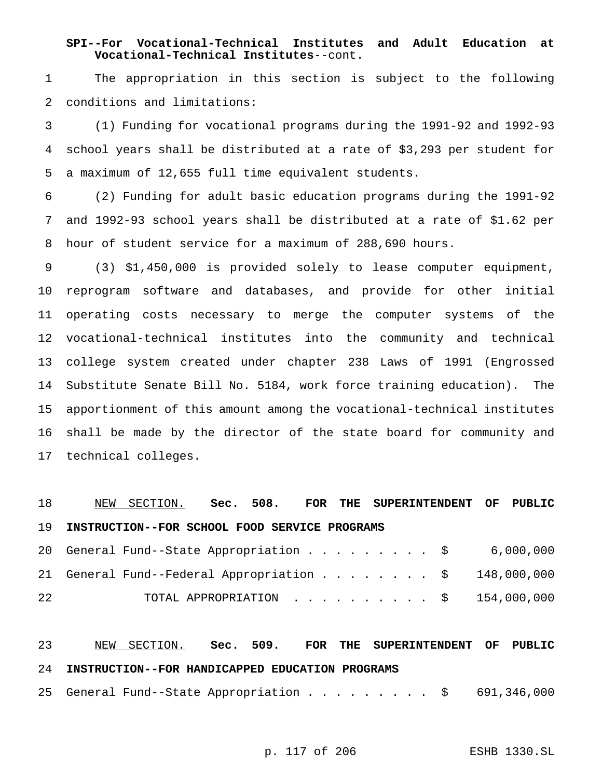# **SPI--For Vocational-Technical Institutes and Adult Education at Vocational-Technical Institutes**--cont.

 The appropriation in this section is subject to the following conditions and limitations:

 (1) Funding for vocational programs during the 1991-92 and 1992-93 school years shall be distributed at a rate of \$3,293 per student for a maximum of 12,655 full time equivalent students.

 (2) Funding for adult basic education programs during the 1991-92 and 1992-93 school years shall be distributed at a rate of \$1.62 per hour of student service for a maximum of 288,690 hours.

 (3) \$1,450,000 is provided solely to lease computer equipment, reprogram software and databases, and provide for other initial operating costs necessary to merge the computer systems of the vocational-technical institutes into the community and technical college system created under chapter 238 Laws of 1991 (Engrossed Substitute Senate Bill No. 5184, work force training education). The apportionment of this amount among the vocational-technical institutes shall be made by the director of the state board for community and technical colleges.

# NEW SECTION. **Sec. 508. FOR THE SUPERINTENDENT OF PUBLIC INSTRUCTION--FOR SCHOOL FOOD SERVICE PROGRAMS**

|    | 20 General Fund--State Appropriation \$ 6,000,000     |  |
|----|-------------------------------------------------------|--|
|    | 21 General Fund--Federal Appropriation \$ 148,000,000 |  |
| 22 | TOTAL APPROPRIATION $\ldots$ , \$ 154,000,000         |  |

 NEW SECTION. **Sec. 509. FOR THE SUPERINTENDENT OF PUBLIC INSTRUCTION--FOR HANDICAPPED EDUCATION PROGRAMS** General Fund--State Appropriation......... \$ 691,346,000

### p. 117 of 206 ESHB 1330.SL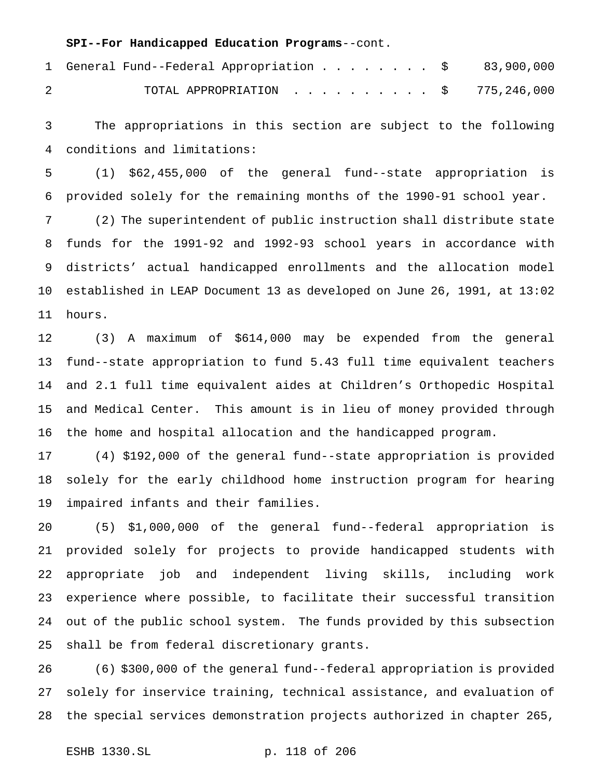#### **SPI--For Handicapped Education Programs**--cont.

| 1 General Fund--Federal Appropriation \$ 83,900,000 |  |  |  |  |  |
|-----------------------------------------------------|--|--|--|--|--|
| TOTAL APPROPRIATION \$ 775,246,000                  |  |  |  |  |  |

 The appropriations in this section are subject to the following conditions and limitations:

 (1) \$62,455,000 of the general fund--state appropriation is provided solely for the remaining months of the 1990-91 school year.

 (2) The superintendent of public instruction shall distribute state funds for the 1991-92 and 1992-93 school years in accordance with districts' actual handicapped enrollments and the allocation model established in LEAP Document 13 as developed on June 26, 1991, at 13:02 hours.

 (3) A maximum of \$614,000 may be expended from the general fund--state appropriation to fund 5.43 full time equivalent teachers and 2.1 full time equivalent aides at Children's Orthopedic Hospital and Medical Center. This amount is in lieu of money provided through the home and hospital allocation and the handicapped program.

 (4) \$192,000 of the general fund--state appropriation is provided solely for the early childhood home instruction program for hearing impaired infants and their families.

 (5) \$1,000,000 of the general fund--federal appropriation is provided solely for projects to provide handicapped students with appropriate job and independent living skills, including work experience where possible, to facilitate their successful transition out of the public school system. The funds provided by this subsection shall be from federal discretionary grants.

 (6) \$300,000 of the general fund--federal appropriation is provided solely for inservice training, technical assistance, and evaluation of the special services demonstration projects authorized in chapter 265,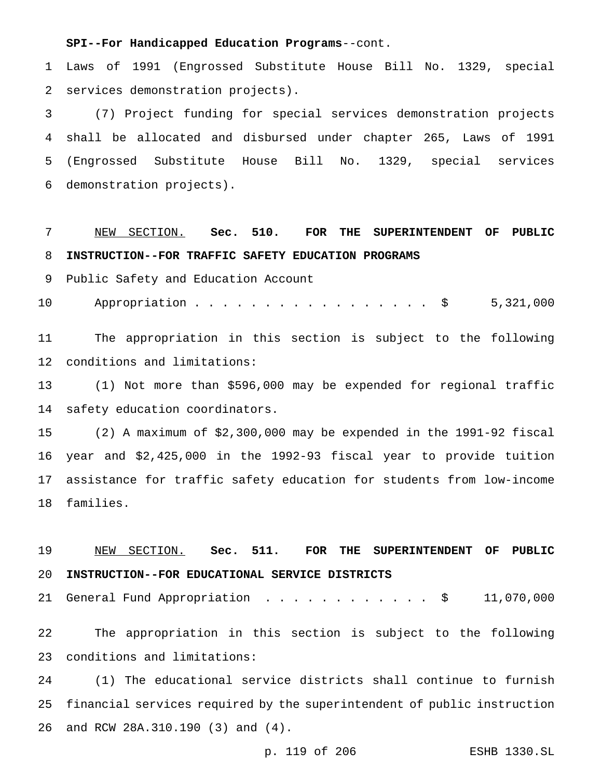### **SPI--For Handicapped Education Programs**--cont.

 Laws of 1991 (Engrossed Substitute House Bill No. 1329, special services demonstration projects).

 (7) Project funding for special services demonstration projects shall be allocated and disbursed under chapter 265, Laws of 1991 (Engrossed Substitute House Bill No. 1329, special services demonstration projects).

# NEW SECTION. **Sec. 510. FOR THE SUPERINTENDENT OF PUBLIC INSTRUCTION--FOR TRAFFIC SAFETY EDUCATION PROGRAMS**

Public Safety and Education Account

10 Appropriation . . . . . . . . . . . . . . . \$ 5,321,000

 The appropriation in this section is subject to the following conditions and limitations:

 (1) Not more than \$596,000 may be expended for regional traffic safety education coordinators.

 (2) A maximum of \$2,300,000 may be expended in the 1991-92 fiscal year and \$2,425,000 in the 1992-93 fiscal year to provide tuition assistance for traffic safety education for students from low-income families.

 NEW SECTION. **Sec. 511. FOR THE SUPERINTENDENT OF PUBLIC INSTRUCTION--FOR EDUCATIONAL SERVICE DISTRICTS**

21 General Fund Appropriation . . . . . . . . . . . \$ 11,070,000

 The appropriation in this section is subject to the following conditions and limitations:

 (1) The educational service districts shall continue to furnish financial services required by the superintendent of public instruction and RCW 28A.310.190 (3) and (4).

p. 119 of 206 ESHB 1330.SL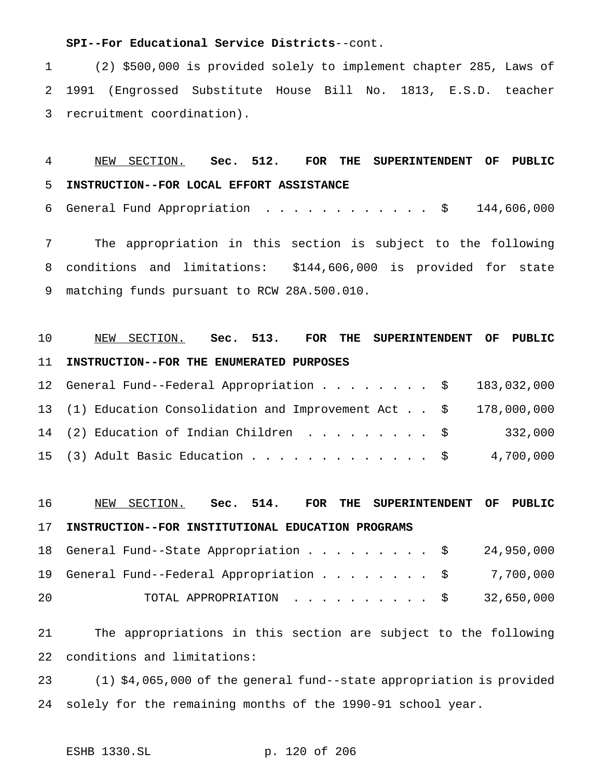### **SPI--For Educational Service Districts**--cont.

 (2) \$500,000 is provided solely to implement chapter 285, Laws of 1991 (Engrossed Substitute House Bill No. 1813, E.S.D. teacher recruitment coordination).

- NEW SECTION. **Sec. 512. FOR THE SUPERINTENDENT OF PUBLIC INSTRUCTION--FOR LOCAL EFFORT ASSISTANCE**
- 6 General Fund Appropriation . . . . . . . . . . . \$ 144,606,000

 The appropriation in this section is subject to the following conditions and limitations: \$144,606,000 is provided for state matching funds pursuant to RCW 28A.500.010.

# NEW SECTION. **Sec. 513. FOR THE SUPERINTENDENT OF PUBLIC INSTRUCTION--FOR THE ENUMERATED PURPOSES**

| 12 General Fund--Federal Appropriation \$ 183,032,000             |  |
|-------------------------------------------------------------------|--|
| 13 (1) Education Consolidation and Improvement Act \$ 178,000,000 |  |
| 14 (2) Education of Indian Children \$ 332,000                    |  |
| 15 (3) Adult Basic Education \$ 4,700,000                         |  |

# NEW SECTION. **Sec. 514. FOR THE SUPERINTENDENT OF PUBLIC INSTRUCTION--FOR INSTITUTIONAL EDUCATION PROGRAMS**

|    | 18 General Fund--State Appropriation \$ 24,950,000           |  |
|----|--------------------------------------------------------------|--|
|    | 19 General Fund--Federal Appropriation $\ldots$ \$ 7,700,000 |  |
| 20 | TOTAL APPROPRIATION $\ldots$ , \$ 32,650,000                 |  |

 The appropriations in this section are subject to the following conditions and limitations:

 (1) \$4,065,000 of the general fund--state appropriation is provided solely for the remaining months of the 1990-91 school year.

```
ESHB 1330.SL p. 120 of 206
```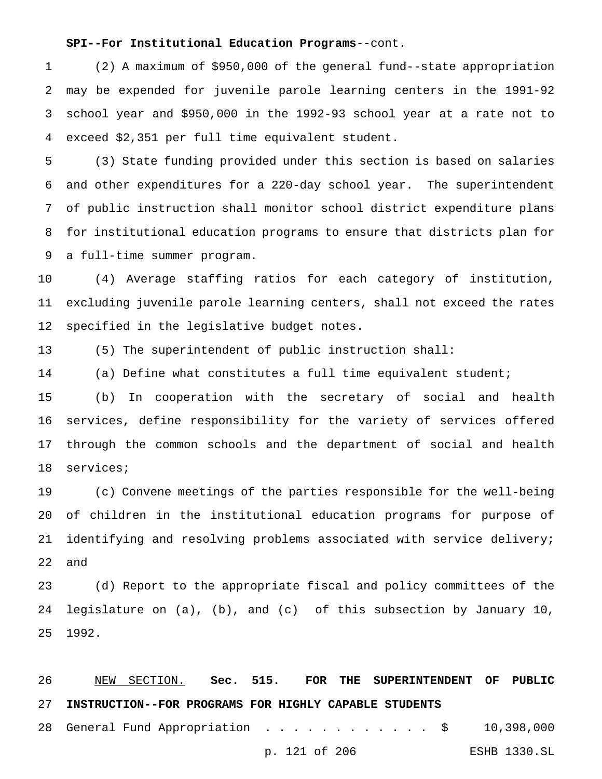## **SPI--For Institutional Education Programs**--cont.

 (2) A maximum of \$950,000 of the general fund--state appropriation may be expended for juvenile parole learning centers in the 1991-92 school year and \$950,000 in the 1992-93 school year at a rate not to exceed \$2,351 per full time equivalent student.

 (3) State funding provided under this section is based on salaries and other expenditures for a 220-day school year. The superintendent of public instruction shall monitor school district expenditure plans for institutional education programs to ensure that districts plan for a full-time summer program.

 (4) Average staffing ratios for each category of institution, excluding juvenile parole learning centers, shall not exceed the rates specified in the legislative budget notes.

(5) The superintendent of public instruction shall:

(a) Define what constitutes a full time equivalent student;

 (b) In cooperation with the secretary of social and health services, define responsibility for the variety of services offered through the common schools and the department of social and health services;

 (c) Convene meetings of the parties responsible for the well-being of children in the institutional education programs for purpose of identifying and resolving problems associated with service delivery; and

 (d) Report to the appropriate fiscal and policy committees of the legislature on (a), (b), and (c) of this subsection by January 10, 1992.

 NEW SECTION. **Sec. 515. FOR THE SUPERINTENDENT OF PUBLIC INSTRUCTION--FOR PROGRAMS FOR HIGHLY CAPABLE STUDENTS** General Fund Appropriation ............ \$ 10,398,000 p. 121 of 206 ESHB 1330.SL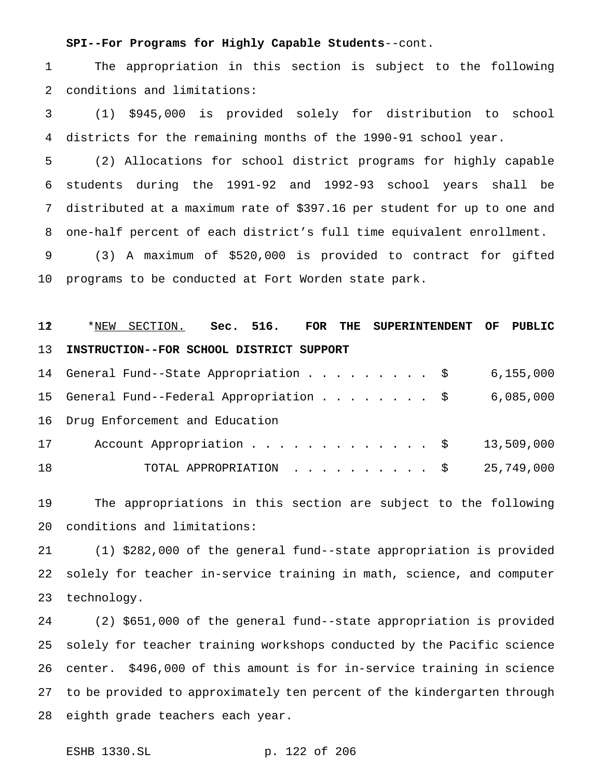## **SPI--For Programs for Highly Capable Students**--cont.

 The appropriation in this section is subject to the following conditions and limitations:

 (1) \$945,000 is provided solely for distribution to school districts for the remaining months of the 1990-91 school year.

 (2) Allocations for school district programs for highly capable students during the 1991-92 and 1992-93 school years shall be distributed at a maximum rate of \$397.16 per student for up to one and one-half percent of each district's full time equivalent enrollment.

 (3) A maximum of \$520,000 is provided to contract for gifted programs to be conducted at Fort Worden state park.

 \*NEW SECTION. **Sec. 516. FOR THE SUPERINTENDENT OF PUBLIC INSTRUCTION--FOR SCHOOL DISTRICT SUPPORT**

|    | 14 General Fund--State Appropriation \$ 6,155,000   |  |
|----|-----------------------------------------------------|--|
|    | 15 General Fund--Federal Appropriation \$ 6,085,000 |  |
|    | 16 Drug Enforcement and Education                   |  |
| 17 | Account Appropriation $\frac{1}{9}$ 13,509,000      |  |
| 18 | TOTAL APPROPRIATION $\ldots$ , \$ 25,749,000        |  |

 The appropriations in this section are subject to the following conditions and limitations:

 (1) \$282,000 of the general fund--state appropriation is provided solely for teacher in-service training in math, science, and computer technology.

 (2) \$651,000 of the general fund--state appropriation is provided solely for teacher training workshops conducted by the Pacific science center. \$496,000 of this amount is for in-service training in science to be provided to approximately ten percent of the kindergarten through eighth grade teachers each year.

ESHB 1330.SL p. 122 of 206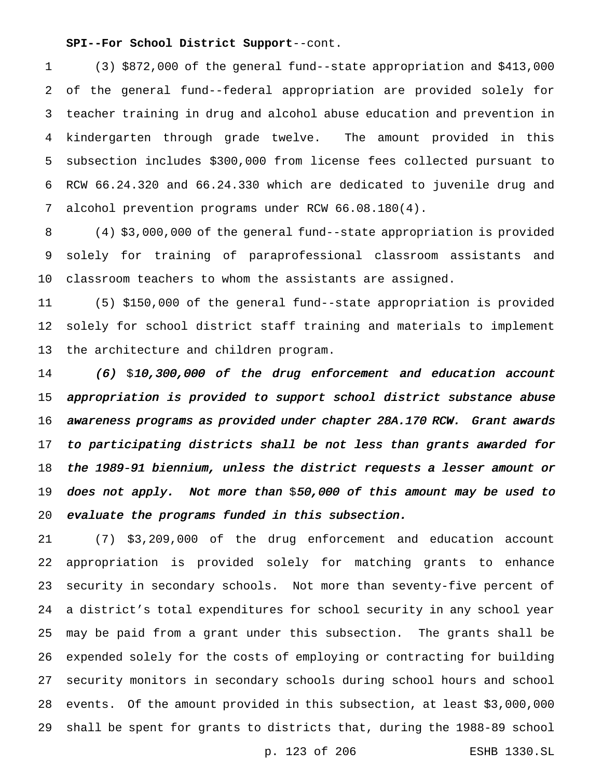### **SPI--For School District Support**--cont.

 (3) \$872,000 of the general fund--state appropriation and \$413,000 of the general fund--federal appropriation are provided solely for teacher training in drug and alcohol abuse education and prevention in kindergarten through grade twelve. The amount provided in this subsection includes \$300,000 from license fees collected pursuant to RCW 66.24.320 and 66.24.330 which are dedicated to juvenile drug and alcohol prevention programs under RCW 66.08.180(4).

 (4) \$3,000,000 of the general fund--state appropriation is provided solely for training of paraprofessional classroom assistants and classroom teachers to whom the assistants are assigned.

 (5) \$150,000 of the general fund--state appropriation is provided solely for school district staff training and materials to implement the architecture and children program.

 $(6)$  \$10,300,000 of the drug enforcement and education account appropriation is provided to support school district substance abuse awareness programs as provided under chapter 28A.170 RCW. Grant awards to participating districts shall be not less than grants awarded for the 1989-91 biennium, unless the district requests <sup>a</sup> lesser amount or 19 does not apply. Not more than \$50,000 of this amount may be used to evaluate the programs funded in this subsection.

 (7) \$3,209,000 of the drug enforcement and education account appropriation is provided solely for matching grants to enhance security in secondary schools. Not more than seventy-five percent of a district's total expenditures for school security in any school year may be paid from a grant under this subsection. The grants shall be expended solely for the costs of employing or contracting for building security monitors in secondary schools during school hours and school events. Of the amount provided in this subsection, at least \$3,000,000 shall be spent for grants to districts that, during the 1988-89 school

p. 123 of 206 ESHB 1330.SL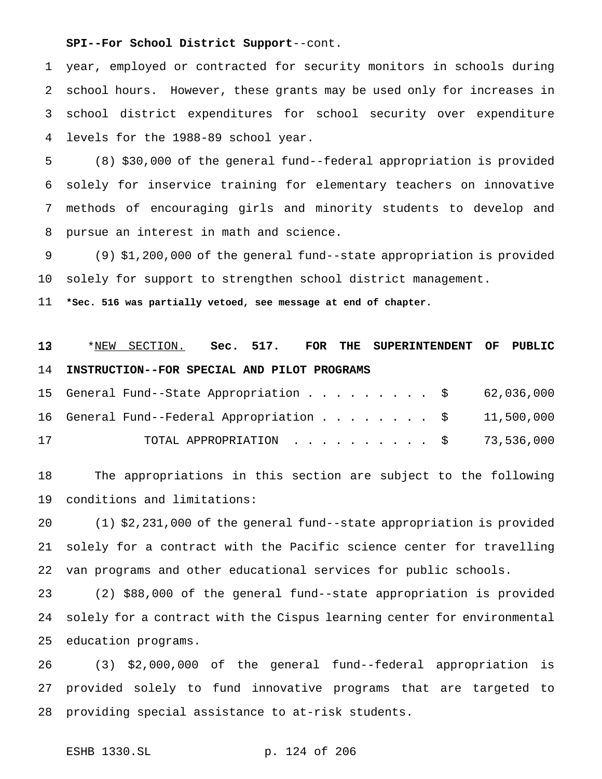#### **SPI--For School District Support**--cont.

 year, employed or contracted for security monitors in schools during school hours. However, these grants may be used only for increases in school district expenditures for school security over expenditure levels for the 1988-89 school year.

 (8) \$30,000 of the general fund--federal appropriation is provided solely for inservice training for elementary teachers on innovative methods of encouraging girls and minority students to develop and pursue an interest in math and science.

 (9) \$1,200,000 of the general fund--state appropriation is provided solely for support to strengthen school district management.

**\*Sec. 516 was partially vetoed, see message at end of chapter.**

 \*NEW SECTION. **Sec. 517. FOR THE SUPERINTENDENT OF PUBLIC INSTRUCTION--FOR SPECIAL AND PILOT PROGRAMS**

|    | 15 General Fund--State Appropriation \$ 62,036,000   |  |
|----|------------------------------------------------------|--|
|    | 16 General Fund--Federal Appropriation \$ 11,500,000 |  |
| 17 | TOTAL APPROPRIATION \$ 73,536,000                    |  |

 The appropriations in this section are subject to the following conditions and limitations:

 (1) \$2,231,000 of the general fund--state appropriation is provided solely for a contract with the Pacific science center for travelling van programs and other educational services for public schools.

 (2) \$88,000 of the general fund--state appropriation is provided solely for a contract with the Cispus learning center for environmental education programs.

 (3) \$2,000,000 of the general fund--federal appropriation is provided solely to fund innovative programs that are targeted to providing special assistance to at-risk students.

```
ESHB 1330.SL p. 124 of 206
```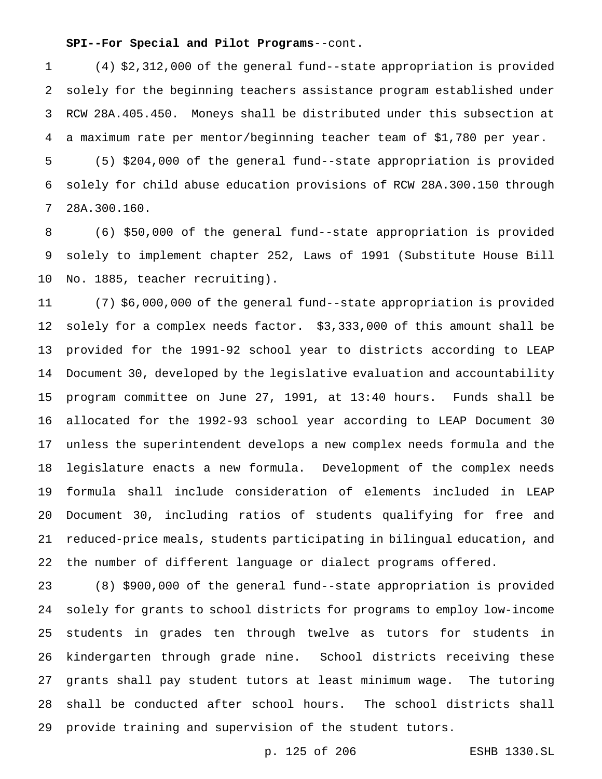(4) \$2,312,000 of the general fund--state appropriation is provided solely for the beginning teachers assistance program established under RCW 28A.405.450. Moneys shall be distributed under this subsection at a maximum rate per mentor/beginning teacher team of \$1,780 per year.

 (5) \$204,000 of the general fund--state appropriation is provided solely for child abuse education provisions of RCW 28A.300.150 through 28A.300.160.

 (6) \$50,000 of the general fund--state appropriation is provided solely to implement chapter 252, Laws of 1991 (Substitute House Bill No. 1885, teacher recruiting).

 (7) \$6,000,000 of the general fund--state appropriation is provided solely for a complex needs factor. \$3,333,000 of this amount shall be provided for the 1991-92 school year to districts according to LEAP Document 30, developed by the legislative evaluation and accountability program committee on June 27, 1991, at 13:40 hours. Funds shall be allocated for the 1992-93 school year according to LEAP Document 30 unless the superintendent develops a new complex needs formula and the legislature enacts a new formula. Development of the complex needs formula shall include consideration of elements included in LEAP Document 30, including ratios of students qualifying for free and reduced-price meals, students participating in bilingual education, and the number of different language or dialect programs offered.

 (8) \$900,000 of the general fund--state appropriation is provided solely for grants to school districts for programs to employ low-income students in grades ten through twelve as tutors for students in kindergarten through grade nine. School districts receiving these grants shall pay student tutors at least minimum wage. The tutoring shall be conducted after school hours. The school districts shall provide training and supervision of the student tutors.

p. 125 of 206 ESHB 1330.SL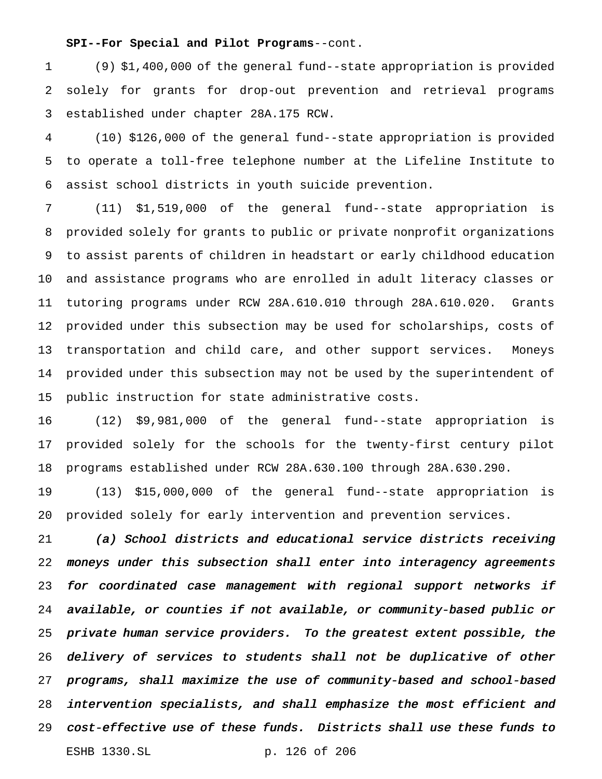(9) \$1,400,000 of the general fund--state appropriation is provided solely for grants for drop-out prevention and retrieval programs established under chapter 28A.175 RCW.

 (10) \$126,000 of the general fund--state appropriation is provided to operate a toll-free telephone number at the Lifeline Institute to assist school districts in youth suicide prevention.

 (11) \$1,519,000 of the general fund--state appropriation is provided solely for grants to public or private nonprofit organizations to assist parents of children in headstart or early childhood education and assistance programs who are enrolled in adult literacy classes or tutoring programs under RCW 28A.610.010 through 28A.610.020. Grants provided under this subsection may be used for scholarships, costs of transportation and child care, and other support services. Moneys provided under this subsection may not be used by the superintendent of public instruction for state administrative costs.

 (12) \$9,981,000 of the general fund--state appropriation is provided solely for the schools for the twenty-first century pilot programs established under RCW 28A.630.100 through 28A.630.290.

 (13) \$15,000,000 of the general fund--state appropriation is provided solely for early intervention and prevention services.

 (a) School districts and educational service districts receiving moneys under this subsection shall enter into interagency agreements 23 for coordinated case management with regional support networks if available, or counties if not available, or community-based public or private human service providers. To the greatest extent possible, the delivery of services to students shall not be duplicative of other programs, shall maximize the use of community-based and school-based intervention specialists, and shall emphasize the most efficient and cost-effective use of these funds. Districts shall use these funds to ESHB 1330.SL p. 126 of 206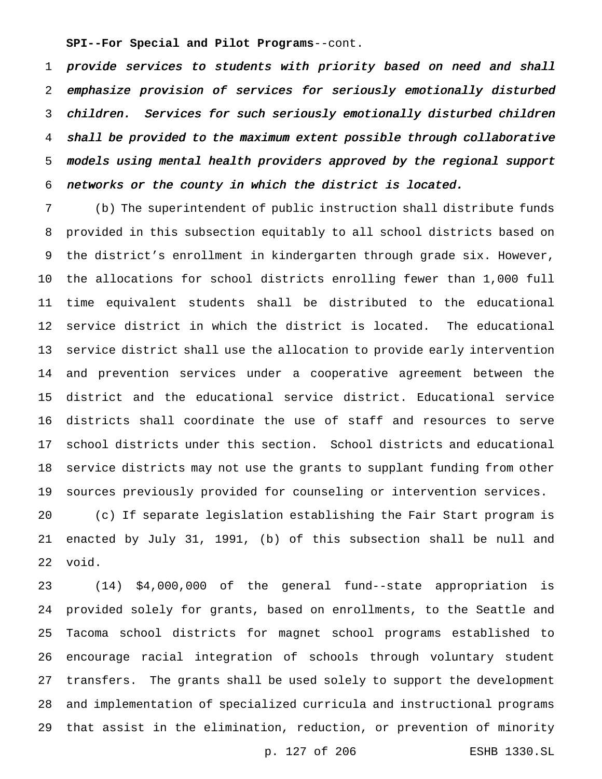provide services to students with priority based on need and shall emphasize provision of services for seriously emotionally disturbed children. Services for such seriously emotionally disturbed children shall be provided to the maximum extent possible through collaborative models using mental health providers approved by the regional support networks or the county in which the district is located.

 (b) The superintendent of public instruction shall distribute funds provided in this subsection equitably to all school districts based on the district's enrollment in kindergarten through grade six. However, the allocations for school districts enrolling fewer than 1,000 full time equivalent students shall be distributed to the educational service district in which the district is located. The educational service district shall use the allocation to provide early intervention and prevention services under a cooperative agreement between the district and the educational service district. Educational service districts shall coordinate the use of staff and resources to serve school districts under this section. School districts and educational service districts may not use the grants to supplant funding from other sources previously provided for counseling or intervention services.

 (c) If separate legislation establishing the Fair Start program is enacted by July 31, 1991, (b) of this subsection shall be null and void.

 (14) \$4,000,000 of the general fund--state appropriation is provided solely for grants, based on enrollments, to the Seattle and Tacoma school districts for magnet school programs established to encourage racial integration of schools through voluntary student transfers. The grants shall be used solely to support the development and implementation of specialized curricula and instructional programs that assist in the elimination, reduction, or prevention of minority

p. 127 of 206 ESHB 1330.SL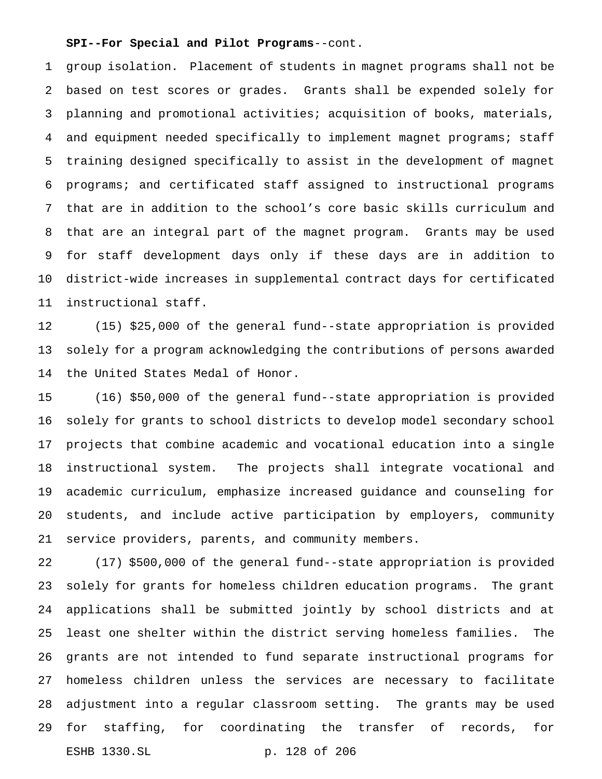group isolation. Placement of students in magnet programs shall not be based on test scores or grades. Grants shall be expended solely for planning and promotional activities; acquisition of books, materials, and equipment needed specifically to implement magnet programs; staff training designed specifically to assist in the development of magnet programs; and certificated staff assigned to instructional programs that are in addition to the school's core basic skills curriculum and that are an integral part of the magnet program. Grants may be used for staff development days only if these days are in addition to district-wide increases in supplemental contract days for certificated instructional staff.

 (15) \$25,000 of the general fund--state appropriation is provided solely for a program acknowledging the contributions of persons awarded the United States Medal of Honor.

 (16) \$50,000 of the general fund--state appropriation is provided solely for grants to school districts to develop model secondary school projects that combine academic and vocational education into a single instructional system. The projects shall integrate vocational and academic curriculum, emphasize increased guidance and counseling for students, and include active participation by employers, community service providers, parents, and community members.

 (17) \$500,000 of the general fund--state appropriation is provided solely for grants for homeless children education programs. The grant applications shall be submitted jointly by school districts and at least one shelter within the district serving homeless families. The grants are not intended to fund separate instructional programs for homeless children unless the services are necessary to facilitate adjustment into a regular classroom setting. The grants may be used for staffing, for coordinating the transfer of records, for ESHB 1330.SL p. 128 of 206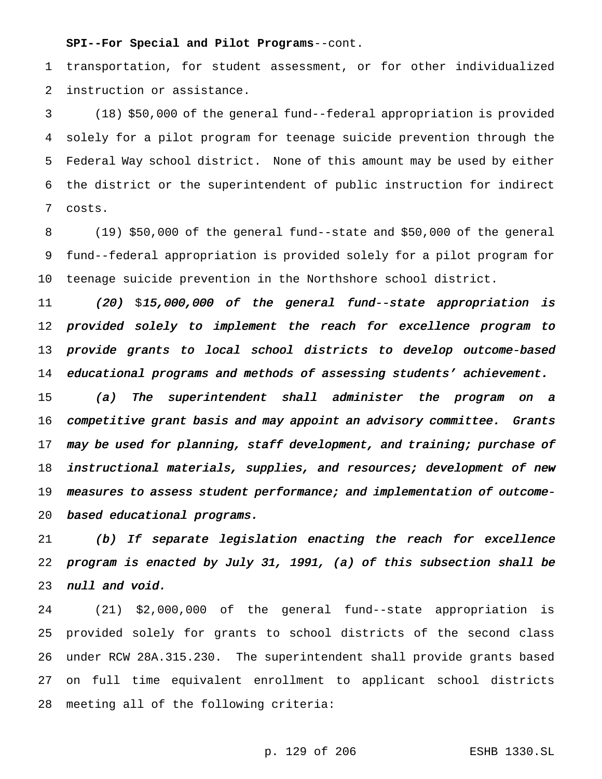transportation, for student assessment, or for other individualized instruction or assistance.

 (18) \$50,000 of the general fund--federal appropriation is provided solely for a pilot program for teenage suicide prevention through the Federal Way school district. None of this amount may be used by either the district or the superintendent of public instruction for indirect costs.

 (19) \$50,000 of the general fund--state and \$50,000 of the general fund--federal appropriation is provided solely for a pilot program for teenage suicide prevention in the Northshore school district.

11 (20) \$15,000,000 of the general fund--state appropriation is provided solely to implement the reach for excellence program to provide grants to local school districts to develop outcome-based educational programs and methods of assessing students' achievement.

 (a) The superintendent shall administer the program on <sup>a</sup> competitive grant basis and may appoint an advisory committee. Grants 17 may be used for planning, staff development, and training; purchase of instructional materials, supplies, and resources; development of new measures to assess student performance; and implementation of outcome-based educational programs.

 (b) If separate legislation enacting the reach for excellence program is enacted by July 31, 1991, (a) of this subsection shall be null and void.

 (21) \$2,000,000 of the general fund--state appropriation is provided solely for grants to school districts of the second class under RCW 28A.315.230. The superintendent shall provide grants based on full time equivalent enrollment to applicant school districts meeting all of the following criteria:

p. 129 of 206 ESHB 1330.SL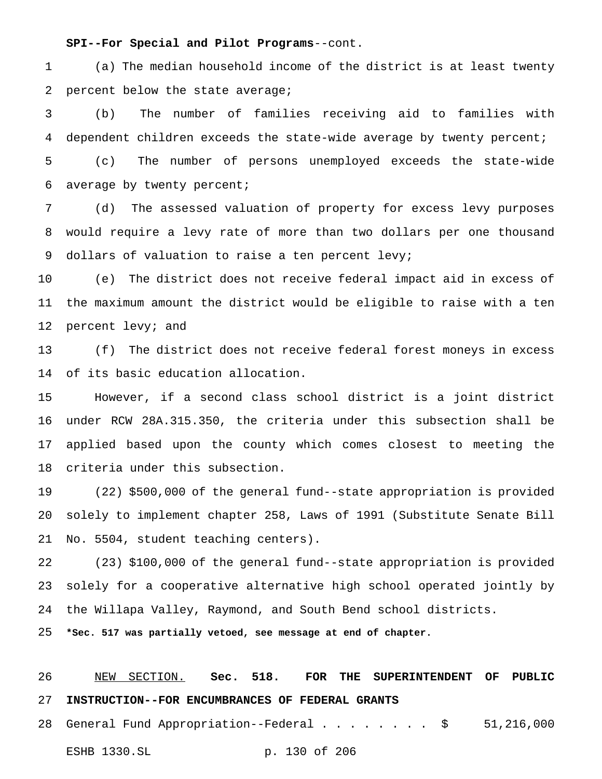(a) The median household income of the district is at least twenty percent below the state average;

 (b) The number of families receiving aid to families with dependent children exceeds the state-wide average by twenty percent; (c) The number of persons unemployed exceeds the state-wide

average by twenty percent;

 (d) The assessed valuation of property for excess levy purposes would require a levy rate of more than two dollars per one thousand dollars of valuation to raise a ten percent levy;

 (e) The district does not receive federal impact aid in excess of the maximum amount the district would be eligible to raise with a ten percent levy; and

 (f) The district does not receive federal forest moneys in excess of its basic education allocation.

 However, if a second class school district is a joint district under RCW 28A.315.350, the criteria under this subsection shall be applied based upon the county which comes closest to meeting the criteria under this subsection.

 (22) \$500,000 of the general fund--state appropriation is provided solely to implement chapter 258, Laws of 1991 (Substitute Senate Bill No. 5504, student teaching centers).

 (23) \$100,000 of the general fund--state appropriation is provided solely for a cooperative alternative high school operated jointly by the Willapa Valley, Raymond, and South Bend school districts.

**\*Sec. 517 was partially vetoed, see message at end of chapter.**

 NEW SECTION. **Sec. 518. FOR THE SUPERINTENDENT OF PUBLIC INSTRUCTION--FOR ENCUMBRANCES OF FEDERAL GRANTS**

28 General Fund Appropriation--Federal . . . . . . . \$ 51,216,000 ESHB 1330.SL p. 130 of 206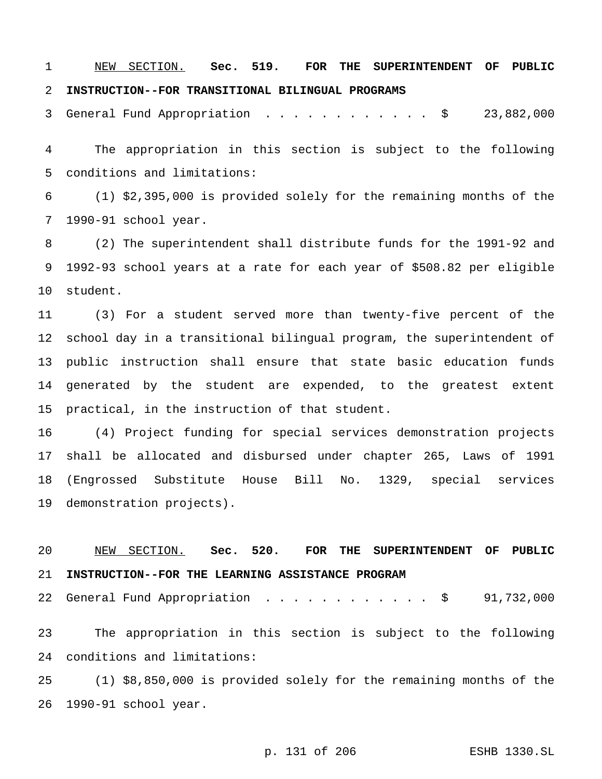NEW SECTION. **Sec. 519. FOR THE SUPERINTENDENT OF PUBLIC INSTRUCTION--FOR TRANSITIONAL BILINGUAL PROGRAMS**

General Fund Appropriation ............ \$ 23,882,000

 The appropriation in this section is subject to the following conditions and limitations:

 (1) \$2,395,000 is provided solely for the remaining months of the 1990-91 school year.

 (2) The superintendent shall distribute funds for the 1991-92 and 1992-93 school years at a rate for each year of \$508.82 per eligible student.

 (3) For a student served more than twenty-five percent of the school day in a transitional bilingual program, the superintendent of public instruction shall ensure that state basic education funds generated by the student are expended, to the greatest extent practical, in the instruction of that student.

 (4) Project funding for special services demonstration projects shall be allocated and disbursed under chapter 265, Laws of 1991 (Engrossed Substitute House Bill No. 1329, special services demonstration projects).

 NEW SECTION. **Sec. 520. FOR THE SUPERINTENDENT OF PUBLIC INSTRUCTION--FOR THE LEARNING ASSISTANCE PROGRAM**

22 General Fund Appropriation . . . . . . . . . . . \$ 91,732,000

 The appropriation in this section is subject to the following conditions and limitations:

 (1) \$8,850,000 is provided solely for the remaining months of the 1990-91 school year.

## p. 131 of 206 ESHB 1330.SL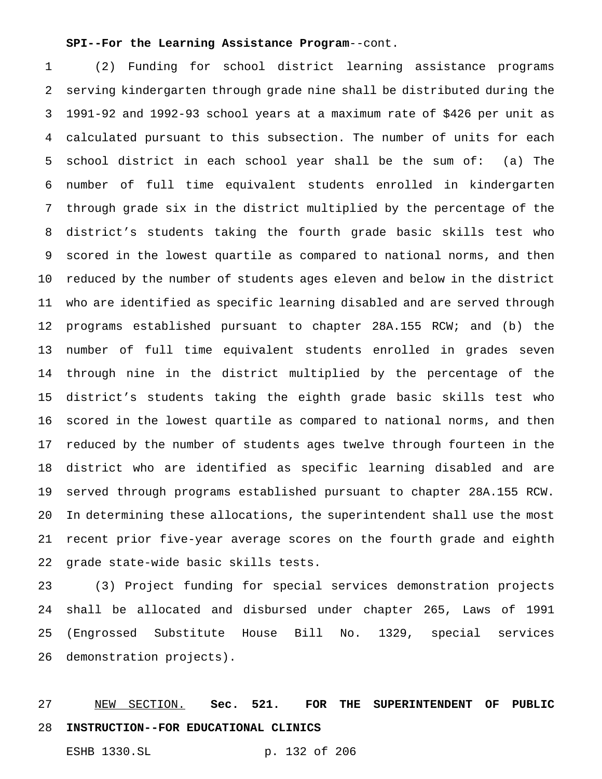#### **SPI--For the Learning Assistance Program**--cont.

 (2) Funding for school district learning assistance programs serving kindergarten through grade nine shall be distributed during the 1991-92 and 1992-93 school years at a maximum rate of \$426 per unit as calculated pursuant to this subsection. The number of units for each school district in each school year shall be the sum of: (a) The number of full time equivalent students enrolled in kindergarten through grade six in the district multiplied by the percentage of the district's students taking the fourth grade basic skills test who scored in the lowest quartile as compared to national norms, and then reduced by the number of students ages eleven and below in the district who are identified as specific learning disabled and are served through programs established pursuant to chapter 28A.155 RCW; and (b) the number of full time equivalent students enrolled in grades seven through nine in the district multiplied by the percentage of the district's students taking the eighth grade basic skills test who scored in the lowest quartile as compared to national norms, and then reduced by the number of students ages twelve through fourteen in the district who are identified as specific learning disabled and are served through programs established pursuant to chapter 28A.155 RCW. In determining these allocations, the superintendent shall use the most recent prior five-year average scores on the fourth grade and eighth grade state-wide basic skills tests.

 (3) Project funding for special services demonstration projects shall be allocated and disbursed under chapter 265, Laws of 1991 (Engrossed Substitute House Bill No. 1329, special services demonstration projects).

# NEW SECTION. **Sec. 521. FOR THE SUPERINTENDENT OF PUBLIC INSTRUCTION--FOR EDUCATIONAL CLINICS**

ESHB 1330.SL p. 132 of 206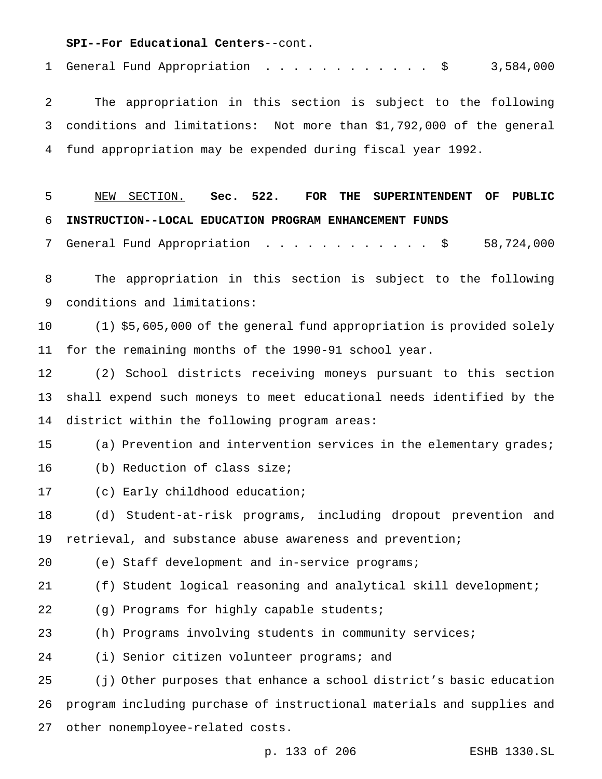#### **SPI--For Educational Centers**--cont.

1 General Fund Appropriation . . . . . . . . . . . \$ 3,584,000

 The appropriation in this section is subject to the following conditions and limitations: Not more than \$1,792,000 of the general fund appropriation may be expended during fiscal year 1992.

 NEW SECTION. **Sec. 522. FOR THE SUPERINTENDENT OF PUBLIC INSTRUCTION--LOCAL EDUCATION PROGRAM ENHANCEMENT FUNDS**

General Fund Appropriation ............ \$ 58,724,000

 The appropriation in this section is subject to the following conditions and limitations:

 (1) \$5,605,000 of the general fund appropriation is provided solely for the remaining months of the 1990-91 school year.

 (2) School districts receiving moneys pursuant to this section shall expend such moneys to meet educational needs identified by the district within the following program areas:

(a) Prevention and intervention services in the elementary grades;

(b) Reduction of class size;

(c) Early childhood education;

 (d) Student-at-risk programs, including dropout prevention and retrieval, and substance abuse awareness and prevention;

(e) Staff development and in-service programs;

(f) Student logical reasoning and analytical skill development;

(g) Programs for highly capable students;

(h) Programs involving students in community services;

(i) Senior citizen volunteer programs; and

 (j) Other purposes that enhance a school district's basic education program including purchase of instructional materials and supplies and other nonemployee-related costs.

p. 133 of 206 ESHB 1330.SL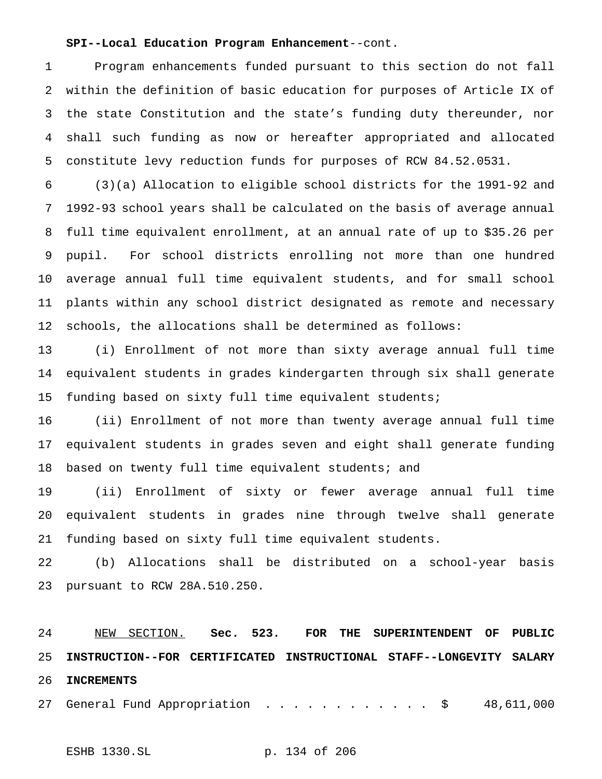#### **SPI--Local Education Program Enhancement**--cont.

 Program enhancements funded pursuant to this section do not fall within the definition of basic education for purposes of Article IX of the state Constitution and the state's funding duty thereunder, nor shall such funding as now or hereafter appropriated and allocated constitute levy reduction funds for purposes of RCW 84.52.0531.

 (3)(a) Allocation to eligible school districts for the 1991-92 and 1992-93 school years shall be calculated on the basis of average annual full time equivalent enrollment, at an annual rate of up to \$35.26 per pupil. For school districts enrolling not more than one hundred average annual full time equivalent students, and for small school plants within any school district designated as remote and necessary schools, the allocations shall be determined as follows:

 (i) Enrollment of not more than sixty average annual full time equivalent students in grades kindergarten through six shall generate funding based on sixty full time equivalent students;

 (ii) Enrollment of not more than twenty average annual full time equivalent students in grades seven and eight shall generate funding based on twenty full time equivalent students; and

 (ii) Enrollment of sixty or fewer average annual full time equivalent students in grades nine through twelve shall generate funding based on sixty full time equivalent students.

 (b) Allocations shall be distributed on a school-year basis pursuant to RCW 28A.510.250.

 NEW SECTION. **Sec. 523. FOR THE SUPERINTENDENT OF PUBLIC INSTRUCTION--FOR CERTIFICATED INSTRUCTIONAL STAFF--LONGEVITY SALARY INCREMENTS**

General Fund Appropriation ............ \$ 48,611,000

ESHB 1330.SL p. 134 of 206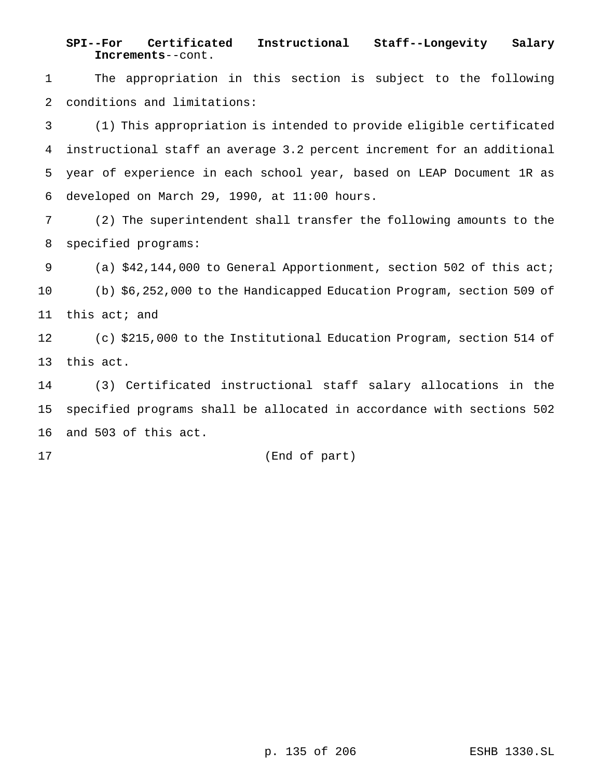# **SPI--For Certificated Instructional Staff--Longevity Salary Increments**--cont.

 The appropriation in this section is subject to the following conditions and limitations:

 (1) This appropriation is intended to provide eligible certificated instructional staff an average 3.2 percent increment for an additional year of experience in each school year, based on LEAP Document 1R as developed on March 29, 1990, at 11:00 hours.

 (2) The superintendent shall transfer the following amounts to the specified programs:

 (a) \$42,144,000 to General Apportionment, section 502 of this act; (b) \$6,252,000 to the Handicapped Education Program, section 509 of this act; and

 (c) \$215,000 to the Institutional Education Program, section 514 of this act.

 (3) Certificated instructional staff salary allocations in the specified programs shall be allocated in accordance with sections 502 and 503 of this act.

(End of part)

p. 135 of 206 ESHB 1330.SL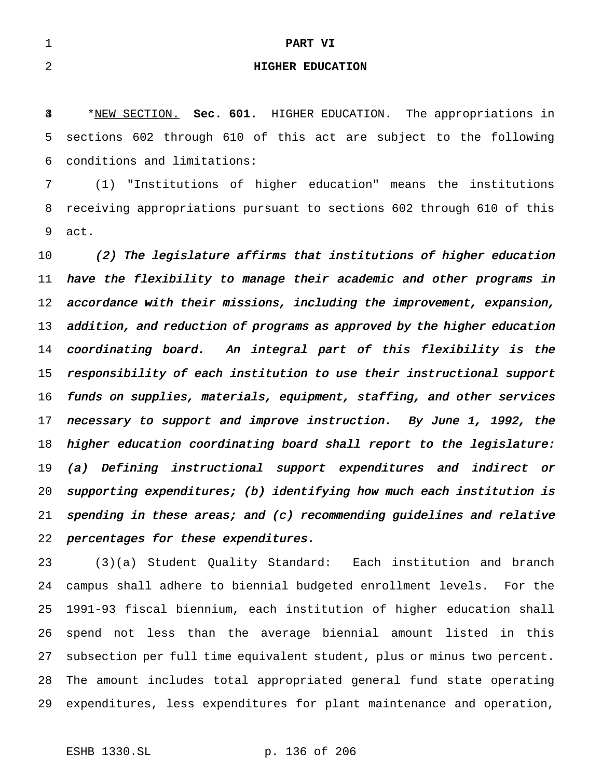#### **PART VI**

#### **HIGHER EDUCATION**

 \*NEW SECTION. **Sec. 601.** HIGHER EDUCATION. The appropriations in sections 602 through 610 of this act are subject to the following conditions and limitations:

 (1) "Institutions of higher education" means the institutions receiving appropriations pursuant to sections 602 through 610 of this act.

10 (2) The legislature affirms that institutions of higher education have the flexibility to manage their academic and other programs in 12 accordance with their missions, including the improvement, expansion, 13 addition, and reduction of programs as approved by the higher education coordinating board. An integral part of this flexibility is the responsibility of each institution to use their instructional support funds on supplies, materials, equipment, staffing, and other services 17 necessary to support and improve instruction. By June 1, 1992, the higher education coordinating board shall report to the legislature: (a) Defining instructional support expenditures and indirect or supporting expenditures; (b) identifying how much each institution is 21 spending in these areas; and  $(c)$  recommending guidelines and relative percentages for these expenditures.

 (3)(a) Student Quality Standard: Each institution and branch campus shall adhere to biennial budgeted enrollment levels. For the 1991-93 fiscal biennium, each institution of higher education shall spend not less than the average biennial amount listed in this subsection per full time equivalent student, plus or minus two percent. The amount includes total appropriated general fund state operating expenditures, less expenditures for plant maintenance and operation,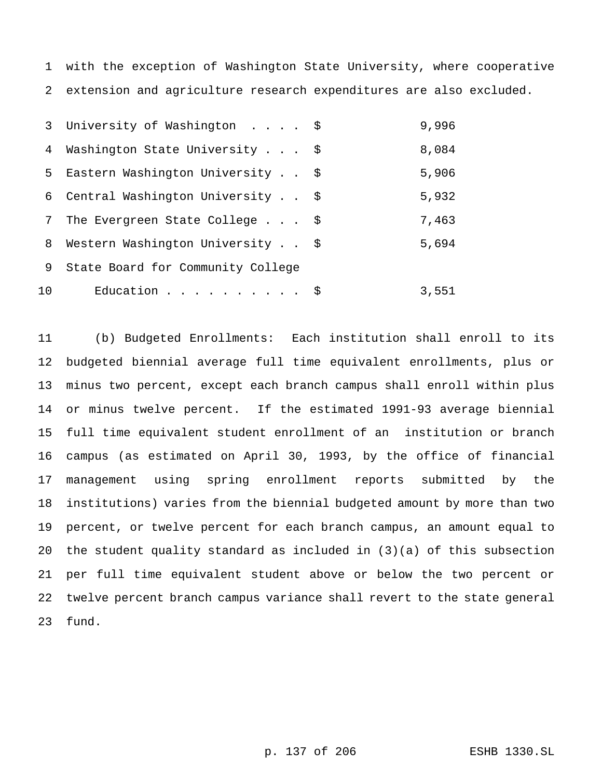with the exception of Washington State University, where cooperative extension and agriculture research expenditures are also excluded.

|    | 3 University of Washington \$           | 9,996 |
|----|-----------------------------------------|-------|
| 4  | Washington State University \$          | 8,084 |
|    | 5 Eastern Washington University \$      | 5,906 |
|    | 6 Central Washington University \$      | 5,932 |
| 7  | The Evergreen State College $\ldots$ \$ | 7,463 |
| 8  | Western Washington University \$        | 5,694 |
| 9  | State Board for Community College       |       |
| 10 | Education                               | 3,551 |

 (b) Budgeted Enrollments: Each institution shall enroll to its budgeted biennial average full time equivalent enrollments, plus or minus two percent, except each branch campus shall enroll within plus or minus twelve percent. If the estimated 1991-93 average biennial full time equivalent student enrollment of an institution or branch campus (as estimated on April 30, 1993, by the office of financial management using spring enrollment reports submitted by the institutions) varies from the biennial budgeted amount by more than two percent, or twelve percent for each branch campus, an amount equal to the student quality standard as included in (3)(a) of this subsection per full time equivalent student above or below the two percent or twelve percent branch campus variance shall revert to the state general fund.

p. 137 of 206 ESHB 1330.SL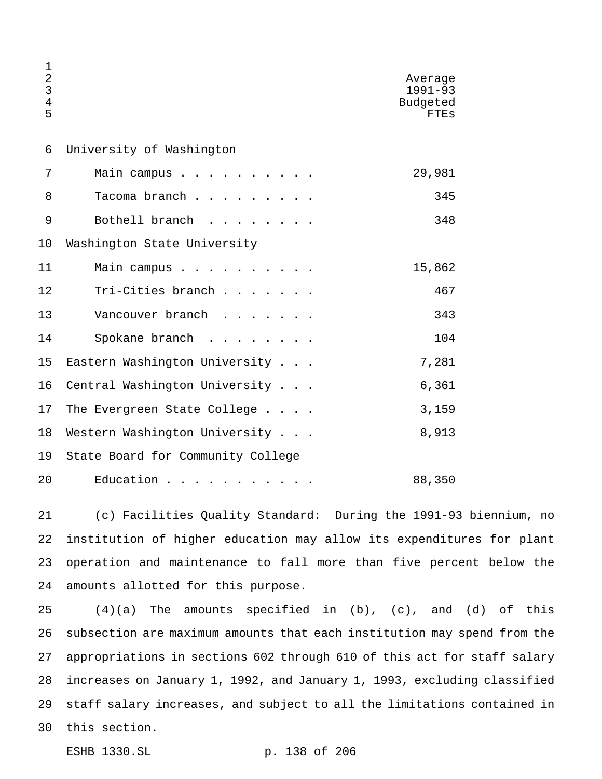| $\mathbf 1$<br>$\overline{2}$<br>3<br>$\overline{4}$<br>5 |                                                      | Average<br>$1991 - 93$<br>Budgeted<br>FTES |
|-----------------------------------------------------------|------------------------------------------------------|--------------------------------------------|
| 6                                                         | University of Washington                             |                                            |
| 7                                                         | Main campus                                          | 29,981                                     |
| 8                                                         | Tacoma branch                                        | 345                                        |
| 9                                                         | Bothell branch<br>$\sim$ $\sim$ $\sim$ $\sim$ $\sim$ | 348                                        |
| 10                                                        | Washington State University                          |                                            |
| 11                                                        | Main campus                                          | 15,862                                     |
| 12                                                        | Tri-Cities branch                                    | 467                                        |
| 13                                                        | Vancouver branch                                     | 343                                        |
| 14                                                        | Spokane branch                                       | 104                                        |
| 15                                                        | Eastern Washington University                        | 7,281                                      |
| 16                                                        | Central Washington University                        | 6,361                                      |
| 17                                                        | The Evergreen State College                          | 3,159                                      |
| 18                                                        | Western Washington University                        | 8,913                                      |
| 19                                                        | State Board for Community College                    |                                            |
| 20                                                        | Education                                            | 88,350                                     |

 (c) Facilities Quality Standard: During the 1991-93 biennium, no institution of higher education may allow its expenditures for plant operation and maintenance to fall more than five percent below the amounts allotted for this purpose.

 (4)(a) The amounts specified in (b), (c), and (d) of this subsection are maximum amounts that each institution may spend from the appropriations in sections 602 through 610 of this act for staff salary increases on January 1, 1992, and January 1, 1993, excluding classified staff salary increases, and subject to all the limitations contained in this section.

ESHB 1330.SL p. 138 of 206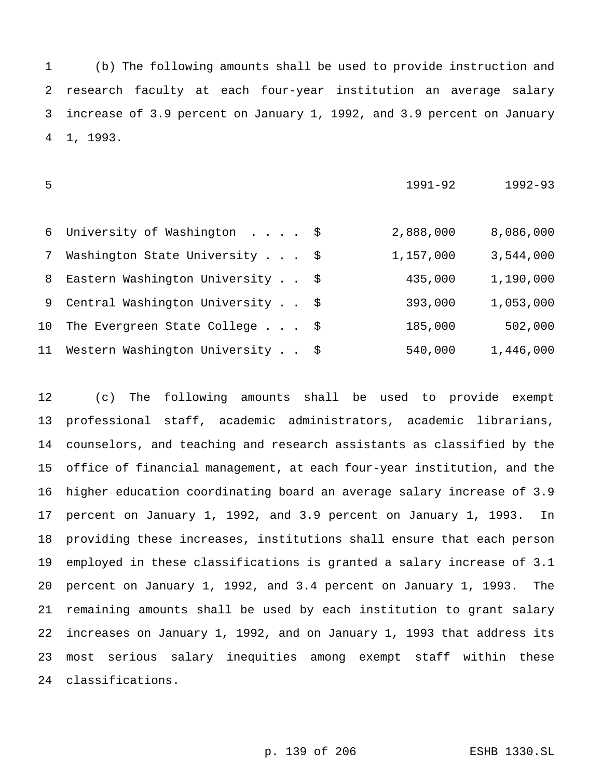(b) The following amounts shall be used to provide instruction and research faculty at each four-year institution an average salary increase of 3.9 percent on January 1, 1992, and 3.9 percent on January 1, 1993.

| 5 |                                     | $1991 - 92$ | $1992 - 93$ |
|---|-------------------------------------|-------------|-------------|
|   | 6 University of Washington \$       | 2,888,000   | 8,086,000   |
|   | 7 Washington State University \$    | 1,157,000   | 3,544,000   |
|   | 8 Eastern Washington University \$  | 435,000     | 1,190,000   |
|   | 9 Central Washington University \$  | 393,000     | 1,053,000   |
|   | 10 The Evergreen State College \$   | 185,000     | 502,000     |
|   | 11 Western Washington University \$ | 540,000     | 1,446,000   |
|   |                                     |             |             |

 (c) The following amounts shall be used to provide exempt professional staff, academic administrators, academic librarians, counselors, and teaching and research assistants as classified by the office of financial management, at each four-year institution, and the higher education coordinating board an average salary increase of 3.9 percent on January 1, 1992, and 3.9 percent on January 1, 1993. In providing these increases, institutions shall ensure that each person employed in these classifications is granted a salary increase of 3.1 percent on January 1, 1992, and 3.4 percent on January 1, 1993. The remaining amounts shall be used by each institution to grant salary increases on January 1, 1992, and on January 1, 1993 that address its most serious salary inequities among exempt staff within these classifications.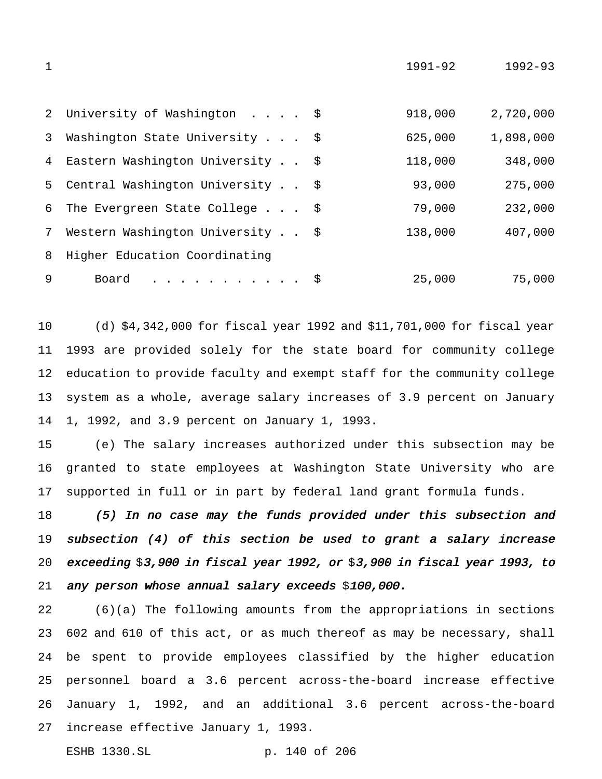|   |                                  | 1991-92 | $1992 - 93$ |
|---|----------------------------------|---------|-------------|
|   |                                  |         |             |
|   | 2 University of Washington \$    | 918,000 | 2,720,000   |
| 3 | Washington State University \$   | 625,000 | 1,898,000   |
| 4 | Eastern Washington University \$ | 118,000 | 348,000     |
| 5 | Central Washington University \$ | 93,000  | 275,000     |
|   | 6 The Evergreen State College \$ | 79,000  | 232,000     |
| 7 | Western Washington University \$ | 138,000 | 407,000     |
| 8 | Higher Education Coordinating    |         |             |
| 9 | Board                            | 25,000  | 75,000      |

 (d) \$4,342,000 for fiscal year 1992 and \$11,701,000 for fiscal year 1993 are provided solely for the state board for community college education to provide faculty and exempt staff for the community college system as a whole, average salary increases of 3.9 percent on January 1, 1992, and 3.9 percent on January 1, 1993.

 (e) The salary increases authorized under this subsection may be granted to state employees at Washington State University who are supported in full or in part by federal land grant formula funds.

 (5) In no case may the funds provided under this subsection and subsection (4) of this section be used to grant <sup>a</sup> salary increase 20 exceeding  $$3,900$  in fiscal year 1992, or  $$3,900$  in fiscal year 1993, to 21 any person whose annual salary exceeds  $$100,000$ .

 (6)(a) The following amounts from the appropriations in sections 602 and 610 of this act, or as much thereof as may be necessary, shall be spent to provide employees classified by the higher education personnel board a 3.6 percent across-the-board increase effective January 1, 1992, and an additional 3.6 percent across-the-board increase effective January 1, 1993.

ESHB 1330.SL p. 140 of 206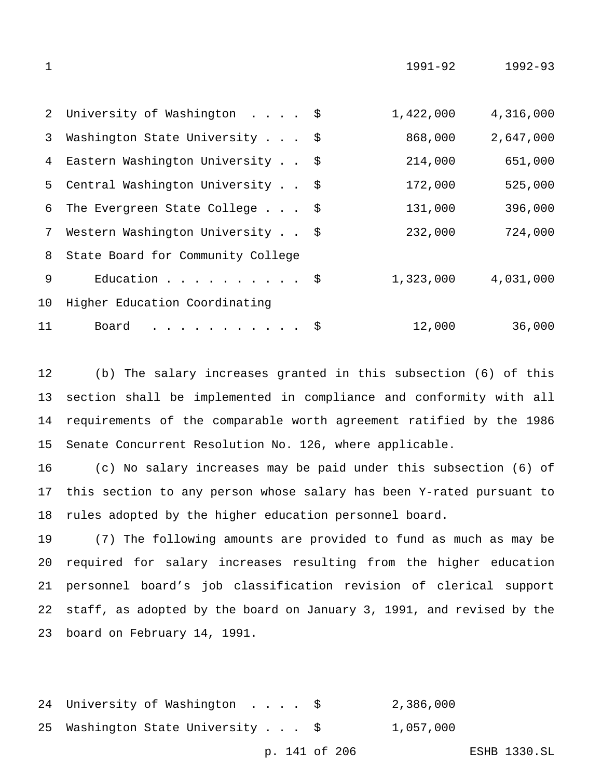| 1  |                                                                                                                                                                                                                                                                                                                                                                                                                                                                                                | 1991-92   | $1992 - 93$ |
|----|------------------------------------------------------------------------------------------------------------------------------------------------------------------------------------------------------------------------------------------------------------------------------------------------------------------------------------------------------------------------------------------------------------------------------------------------------------------------------------------------|-----------|-------------|
|    |                                                                                                                                                                                                                                                                                                                                                                                                                                                                                                |           |             |
| 2  | University of Washington \$                                                                                                                                                                                                                                                                                                                                                                                                                                                                    | 1,422,000 | 4,316,000   |
| 3  | Washington State University \$                                                                                                                                                                                                                                                                                                                                                                                                                                                                 | 868,000   | 2,647,000   |
| 4  | Eastern Washington University \$                                                                                                                                                                                                                                                                                                                                                                                                                                                               | 214,000   | 651,000     |
| 5  | Central Washington University \$                                                                                                                                                                                                                                                                                                                                                                                                                                                               | 172,000   | 525,000     |
| 6  | The Evergreen State College \$                                                                                                                                                                                                                                                                                                                                                                                                                                                                 | 131,000   | 396,000     |
| 7  | Western Washington University \$                                                                                                                                                                                                                                                                                                                                                                                                                                                               | 232,000   | 724,000     |
| 8  | State Board for Community College                                                                                                                                                                                                                                                                                                                                                                                                                                                              |           |             |
| 9  | Education $\frac{1}{5}$                                                                                                                                                                                                                                                                                                                                                                                                                                                                        | 1,323,000 | 4,031,000   |
| 10 | Higher Education Coordinating                                                                                                                                                                                                                                                                                                                                                                                                                                                                  |           |             |
| 11 | Board<br>$\mathbf{1} \quad \mathbf{1} \quad \mathbf{1} \quad \mathbf{1} \quad \mathbf{1} \quad \mathbf{1} \quad \mathbf{1} \quad \mathbf{1} \quad \mathbf{1} \quad \mathbf{1} \quad \mathbf{1} \quad \mathbf{1} \quad \mathbf{1} \quad \mathbf{1} \quad \mathbf{1} \quad \mathbf{1} \quad \mathbf{1} \quad \mathbf{1} \quad \mathbf{1} \quad \mathbf{1} \quad \mathbf{1} \quad \mathbf{1} \quad \mathbf{1} \quad \mathbf{1} \quad \mathbf{1} \quad \mathbf{1} \quad \mathbf{1} \quad \mathbf{$ | 12,000    | 36,000      |

 (b) The salary increases granted in this subsection (6) of this section shall be implemented in compliance and conformity with all requirements of the comparable worth agreement ratified by the 1986 Senate Concurrent Resolution No. 126, where applicable.

 (c) No salary increases may be paid under this subsection (6) of this section to any person whose salary has been Y-rated pursuant to rules adopted by the higher education personnel board.

 (7) The following amounts are provided to fund as much as may be required for salary increases resulting from the higher education personnel board's job classification revision of clerical support staff, as adopted by the board on January 3, 1991, and revised by the board on February 14, 1991.

 University of Washington .... \$ 2,386,000 25 Washington State University . . . \$ 1,057,000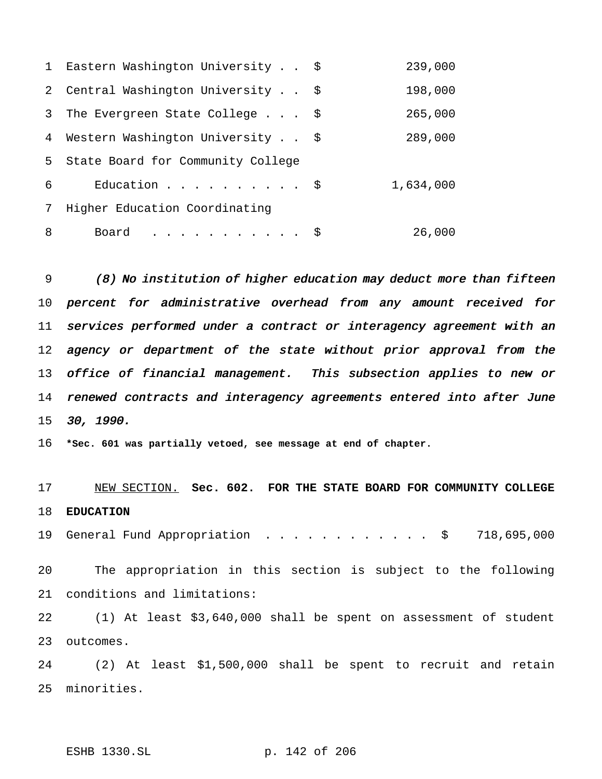|   | 1 Eastern Washington University \$                                                                                   | 239,000   |
|---|----------------------------------------------------------------------------------------------------------------------|-----------|
| 2 | Central Washington University \$                                                                                     | 198,000   |
| 3 | The Evergreen State College $\ldots$ \$                                                                              | 265,000   |
|   | 4 Western Washington University \$                                                                                   | 289,000   |
| 5 | State Board for Community College                                                                                    |           |
| 6 | Education $\frac{1}{5}$                                                                                              | 1,634,000 |
| 7 | Higher Education Coordinating                                                                                        |           |
| 8 | Board<br>$\mathbf{r}$ , and $\mathbf{r}$ , and $\mathbf{r}$ , and $\mathbf{r}$ , and $\mathbf{r}$ , and $\mathbf{r}$ | 26,000    |

 (8) No institution of higher education may deduct more than fifteen 10 percent for administrative overhead from any amount received for services performed under <sup>a</sup> contract or interagency agreement with an 12 agency or department of the state without prior approval from the office of financial management. This subsection applies to new or renewed contracts and interagency agreements entered into after June 30, 1990.

**\*Sec. 601 was partially vetoed, see message at end of chapter.**

 NEW SECTION. **Sec. 602. FOR THE STATE BOARD FOR COMMUNITY COLLEGE EDUCATION**

19 General Fund Appropriation . . . . . . . . . . . \$ 718,695,000

 The appropriation in this section is subject to the following conditions and limitations:

 (1) At least \$3,640,000 shall be spent on assessment of student outcomes.

 (2) At least \$1,500,000 shall be spent to recruit and retain minorities.

ESHB 1330.SL p. 142 of 206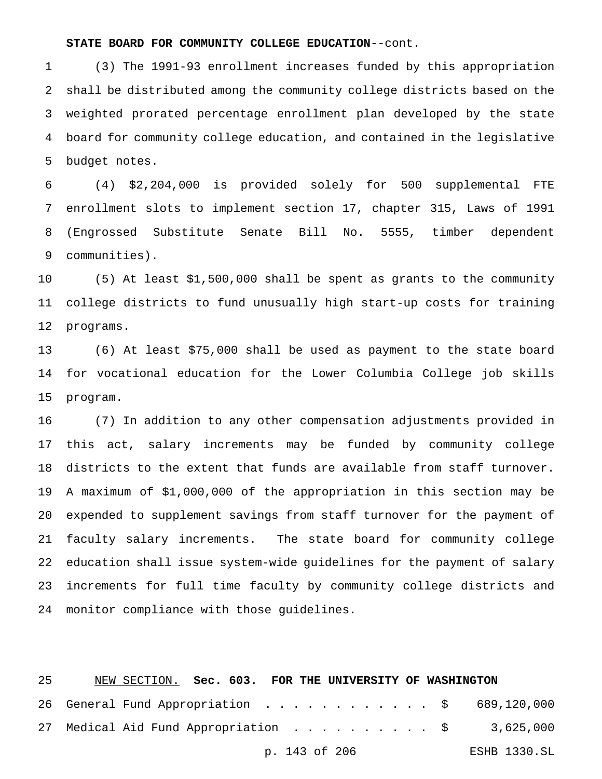### **STATE BOARD FOR COMMUNITY COLLEGE EDUCATION**--cont.

 (3) The 1991-93 enrollment increases funded by this appropriation shall be distributed among the community college districts based on the weighted prorated percentage enrollment plan developed by the state board for community college education, and contained in the legislative budget notes.

 (4) \$2,204,000 is provided solely for 500 supplemental FTE enrollment slots to implement section 17, chapter 315, Laws of 1991 (Engrossed Substitute Senate Bill No. 5555, timber dependent communities).

 (5) At least \$1,500,000 shall be spent as grants to the community college districts to fund unusually high start-up costs for training programs.

 (6) At least \$75,000 shall be used as payment to the state board for vocational education for the Lower Columbia College job skills program.

 (7) In addition to any other compensation adjustments provided in this act, salary increments may be funded by community college districts to the extent that funds are available from staff turnover. A maximum of \$1,000,000 of the appropriation in this section may be expended to supplement savings from staff turnover for the payment of faculty salary increments. The state board for community college education shall issue system-wide guidelines for the payment of salary increments for full time faculty by community college districts and monitor compliance with those guidelines.

| 25 | NEW SECTION. Sec. 603. FOR THE UNIVERSITY OF WASHINGTON   |  |  |               |  |  |              |  |
|----|-----------------------------------------------------------|--|--|---------------|--|--|--------------|--|
|    | 26 General Fund Appropriation \$ 689,120,000              |  |  |               |  |  |              |  |
|    | 27 Medical Aid Fund Appropriation $\ldots$ , \$ 3,625,000 |  |  |               |  |  |              |  |
|    |                                                           |  |  | p. 143 of 206 |  |  | ESHB 1330.SL |  |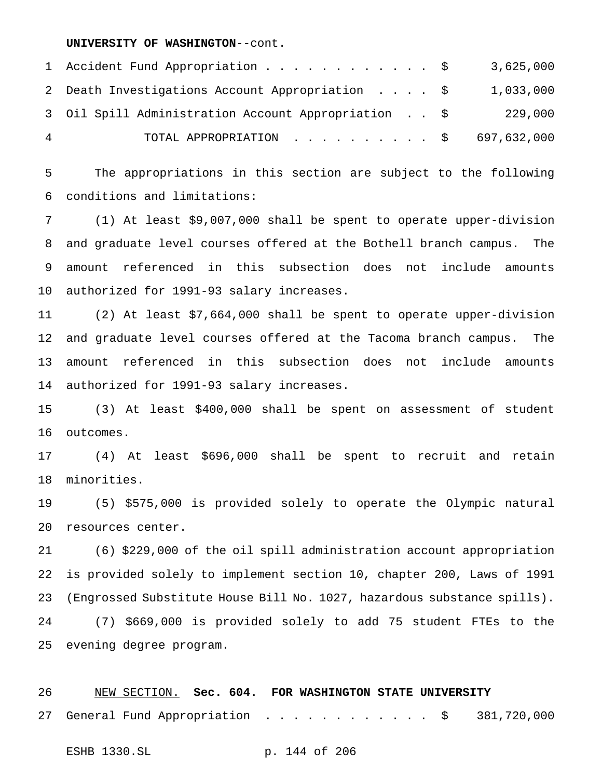#### **UNIVERSITY OF WASHINGTON**--cont.

|   | 1 Accident Fund Appropriation \$                    | 3,625,000 |
|---|-----------------------------------------------------|-----------|
|   | 2 Death Investigations Account Appropriation \$     | 1,033,000 |
|   | 3 Oil Spill Administration Account Appropriation \$ | 229,000   |
| 4 | TOTAL APPROPRIATION $\ldots$ , \$ 697,632,000       |           |

 The appropriations in this section are subject to the following conditions and limitations:

 (1) At least \$9,007,000 shall be spent to operate upper-division and graduate level courses offered at the Bothell branch campus. The amount referenced in this subsection does not include amounts authorized for 1991-93 salary increases.

 (2) At least \$7,664,000 shall be spent to operate upper-division and graduate level courses offered at the Tacoma branch campus. The amount referenced in this subsection does not include amounts authorized for 1991-93 salary increases.

 (3) At least \$400,000 shall be spent on assessment of student outcomes.

 (4) At least \$696,000 shall be spent to recruit and retain minorities.

 (5) \$575,000 is provided solely to operate the Olympic natural resources center.

 (6) \$229,000 of the oil spill administration account appropriation is provided solely to implement section 10, chapter 200, Laws of 1991 (Engrossed Substitute House Bill No. 1027, hazardous substance spills). (7) \$669,000 is provided solely to add 75 student FTEs to the evening degree program.

### NEW SECTION. **Sec. 604. FOR WASHINGTON STATE UNIVERSITY**

General Fund Appropriation ............ \$ 381,720,000

ESHB 1330.SL p. 144 of 206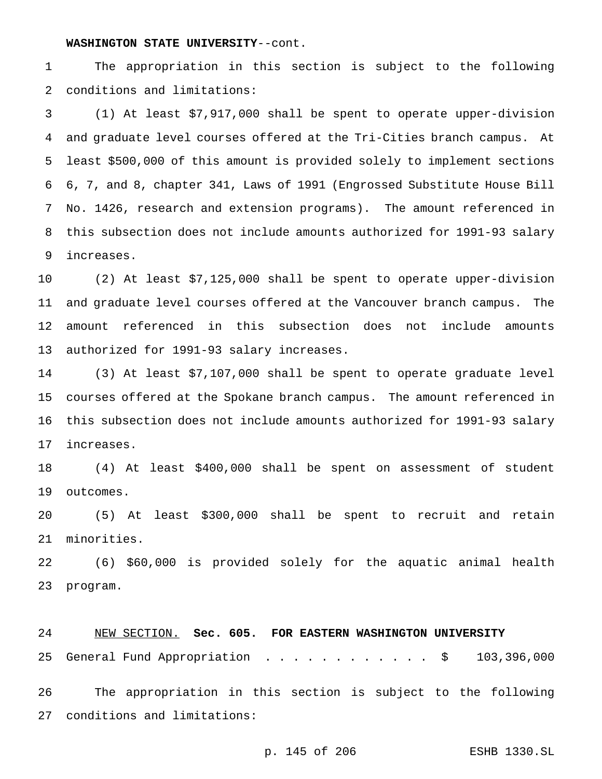#### **WASHINGTON STATE UNIVERSITY**--cont.

 The appropriation in this section is subject to the following conditions and limitations:

 (1) At least \$7,917,000 shall be spent to operate upper-division and graduate level courses offered at the Tri-Cities branch campus. At least \$500,000 of this amount is provided solely to implement sections 6, 7, and 8, chapter 341, Laws of 1991 (Engrossed Substitute House Bill No. 1426, research and extension programs). The amount referenced in this subsection does not include amounts authorized for 1991-93 salary increases.

 (2) At least \$7,125,000 shall be spent to operate upper-division and graduate level courses offered at the Vancouver branch campus. The amount referenced in this subsection does not include amounts authorized for 1991-93 salary increases.

 (3) At least \$7,107,000 shall be spent to operate graduate level courses offered at the Spokane branch campus. The amount referenced in this subsection does not include amounts authorized for 1991-93 salary increases.

 (4) At least \$400,000 shall be spent on assessment of student outcomes.

 (5) At least \$300,000 shall be spent to recruit and retain minorities.

 (6) \$60,000 is provided solely for the aquatic animal health program.

 NEW SECTION. **Sec. 605. FOR EASTERN WASHINGTON UNIVERSITY** General Fund Appropriation ............ \$ 103,396,000 The appropriation in this section is subject to the following conditions and limitations:

p. 145 of 206 ESHB 1330.SL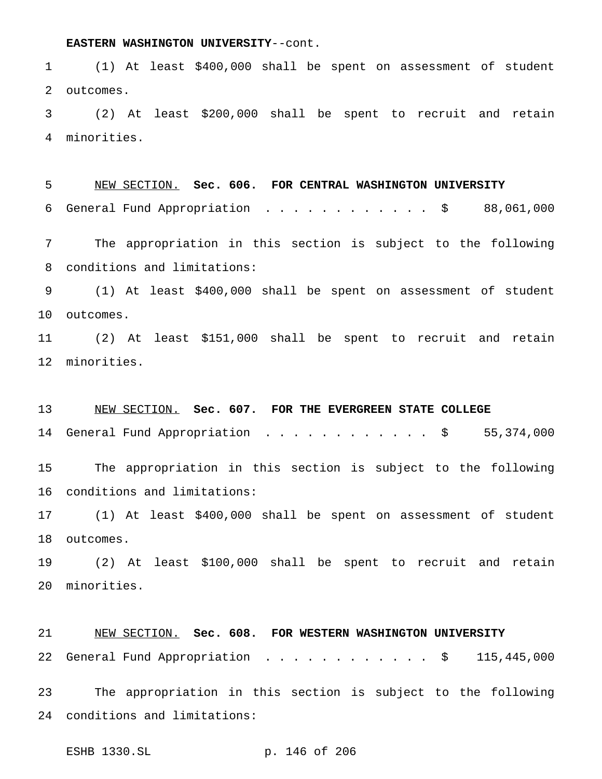#### **EASTERN WASHINGTON UNIVERSITY**--cont.

 (1) At least \$400,000 shall be spent on assessment of student outcomes.

 (2) At least \$200,000 shall be spent to recruit and retain minorities.

 NEW SECTION. **Sec. 606. FOR CENTRAL WASHINGTON UNIVERSITY** General Fund Appropriation ............ \$ 88,061,000

 The appropriation in this section is subject to the following conditions and limitations:

 (1) At least \$400,000 shall be spent on assessment of student outcomes.

 (2) At least \$151,000 shall be spent to recruit and retain minorities.

#### NEW SECTION. **Sec. 607. FOR THE EVERGREEN STATE COLLEGE**

14 General Fund Appropriation . . . . . . . . . . . \$ 55,374,000

 The appropriation in this section is subject to the following conditions and limitations:

 (1) At least \$400,000 shall be spent on assessment of student outcomes.

 (2) At least \$100,000 shall be spent to recruit and retain minorities.

 NEW SECTION. **Sec. 608. FOR WESTERN WASHINGTON UNIVERSITY** 22 General Fund Appropriation . . . . . . . . . . . \$ 115,445,000 The appropriation in this section is subject to the following

conditions and limitations:

ESHB 1330.SL p. 146 of 206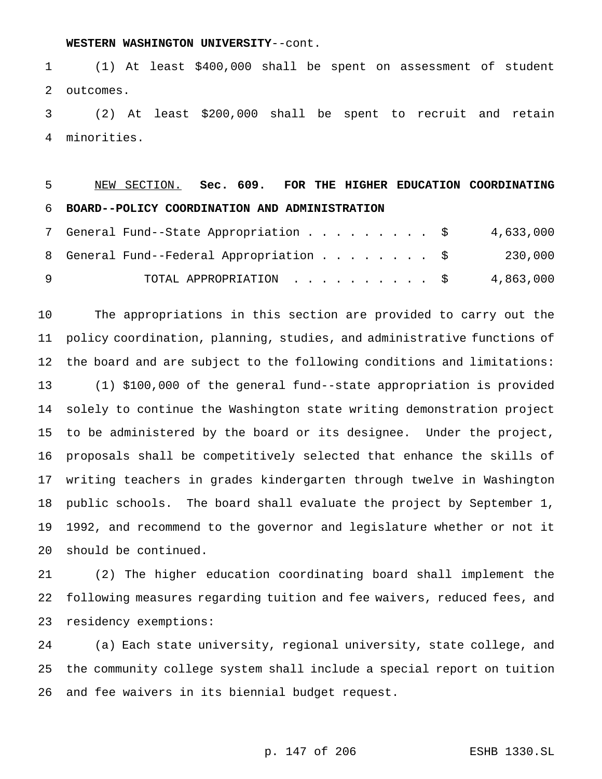#### **WESTERN WASHINGTON UNIVERSITY**--cont.

 (1) At least \$400,000 shall be spent on assessment of student outcomes.

 (2) At least \$200,000 shall be spent to recruit and retain minorities.

## NEW SECTION. **Sec. 609. FOR THE HIGHER EDUCATION COORDINATING BOARD--POLICY COORDINATION AND ADMINISTRATION**

| General Fund--State Appropriation \$                                                     | 4,633,000 |
|------------------------------------------------------------------------------------------|-----------|
| 8 General Fund--Federal Appropriation \$                                                 | 230,000   |
| TOTAL APPROPRIATION $\cdot \cdot \cdot \cdot \cdot \cdot \cdot \cdot \cdot$ \$ 4,863,000 |           |

 The appropriations in this section are provided to carry out the policy coordination, planning, studies, and administrative functions of the board and are subject to the following conditions and limitations: (1) \$100,000 of the general fund--state appropriation is provided solely to continue the Washington state writing demonstration project to be administered by the board or its designee. Under the project, proposals shall be competitively selected that enhance the skills of writing teachers in grades kindergarten through twelve in Washington public schools. The board shall evaluate the project by September 1, 1992, and recommend to the governor and legislature whether or not it should be continued.

 (2) The higher education coordinating board shall implement the following measures regarding tuition and fee waivers, reduced fees, and residency exemptions:

 (a) Each state university, regional university, state college, and the community college system shall include a special report on tuition and fee waivers in its biennial budget request.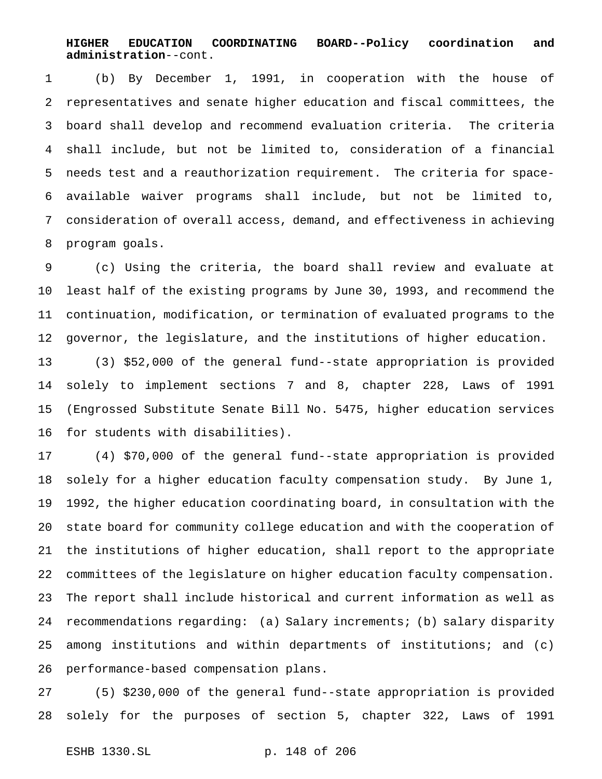### **HIGHER EDUCATION COORDINATING BOARD--Policy coordination and administration**--cont.

 (b) By December 1, 1991, in cooperation with the house of representatives and senate higher education and fiscal committees, the board shall develop and recommend evaluation criteria. The criteria shall include, but not be limited to, consideration of a financial needs test and a reauthorization requirement. The criteria for space- available waiver programs shall include, but not be limited to, consideration of overall access, demand, and effectiveness in achieving program goals.

 (c) Using the criteria, the board shall review and evaluate at least half of the existing programs by June 30, 1993, and recommend the continuation, modification, or termination of evaluated programs to the governor, the legislature, and the institutions of higher education.

 (3) \$52,000 of the general fund--state appropriation is provided solely to implement sections 7 and 8, chapter 228, Laws of 1991 (Engrossed Substitute Senate Bill No. 5475, higher education services for students with disabilities).

 (4) \$70,000 of the general fund--state appropriation is provided solely for a higher education faculty compensation study. By June 1, 1992, the higher education coordinating board, in consultation with the state board for community college education and with the cooperation of the institutions of higher education, shall report to the appropriate committees of the legislature on higher education faculty compensation. The report shall include historical and current information as well as recommendations regarding: (a) Salary increments; (b) salary disparity among institutions and within departments of institutions; and (c) performance-based compensation plans.

 (5) \$230,000 of the general fund--state appropriation is provided solely for the purposes of section 5, chapter 322, Laws of 1991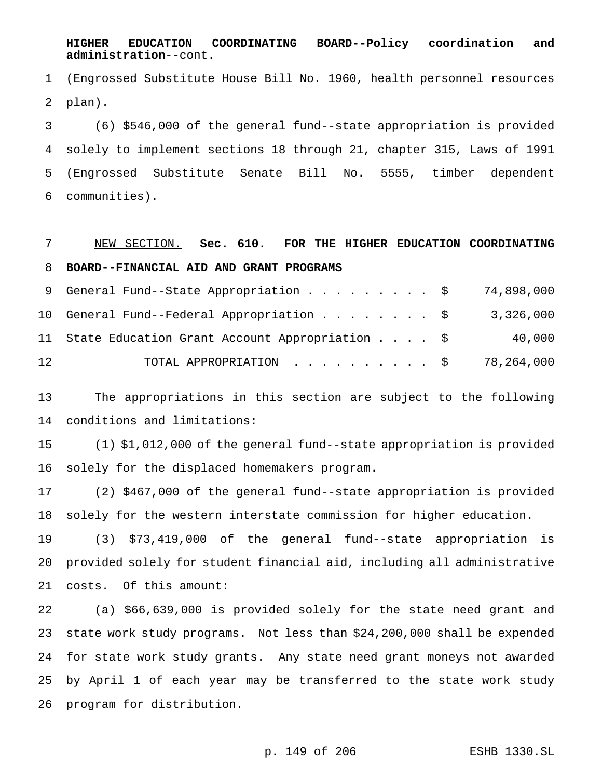**HIGHER EDUCATION COORDINATING BOARD--Policy coordination and administration**--cont.

 (Engrossed Substitute House Bill No. 1960, health personnel resources plan).

 (6) \$546,000 of the general fund--state appropriation is provided solely to implement sections 18 through 21, chapter 315, Laws of 1991 (Engrossed Substitute Senate Bill No. 5555, timber dependent communities).

 NEW SECTION. **Sec. 610. FOR THE HIGHER EDUCATION COORDINATING BOARD--FINANCIAL AID AND GRANT PROGRAMS**

|    | 9 General Fund--State Appropriation \$ 74,898,000   |        |
|----|-----------------------------------------------------|--------|
|    | 10 General Fund--Federal Appropriation \$ 3,326,000 |        |
|    | 11 State Education Grant Account Appropriation \$   | 40,000 |
| 12 | TOTAL APPROPRIATION $\ldots$ , \$ 78,264,000        |        |

 The appropriations in this section are subject to the following conditions and limitations:

 (1) \$1,012,000 of the general fund--state appropriation is provided solely for the displaced homemakers program.

 (2) \$467,000 of the general fund--state appropriation is provided solely for the western interstate commission for higher education.

 (3) \$73,419,000 of the general fund--state appropriation is provided solely for student financial aid, including all administrative costs. Of this amount:

 (a) \$66,639,000 is provided solely for the state need grant and state work study programs. Not less than \$24,200,000 shall be expended for state work study grants. Any state need grant moneys not awarded by April 1 of each year may be transferred to the state work study program for distribution.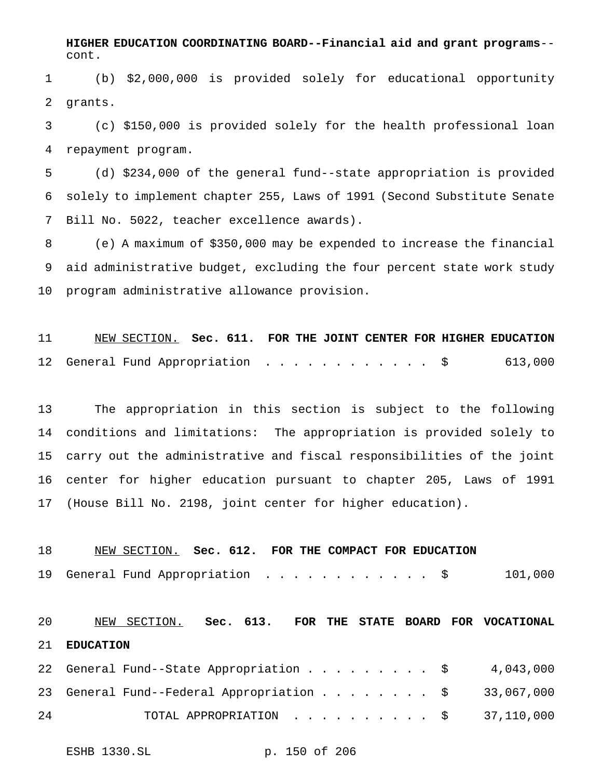**HIGHER EDUCATION COORDINATING BOARD--Financial aid and grant programs**- cont.

 (b) \$2,000,000 is provided solely for educational opportunity grants.

 (c) \$150,000 is provided solely for the health professional loan repayment program.

 (d) \$234,000 of the general fund--state appropriation is provided solely to implement chapter 255, Laws of 1991 (Second Substitute Senate Bill No. 5022, teacher excellence awards).

 (e) A maximum of \$350,000 may be expended to increase the financial aid administrative budget, excluding the four percent state work study program administrative allowance provision.

 NEW SECTION. **Sec. 611. FOR THE JOINT CENTER FOR HIGHER EDUCATION** 12 General Fund Appropriation . . . . . . . . . . . \$ 613,000

 The appropriation in this section is subject to the following conditions and limitations: The appropriation is provided solely to carry out the administrative and fiscal responsibilities of the joint center for higher education pursuant to chapter 205, Laws of 1991 (House Bill No. 2198, joint center for higher education).

 NEW SECTION. **Sec. 612. FOR THE COMPACT FOR EDUCATION** 19 General Fund Appropriation . . . . . . . . . . . \$ 101,000 NEW SECTION. **Sec. 613. FOR THE STATE BOARD FOR VOCATIONAL EDUCATION** 22 General Fund--State Appropriation . . . . . . . . \$ 4,043,000 23 General Fund--Federal Appropriation . . . . . . . \$ 33,067,000 24 TOTAL APPROPRIATION . . . . . . . . . . \$ 37,110,000

ESHB 1330.SL p. 150 of 206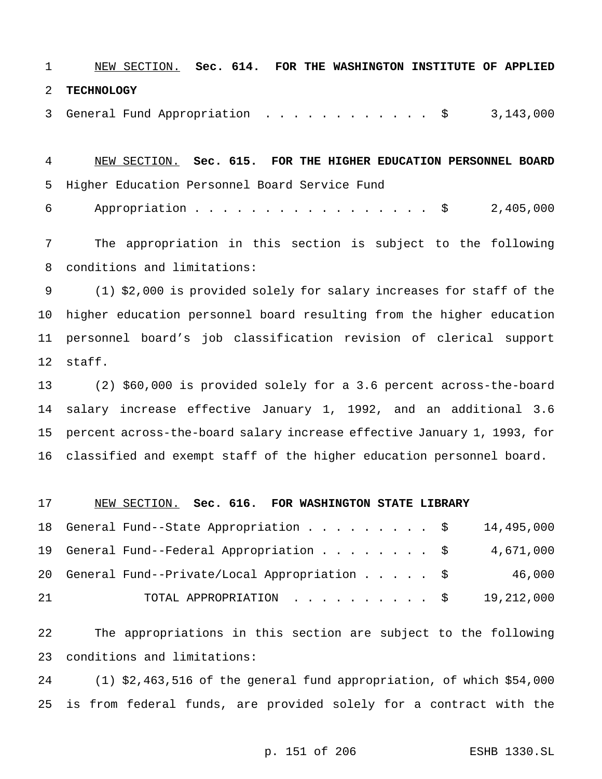NEW SECTION. **Sec. 614. FOR THE WASHINGTON INSTITUTE OF APPLIED TECHNOLOGY**

General Fund Appropriation ............ \$ 3,143,000

 NEW SECTION. **Sec. 615. FOR THE HIGHER EDUCATION PERSONNEL BOARD** Higher Education Personnel Board Service Fund

6 Appropriation . . . . . . . . . . . . . . . . \$ 2,405,000

 The appropriation in this section is subject to the following conditions and limitations:

 (1) \$2,000 is provided solely for salary increases for staff of the higher education personnel board resulting from the higher education personnel board's job classification revision of clerical support staff.

 (2) \$60,000 is provided solely for a 3.6 percent across-the-board salary increase effective January 1, 1992, and an additional 3.6 percent across-the-board salary increase effective January 1, 1993, for classified and exempt staff of the higher education personnel board.

#### NEW SECTION. **Sec. 616. FOR WASHINGTON STATE LIBRARY**

|    | 18 General Fund--State Appropriation \$ 14,495,000 |  |  |  |           |
|----|----------------------------------------------------|--|--|--|-----------|
|    | 19 General Fund--Federal Appropriation \$          |  |  |  | 4,671,000 |
|    | 20 General Fund--Private/Local Appropriation \$    |  |  |  | 46,000    |
| 21 | TOTAL APPROPRIATION $\ldots$ , \$ 19,212,000       |  |  |  |           |

 The appropriations in this section are subject to the following conditions and limitations:

 (1) \$2,463,516 of the general fund appropriation, of which \$54,000 is from federal funds, are provided solely for a contract with the

#### p. 151 of 206 ESHB 1330.SL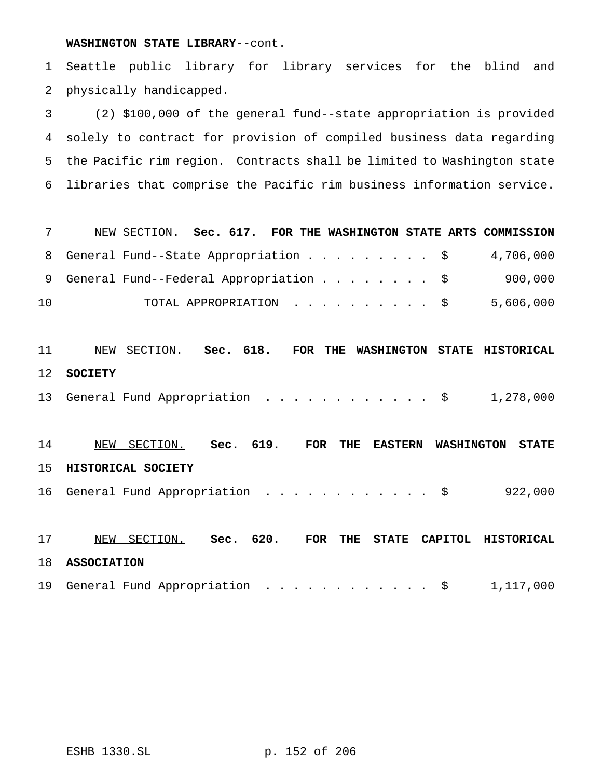**WASHINGTON STATE LIBRARY**--cont.

 Seattle public library for library services for the blind and physically handicapped.

 (2) \$100,000 of the general fund--state appropriation is provided solely to contract for provision of compiled business data regarding the Pacific rim region. Contracts shall be limited to Washington state libraries that comprise the Pacific rim business information service.

| 7  | NEW SECTION. Sec. 617. FOR THE WASHINGTON STATE ARTS COMMISSION                                          |
|----|----------------------------------------------------------------------------------------------------------|
| 8  | General Fund--State Appropriation \$<br>4,706,000                                                        |
| 9  | 900,000<br>General Fund--Federal Appropriation<br>\$                                                     |
| 10 | \$<br>5,606,000<br>TOTAL APPROPRIATION                                                                   |
|    |                                                                                                          |
| 11 | Sec. 618.<br>NEW<br>SECTION.<br><b>FOR</b><br><b>WASHINGTON</b><br>HISTORICAL<br>THE<br><b>STATE</b>     |
| 12 | <b>SOCIETY</b>                                                                                           |
| 13 | 1,278,000<br>General Fund Appropriation<br>- \$                                                          |
|    |                                                                                                          |
| 14 | 619.<br>SECTION. Sec.<br><b>FOR</b><br>NEW<br>THE<br><b>EASTERN</b><br><b>WASHINGTON</b><br><b>STATE</b> |
| 15 | HISTORICAL SOCIETY                                                                                       |
| 16 | General Fund Appropriation<br>922,000<br>\$                                                              |
|    |                                                                                                          |
| 17 | 620.<br>SECTION.<br>Sec.<br><b>FOR</b><br>NEW<br>THE<br><b>STATE</b><br>CAPITOL<br><b>HISTORICAL</b>     |
| 18 | <b>ASSOCIATION</b>                                                                                       |
| 19 | General Fund Appropriation<br>\$<br>1,117,000                                                            |

ESHB 1330.SL p. 152 of 206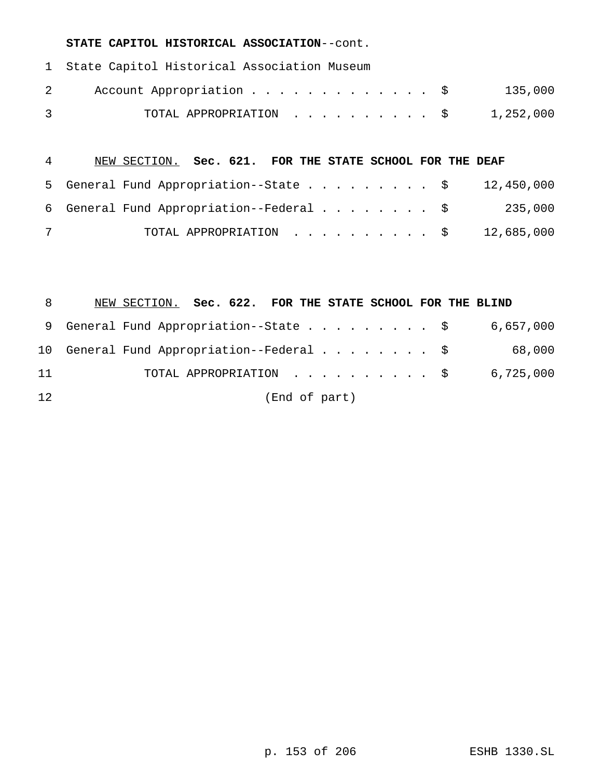**STATE CAPITOL HISTORICAL ASSOCIATION**--cont.

|   | 1 State Capitol Historical Association Museum |  |
|---|-----------------------------------------------|--|
|   | 2 Account Appropriation \$ 135,000            |  |
| 3 | TOTAL APPROPRIATION $\ldots$ , \$ 1,252,000   |  |

## NEW SECTION. **Sec. 621. FOR THE STATE SCHOOL FOR THE DEAF** 5 General Fund Appropriation--State . . . . . . . . \$ 12,450,000

| 6 General Fund Appropriation--Federal \$     | 235,000 |
|----------------------------------------------|---------|
| TOTAL APPROPRIATION $\ldots$ , \$ 12,685,000 |         |

| - 8 | NEW SECTION. Sec. 622. FOR THE STATE SCHOOL FOR THE BLIND |        |
|-----|-----------------------------------------------------------|--------|
|     | 9 General Fund Appropriation--State \$ 6,657,000          |        |
|     | 10 General Fund Appropriation--Federal \$                 | 68,000 |
| 11  | TOTAL APPROPRIATION $\ldots$ , \$ 6,725,000               |        |
| 12  | (End of part)                                             |        |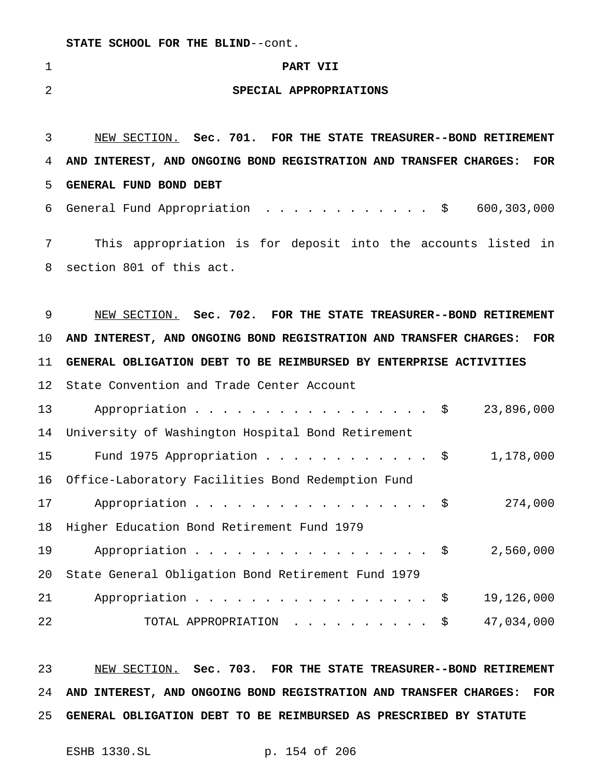**STATE SCHOOL FOR THE BLIND**--cont.

#### **PART VII**

#### **SPECIAL APPROPRIATIONS**

 NEW SECTION. **Sec. 701. FOR THE STATE TREASURER--BOND RETIREMENT AND INTEREST, AND ONGOING BOND REGISTRATION AND TRANSFER CHARGES: FOR GENERAL FUND BOND DEBT** 6 General Fund Appropriation . . . . . . . . . . . \$ 600,303,000 This appropriation is for deposit into the accounts listed in

 NEW SECTION. **Sec. 702. FOR THE STATE TREASURER--BOND RETIREMENT AND INTEREST, AND ONGOING BOND REGISTRATION AND TRANSFER CHARGES: FOR GENERAL OBLIGATION DEBT TO BE REIMBURSED BY ENTERPRISE ACTIVITIES**

State Convention and Trade Center Account

section 801 of this act.

| 13 <sup>7</sup> | Appropriation $\frac{1}{9}$                        | 23,896,000 |
|-----------------|----------------------------------------------------|------------|
| 14              | University of Washington Hospital Bond Retirement  |            |
| 15              | Fund 1975 Appropriation \$                         | 1,178,000  |
| 16              | Office-Laboratory Facilities Bond Redemption Fund  |            |
| 17              | Appropriation \$                                   | 274,000    |
| 18              | Higher Education Bond Retirement Fund 1979         |            |
| 19              | Appropriation $\frac{1}{5}$                        | 2,560,000  |
| 20              | State General Obligation Bond Retirement Fund 1979 |            |
| 21              | Appropriation \$                                   | 19,126,000 |
| 22              | TOTAL APPROPRIATION $\$                            | 47,034,000 |

 NEW SECTION. **Sec. 703. FOR THE STATE TREASURER--BOND RETIREMENT AND INTEREST, AND ONGOING BOND REGISTRATION AND TRANSFER CHARGES: FOR GENERAL OBLIGATION DEBT TO BE REIMBURSED AS PRESCRIBED BY STATUTE**

ESHB 1330.SL p. 154 of 206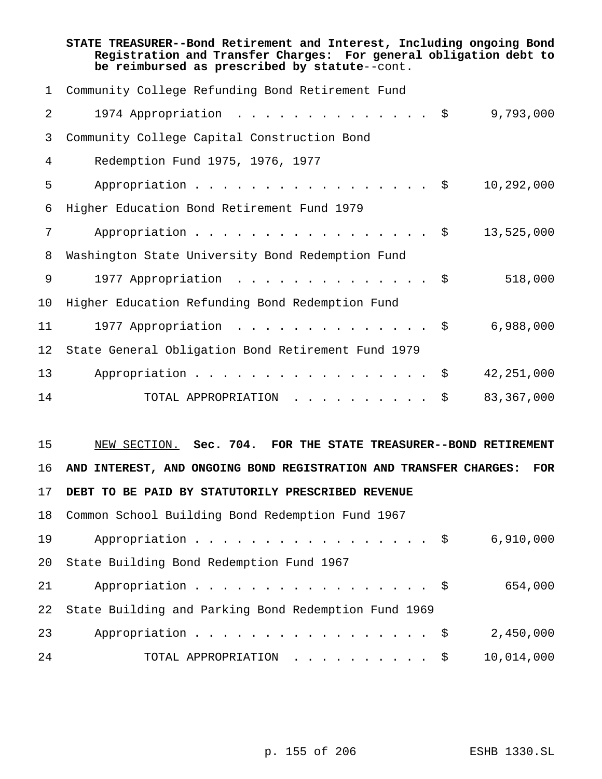**STATE TREASURER--Bond Retirement and Interest, Including ongoing Bond Registration and Transfer Charges: For general obligation debt to be reimbursed as prescribed by statute**--cont. Community College Refunding Bond Retirement Fund 2 1974 Appropriation . . . . . . . . . . . . . \$ 9,793,000 Community College Capital Construction Bond Redemption Fund 1975, 1976, 1977 5 Appropriation . . . . . . . . . . . . . . . \$ 10,292,000

|                 | 6 Higher Education Bond Retirement Fund 1979       |            |
|-----------------|----------------------------------------------------|------------|
| 7               | Appropriation $\frac{5}{9}$                        | 13,525,000 |
| 8               | Washington State University Bond Redemption Fund   |            |
| 9               | 1977 Appropriation \$                              | 518,000    |
| 10              | Higher Education Refunding Bond Redemption Fund    |            |
| 11              | 1977 Appropriation \$                              | 6,988,000  |
| 12 <sub>1</sub> | State General Obligation Bond Retirement Fund 1979 |            |
| 13              | Appropriation \$                                   | 42,251,000 |
| 14              | TOTAL APPROPRIATION \$                             | 83,367,000 |

# NEW SECTION. **Sec. 704. FOR THE STATE TREASURER--BOND RETIREMENT AND INTEREST, AND ONGOING BOND REGISTRATION AND TRANSFER CHARGES: FOR**

### **DEBT TO BE PAID BY STATUTORILY PRESCRIBED REVENUE**

 Common School Building Bond Redemption Fund 1967 19 Appropriation . . . . . . . . . . . . . . . \$ 6,910,000 State Building Bond Redemption Fund 1967 21 Appropriation . . . . . . . . . . . . . . . . \$ 654,000 State Building and Parking Bond Redemption Fund 1969 23 Appropriation . . . . . . . . . . . . . . . . \$ 2,450,000 TOTAL APPROPRIATION .......... \$ 10,014,000

p. 155 of 206 ESHB 1330.SL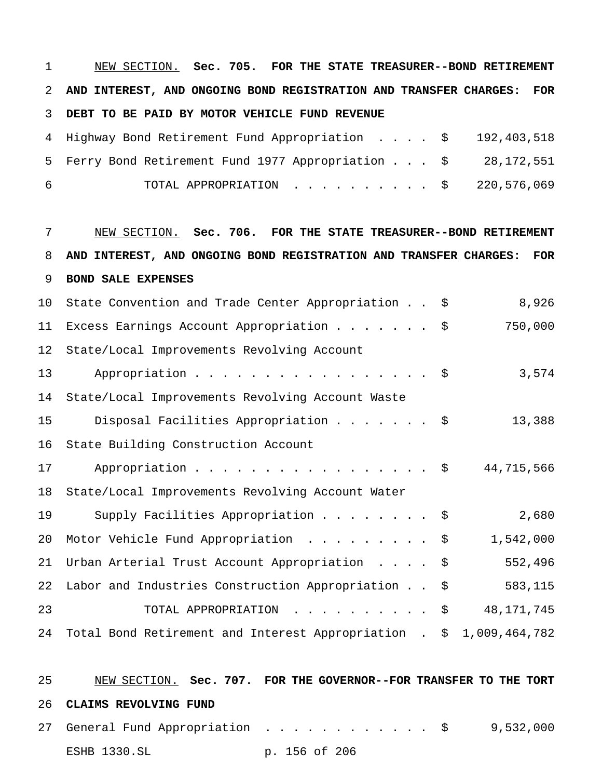NEW SECTION. **Sec. 705. FOR THE STATE TREASURER--BOND RETIREMENT AND INTEREST, AND ONGOING BOND REGISTRATION AND TRANSFER CHARGES: FOR DEBT TO BE PAID BY MOTOR VEHICLE FUND REVENUE** Highway Bond Retirement Fund Appropriation .... \$ 192,403,518

|            | 5 Ferry Bond Retirement Fund 1977 Appropriation \$ 28,172,551 |  |
|------------|---------------------------------------------------------------|--|
| <u>പ്ര</u> | TOTAL APPROPRIATION \$ 220,576,069                            |  |

 NEW SECTION. **Sec. 706. FOR THE STATE TREASURER--BOND RETIREMENT AND INTEREST, AND ONGOING BOND REGISTRATION AND TRANSFER CHARGES: FOR BOND SALE EXPENSES** State Convention and Trade Center Appropriation . . \$ 8,926 Excess Earnings Account Appropriation....... \$ 750,000 State/Local Improvements Revolving Account 13 Appropriation . . . . . . . . . . . . . . . . \$ 3,574 State/Local Improvements Revolving Account Waste 15 Disposal Facilities Appropriation . . . . . . \$ 13,388 State Building Construction Account 17 Appropriation . . . . . . . . . . . . . . . . \$ 44,715,566 State/Local Improvements Revolving Account Water 19 Supply Facilities Appropriation . . . . . . . \$ 2,680 Motor Vehicle Fund Appropriation ......... \$ 1,542,000 Urban Arterial Trust Account Appropriation .... \$ 552,496 Labor and Industries Construction Appropriation . . \$ 583,115 TOTAL APPROPRIATION .......... \$ 48,171,745

Total Bond Retirement and Interest Appropriation . \$ 1,009,464,782

 NEW SECTION. **Sec. 707. FOR THE GOVERNOR--FOR TRANSFER TO THE TORT CLAIMS REVOLVING FUND** General Fund Appropriation ............ \$ 9,532,000

### ESHB 1330.SL p. 156 of 206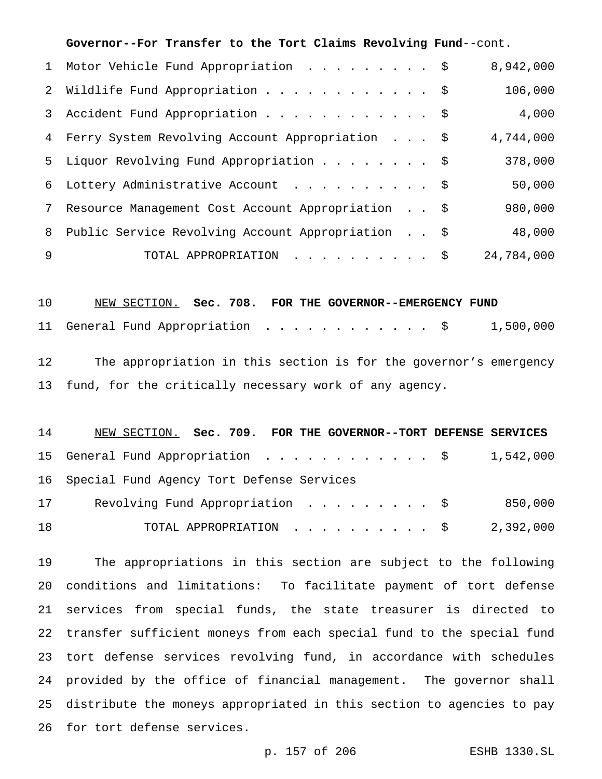|   | Governor--For Transfer to the Tort Claims Revolving Fund--cont. |            |
|---|-----------------------------------------------------------------|------------|
|   | 1 Motor Vehicle Fund Appropriation \$                           | 8,942,000  |
|   | 2 Wildlife Fund Appropriation \$                                | 106,000    |
|   | 3 Accident Fund Appropriation \$                                | 4,000      |
|   | 4 Ferry System Revolving Account Appropriation \$               | 4,744,000  |
|   | 5 Liquor Revolving Fund Appropriation \$                        | 378,000    |
|   | 6 Lottery Administrative Account \$                             | 50,000     |
|   | 7 Resource Management Cost Account Appropriation \$             | 980,000    |
|   | 8 Public Service Revolving Account Appropriation \$             | 48,000     |
| 9 | TOTAL APPROPRIATION $\frac{1}{5}$                               | 24,784,000 |

 NEW SECTION. **Sec. 708. FOR THE GOVERNOR--EMERGENCY FUND** General Fund Appropriation ............ \$ 1,500,000 The appropriation in this section is for the governor's emergency fund, for the critically necessary work of any agency.

| 14 | NEW SECTION. Sec. 709. FOR THE GOVERNOR--TORT DEFENSE SERVICES |         |
|----|----------------------------------------------------------------|---------|
|    | 15 General Fund Appropriation \$ 1,542,000                     |         |
|    | 16 Special Fund Agency Tort Defense Services                   |         |
| 17 | Revolving Fund Appropriation \$                                | 850,000 |
| 18 | TOTAL APPROPRIATION $\ldots$ , \$2,392,000                     |         |

 The appropriations in this section are subject to the following conditions and limitations: To facilitate payment of tort defense services from special funds, the state treasurer is directed to transfer sufficient moneys from each special fund to the special fund tort defense services revolving fund, in accordance with schedules provided by the office of financial management. The governor shall distribute the moneys appropriated in this section to agencies to pay for tort defense services.

p. 157 of 206 ESHB 1330.SL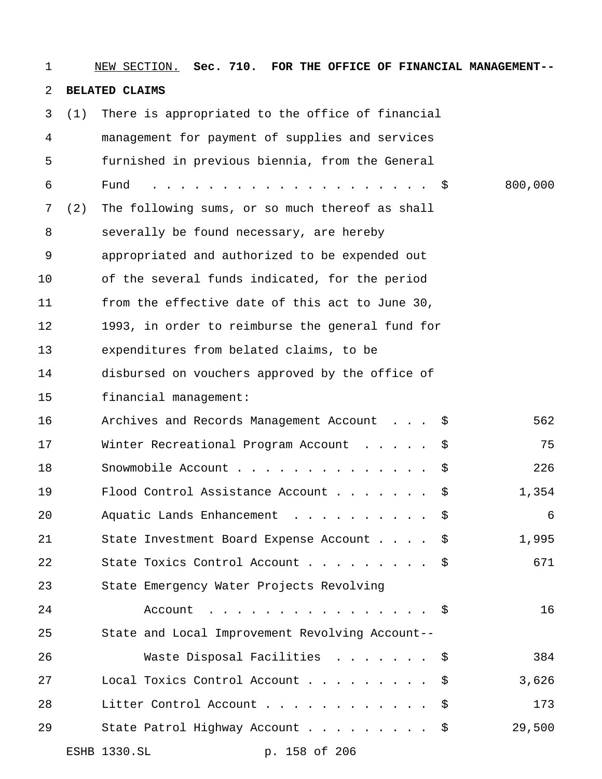| $\mathbf 1$ |                       | NEW SECTION. Sec. 710. FOR THE OFFICE OF FINANCIAL MANAGEMENT-- |               |      |      |         |
|-------------|-----------------------|-----------------------------------------------------------------|---------------|------|------|---------|
| 2           | <b>BELATED CLAIMS</b> |                                                                 |               |      |      |         |
| 3           | (1)                   | There is appropriated to the office of financial                |               |      |      |         |
| 4           |                       | management for payment of supplies and services                 |               |      |      |         |
| 5           |                       | furnished in previous biennia, from the General                 |               |      |      |         |
| 6           | Fund                  |                                                                 |               | . \$ |      | 800,000 |
| 7           | (2)                   | The following sums, or so much thereof as shall                 |               |      |      |         |
| 8           |                       | severally be found necessary, are hereby                        |               |      |      |         |
| 9           |                       | appropriated and authorized to be expended out                  |               |      |      |         |
| 10          |                       | of the several funds indicated, for the period                  |               |      |      |         |
| 11          |                       | from the effective date of this act to June 30,                 |               |      |      |         |
| 12          |                       | 1993, in order to reimburse the general fund for                |               |      |      |         |
| 13          |                       | expenditures from belated claims, to be                         |               |      |      |         |
| 14          |                       | disbursed on vouchers approved by the office of                 |               |      |      |         |
| 15          |                       | financial management:                                           |               |      |      |         |
| 16          |                       | Archives and Records Management Account                         |               |      | \$   | 562     |
| 17          |                       | Winter Recreational Program Account                             |               |      | \$   | 75      |
| 18          |                       | Snowmobile Account                                              |               |      | \$   | 226     |
| 19          |                       | Flood Control Assistance Account                                |               |      | \$   | 1,354   |
| 20          |                       | Aquatic Lands Enhancement \$                                    |               |      |      | 6       |
| 21          |                       | State Investment Board Expense Account \$                       |               |      |      | 1,995   |
| 22          |                       | State Toxics Control Account \$                                 |               |      |      | 671     |
| 23          |                       | State Emergency Water Projects Revolving                        |               |      |      |         |
| 24          |                       | Account $\ldots$ $\frac{1}{5}$                                  |               |      |      | 16      |
| 25          |                       | State and Local Improvement Revolving Account--                 |               |      |      |         |
| 26          |                       | Waste Disposal Facilities \$                                    |               |      |      | 384     |
| 27          |                       | Local Toxics Control Account                                    |               |      | \$   | 3,626   |
| 28          |                       | Litter Control Account \$                                       |               |      |      | 173     |
| 29          |                       | State Patrol Highway Account                                    |               |      | - \$ | 29,500  |
|             | ESHB 1330.SL          |                                                                 | p. 158 of 206 |      |      |         |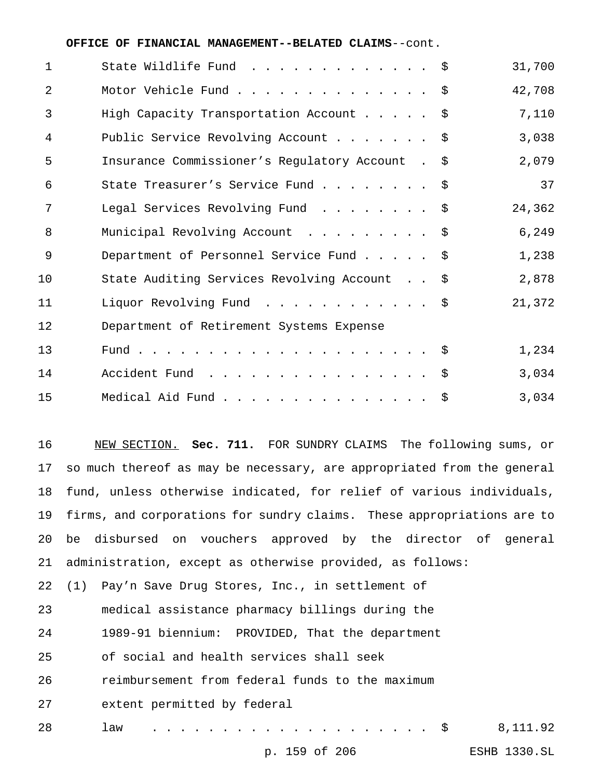#### **OFFICE OF FINANCIAL MANAGEMENT--BELATED CLAIMS**--cont.

| $\mathbf{1}$ | State Wildlife Fund $\frac{1}{5}$                | 31,700 |
|--------------|--------------------------------------------------|--------|
| 2            | Motor Vehicle Fund \$                            | 42,708 |
| 3            | High Capacity Transportation Account \$          | 7,110  |
| 4            | Public Service Revolving Account \$              | 3,038  |
| 5            | Insurance Commissioner's Regulatory Account . \$ | 2,079  |
| 6            | State Treasurer's Service Fund \$                | 37     |
| 7            | Legal Services Revolving Fund \$                 | 24,362 |
| 8            | Municipal Revolving Account \$                   | 6,249  |
| 9            | Department of Personnel Service Fund \$          | 1,238  |
| 10           | State Auditing Services Revolving Account \$     | 2,878  |
| 11           | Liquor Revolving Fund \$                         | 21,372 |
| 12           | Department of Retirement Systems Expense         |        |
| 13           |                                                  | 1,234  |
| 14           | Accident Fund \$                                 | 3,034  |
| 15           | Medical Aid Fund $\frac{1}{5}$                   | 3,034  |

 NEW SECTION. **Sec. 711.** FOR SUNDRY CLAIMS The following sums, or so much thereof as may be necessary, are appropriated from the general fund, unless otherwise indicated, for relief of various individuals, firms, and corporations for sundry claims. These appropriations are to be disbursed on vouchers approved by the director of general administration, except as otherwise provided, as follows:

(1) Pay'n Save Drug Stores, Inc., in settlement of

medical assistance pharmacy billings during the

1989-91 biennium: PROVIDED, That the department

of social and health services shall seek

reimbursement from federal funds to the maximum

extent permitted by federal

law . . . . . . . . . . . . . . . . . . . . \$ 8,111.92

p. 159 of 206 ESHB 1330.SL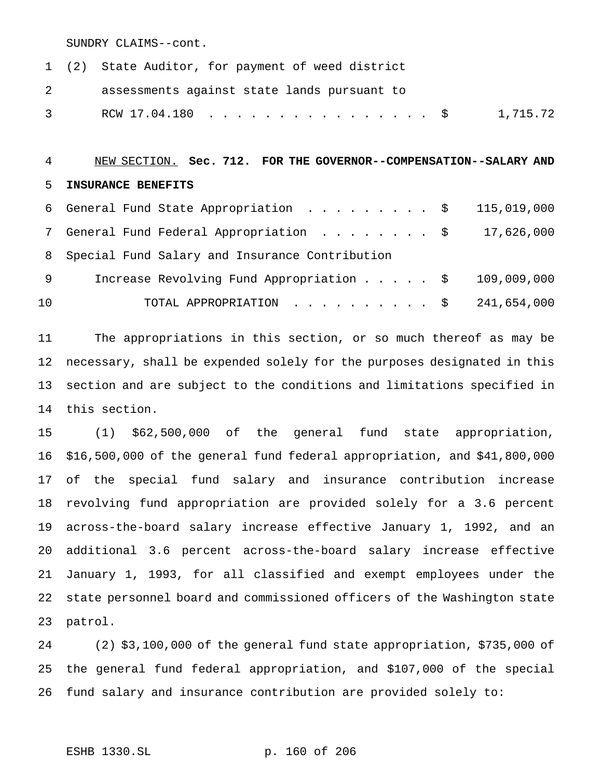SUNDRY CLAIMS--cont.

|  | 1 (2) State Auditor, for payment of weed district |  |
|--|---------------------------------------------------|--|
|  | 2 assessments against state lands pursuant to     |  |
|  | 3 RCW 17.04.180 \$ 1,715.72                       |  |

## NEW SECTION. **Sec. 712. FOR THE GOVERNOR--COMPENSATION--SALARY AND INSURANCE BENEFITS**

|     | 6 General Fund State Appropriation \$ 115,019,000    |  |
|-----|------------------------------------------------------|--|
|     | 7 General Fund Federal Appropriation \$ 17,626,000   |  |
|     | 8 Special Fund Salary and Insurance Contribution     |  |
| - 9 | Increase Revolving Fund Appropriation \$ 109,009,000 |  |
| 10  | TOTAL APPROPRIATION $\ldots$ , \$ 241,654,000        |  |

 The appropriations in this section, or so much thereof as may be necessary, shall be expended solely for the purposes designated in this section and are subject to the conditions and limitations specified in this section.

 (1) \$62,500,000 of the general fund state appropriation, \$16,500,000 of the general fund federal appropriation, and \$41,800,000 of the special fund salary and insurance contribution increase revolving fund appropriation are provided solely for a 3.6 percent across-the-board salary increase effective January 1, 1992, and an additional 3.6 percent across-the-board salary increase effective January 1, 1993, for all classified and exempt employees under the state personnel board and commissioned officers of the Washington state patrol.

 (2) \$3,100,000 of the general fund state appropriation, \$735,000 of the general fund federal appropriation, and \$107,000 of the special fund salary and insurance contribution are provided solely to:

```
ESHB 1330.SL p. 160 of 206
```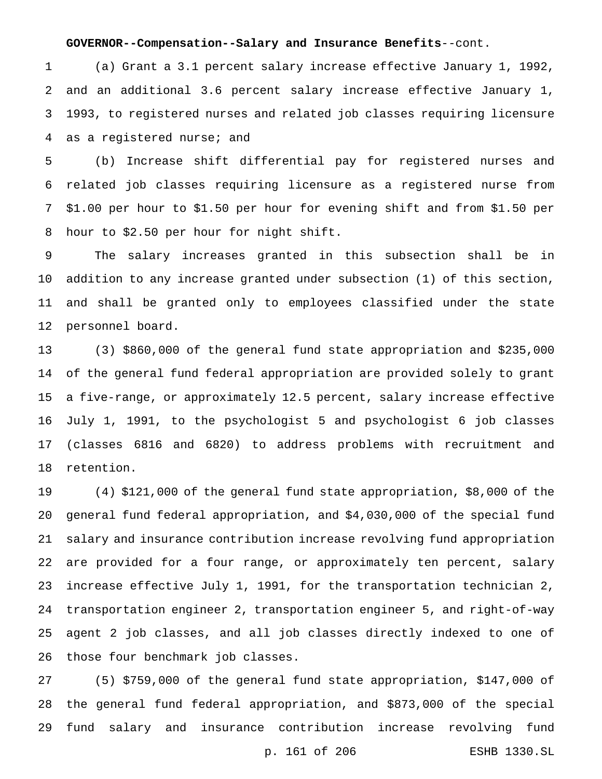#### **GOVERNOR--Compensation--Salary and Insurance Benefits**--cont.

 (a) Grant a 3.1 percent salary increase effective January 1, 1992, and an additional 3.6 percent salary increase effective January 1, 1993, to registered nurses and related job classes requiring licensure as a registered nurse; and

 (b) Increase shift differential pay for registered nurses and related job classes requiring licensure as a registered nurse from \$1.00 per hour to \$1.50 per hour for evening shift and from \$1.50 per hour to \$2.50 per hour for night shift.

 The salary increases granted in this subsection shall be in addition to any increase granted under subsection (1) of this section, and shall be granted only to employees classified under the state personnel board.

 (3) \$860,000 of the general fund state appropriation and \$235,000 of the general fund federal appropriation are provided solely to grant a five-range, or approximately 12.5 percent, salary increase effective July 1, 1991, to the psychologist 5 and psychologist 6 job classes (classes 6816 and 6820) to address problems with recruitment and retention.

 (4) \$121,000 of the general fund state appropriation, \$8,000 of the general fund federal appropriation, and \$4,030,000 of the special fund salary and insurance contribution increase revolving fund appropriation are provided for a four range, or approximately ten percent, salary increase effective July 1, 1991, for the transportation technician 2, transportation engineer 2, transportation engineer 5, and right-of-way agent 2 job classes, and all job classes directly indexed to one of those four benchmark job classes.

 (5) \$759,000 of the general fund state appropriation, \$147,000 of the general fund federal appropriation, and \$873,000 of the special fund salary and insurance contribution increase revolving fund p. 161 of 206 ESHB 1330.SL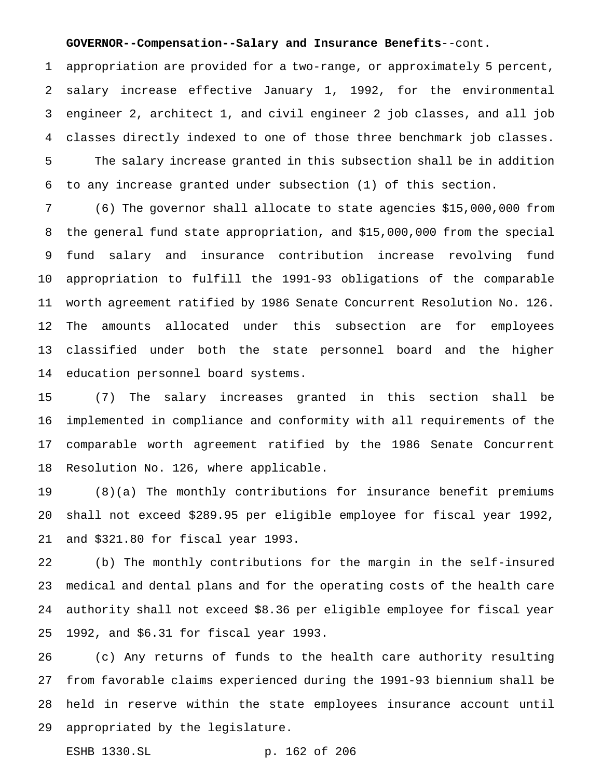### **GOVERNOR--Compensation--Salary and Insurance Benefits**--cont.

 appropriation are provided for a two-range, or approximately 5 percent, salary increase effective January 1, 1992, for the environmental engineer 2, architect 1, and civil engineer 2 job classes, and all job classes directly indexed to one of those three benchmark job classes. The salary increase granted in this subsection shall be in addition to any increase granted under subsection (1) of this section.

 (6) The governor shall allocate to state agencies \$15,000,000 from the general fund state appropriation, and \$15,000,000 from the special fund salary and insurance contribution increase revolving fund appropriation to fulfill the 1991-93 obligations of the comparable worth agreement ratified by 1986 Senate Concurrent Resolution No. 126. The amounts allocated under this subsection are for employees classified under both the state personnel board and the higher education personnel board systems.

 (7) The salary increases granted in this section shall be implemented in compliance and conformity with all requirements of the comparable worth agreement ratified by the 1986 Senate Concurrent Resolution No. 126, where applicable.

 (8)(a) The monthly contributions for insurance benefit premiums shall not exceed \$289.95 per eligible employee for fiscal year 1992, and \$321.80 for fiscal year 1993.

 (b) The monthly contributions for the margin in the self-insured medical and dental plans and for the operating costs of the health care authority shall not exceed \$8.36 per eligible employee for fiscal year 1992, and \$6.31 for fiscal year 1993.

 (c) Any returns of funds to the health care authority resulting from favorable claims experienced during the 1991-93 biennium shall be held in reserve within the state employees insurance account until appropriated by the legislature.

ESHB 1330.SL p. 162 of 206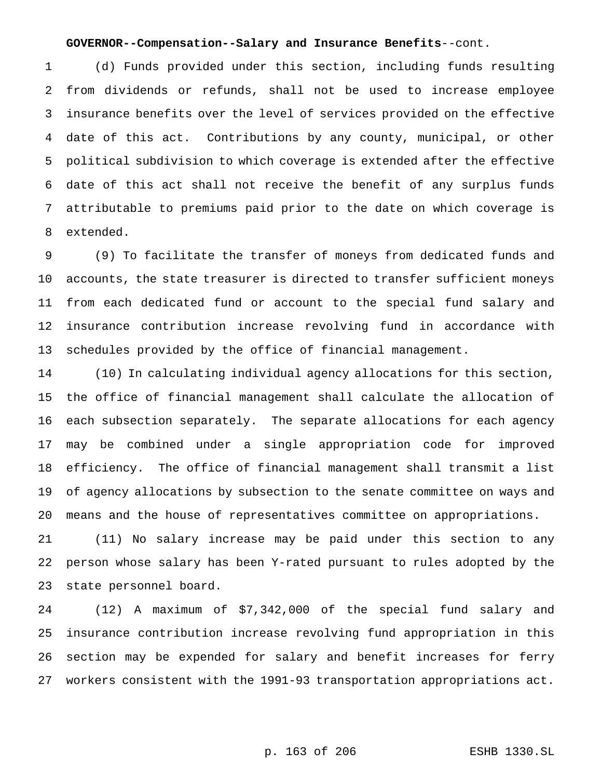#### **GOVERNOR--Compensation--Salary and Insurance Benefits**--cont.

 (d) Funds provided under this section, including funds resulting from dividends or refunds, shall not be used to increase employee insurance benefits over the level of services provided on the effective date of this act. Contributions by any county, municipal, or other political subdivision to which coverage is extended after the effective date of this act shall not receive the benefit of any surplus funds attributable to premiums paid prior to the date on which coverage is extended.

 (9) To facilitate the transfer of moneys from dedicated funds and accounts, the state treasurer is directed to transfer sufficient moneys from each dedicated fund or account to the special fund salary and insurance contribution increase revolving fund in accordance with schedules provided by the office of financial management.

 (10) In calculating individual agency allocations for this section, the office of financial management shall calculate the allocation of each subsection separately. The separate allocations for each agency may be combined under a single appropriation code for improved efficiency. The office of financial management shall transmit a list of agency allocations by subsection to the senate committee on ways and means and the house of representatives committee on appropriations.

 (11) No salary increase may be paid under this section to any person whose salary has been Y-rated pursuant to rules adopted by the state personnel board.

 (12) A maximum of \$7,342,000 of the special fund salary and insurance contribution increase revolving fund appropriation in this section may be expended for salary and benefit increases for ferry workers consistent with the 1991-93 transportation appropriations act.

#### p. 163 of 206 ESHB 1330.SL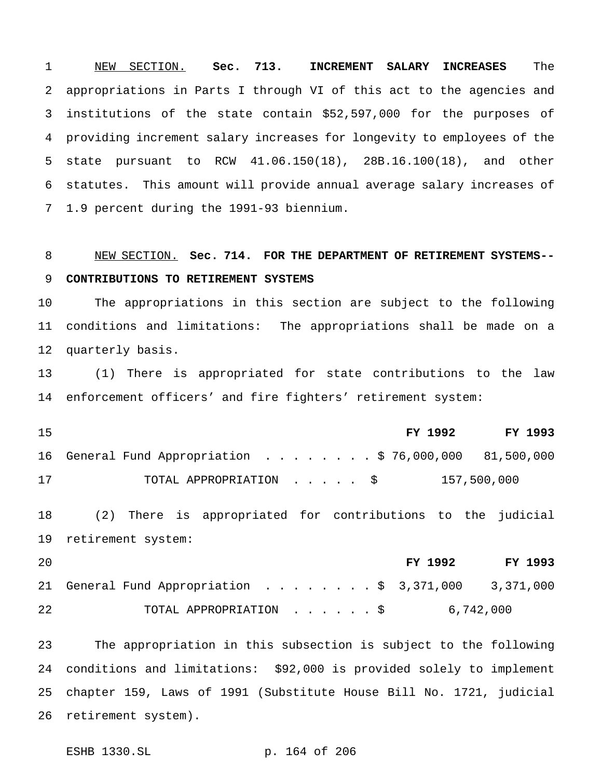NEW SECTION. **Sec. 713. INCREMENT SALARY INCREASES** The appropriations in Parts I through VI of this act to the agencies and institutions of the state contain \$52,597,000 for the purposes of providing increment salary increases for longevity to employees of the state pursuant to RCW 41.06.150(18), 28B.16.100(18), and other statutes. This amount will provide annual average salary increases of 1.9 percent during the 1991-93 biennium.

## NEW SECTION. **Sec. 714. FOR THE DEPARTMENT OF RETIREMENT SYSTEMS-- CONTRIBUTIONS TO RETIREMENT SYSTEMS**

 The appropriations in this section are subject to the following conditions and limitations: The appropriations shall be made on a quarterly basis.

 (1) There is appropriated for state contributions to the law enforcement officers' and fire fighters' retirement system:

| 15 |                                                        | FY 1992 | FY 1993     |
|----|--------------------------------------------------------|---------|-------------|
|    | 16 General Fund Appropriation \$ 76,000,000 81,500,000 |         |             |
| 17 | TOTAL APPROPRIATION \$                                 |         | 157,500,000 |

 (2) There is appropriated for contributions to the judicial retirement system:

| 20 |                                                      | FY 1992   | FY 1993 |
|----|------------------------------------------------------|-----------|---------|
|    | 21 General Fund Appropriation \$ 3,371,000 3,371,000 |           |         |
| 22 | TOTAL APPROPRIATION \$                               | 6,742,000 |         |

 The appropriation in this subsection is subject to the following conditions and limitations: \$92,000 is provided solely to implement chapter 159, Laws of 1991 (Substitute House Bill No. 1721, judicial retirement system).

ESHB 1330.SL p. 164 of 206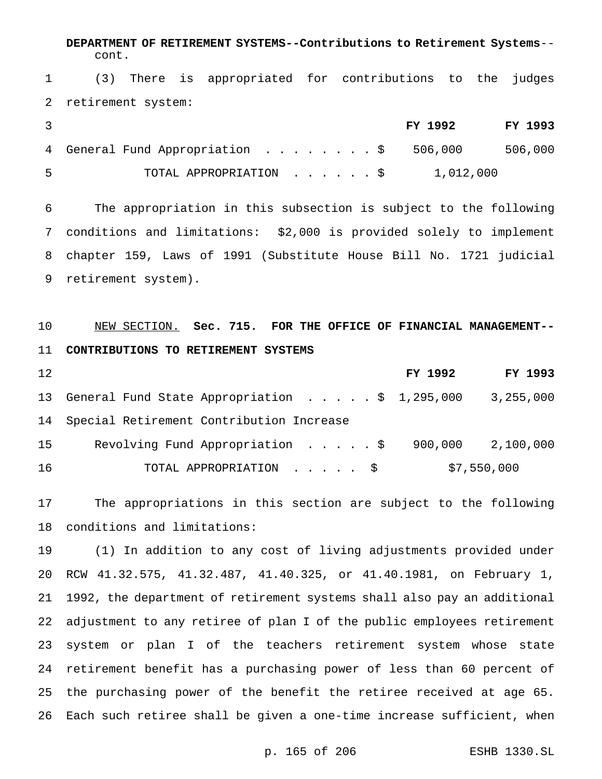**DEPARTMENT OF RETIREMENT SYSTEMS--Contributions to Retirement Systems**- cont.

 (3) There is appropriated for contributions to the judges retirement system:

|    |                                         |  |  |  | FY 1992   | <b>FY 1993</b> |
|----|-----------------------------------------|--|--|--|-----------|----------------|
|    | 4 General Fund Appropriation \$ 506,000 |  |  |  |           | 506,000        |
| Б. | TOTAL APPROPRIATION \$                  |  |  |  | 1,012,000 |                |

 The appropriation in this subsection is subject to the following conditions and limitations: \$2,000 is provided solely to implement chapter 159, Laws of 1991 (Substitute House Bill No. 1721 judicial retirement system).

## NEW SECTION. **Sec. 715. FOR THE OFFICE OF FINANCIAL MANAGEMENT-- CONTRIBUTIONS TO RETIREMENT SYSTEMS**

| 12 |                                                  | FY 1992           | FY 1993   |
|----|--------------------------------------------------|-------------------|-----------|
|    | 13 General Fund State Appropriation \$ 1,295,000 |                   | 3,255,000 |
|    | 14 Special Retirement Contribution Increase      |                   |           |
| 15 | Revolving Fund Appropriation \$                  | 900,000 2,100,000 |           |
| 16 | TOTAL APPROPRIATION \$                           | \$7,550,000       |           |

 The appropriations in this section are subject to the following conditions and limitations:

 (1) In addition to any cost of living adjustments provided under RCW 41.32.575, 41.32.487, 41.40.325, or 41.40.1981, on February 1, 1992, the department of retirement systems shall also pay an additional adjustment to any retiree of plan I of the public employees retirement system or plan I of the teachers retirement system whose state retirement benefit has a purchasing power of less than 60 percent of the purchasing power of the benefit the retiree received at age 65. Each such retiree shall be given a one-time increase sufficient, when

p. 165 of 206 ESHB 1330.SL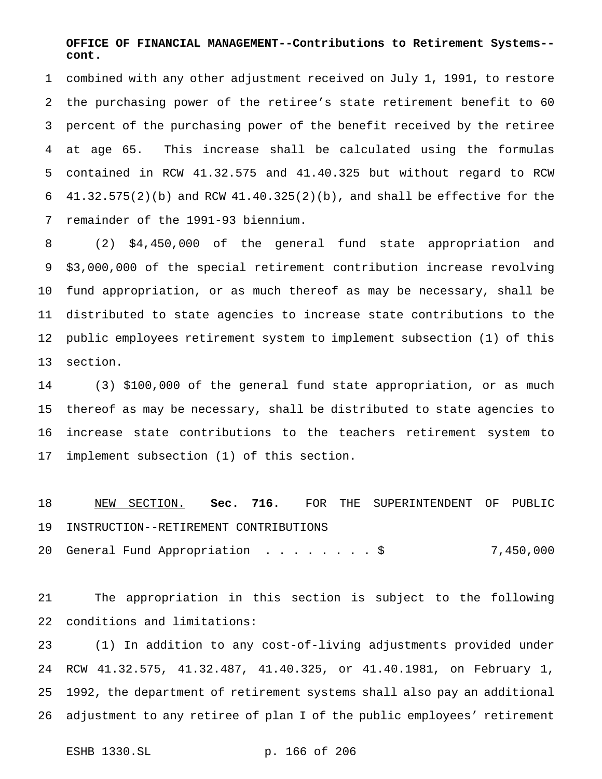### **OFFICE OF FINANCIAL MANAGEMENT--Contributions to Retirement Systems- cont.**

 combined with any other adjustment received on July 1, 1991, to restore the purchasing power of the retiree's state retirement benefit to 60 percent of the purchasing power of the benefit received by the retiree at age 65. This increase shall be calculated using the formulas contained in RCW 41.32.575 and 41.40.325 but without regard to RCW  $41.32.575(2)(b)$  and RCW  $41.40.325(2)(b)$ , and shall be effective for the remainder of the 1991-93 biennium.

 (2) \$4,450,000 of the general fund state appropriation and \$3,000,000 of the special retirement contribution increase revolving fund appropriation, or as much thereof as may be necessary, shall be distributed to state agencies to increase state contributions to the public employees retirement system to implement subsection (1) of this section.

 (3) \$100,000 of the general fund state appropriation, or as much thereof as may be necessary, shall be distributed to state agencies to increase state contributions to the teachers retirement system to implement subsection (1) of this section.

 NEW SECTION. **Sec. 716.** FOR THE SUPERINTENDENT OF PUBLIC INSTRUCTION--RETIREMENT CONTRIBUTIONS

20 General Fund Appropriation . . . . . . . \$ 7,450,000

 The appropriation in this section is subject to the following conditions and limitations:

 (1) In addition to any cost-of-living adjustments provided under RCW 41.32.575, 41.32.487, 41.40.325, or 41.40.1981, on February 1, 1992, the department of retirement systems shall also pay an additional adjustment to any retiree of plan I of the public employees' retirement

```
ESHB 1330.SL p. 166 of 206
```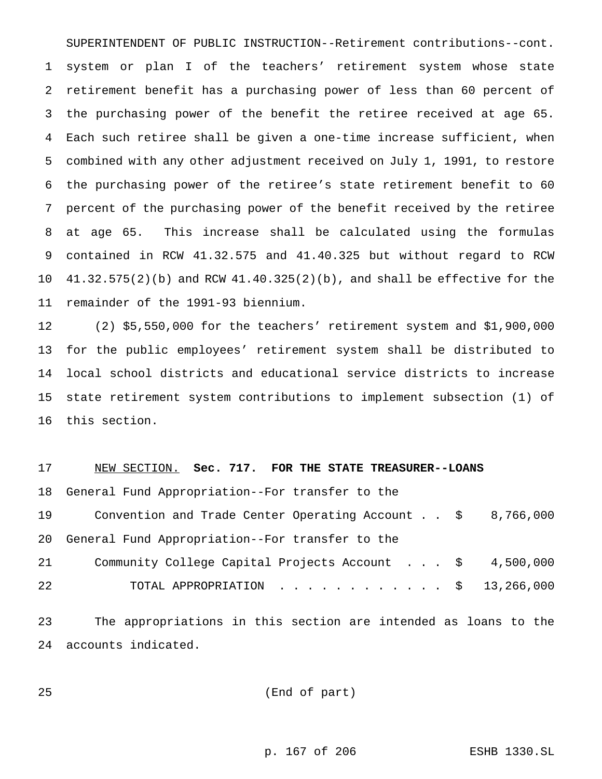SUPERINTENDENT OF PUBLIC INSTRUCTION--Retirement contributions--cont. system or plan I of the teachers' retirement system whose state retirement benefit has a purchasing power of less than 60 percent of the purchasing power of the benefit the retiree received at age 65. Each such retiree shall be given a one-time increase sufficient, when combined with any other adjustment received on July 1, 1991, to restore the purchasing power of the retiree's state retirement benefit to 60 percent of the purchasing power of the benefit received by the retiree at age 65. This increase shall be calculated using the formulas contained in RCW 41.32.575 and 41.40.325 but without regard to RCW 41.32.575(2)(b) and RCW 41.40.325(2)(b), and shall be effective for the remainder of the 1991-93 biennium.

 (2) \$5,550,000 for the teachers' retirement system and \$1,900,000 for the public employees' retirement system shall be distributed to local school districts and educational service districts to increase state retirement system contributions to implement subsection (1) of this section.

#### NEW SECTION. **Sec. 717. FOR THE STATE TREASURER--LOANS**

General Fund Appropriation--For transfer to the

 Convention and Trade Center Operating Account . . \$ 8,766,000 General Fund Appropriation--For transfer to the

 Community College Capital Projects Account . . . \$ 4,500,000 TOTAL APPROPRIATION ............ \$ 13,266,000

 The appropriations in this section are intended as loans to the accounts indicated.

(End of part)

p. 167 of 206 ESHB 1330.SL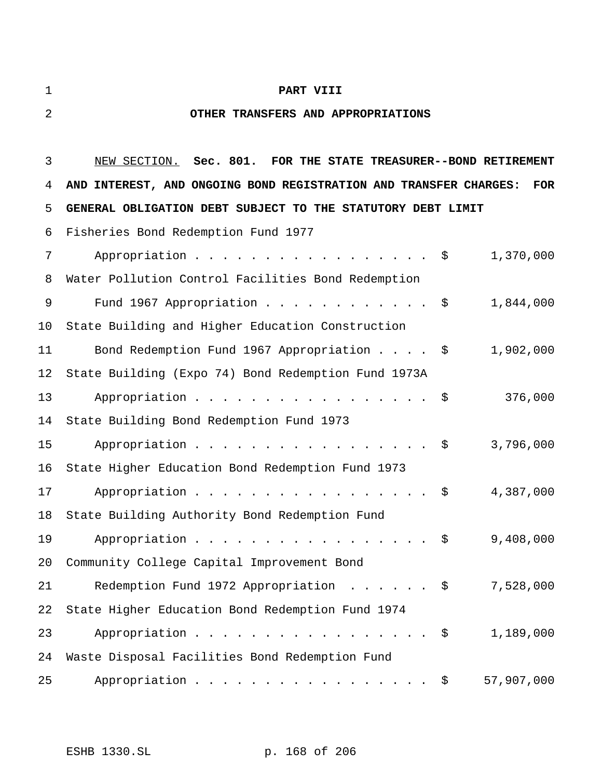#### **PART VIII**

#### **OTHER TRANSFERS AND APPROPRIATIONS**

 NEW SECTION. **Sec. 801. FOR THE STATE TREASURER--BOND RETIREMENT AND INTEREST, AND ONGOING BOND REGISTRATION AND TRANSFER CHARGES: FOR GENERAL OBLIGATION DEBT SUBJECT TO THE STATUTORY DEBT LIMIT** Fisheries Bond Redemption Fund 1977 7 Appropriation . . . . . . . . . . . . . . . \$ 1,370,000 Water Pollution Control Facilities Bond Redemption 9 Fund 1967 Appropriation . . . . . . . . . . . \$ 1,844,000 State Building and Higher Education Construction Bond Redemption Fund 1967 Appropriation.... \$ 1,902,000 State Building (Expo 74) Bond Redemption Fund 1973A 13 Appropriation . . . . . . . . . . . . . . . . \$ 376,000 State Building Bond Redemption Fund 1973 15 Appropriation . . . . . . . . . . . . . . . \$ 3,796,000 State Higher Education Bond Redemption Fund 1973 17 Appropriation . . . . . . . . . . . . . . . . \$ 4,387,000 State Building Authority Bond Redemption Fund Appropriation................. \$ 9,408,000 Community College Capital Improvement Bond Redemption Fund 1972 Appropriation ...... \$ 7,528,000 State Higher Education Bond Redemption Fund 1974 23 Appropriation . . . . . . . . . . . . . . . \$ 1,189,000 Waste Disposal Facilities Bond Redemption Fund 25 Appropriation . . . . . . . . . . . . . . . . \$ 57,907,000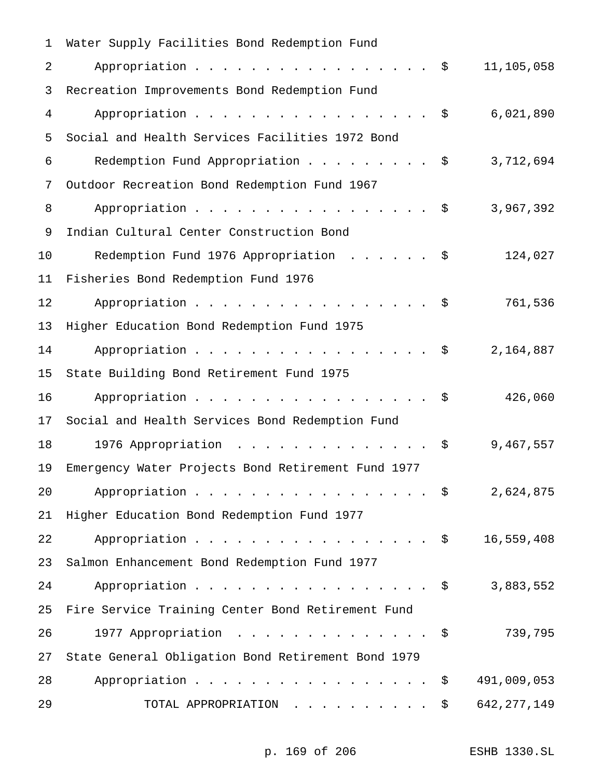| 1  | Water Supply Facilities Bond Redemption Fund       |      |               |
|----|----------------------------------------------------|------|---------------|
| 2  | Appropriation                                      | \$   | 11,105,058    |
| 3  | Recreation Improvements Bond Redemption Fund       |      |               |
| 4  | Appropriation                                      | - \$ | 6,021,890     |
| 5  | Social and Health Services Facilities 1972 Bond    |      |               |
| 6  | Redemption Fund Appropriation                      | - \$ | 3,712,694     |
| 7  | Outdoor Recreation Bond Redemption Fund 1967       |      |               |
| 8  | Appropriation                                      | - \$ | 3,967,392     |
| 9  | Indian Cultural Center Construction Bond           |      |               |
| 10 | Redemption Fund 1976 Appropriation                 | \$   | 124,027       |
| 11 | Fisheries Bond Redemption Fund 1976                |      |               |
| 12 | Appropriation                                      | - \$ | 761,536       |
| 13 | Higher Education Bond Redemption Fund 1975         |      |               |
| 14 | Appropriation $\frac{1}{5}$                        |      | 2,164,887     |
| 15 | State Building Bond Retirement Fund 1975           |      |               |
| 16 | Appropriation                                      | - \$ | 426,060       |
| 17 | Social and Health Services Bond Redemption Fund    |      |               |
| 18 | 1976 Appropriation                                 | \$   | 9,467,557     |
| 19 | Emergency Water Projects Bond Retirement Fund 1977 |      |               |
| 20 | Appropriation $\frac{1}{5}$                        |      | 2,624,875     |
| 21 | Higher Education Bond Redemption Fund 1977         |      |               |
| 22 | Appropriation $\frac{1}{5}$                        |      | 16,559,408    |
| 23 | Salmon Enhancement Bond Redemption Fund 1977       |      |               |
| 24 | Appropriation $\frac{1}{2}$                        |      | 3,883,552     |
| 25 | Fire Service Training Center Bond Retirement Fund  |      |               |
| 26 | 1977 Appropriation \$                              |      | 739,795       |
| 27 | State General Obligation Bond Retirement Bond 1979 |      |               |
| 28 | Appropriation \$                                   |      | 491,009,053   |
| 29 | TOTAL APPROPRIATION                                | \$   | 642, 277, 149 |

p. 169 of 206 ESHB 1330.SL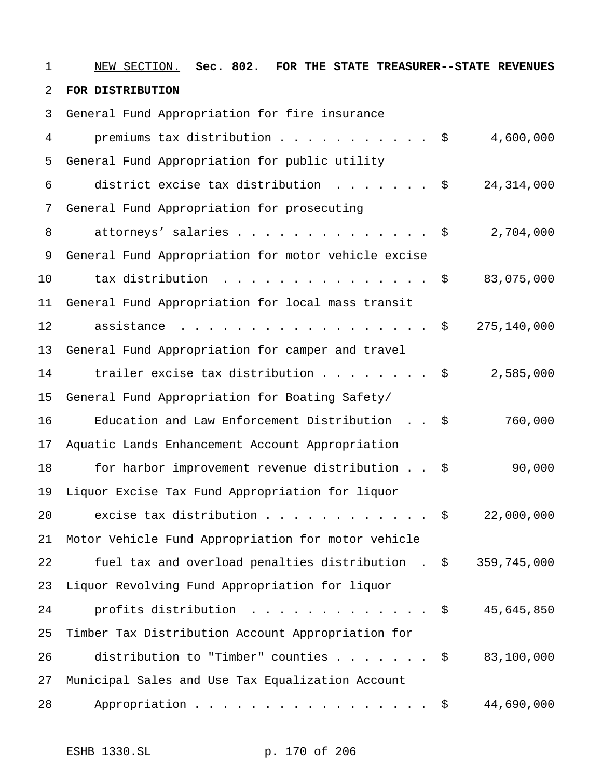| 1  | NEW SECTION. Sec. 802. FOR THE STATE TREASURER--STATE REVENUES |      |              |
|----|----------------------------------------------------------------|------|--------------|
| 2  | FOR DISTRIBUTION                                               |      |              |
| 3  | General Fund Appropriation for fire insurance                  |      |              |
| 4  | premiums tax distribution \$                                   |      | 4,600,000    |
| 5  | General Fund Appropriation for public utility                  |      |              |
| 6  | district excise tax distribution $\frac{1}{9}$                 |      | 24, 314, 000 |
| 7  | General Fund Appropriation for prosecuting                     |      |              |
| 8  | attorneys' salaries \$                                         |      | 2,704,000    |
| 9  | General Fund Appropriation for motor vehicle excise            |      |              |
| 10 | tax distribution $\frac{1}{2}$                                 |      | 83,075,000   |
| 11 | General Fund Appropriation for local mass transit              |      |              |
| 12 | assistance $\cdots$ $\frac{1}{2}$                              |      | 275,140,000  |
| 13 | General Fund Appropriation for camper and travel               |      |              |
| 14 | trailer excise tax distribution \$                             |      | 2,585,000    |
| 15 | General Fund Appropriation for Boating Safety/                 |      |              |
| 16 | Education and Law Enforcement Distribution $\frac{1}{2}$       |      | 760,000      |
| 17 | Aquatic Lands Enhancement Account Appropriation                |      |              |
| 18 | for harbor improvement revenue distribution $\phi$             |      | 90,000       |
| 19 | Liquor Excise Tax Fund Appropriation for liquor                |      |              |
| 20 | excise tax distribution $\frac{1}{5}$                          |      | 22,000,000   |
| 21 | Motor Vehicle Fund Appropriation for motor vehicle             |      |              |
| 22 | fuel tax and overload penalties distribution . \$              |      | 359,745,000  |
| 23 | Liquor Revolving Fund Appropriation for liquor                 |      |              |
| 24 | profits distribution                                           | - \$ | 45,645,850   |
| 25 | Timber Tax Distribution Account Appropriation for              |      |              |
| 26 | distribution to "Timber" counties \$                           |      | 83,100,000   |
| 27 | Municipal Sales and Use Tax Equalization Account               |      |              |
| 28 | Appropriation                                                  | \$   | 44,690,000   |

ESHB 1330.SL p. 170 of 206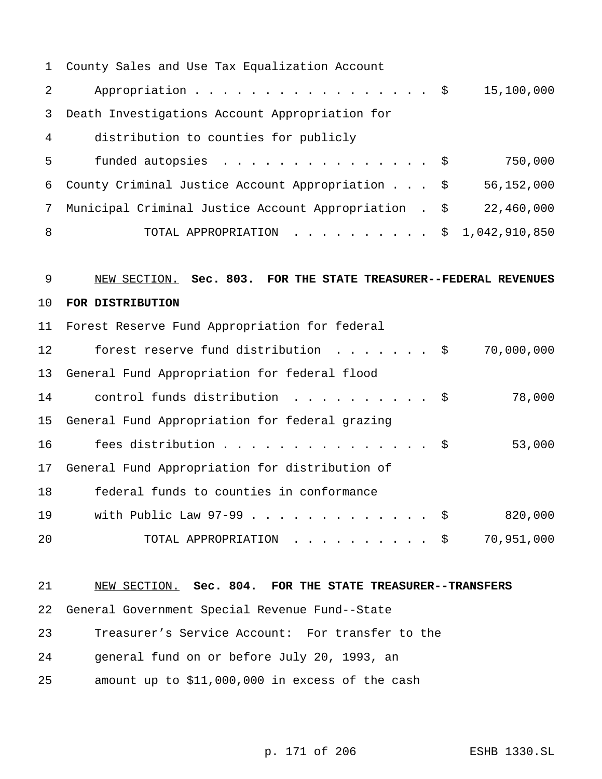|                | 1 County Sales and Use Tax Equalization Account         |            |
|----------------|---------------------------------------------------------|------------|
| 2              | Appropriation \$                                        | 15,100,000 |
|                | 3 Death Investigations Account Appropriation for        |            |
| $\overline{4}$ | distribution to counties for publicly                   |            |
| 5              | funded autopsies \$                                     | 750,000    |
|                | 6 County Criminal Justice Account Appropriation \$      | 56,152,000 |
|                | 7 Municipal Criminal Justice Account Appropriation . \$ | 22,460,000 |
| 8              | TOTAL APPROPRIATION \$ 1,042,910,850                    |            |

## NEW SECTION. **Sec. 803. FOR THE STATE TREASURER--FEDERAL REVENUES FOR DISTRIBUTION**

|    | 11 Forest Reserve Fund Appropriation for federal  |            |
|----|---------------------------------------------------|------------|
| 12 | forest reserve fund distribution $\frac{1}{2}$    | 70,000,000 |
|    | 13 General Fund Appropriation for federal flood   |            |
|    | 14 control funds distribution \$                  | 78,000     |
|    | 15 General Fund Appropriation for federal grazing |            |
| 16 | fees distribution \$                              | 53,000     |
| 17 | General Fund Appropriation for distribution of    |            |
| 18 | federal funds to counties in conformance          |            |
| 19 | with Public Law $97-99$ \$                        | 820,000    |
| 20 | TOTAL APPROPRIATION \$                            | 70,951,000 |

### NEW SECTION. **Sec. 804. FOR THE STATE TREASURER--TRANSFERS**

General Government Special Revenue Fund--State

- Treasurer's Service Account: For transfer to the
- general fund on or before July 20, 1993, an
- amount up to \$11,000,000 in excess of the cash

p. 171 of 206 ESHB 1330.SL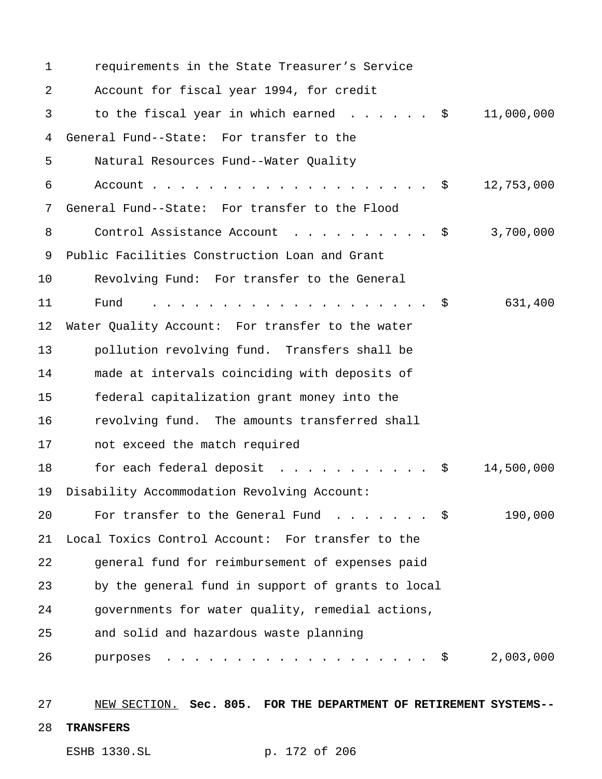| $\mathbf{1}$ | requirements in the State Treasurer's Service                       |
|--------------|---------------------------------------------------------------------|
| 2            | Account for fiscal year 1994, for credit                            |
| 3            | to the fiscal year in which earned $\ldots \ldots$ \$<br>11,000,000 |
| 4            | General Fund--State: For transfer to the                            |
| 5            | Natural Resources Fund--Water Quality                               |
| 6            | 12,753,000                                                          |
| 7            | General Fund--State: For transfer to the Flood                      |
| 8            | 3,700,000<br>Control Assistance Account \$                          |
| 9            | Public Facilities Construction Loan and Grant                       |
| 10           | Revolving Fund: For transfer to the General                         |
| 11           | 631,400<br>Fund                                                     |
| 12           | Water Quality Account: For transfer to the water                    |
| 13           | pollution revolving fund. Transfers shall be                        |
| 14           | made at intervals coinciding with deposits of                       |
| 15           | federal capitalization grant money into the                         |
| 16           | revolving fund. The amounts transferred shall                       |
| 17           | not exceed the match required                                       |
| 18           | for each federal deposit<br>14,500,000<br>- \$                      |
| 19           | Disability Accommodation Revolving Account:                         |
| 20           | 190,000<br>For transfer to the General Fund $\ldots$ \$             |
| 21           | Local Toxics Control Account: For transfer to the                   |
| 22           | general fund for reimbursement of expenses paid                     |
| 23           | by the general fund in support of grants to local                   |
| 24           | governments for water quality, remedial actions,                    |
| 25           | and solid and hazardous waste planning                              |
| 26           | 2,003,000<br>$\mathcal{S}$<br>purposes                              |
| 27           | NEW SECTION. Sec. 805. FOR THE DEPARTMENT OF RETIREMENT SYSTEMS--   |

### **TRANSFERS**

ESHB 1330.SL p. 172 of 206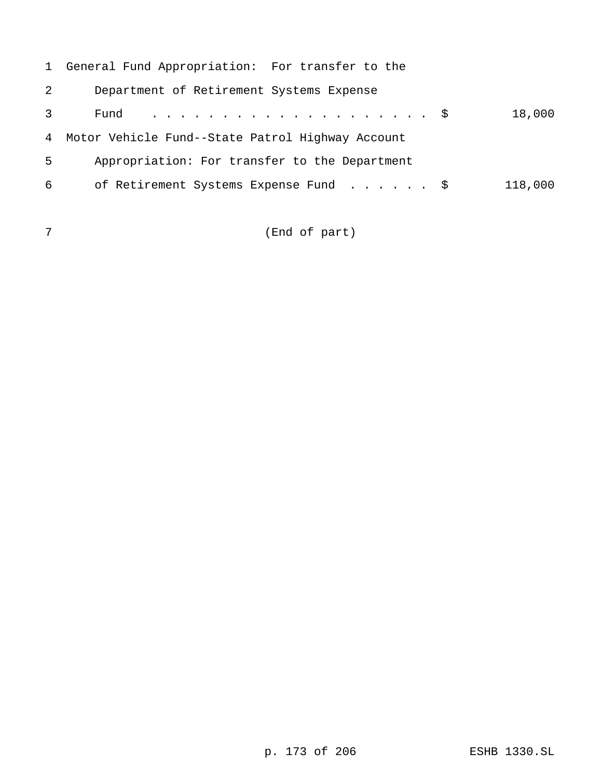|   | 1 General Fund Appropriation: For transfer to the  |         |
|---|----------------------------------------------------|---------|
| 2 | Department of Retirement Systems Expense           |         |
| 3 | Fund                                               | 18,000  |
|   | 4 Motor Vehicle Fund--State Patrol Highway Account |         |
| 5 | Appropriation: For transfer to the Department      |         |
| 6 | of Retirement Systems Expense Fund \$              | 118,000 |
|   |                                                    |         |

(End of part)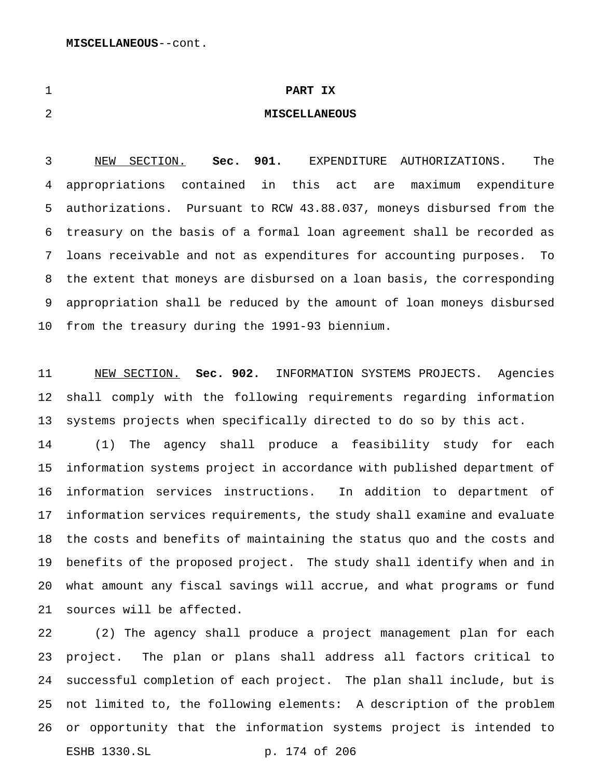**MISCELLANEOUS**--cont.

| ٠   |  |
|-----|--|
| . . |  |

#### **PART IX**

#### **MISCELLANEOUS**

 NEW SECTION. **Sec. 901.** EXPENDITURE AUTHORIZATIONS. The appropriations contained in this act are maximum expenditure authorizations. Pursuant to RCW 43.88.037, moneys disbursed from the treasury on the basis of a formal loan agreement shall be recorded as loans receivable and not as expenditures for accounting purposes. To the extent that moneys are disbursed on a loan basis, the corresponding appropriation shall be reduced by the amount of loan moneys disbursed from the treasury during the 1991-93 biennium.

 NEW SECTION. **Sec. 902.** INFORMATION SYSTEMS PROJECTS. Agencies shall comply with the following requirements regarding information systems projects when specifically directed to do so by this act.

 (1) The agency shall produce a feasibility study for each information systems project in accordance with published department of information services instructions. In addition to department of information services requirements, the study shall examine and evaluate the costs and benefits of maintaining the status quo and the costs and benefits of the proposed project. The study shall identify when and in what amount any fiscal savings will accrue, and what programs or fund sources will be affected.

 (2) The agency shall produce a project management plan for each project. The plan or plans shall address all factors critical to successful completion of each project. The plan shall include, but is not limited to, the following elements: A description of the problem or opportunity that the information systems project is intended to ESHB 1330.SL p. 174 of 206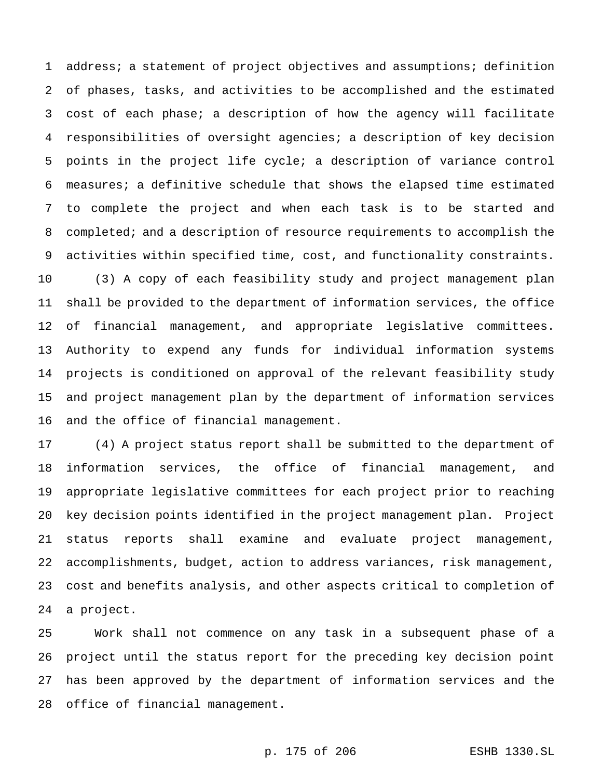address; a statement of project objectives and assumptions; definition of phases, tasks, and activities to be accomplished and the estimated cost of each phase; a description of how the agency will facilitate responsibilities of oversight agencies; a description of key decision points in the project life cycle; a description of variance control measures; a definitive schedule that shows the elapsed time estimated to complete the project and when each task is to be started and completed; and a description of resource requirements to accomplish the activities within specified time, cost, and functionality constraints. (3) A copy of each feasibility study and project management plan shall be provided to the department of information services, the office of financial management, and appropriate legislative committees. Authority to expend any funds for individual information systems projects is conditioned on approval of the relevant feasibility study and project management plan by the department of information services and the office of financial management.

 (4) A project status report shall be submitted to the department of information services, the office of financial management, and appropriate legislative committees for each project prior to reaching key decision points identified in the project management plan. Project status reports shall examine and evaluate project management, accomplishments, budget, action to address variances, risk management, cost and benefits analysis, and other aspects critical to completion of a project.

 Work shall not commence on any task in a subsequent phase of a project until the status report for the preceding key decision point has been approved by the department of information services and the office of financial management.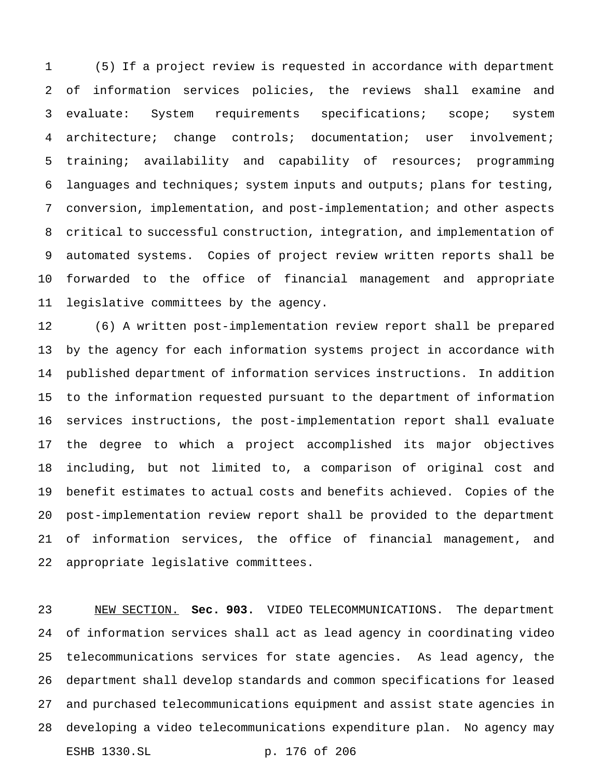(5) If a project review is requested in accordance with department of information services policies, the reviews shall examine and evaluate: System requirements specifications; scope; system architecture; change controls; documentation; user involvement; training; availability and capability of resources; programming languages and techniques; system inputs and outputs; plans for testing, conversion, implementation, and post-implementation; and other aspects critical to successful construction, integration, and implementation of automated systems. Copies of project review written reports shall be forwarded to the office of financial management and appropriate legislative committees by the agency.

 (6) A written post-implementation review report shall be prepared by the agency for each information systems project in accordance with published department of information services instructions. In addition to the information requested pursuant to the department of information services instructions, the post-implementation report shall evaluate the degree to which a project accomplished its major objectives including, but not limited to, a comparison of original cost and benefit estimates to actual costs and benefits achieved. Copies of the post-implementation review report shall be provided to the department of information services, the office of financial management, and appropriate legislative committees.

 NEW SECTION. **Sec. 903.** VIDEO TELECOMMUNICATIONS. The department of information services shall act as lead agency in coordinating video telecommunications services for state agencies. As lead agency, the department shall develop standards and common specifications for leased and purchased telecommunications equipment and assist state agencies in developing a video telecommunications expenditure plan. No agency may ESHB 1330.SL p. 176 of 206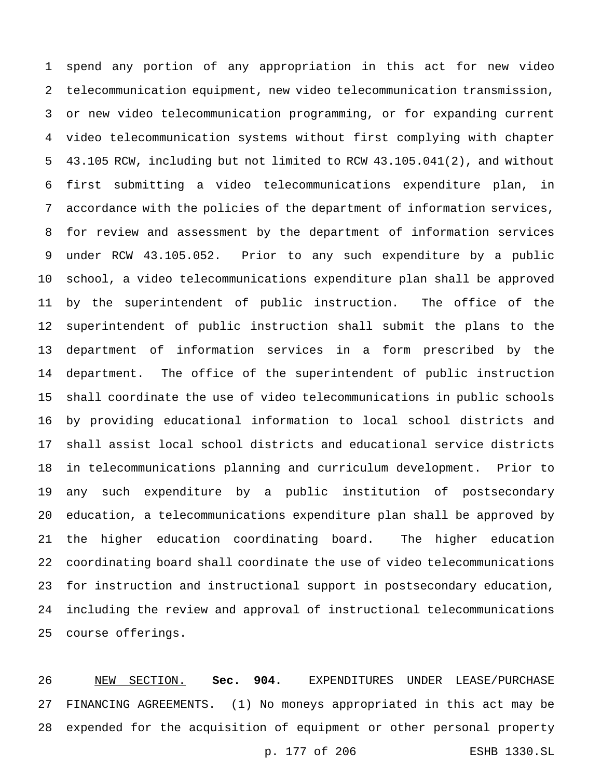spend any portion of any appropriation in this act for new video telecommunication equipment, new video telecommunication transmission, or new video telecommunication programming, or for expanding current video telecommunication systems without first complying with chapter 43.105 RCW, including but not limited to RCW 43.105.041(2), and without first submitting a video telecommunications expenditure plan, in accordance with the policies of the department of information services, for review and assessment by the department of information services under RCW 43.105.052. Prior to any such expenditure by a public school, a video telecommunications expenditure plan shall be approved by the superintendent of public instruction. The office of the superintendent of public instruction shall submit the plans to the department of information services in a form prescribed by the department. The office of the superintendent of public instruction shall coordinate the use of video telecommunications in public schools by providing educational information to local school districts and shall assist local school districts and educational service districts in telecommunications planning and curriculum development. Prior to any such expenditure by a public institution of postsecondary education, a telecommunications expenditure plan shall be approved by the higher education coordinating board. The higher education coordinating board shall coordinate the use of video telecommunications for instruction and instructional support in postsecondary education, including the review and approval of instructional telecommunications course offerings.

 NEW SECTION. **Sec. 904.** EXPENDITURES UNDER LEASE/PURCHASE FINANCING AGREEMENTS. (1) No moneys appropriated in this act may be expended for the acquisition of equipment or other personal property

p. 177 of 206 ESHB 1330.SL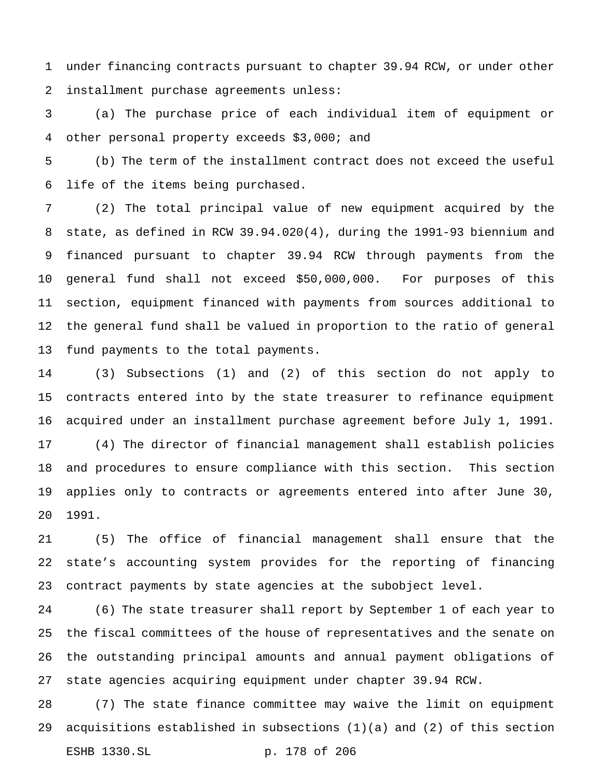under financing contracts pursuant to chapter 39.94 RCW, or under other installment purchase agreements unless:

 (a) The purchase price of each individual item of equipment or other personal property exceeds \$3,000; and

 (b) The term of the installment contract does not exceed the useful life of the items being purchased.

 (2) The total principal value of new equipment acquired by the state, as defined in RCW 39.94.020(4), during the 1991-93 biennium and financed pursuant to chapter 39.94 RCW through payments from the general fund shall not exceed \$50,000,000. For purposes of this section, equipment financed with payments from sources additional to the general fund shall be valued in proportion to the ratio of general fund payments to the total payments.

 (3) Subsections (1) and (2) of this section do not apply to contracts entered into by the state treasurer to refinance equipment acquired under an installment purchase agreement before July 1, 1991. (4) The director of financial management shall establish policies and procedures to ensure compliance with this section. This section applies only to contracts or agreements entered into after June 30, 1991.

 (5) The office of financial management shall ensure that the state's accounting system provides for the reporting of financing contract payments by state agencies at the subobject level.

 (6) The state treasurer shall report by September 1 of each year to the fiscal committees of the house of representatives and the senate on the outstanding principal amounts and annual payment obligations of state agencies acquiring equipment under chapter 39.94 RCW.

 (7) The state finance committee may waive the limit on equipment acquisitions established in subsections (1)(a) and (2) of this section ESHB 1330.SL p. 178 of 206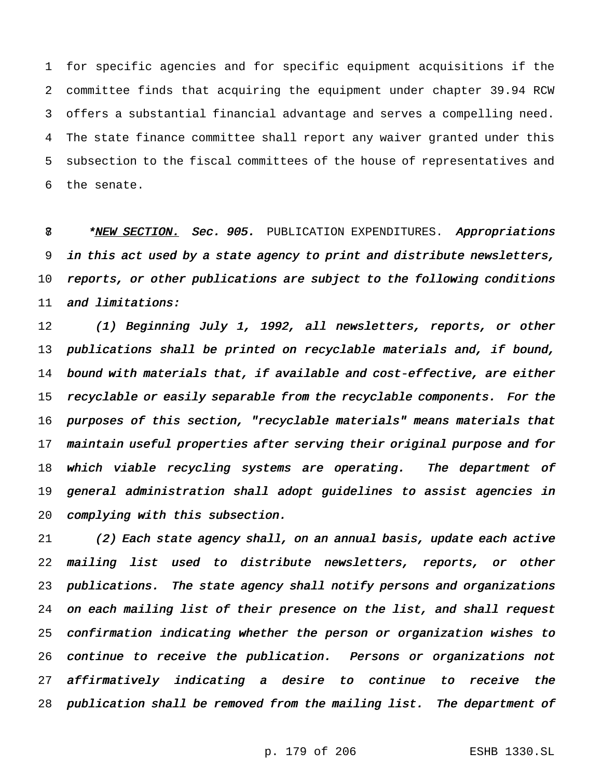for specific agencies and for specific equipment acquisitions if the committee finds that acquiring the equipment under chapter 39.94 RCW offers a substantial financial advantage and serves a compelling need. The state finance committee shall report any waiver granted under this subsection to the fiscal committees of the house of representatives and the senate.

8 \*NEW SECTION. Sec. 905. PUBLICATION EXPENDITURES. Appropriations in this act used by <sup>a</sup> state agency to print and distribute newsletters, reports, or other publications are subject to the following conditions 11 and *limitations*:

 (1) Beginning July 1, 1992, all newsletters, reports, or other publications shall be printed on recyclable materials and, if bound, bound with materials that, if available and cost-effective, are either 15 recyclable or easily separable from the recyclable components. For the purposes of this section, "recyclable materials" means materials that maintain useful properties after serving their original purpose and for 18 which viable recycling systems are operating. The department of general administration shall adopt guidelines to assist agencies in complying with this subsection.

 (2) Each state agency shall, on an annual basis, update each active mailing list used to distribute newsletters, reports, or other publications. The state agency shall notify persons and organizations on each mailing list of their presence on the list, and shall request confirmation indicating whether the person or organization wishes to continue to receive the publication. Persons or organizations not affirmatively indicating <sup>a</sup> desire to continue to receive the publication shall be removed from the mailing list. The department of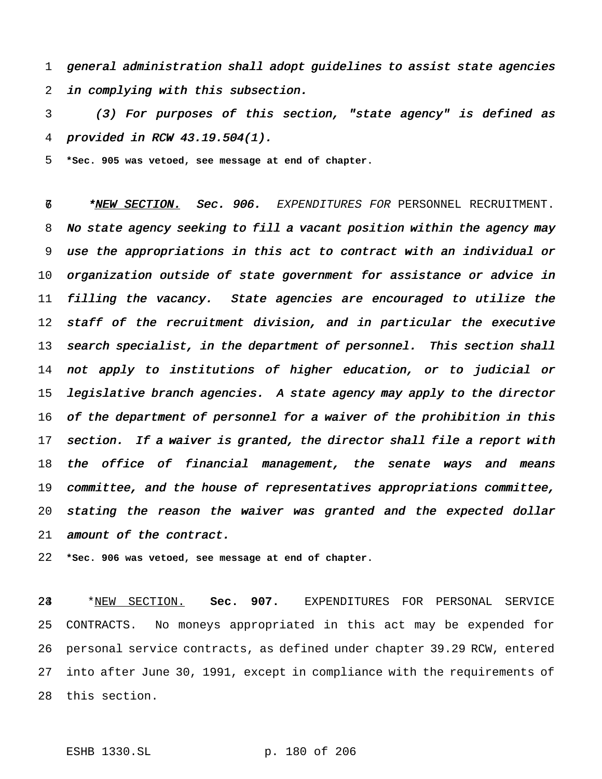general administration shall adopt guidelines to assist state agencies in complying with this subsection.

 (3) For purposes of this section, "state agency" is defined as provided in RCW 43.19.504(1).

**\*Sec. 905 was vetoed, see message at end of chapter.**

**67 \*NEW SECTION. Sec. 906.** EXPENDITURES FOR PERSONNEL RECRUITMENT. No state agency seeking to fill <sup>a</sup> vacant position within the agency may use the appropriations in this act to contract with an individual or organization outside of state government for assistance or advice in filling the vacancy. State agencies are encouraged to utilize the 12 staff of the recruitment division, and in particular the executive 13 search specialist, in the department of personnel. This section shall not apply to institutions of higher education, or to judicial or legislative branch agencies. <sup>A</sup> state agency may apply to the director of the department of personnel for <sup>a</sup> waiver of the prohibition in this 17 section. If a waiver is granted, the director shall file a report with 18 the office of financial management, the senate ways and means committee, and the house of representatives appropriations committee, 20 stating the reason the waiver was granted and the expected dollar 21 amount of the contract.

**\*Sec. 906 was vetoed, see message at end of chapter.**

 \*NEW SECTION. **Sec. 907.** EXPENDITURES FOR PERSONAL SERVICE CONTRACTS. No moneys appropriated in this act may be expended for personal service contracts, as defined under chapter 39.29 RCW, entered into after June 30, 1991, except in compliance with the requirements of this section.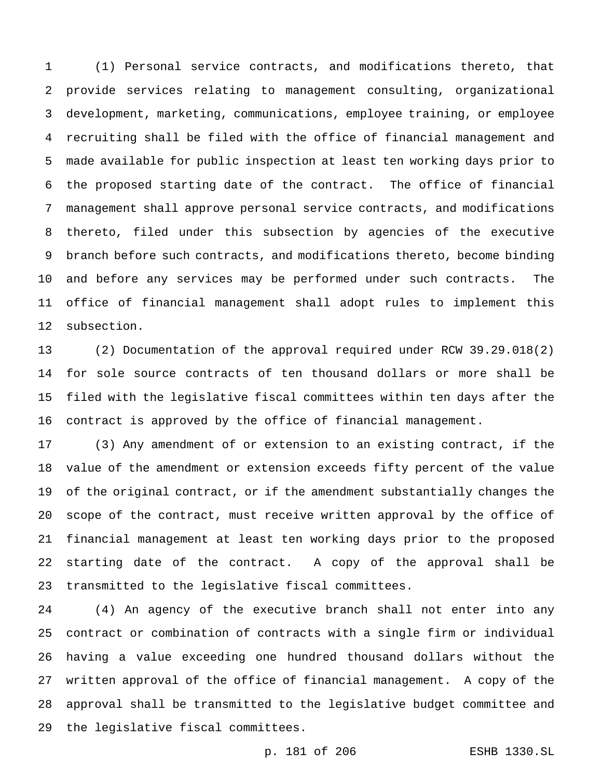(1) Personal service contracts, and modifications thereto, that provide services relating to management consulting, organizational development, marketing, communications, employee training, or employee recruiting shall be filed with the office of financial management and made available for public inspection at least ten working days prior to the proposed starting date of the contract. The office of financial management shall approve personal service contracts, and modifications thereto, filed under this subsection by agencies of the executive branch before such contracts, and modifications thereto, become binding and before any services may be performed under such contracts. The office of financial management shall adopt rules to implement this subsection.

 (2) Documentation of the approval required under RCW 39.29.018(2) for sole source contracts of ten thousand dollars or more shall be filed with the legislative fiscal committees within ten days after the contract is approved by the office of financial management.

 (3) Any amendment of or extension to an existing contract, if the value of the amendment or extension exceeds fifty percent of the value of the original contract, or if the amendment substantially changes the scope of the contract, must receive written approval by the office of financial management at least ten working days prior to the proposed starting date of the contract. A copy of the approval shall be transmitted to the legislative fiscal committees.

 (4) An agency of the executive branch shall not enter into any contract or combination of contracts with a single firm or individual having a value exceeding one hundred thousand dollars without the written approval of the office of financial management. A copy of the approval shall be transmitted to the legislative budget committee and the legislative fiscal committees.

p. 181 of 206 ESHB 1330.SL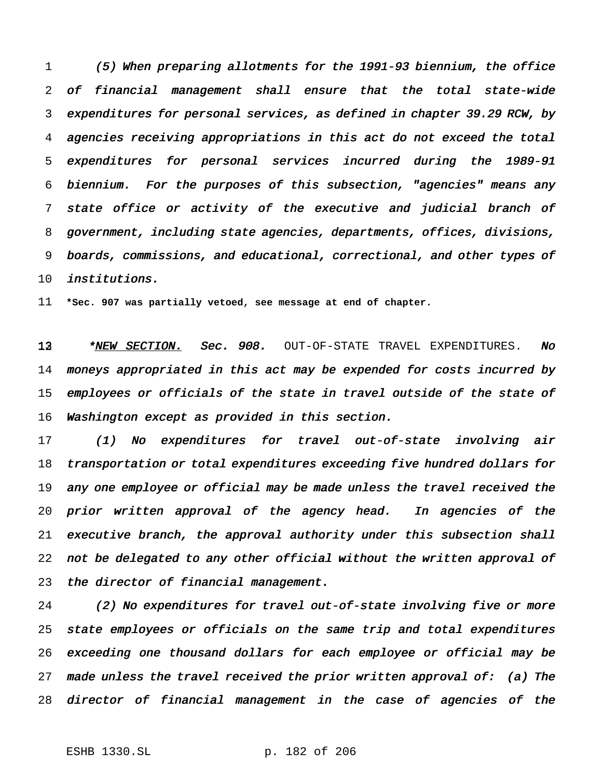(5) When preparing allotments for the 1991-93 biennium, the office of financial management shall ensure that the total state-wide expenditures for personal services, as defined in chapter 39.29 RCW, by agencies receiving appropriations in this act do not exceed the total expenditures for personal services incurred during the 1989-91 biennium. For the purposes of this subsection, "agencies" means any state office or activity of the executive and judicial branch of government, including state agencies, departments, offices, divisions, boards, commissions, and educational, correctional, and other types of institutions.

**\*Sec. 907 was partially vetoed, see message at end of chapter.**

12 \* NEW SECTION. Sec. 908. OUT-OF-STATE TRAVEL EXPENDITURES. No moneys appropriated in this act may be expended for costs incurred by employees or officials of the state in travel outside of the state of Washington except as provided in this section.

 (1) No expenditures for travel out-of-state involving air transportation or total expenditures exceeding five hundred dollars for any one employee or official may be made unless the travel received the prior written approval of the agency head. In agencies of the executive branch, the approval authority under this subsection shall not be delegated to any other official without the written approval of the director of financial management.

 (2) No expenditures for travel out-of-state involving five or more state employees or officials on the same trip and total expenditures exceeding one thousand dollars for each employee or official may be 27 made unless the travel received the prior written approval of: (a) The director of financial management in the case of agencies of the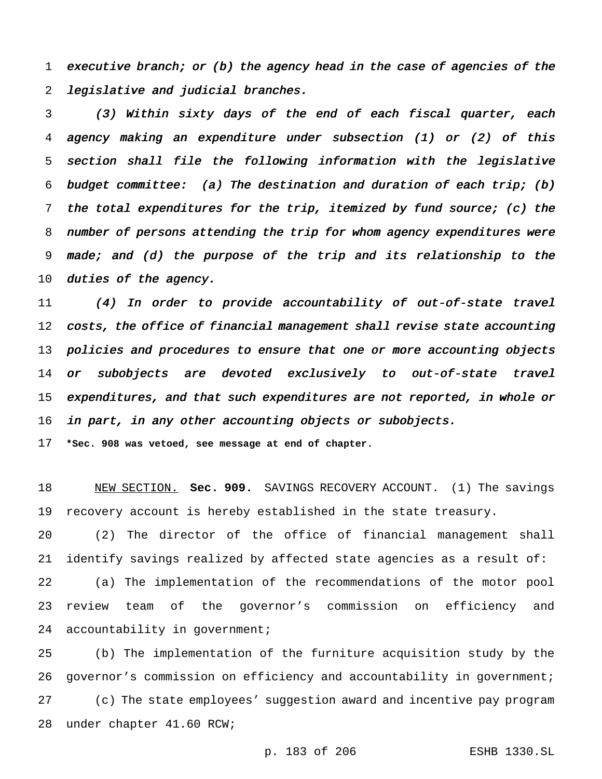executive branch; or (b) the agency head in the case of agencies of the legislative and judicial branches.

 (3) Within sixty days of the end of each fiscal quarter, each agency making an expenditure under subsection (1) or (2) of this section shall file the following information with the legislative budget committee: (a) The destination and duration of each trip; (b) the total expenditures for the trip, itemized by fund source; (c) the number of persons attending the trip for whom agency expenditures were made; and (d) the purpose of the trip and its relationship to the 10 duties of the agency.

 (4) In order to provide accountability of out-of-state travel costs, the office of financial management shall revise state accounting policies and procedures to ensure that one or more accounting objects 14 or subobjects are devoted exclusively to out-of-state travel expenditures, and that such expenditures are not reported, in whole or in part, in any other accounting objects or subobjects.

**\*Sec. 908 was vetoed, see message at end of chapter.**

 NEW SECTION. **Sec. 909.** SAVINGS RECOVERY ACCOUNT. (1) The savings recovery account is hereby established in the state treasury.

 (2) The director of the office of financial management shall identify savings realized by affected state agencies as a result of: (a) The implementation of the recommendations of the motor pool review team of the governor's commission on efficiency and accountability in government;

 (b) The implementation of the furniture acquisition study by the governor's commission on efficiency and accountability in government; (c) The state employees' suggestion award and incentive pay program under chapter 41.60 RCW;

p. 183 of 206 ESHB 1330.SL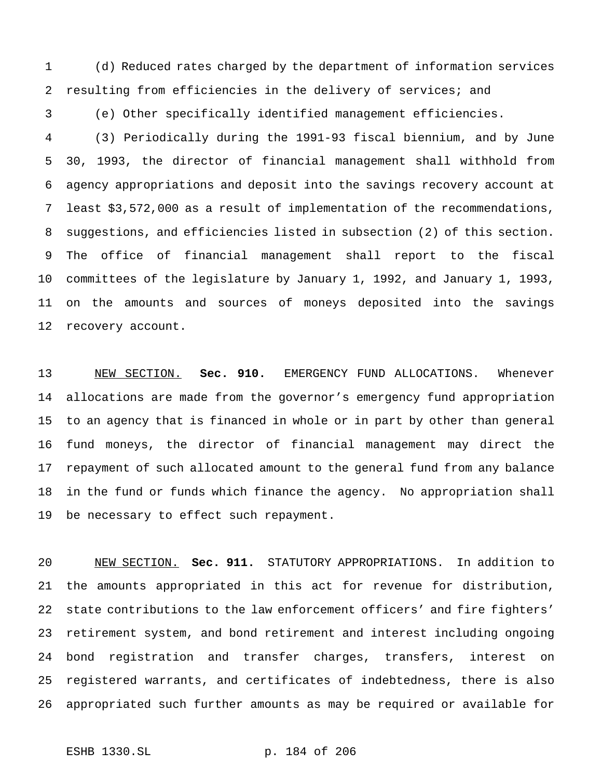(d) Reduced rates charged by the department of information services resulting from efficiencies in the delivery of services; and

(e) Other specifically identified management efficiencies.

 (3) Periodically during the 1991-93 fiscal biennium, and by June 30, 1993, the director of financial management shall withhold from agency appropriations and deposit into the savings recovery account at least \$3,572,000 as a result of implementation of the recommendations, suggestions, and efficiencies listed in subsection (2) of this section. The office of financial management shall report to the fiscal committees of the legislature by January 1, 1992, and January 1, 1993, on the amounts and sources of moneys deposited into the savings recovery account.

 NEW SECTION. **Sec. 910.** EMERGENCY FUND ALLOCATIONS. Whenever allocations are made from the governor's emergency fund appropriation to an agency that is financed in whole or in part by other than general fund moneys, the director of financial management may direct the repayment of such allocated amount to the general fund from any balance in the fund or funds which finance the agency. No appropriation shall be necessary to effect such repayment.

 NEW SECTION. **Sec. 911.** STATUTORY APPROPRIATIONS. In addition to the amounts appropriated in this act for revenue for distribution, state contributions to the law enforcement officers' and fire fighters' retirement system, and bond retirement and interest including ongoing bond registration and transfer charges, transfers, interest on registered warrants, and certificates of indebtedness, there is also appropriated such further amounts as may be required or available for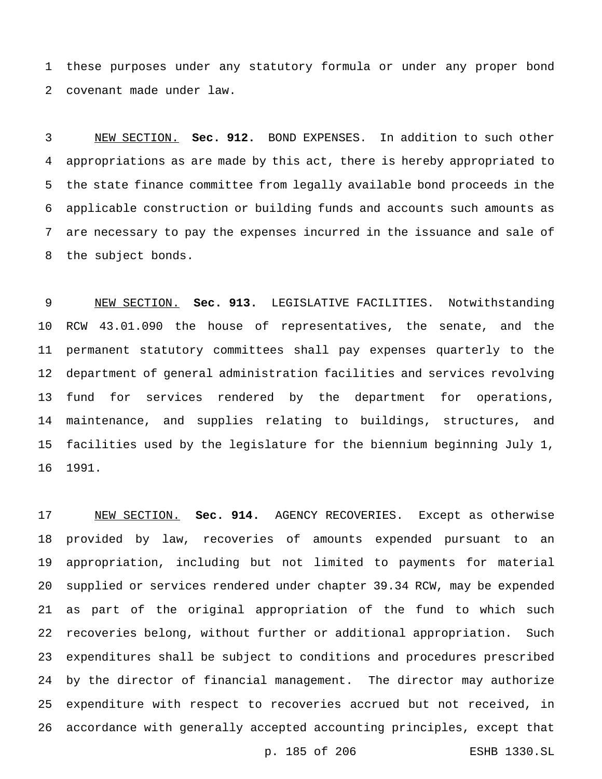these purposes under any statutory formula or under any proper bond covenant made under law.

 NEW SECTION. **Sec. 912.** BOND EXPENSES. In addition to such other appropriations as are made by this act, there is hereby appropriated to the state finance committee from legally available bond proceeds in the applicable construction or building funds and accounts such amounts as are necessary to pay the expenses incurred in the issuance and sale of the subject bonds.

 NEW SECTION. **Sec. 913.** LEGISLATIVE FACILITIES. Notwithstanding RCW 43.01.090 the house of representatives, the senate, and the permanent statutory committees shall pay expenses quarterly to the department of general administration facilities and services revolving fund for services rendered by the department for operations, maintenance, and supplies relating to buildings, structures, and facilities used by the legislature for the biennium beginning July 1, 1991.

 NEW SECTION. **Sec. 914.** AGENCY RECOVERIES. Except as otherwise provided by law, recoveries of amounts expended pursuant to an appropriation, including but not limited to payments for material supplied or services rendered under chapter 39.34 RCW, may be expended as part of the original appropriation of the fund to which such recoveries belong, without further or additional appropriation. Such expenditures shall be subject to conditions and procedures prescribed by the director of financial management. The director may authorize expenditure with respect to recoveries accrued but not received, in accordance with generally accepted accounting principles, except that

p. 185 of 206 ESHB 1330.SL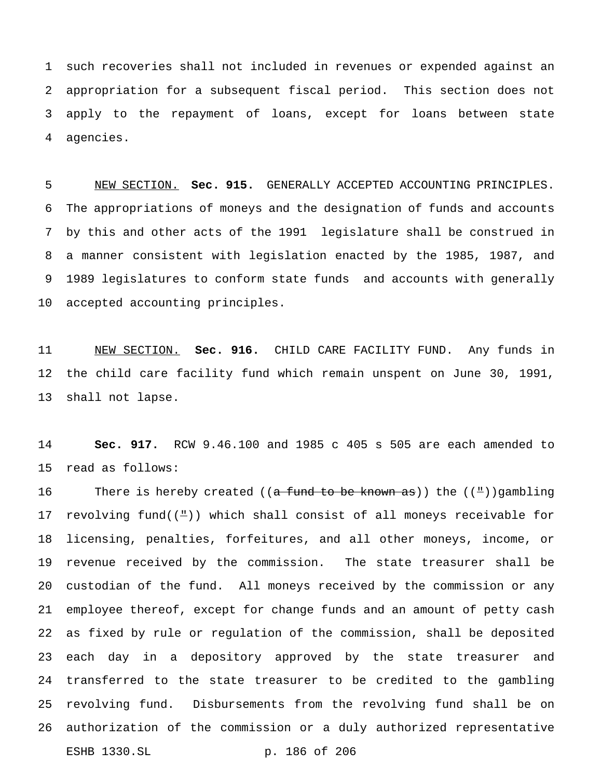such recoveries shall not included in revenues or expended against an appropriation for a subsequent fiscal period. This section does not apply to the repayment of loans, except for loans between state agencies.

 NEW SECTION. **Sec. 915.** GENERALLY ACCEPTED ACCOUNTING PRINCIPLES. The appropriations of moneys and the designation of funds and accounts by this and other acts of the 1991 legislature shall be construed in a manner consistent with legislation enacted by the 1985, 1987, and 1989 legislatures to conform state funds and accounts with generally accepted accounting principles.

 NEW SECTION. **Sec. 916.** CHILD CARE FACILITY FUND. Any funds in the child care facility fund which remain unspent on June 30, 1991, shall not lapse.

 **Sec. 917.** RCW 9.46.100 and 1985 c 405 s 505 are each amended to read as follows:

16 There is hereby created (( $a$  fund to be known as)) the  $((\bot))$  gambling 17 revolving fund( $(4)$ ) which shall consist of all moneys receivable for licensing, penalties, forfeitures, and all other moneys, income, or revenue received by the commission. The state treasurer shall be custodian of the fund. All moneys received by the commission or any employee thereof, except for change funds and an amount of petty cash as fixed by rule or regulation of the commission, shall be deposited each day in a depository approved by the state treasurer and transferred to the state treasurer to be credited to the gambling revolving fund. Disbursements from the revolving fund shall be on authorization of the commission or a duly authorized representative ESHB 1330.SL p. 186 of 206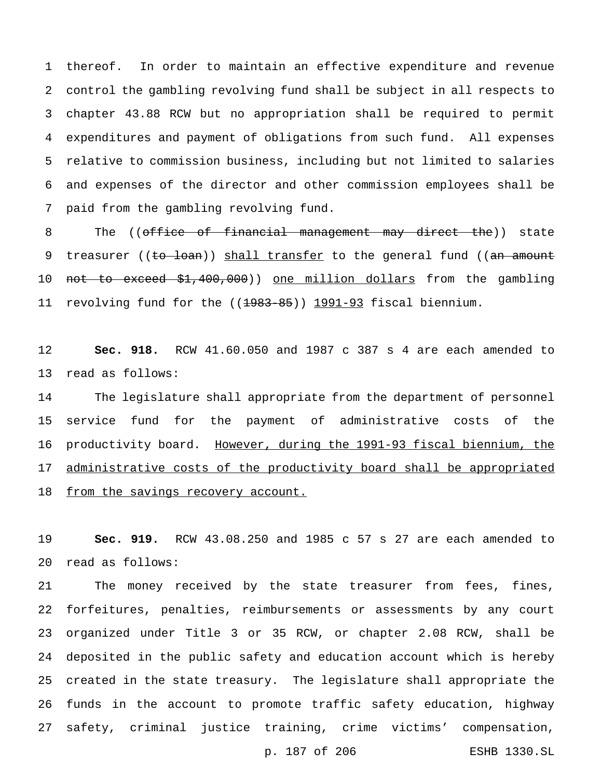thereof. In order to maintain an effective expenditure and revenue control the gambling revolving fund shall be subject in all respects to chapter 43.88 RCW but no appropriation shall be required to permit expenditures and payment of obligations from such fund. All expenses relative to commission business, including but not limited to salaries and expenses of the director and other commission employees shall be paid from the gambling revolving fund.

8 The ((office of financial management may direct the)) state 9 treasurer ((to loan)) shall transfer to the general fund ((an amount 10 not to exceed \$1,400,000)) one million dollars from the gambling 11 revolving fund for the ((1983-85)) 1991-93 fiscal biennium.

 **Sec. 918.** RCW 41.60.050 and 1987 c 387 s 4 are each amended to read as follows:

 The legislature shall appropriate from the department of personnel service fund for the payment of administrative costs of the productivity board. However, during the 1991-93 fiscal biennium, the 17 administrative costs of the productivity board shall be appropriated 18 from the savings recovery account.

 **Sec. 919.** RCW 43.08.250 and 1985 c 57 s 27 are each amended to read as follows:

 The money received by the state treasurer from fees, fines, forfeitures, penalties, reimbursements or assessments by any court organized under Title 3 or 35 RCW, or chapter 2.08 RCW, shall be deposited in the public safety and education account which is hereby created in the state treasury. The legislature shall appropriate the funds in the account to promote traffic safety education, highway safety, criminal justice training, crime victims' compensation,

p. 187 of 206 ESHB 1330.SL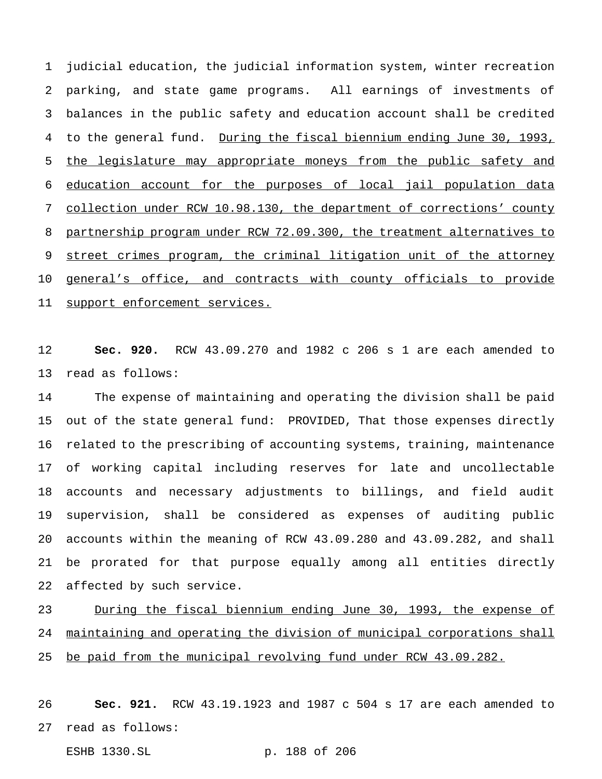judicial education, the judicial information system, winter recreation parking, and state game programs. All earnings of investments of balances in the public safety and education account shall be credited 4 to the general fund. During the fiscal biennium ending June 30, 1993, the legislature may appropriate moneys from the public safety and education account for the purposes of local jail population data collection under RCW 10.98.130, the department of corrections' county partnership program under RCW 72.09.300, the treatment alternatives to street crimes program, the criminal litigation unit of the attorney 10 general's office, and contracts with county officials to provide support enforcement services.

 **Sec. 920.** RCW 43.09.270 and 1982 c 206 s 1 are each amended to read as follows:

 The expense of maintaining and operating the division shall be paid out of the state general fund: PROVIDED, That those expenses directly related to the prescribing of accounting systems, training, maintenance of working capital including reserves for late and uncollectable accounts and necessary adjustments to billings, and field audit supervision, shall be considered as expenses of auditing public accounts within the meaning of RCW 43.09.280 and 43.09.282, and shall be prorated for that purpose equally among all entities directly affected by such service.

 During the fiscal biennium ending June 30, 1993, the expense of maintaining and operating the division of municipal corporations shall be paid from the municipal revolving fund under RCW 43.09.282.

 **Sec. 921.** RCW 43.19.1923 and 1987 c 504 s 17 are each amended to read as follows:

ESHB 1330.SL p. 188 of 206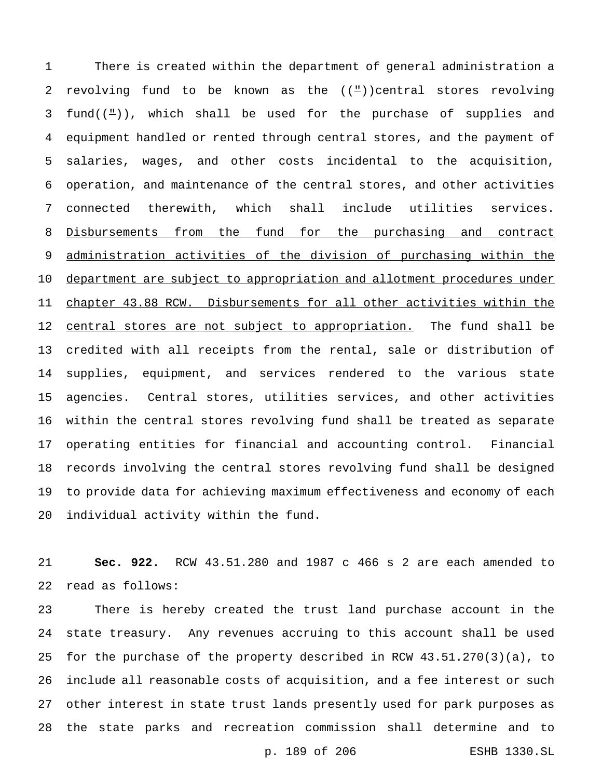There is created within the department of general administration a 2 revolving fund to be known as the  $((\bot))$ central stores revolving 3 fund( $(\lnot)$ ), which shall be used for the purchase of supplies and equipment handled or rented through central stores, and the payment of salaries, wages, and other costs incidental to the acquisition, operation, and maintenance of the central stores, and other activities connected therewith, which shall include utilities services. 8 Disbursements from the fund for the purchasing and contract administration activities of the division of purchasing within the 10 department are subject to appropriation and allotment procedures under chapter 43.88 RCW. Disbursements for all other activities within the 12 central stores are not subject to appropriation. The fund shall be credited with all receipts from the rental, sale or distribution of supplies, equipment, and services rendered to the various state agencies. Central stores, utilities services, and other activities within the central stores revolving fund shall be treated as separate operating entities for financial and accounting control. Financial records involving the central stores revolving fund shall be designed to provide data for achieving maximum effectiveness and economy of each individual activity within the fund.

 **Sec. 922.** RCW 43.51.280 and 1987 c 466 s 2 are each amended to read as follows:

 There is hereby created the trust land purchase account in the state treasury. Any revenues accruing to this account shall be used for the purchase of the property described in RCW 43.51.270(3)(a), to include all reasonable costs of acquisition, and a fee interest or such other interest in state trust lands presently used for park purposes as the state parks and recreation commission shall determine and to

p. 189 of 206 ESHB 1330.SL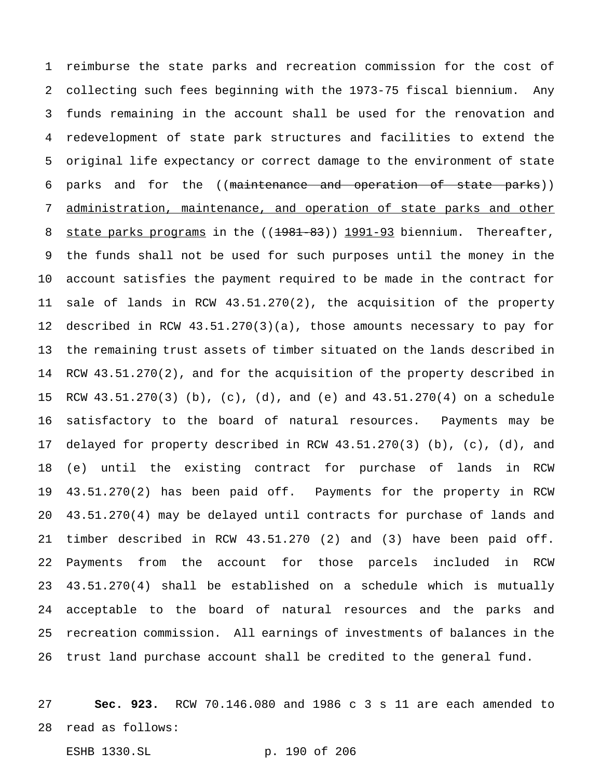reimburse the state parks and recreation commission for the cost of collecting such fees beginning with the 1973-75 fiscal biennium. Any funds remaining in the account shall be used for the renovation and redevelopment of state park structures and facilities to extend the original life expectancy or correct damage to the environment of state 6 parks and for the ((maintenance and operation of state parks)) administration, maintenance, and operation of state parks and other 8 state parks programs in the ((1981-83)) 1991-93 biennium. Thereafter, the funds shall not be used for such purposes until the money in the account satisfies the payment required to be made in the contract for sale of lands in RCW 43.51.270(2), the acquisition of the property described in RCW 43.51.270(3)(a), those amounts necessary to pay for the remaining trust assets of timber situated on the lands described in RCW 43.51.270(2), and for the acquisition of the property described in RCW 43.51.270(3) (b), (c), (d), and (e) and 43.51.270(4) on a schedule satisfactory to the board of natural resources. Payments may be delayed for property described in RCW 43.51.270(3) (b), (c), (d), and (e) until the existing contract for purchase of lands in RCW 43.51.270(2) has been paid off. Payments for the property in RCW 43.51.270(4) may be delayed until contracts for purchase of lands and timber described in RCW 43.51.270 (2) and (3) have been paid off. Payments from the account for those parcels included in RCW 43.51.270(4) shall be established on a schedule which is mutually acceptable to the board of natural resources and the parks and recreation commission. All earnings of investments of balances in the trust land purchase account shall be credited to the general fund.

 **Sec. 923.** RCW 70.146.080 and 1986 c 3 s 11 are each amended to read as follows:

ESHB 1330.SL p. 190 of 206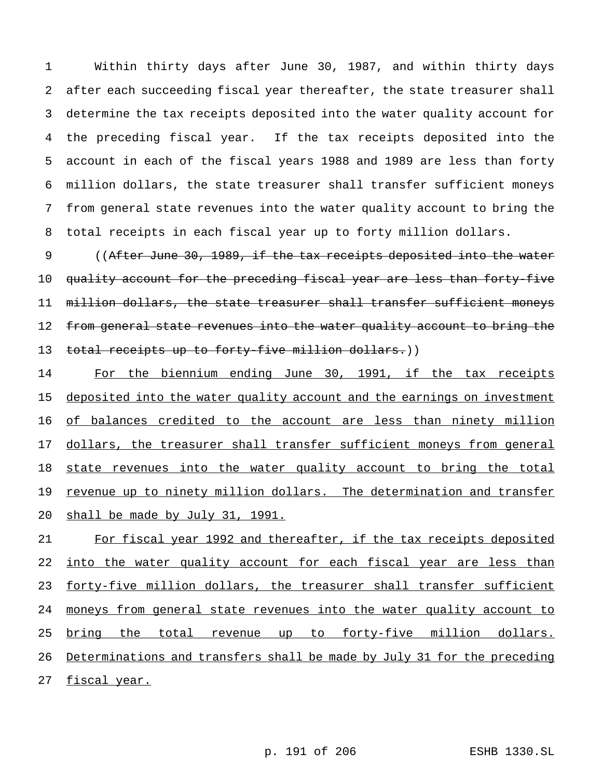Within thirty days after June 30, 1987, and within thirty days after each succeeding fiscal year thereafter, the state treasurer shall determine the tax receipts deposited into the water quality account for the preceding fiscal year. If the tax receipts deposited into the account in each of the fiscal years 1988 and 1989 are less than forty million dollars, the state treasurer shall transfer sufficient moneys from general state revenues into the water quality account to bring the total receipts in each fiscal year up to forty million dollars.

9 ((After June 30, 1989, if the tax receipts deposited into the water 10 quality account for the preceding fiscal year are less than forty-five 11 million dollars, the state treasurer shall transfer sufficient moneys 12 from general state revenues into the water quality account to bring the 13 total receipts up to forty-five million dollars.))

14 For the biennium ending June 30, 1991, if the tax receipts 15 deposited into the water quality account and the earnings on investment 16 of balances credited to the account are less than ninety million 17 dollars, the treasurer shall transfer sufficient moneys from general 18 state revenues into the water quality account to bring the total 19 revenue up to ninety million dollars. The determination and transfer 20 shall be made by July 31, 1991.

21 For fiscal year 1992 and thereafter, if the tax receipts deposited 22 into the water quality account for each fiscal year are less than 23 forty-five million dollars, the treasurer shall transfer sufficient 24 moneys from general state revenues into the water quality account to 25 bring the total revenue up to forty-five million dollars. 26 Determinations and transfers shall be made by July 31 for the preceding 27 fiscal year.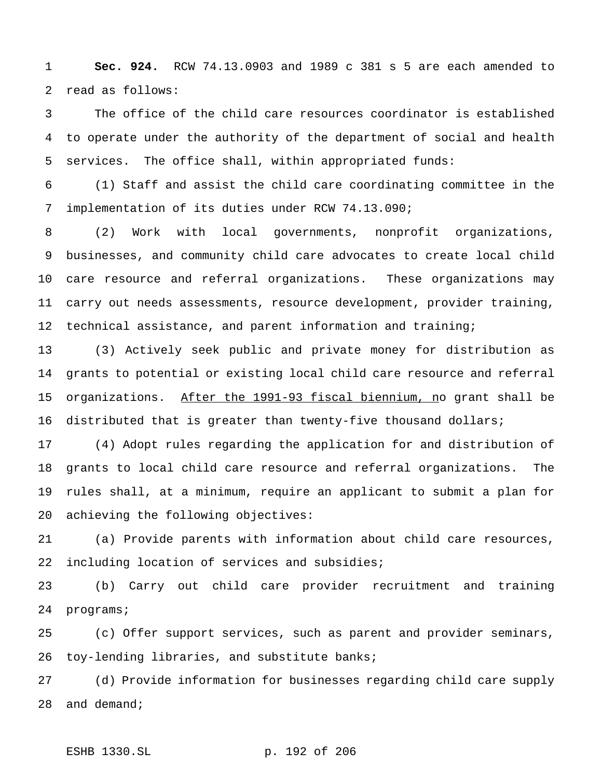**Sec. 924.** RCW 74.13.0903 and 1989 c 381 s 5 are each amended to read as follows:

 The office of the child care resources coordinator is established to operate under the authority of the department of social and health services. The office shall, within appropriated funds:

 (1) Staff and assist the child care coordinating committee in the implementation of its duties under RCW 74.13.090;

 (2) Work with local governments, nonprofit organizations, businesses, and community child care advocates to create local child care resource and referral organizations. These organizations may carry out needs assessments, resource development, provider training, technical assistance, and parent information and training;

 (3) Actively seek public and private money for distribution as grants to potential or existing local child care resource and referral 15 organizations. After the 1991-93 fiscal biennium, no grant shall be distributed that is greater than twenty-five thousand dollars;

 (4) Adopt rules regarding the application for and distribution of grants to local child care resource and referral organizations. The rules shall, at a minimum, require an applicant to submit a plan for achieving the following objectives:

 (a) Provide parents with information about child care resources, including location of services and subsidies;

 (b) Carry out child care provider recruitment and training programs;

 (c) Offer support services, such as parent and provider seminars, toy-lending libraries, and substitute banks;

 (d) Provide information for businesses regarding child care supply and demand;

ESHB 1330.SL p. 192 of 206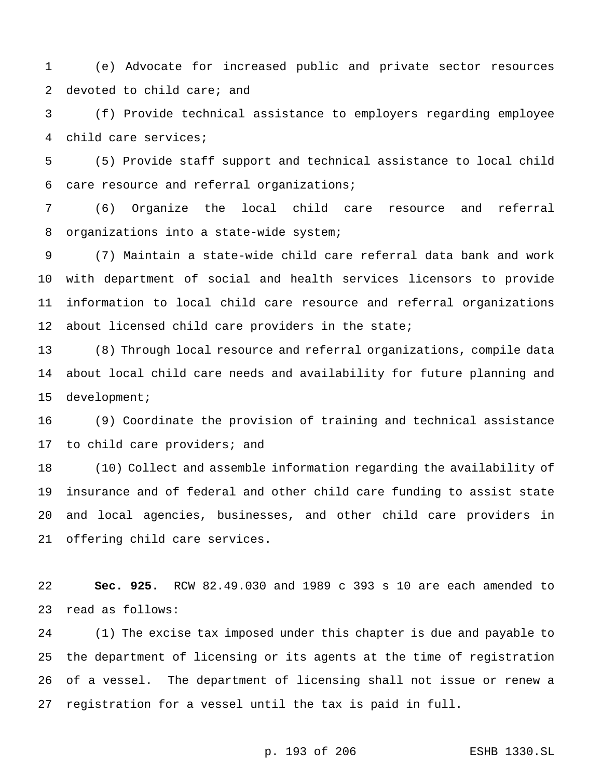(e) Advocate for increased public and private sector resources 2 devoted to child care; and

 (f) Provide technical assistance to employers regarding employee child care services;

 (5) Provide staff support and technical assistance to local child care resource and referral organizations;

 (6) Organize the local child care resource and referral organizations into a state-wide system;

 (7) Maintain a state-wide child care referral data bank and work with department of social and health services licensors to provide information to local child care resource and referral organizations about licensed child care providers in the state;

 (8) Through local resource and referral organizations, compile data about local child care needs and availability for future planning and development;

 (9) Coordinate the provision of training and technical assistance 17 to child care providers; and

 (10) Collect and assemble information regarding the availability of insurance and of federal and other child care funding to assist state and local agencies, businesses, and other child care providers in offering child care services.

 **Sec. 925.** RCW 82.49.030 and 1989 c 393 s 10 are each amended to read as follows:

 (1) The excise tax imposed under this chapter is due and payable to the department of licensing or its agents at the time of registration of a vessel. The department of licensing shall not issue or renew a registration for a vessel until the tax is paid in full.

## p. 193 of 206 ESHB 1330.SL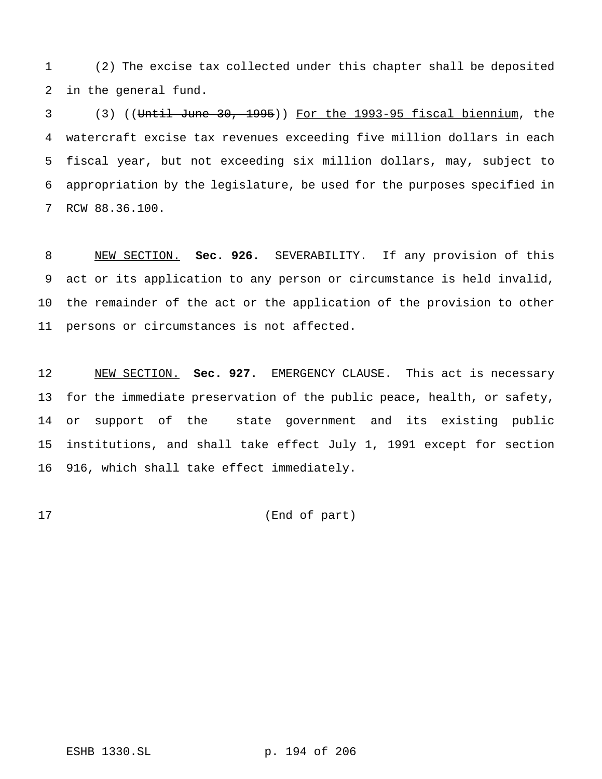(2) The excise tax collected under this chapter shall be deposited in the general fund.

 (3) ((Until June 30, 1995)) For the 1993-95 fiscal biennium, the watercraft excise tax revenues exceeding five million dollars in each fiscal year, but not exceeding six million dollars, may, subject to appropriation by the legislature, be used for the purposes specified in RCW 88.36.100.

 NEW SECTION. **Sec. 926.** SEVERABILITY. If any provision of this act or its application to any person or circumstance is held invalid, the remainder of the act or the application of the provision to other persons or circumstances is not affected.

 NEW SECTION. **Sec. 927.** EMERGENCY CLAUSE. This act is necessary for the immediate preservation of the public peace, health, or safety, or support of the state government and its existing public institutions, and shall take effect July 1, 1991 except for section 916, which shall take effect immediately.

(End of part)

ESHB 1330.SL p. 194 of 206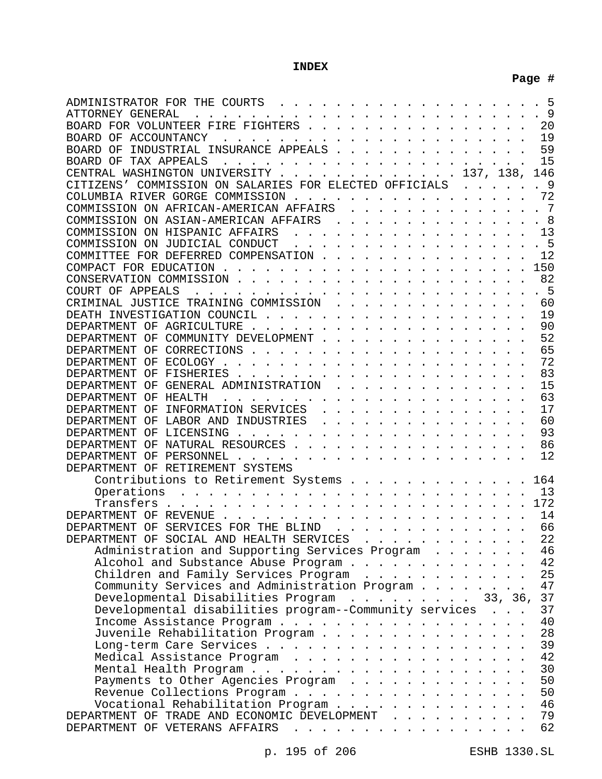## **INDEX**

# **Page #**

| ADMINISTRATOR FOR THE COURTS<br>ATTORNEY GENERAL                                                                                                                                                                                            | 5<br>- 9 |
|---------------------------------------------------------------------------------------------------------------------------------------------------------------------------------------------------------------------------------------------|----------|
| BOARD FOR VOLUNTEER FIRE FIGHTERS                                                                                                                                                                                                           | 20       |
|                                                                                                                                                                                                                                             | 19       |
| INDUSTRIAL INSURANCE APPEALS<br>BOARD OF                                                                                                                                                                                                    | 59       |
| BOARD OF                                                                                                                                                                                                                                    | 15       |
| CENTRAL WASHINGTON UNIVERSITY 137, 138, 146                                                                                                                                                                                                 |          |
| CITIZENS' COMMISSION ON SALARIES FOR ELECTED OFFICIALS                                                                                                                                                                                      | . 9      |
| COLUMBIA RIVER GORGE COMMISSION                                                                                                                                                                                                             | 72       |
| COMMISSION ON AFRICAN-AMERICAN AFFAIRS 7                                                                                                                                                                                                    |          |
| .8<br>COMMISSION ON ASIAN-AMERICAN AFFAIRS                                                                                                                                                                                                  |          |
| COMMISSION ON HISPANIC AFFAIRS 13                                                                                                                                                                                                           |          |
| COMMISSION ON JUDICIAL CONDUCT 5                                                                                                                                                                                                            |          |
| COMMITTEE FOR DEFERRED COMPENSATION                                                                                                                                                                                                         | 12       |
| 150                                                                                                                                                                                                                                         |          |
|                                                                                                                                                                                                                                             | 82       |
| .5                                                                                                                                                                                                                                          |          |
|                                                                                                                                                                                                                                             | 60       |
| CRIMINAL JUSTICE TRAINING COMMISSION                                                                                                                                                                                                        |          |
|                                                                                                                                                                                                                                             | 19       |
|                                                                                                                                                                                                                                             | 90       |
| DEPARTMENT OF COMMUNITY DEVELOPMENT                                                                                                                                                                                                         | 52       |
|                                                                                                                                                                                                                                             | 65       |
|                                                                                                                                                                                                                                             | 72       |
|                                                                                                                                                                                                                                             | 83       |
| DEPARTMENT OF GENERAL ADMINISTRATION                                                                                                                                                                                                        | 15       |
| DEPARTMENT OF HEALTH                                                                                                                                                                                                                        | 63       |
| DEPARTMENT OF INFORMATION SERVICES                                                                                                                                                                                                          | 17       |
| DEPARTMENT OF LABOR AND INDUSTRIES                                                                                                                                                                                                          | 60       |
|                                                                                                                                                                                                                                             | 93       |
| DEPARTMENT OF NATURAL RESOURCES                                                                                                                                                                                                             | 86       |
|                                                                                                                                                                                                                                             | 12       |
| DEPARTMENT OF RETIREMENT SYSTEMS                                                                                                                                                                                                            |          |
| Contributions to Retirement Systems<br>164                                                                                                                                                                                                  |          |
| . The contract of the contract of the contract of the contract of the contract of the contract of the contract of the contract of the contract of the contract of the contract of the contract of the contract of the contrac<br>Operations | 13       |
| 172                                                                                                                                                                                                                                         |          |
|                                                                                                                                                                                                                                             | 14       |
| DEPARTMENT OF SERVICES FOR THE BLIND                                                                                                                                                                                                        | 66       |
| DEPARTMENT OF SOCIAL AND HEALTH SERVICES                                                                                                                                                                                                    | 22       |
| Administration and Supporting Services Program                                                                                                                                                                                              | 46       |
| Alcohol and Substance Abuse Program                                                                                                                                                                                                         | 42       |
| Children and Family Services Program                                                                                                                                                                                                        | 25       |
| Community Services and Administration Program                                                                                                                                                                                               | 47       |
| Developmental Disabilities Program 33, 36,                                                                                                                                                                                                  | 37       |
| Developmental disabilities program--Community services                                                                                                                                                                                      | 37       |
|                                                                                                                                                                                                                                             | 40       |
| Juvenile Rehabilitation Program                                                                                                                                                                                                             | 28       |
|                                                                                                                                                                                                                                             | 39       |
| Medical Assistance Program                                                                                                                                                                                                                  | 42       |
|                                                                                                                                                                                                                                             | 30       |
| Payments to Other Agencies Program                                                                                                                                                                                                          | 50       |
| Revenue Collections Program                                                                                                                                                                                                                 | 50       |
| Vocational Rehabilitation Program                                                                                                                                                                                                           | 46       |
| DEPARTMENT OF TRADE AND ECONOMIC DEVELOPMENT                                                                                                                                                                                                | 79       |
| DEPARTMENT OF VETERANS AFFAIRS                                                                                                                                                                                                              | 62       |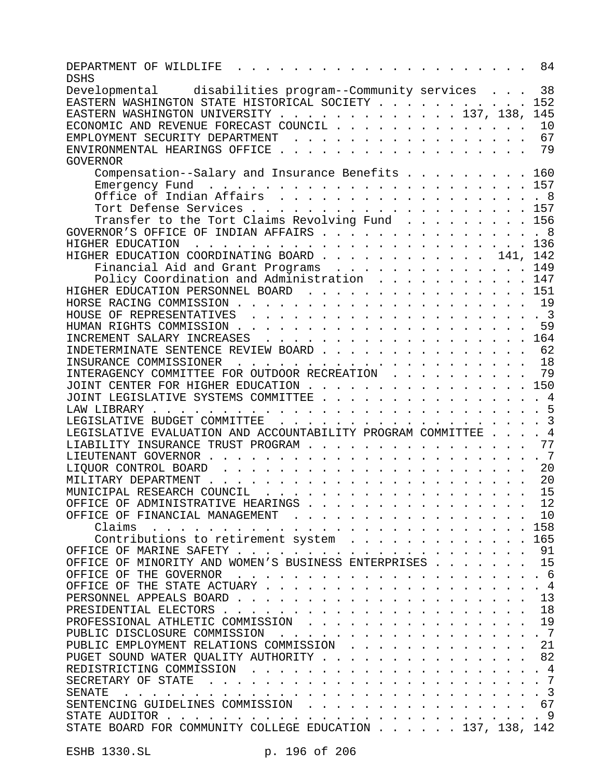| DEPARTMENT OF WILDLIFE                                                                                                                                                                                                                                                                                                                                                                                                                                                                                                  | 84                |
|-------------------------------------------------------------------------------------------------------------------------------------------------------------------------------------------------------------------------------------------------------------------------------------------------------------------------------------------------------------------------------------------------------------------------------------------------------------------------------------------------------------------------|-------------------|
| <b>DSHS</b>                                                                                                                                                                                                                                                                                                                                                                                                                                                                                                             | 38                |
| Developmental disabilities program--Community services                                                                                                                                                                                                                                                                                                                                                                                                                                                                  | 152               |
| EASTERN WASHINGTON STATE HISTORICAL SOCIETY 152<br>EASTERN WASHINGTON UNIVERSITY 137, 138, 145                                                                                                                                                                                                                                                                                                                                                                                                                          |                   |
| ECONOMIC AND REVENUE FORECAST COUNCIL                                                                                                                                                                                                                                                                                                                                                                                                                                                                                   | 10                |
| EMPLOYMENT SECURITY DEPARTMENT<br>$\mathbf{1} \quad \mathbf{1} \quad \mathbf{1} \quad \mathbf{1} \quad \mathbf{1} \quad \mathbf{1} \quad \mathbf{1} \quad \mathbf{1} \quad \mathbf{1} \quad \mathbf{1} \quad \mathbf{1} \quad \mathbf{1} \quad \mathbf{1} \quad \mathbf{1} \quad \mathbf{1} \quad \mathbf{1} \quad \mathbf{1} \quad \mathbf{1} \quad \mathbf{1} \quad \mathbf{1} \quad \mathbf{1} \quad \mathbf{1} \quad \mathbf{1} \quad \mathbf{1} \quad \mathbf{1} \quad \mathbf{1} \quad \mathbf{1} \quad \mathbf{$ | 67                |
|                                                                                                                                                                                                                                                                                                                                                                                                                                                                                                                         | 79                |
| <b>GOVERNOR</b>                                                                                                                                                                                                                                                                                                                                                                                                                                                                                                         |                   |
| Compensation--Salary and Insurance Benefits                                                                                                                                                                                                                                                                                                                                                                                                                                                                             | 160               |
|                                                                                                                                                                                                                                                                                                                                                                                                                                                                                                                         | 157               |
| Office of Indian Affairs 8                                                                                                                                                                                                                                                                                                                                                                                                                                                                                              |                   |
|                                                                                                                                                                                                                                                                                                                                                                                                                                                                                                                         |                   |
| Transfer to the Tort Claims Revolving Fund 156                                                                                                                                                                                                                                                                                                                                                                                                                                                                          |                   |
| GOVERNOR'S OFFICE OF INDIAN AFFAIRS                                                                                                                                                                                                                                                                                                                                                                                                                                                                                     | .8                |
| HIGHER EDUCATION<br>and the contract of the contract of the contract of the contract of the contract of the contract of the contract of the contract of the contract of the contract of the contract of the contract of the contract of the contra                                                                                                                                                                                                                                                                      | 136               |
| 141, 142<br>HIGHER EDUCATION COORDINATING BOARD                                                                                                                                                                                                                                                                                                                                                                                                                                                                         |                   |
| Financial Aid and Grant Programs                                                                                                                                                                                                                                                                                                                                                                                                                                                                                        | 149               |
| Policy Coordination and Administration                                                                                                                                                                                                                                                                                                                                                                                                                                                                                  | 147               |
| HIGHER EDUCATION PERSONNEL BOARD                                                                                                                                                                                                                                                                                                                                                                                                                                                                                        | 151               |
|                                                                                                                                                                                                                                                                                                                                                                                                                                                                                                                         | 19                |
| HOUSE OF REPRESENTATIVES<br>. The second contract is a second contract of the second contract of the second contract of the second contract of the second contract of the second contract of the second contract of the second contract of the second con                                                                                                                                                                                                                                                               | $\cdot$ 3         |
|                                                                                                                                                                                                                                                                                                                                                                                                                                                                                                                         | 59                |
|                                                                                                                                                                                                                                                                                                                                                                                                                                                                                                                         | 164               |
| INDETERMINATE SENTENCE REVIEW BOARD                                                                                                                                                                                                                                                                                                                                                                                                                                                                                     | 62                |
| INSURANCE COMMISSIONER<br>$\mathbf{1} \quad \mathbf{1} \quad \mathbf{1} \quad \mathbf{1} \quad \mathbf{1} \quad \mathbf{1} \quad \mathbf{1} \quad \mathbf{1} \quad \mathbf{1} \quad \mathbf{1} \quad \mathbf{1} \quad \mathbf{1} \quad \mathbf{1} \quad \mathbf{1} \quad \mathbf{1} \quad \mathbf{1} \quad \mathbf{1} \quad \mathbf{1} \quad \mathbf{1} \quad \mathbf{1} \quad \mathbf{1} \quad \mathbf{1} \quad \mathbf{1} \quad \mathbf{1} \quad \mathbf{1} \quad \mathbf{1} \quad \mathbf{1} \quad \mathbf{$         | 18                |
| INTERAGENCY COMMITTEE FOR OUTDOOR RECREATION                                                                                                                                                                                                                                                                                                                                                                                                                                                                            | 79                |
| JOINT CENTER FOR HIGHER EDUCATION                                                                                                                                                                                                                                                                                                                                                                                                                                                                                       | 150               |
| JOINT LEGISLATIVE SYSTEMS COMMITTEE                                                                                                                                                                                                                                                                                                                                                                                                                                                                                     | $4 \frac{4}{3}$   |
| LAW LIBRARY                                                                                                                                                                                                                                                                                                                                                                                                                                                                                                             |                   |
| LEGISLATIVE EVALUATION AND ACCOUNTABILITY PROGRAM COMMITTEE                                                                                                                                                                                                                                                                                                                                                                                                                                                             | $4 \frac{4}{3}$   |
| LIABILITY INSURANCE TRUST PROGRAM                                                                                                                                                                                                                                                                                                                                                                                                                                                                                       | 77                |
|                                                                                                                                                                                                                                                                                                                                                                                                                                                                                                                         | 7                 |
| LIQUOR CONTROL BOARD<br>$\mathbf{1} \left( \mathbf{1} \left( \mathbf{1} \left( \mathbf{1} \left( \mathbf{1} \left( \mathbf{1} \left( \mathbf{1} \left( \mathbf{1} \left( \mathbf{1} \left( \mathbf{1} \left( \mathbf{1} \left( \mathbf{1} \left( \mathbf{1} \left( \mathbf{1} \left( \mathbf{1} \left( \mathbf{1} \left( \mathbf{1} \left( \mathbf{1} \left( \mathbf{1} \left( \mathbf{1} \left( \mathbf{1} \left( \mathbf{1} \left( \mathbf{1} \left( \mathbf{1} \left( \mathbf{$                                      | 20                |
| MILITARY DEPARTMENT                                                                                                                                                                                                                                                                                                                                                                                                                                                                                                     | 20                |
|                                                                                                                                                                                                                                                                                                                                                                                                                                                                                                                         | 15                |
| OFFICE OF ADMINISTRATIVE HEARINGS                                                                                                                                                                                                                                                                                                                                                                                                                                                                                       | 12                |
| OFFICE OF FINANCIAL MANAGEMENT                                                                                                                                                                                                                                                                                                                                                                                                                                                                                          | 10                |
| Claims                                                                                                                                                                                                                                                                                                                                                                                                                                                                                                                  |                   |
| Contributions to retirement system                                                                                                                                                                                                                                                                                                                                                                                                                                                                                      | 165               |
| OFFICE OF MARINE SAFETY                                                                                                                                                                                                                                                                                                                                                                                                                                                                                                 | 91                |
| OFFICE OF MINORITY AND WOMEN'S BUSINESS ENTERPRISES                                                                                                                                                                                                                                                                                                                                                                                                                                                                     | 15                |
|                                                                                                                                                                                                                                                                                                                                                                                                                                                                                                                         | . 6               |
|                                                                                                                                                                                                                                                                                                                                                                                                                                                                                                                         | . 4               |
|                                                                                                                                                                                                                                                                                                                                                                                                                                                                                                                         | 13                |
|                                                                                                                                                                                                                                                                                                                                                                                                                                                                                                                         | 18                |
| PROFESSIONAL ATHLETIC COMMISSION                                                                                                                                                                                                                                                                                                                                                                                                                                                                                        | 19                |
|                                                                                                                                                                                                                                                                                                                                                                                                                                                                                                                         |                   |
| PUBLIC EMPLOYMENT RELATIONS COMMISSION                                                                                                                                                                                                                                                                                                                                                                                                                                                                                  | 21                |
| PUGET SOUND WATER QUALITY AUTHORITY                                                                                                                                                                                                                                                                                                                                                                                                                                                                                     | 82                |
|                                                                                                                                                                                                                                                                                                                                                                                                                                                                                                                         |                   |
|                                                                                                                                                                                                                                                                                                                                                                                                                                                                                                                         | $\overline{7}$    |
|                                                                                                                                                                                                                                                                                                                                                                                                                                                                                                                         |                   |
|                                                                                                                                                                                                                                                                                                                                                                                                                                                                                                                         |                   |
| STATE BOARD FOR COMMUNITY COLLEGE EDUCATION 137, 138, 142                                                                                                                                                                                                                                                                                                                                                                                                                                                               | $\cdot$ $\cdot$ 9 |
|                                                                                                                                                                                                                                                                                                                                                                                                                                                                                                                         |                   |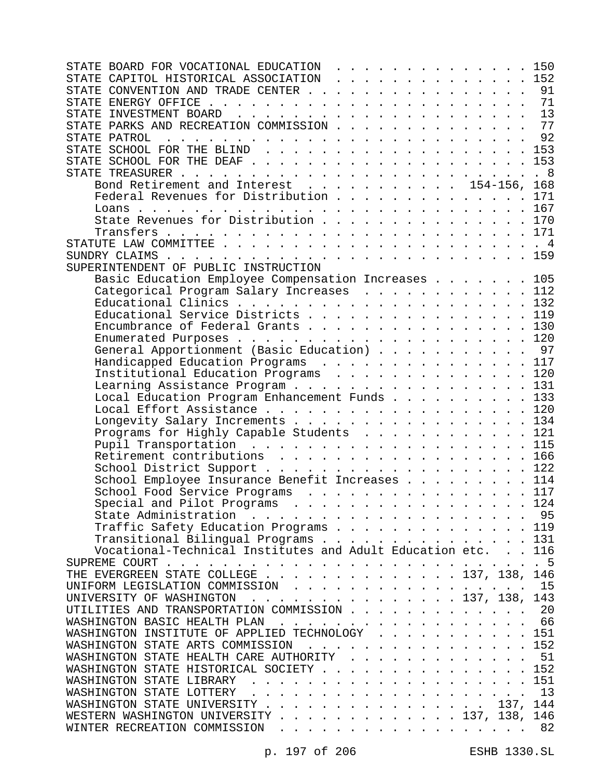| STATE BOARD FOR VOCATIONAL EDUCATION                                                                                                                                                                                                                                                                                                                                                                                                                                                                   | 150 |
|--------------------------------------------------------------------------------------------------------------------------------------------------------------------------------------------------------------------------------------------------------------------------------------------------------------------------------------------------------------------------------------------------------------------------------------------------------------------------------------------------------|-----|
| STATE CAPITOL HISTORICAL ASSOCIATION 152                                                                                                                                                                                                                                                                                                                                                                                                                                                               |     |
| STATE CONVENTION AND TRADE CENTER 91                                                                                                                                                                                                                                                                                                                                                                                                                                                                   |     |
|                                                                                                                                                                                                                                                                                                                                                                                                                                                                                                        | 71  |
|                                                                                                                                                                                                                                                                                                                                                                                                                                                                                                        | 13  |
| STATE PARKS AND RECREATION COMMISSION                                                                                                                                                                                                                                                                                                                                                                                                                                                                  | 77  |
|                                                                                                                                                                                                                                                                                                                                                                                                                                                                                                        | 92  |
|                                                                                                                                                                                                                                                                                                                                                                                                                                                                                                        |     |
|                                                                                                                                                                                                                                                                                                                                                                                                                                                                                                        |     |
|                                                                                                                                                                                                                                                                                                                                                                                                                                                                                                        |     |
| Bond Retirement and Interest 154-156, 168                                                                                                                                                                                                                                                                                                                                                                                                                                                              |     |
|                                                                                                                                                                                                                                                                                                                                                                                                                                                                                                        |     |
| Federal Revenues for Distribution 171                                                                                                                                                                                                                                                                                                                                                                                                                                                                  |     |
|                                                                                                                                                                                                                                                                                                                                                                                                                                                                                                        |     |
|                                                                                                                                                                                                                                                                                                                                                                                                                                                                                                        |     |
|                                                                                                                                                                                                                                                                                                                                                                                                                                                                                                        |     |
|                                                                                                                                                                                                                                                                                                                                                                                                                                                                                                        |     |
|                                                                                                                                                                                                                                                                                                                                                                                                                                                                                                        |     |
| SUPERINTENDENT OF PUBLIC INSTRUCTION                                                                                                                                                                                                                                                                                                                                                                                                                                                                   |     |
| Basic Education Employee Compensation Increases 105                                                                                                                                                                                                                                                                                                                                                                                                                                                    |     |
| Categorical Program Salary Increases 112                                                                                                                                                                                                                                                                                                                                                                                                                                                               |     |
|                                                                                                                                                                                                                                                                                                                                                                                                                                                                                                        |     |
| Educational Service Districts 119                                                                                                                                                                                                                                                                                                                                                                                                                                                                      |     |
| Encumbrance of Federal Grants 130                                                                                                                                                                                                                                                                                                                                                                                                                                                                      |     |
|                                                                                                                                                                                                                                                                                                                                                                                                                                                                                                        |     |
|                                                                                                                                                                                                                                                                                                                                                                                                                                                                                                        |     |
| General Apportionment (Basic Education) 97                                                                                                                                                                                                                                                                                                                                                                                                                                                             |     |
| Handicapped Education Programs 117                                                                                                                                                                                                                                                                                                                                                                                                                                                                     |     |
| Institutional Education Programs 120                                                                                                                                                                                                                                                                                                                                                                                                                                                                   |     |
| Learning Assistance Program 131                                                                                                                                                                                                                                                                                                                                                                                                                                                                        |     |
| Local Education Program Enhancement Funds 133                                                                                                                                                                                                                                                                                                                                                                                                                                                          |     |
| Local Effort Assistance 120                                                                                                                                                                                                                                                                                                                                                                                                                                                                            |     |
| Longevity Salary Increments 134                                                                                                                                                                                                                                                                                                                                                                                                                                                                        |     |
| Programs for Highly Capable Students 121                                                                                                                                                                                                                                                                                                                                                                                                                                                               |     |
|                                                                                                                                                                                                                                                                                                                                                                                                                                                                                                        |     |
| Retirement contributions 166                                                                                                                                                                                                                                                                                                                                                                                                                                                                           |     |
| School District Support 122                                                                                                                                                                                                                                                                                                                                                                                                                                                                            |     |
| School Employee Insurance Benefit Increases 114                                                                                                                                                                                                                                                                                                                                                                                                                                                        |     |
|                                                                                                                                                                                                                                                                                                                                                                                                                                                                                                        |     |
| School Food Service Programs 117                                                                                                                                                                                                                                                                                                                                                                                                                                                                       |     |
| Special and Pilot Programs                                                                                                                                                                                                                                                                                                                                                                                                                                                                             | 124 |
| State Administration<br>$\mathbf{r}$ , and a set of the set of the set of the set of the set of the set of the set of the set of the set of the set of the set of the set of the set of the set of the set of the set of the set of the set of the set of                                                                                                                                                                                                                                              | 95  |
| Traffic Safety Education Programs                                                                                                                                                                                                                                                                                                                                                                                                                                                                      | 119 |
| Transitional Bilingual Programs                                                                                                                                                                                                                                                                                                                                                                                                                                                                        | 131 |
| Vocational-Technical Institutes and Adult Education etc.                                                                                                                                                                                                                                                                                                                                                                                                                                               | 116 |
| SUPREME COURT<br>$\mathbf{1} \quad \mathbf{1} \quad \mathbf{1} \quad \mathbf{1} \quad \mathbf{1} \quad \mathbf{1} \quad \mathbf{1} \quad \mathbf{1} \quad \mathbf{1} \quad \mathbf{1} \quad \mathbf{1} \quad \mathbf{1} \quad \mathbf{1} \quad \mathbf{1} \quad \mathbf{1} \quad \mathbf{1} \quad \mathbf{1} \quad \mathbf{1} \quad \mathbf{1} \quad \mathbf{1} \quad \mathbf{1} \quad \mathbf{1} \quad \mathbf{1} \quad \mathbf{1} \quad \mathbf{1} \quad \mathbf{1} \quad \mathbf{1} \quad \mathbf{$ | .5  |
| THE EVERGREEN STATE COLLEGE 137, 138,                                                                                                                                                                                                                                                                                                                                                                                                                                                                  | 146 |
| UNIFORM LEGISLATION COMMISSION                                                                                                                                                                                                                                                                                                                                                                                                                                                                         | 15  |
| . 137, 138,<br>UNIVERSITY OF WASHINGTON                                                                                                                                                                                                                                                                                                                                                                                                                                                                | 143 |
| UTILITIES AND TRANSPORTATION COMMISSION                                                                                                                                                                                                                                                                                                                                                                                                                                                                | 20  |
| WASHINGTON BASIC HEALTH PLAN                                                                                                                                                                                                                                                                                                                                                                                                                                                                           | 66  |
| WASHINGTON INSTITUTE OF APPLIED TECHNOLOGY                                                                                                                                                                                                                                                                                                                                                                                                                                                             | 151 |
| WASHINGTON STATE ARTS COMMISSION                                                                                                                                                                                                                                                                                                                                                                                                                                                                       | 152 |
|                                                                                                                                                                                                                                                                                                                                                                                                                                                                                                        |     |
| WASHINGTON STATE HEALTH CARE AUTHORITY                                                                                                                                                                                                                                                                                                                                                                                                                                                                 | 51  |
| WASHINGTON STATE HISTORICAL SOCIETY                                                                                                                                                                                                                                                                                                                                                                                                                                                                    | 152 |
|                                                                                                                                                                                                                                                                                                                                                                                                                                                                                                        | 151 |
| .<br>WASHINGTON STATE LOTTERY                                                                                                                                                                                                                                                                                                                                                                                                                                                                          | 13  |
| WASHINGTON STATE UNIVERSITY<br>137,                                                                                                                                                                                                                                                                                                                                                                                                                                                                    | 144 |
| WESTERN WASHINGTON UNIVERSITY 137, 138,                                                                                                                                                                                                                                                                                                                                                                                                                                                                | 146 |
| WINTER RECREATION COMMISSION                                                                                                                                                                                                                                                                                                                                                                                                                                                                           | 82  |
|                                                                                                                                                                                                                                                                                                                                                                                                                                                                                                        |     |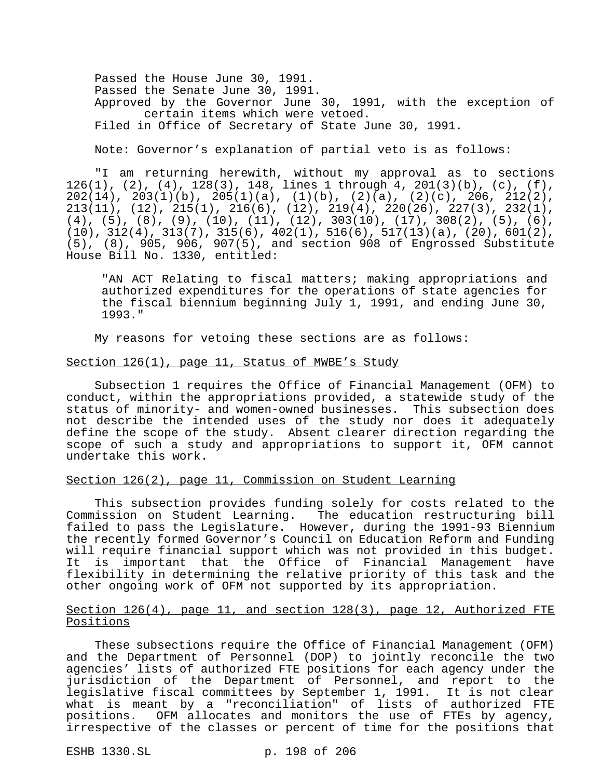Passed the House June 30, 1991. Passed the Senate June 30, 1991. Approved by the Governor June 30, 1991, with the exception of certain items which were vetoed. Filed in Office of Secretary of State June 30, 1991.

Note: Governor's explanation of partial veto is as follows:

"I am returning herewith, without my approval as to sections  $126(1)$ ,  $(2)$ ,  $(4)$ ,  $128(3)$ ,  $148$ , lines 1 through 4,  $201(3)(b)$ ,  $(c)$ ,  $(f)$ ,  $202(14)$ ,  $203(1)(b)$ ,  $205(1)(a)$ ,  $(1)(b)$ ,  $(2)(a)$ ,  $(2)(c)$ ,  $206$ ,  $212(2)$ , 213(11), (12), 215(1), 216(6), (12), 219(4), 220(26), 227(3), 232(1),  $(4)$ ,  $(5)$ ,  $(8)$ ,  $(9)$ ,  $(10)$ ,  $(11)$ ,  $(12)$ ,  $303(10)$ ,  $(17)$ ,  $308(2)$ ,  $(5)$ ,  $(6)$ ,  $(10)$ ,  $312(4)$ ,  $313(7)$ ,  $315(6)$ ,  $402(1)$ ,  $516(6)$ ,  $517(13)(a)$ ,  $(20)$ ,  $601(2)$ , (5), (8), 905, 906, 907(5), and section 908 of Engrossed Substitute House Bill No. 1330, entitled:

"AN ACT Relating to fiscal matters; making appropriations and authorized expenditures for the operations of state agencies for the fiscal biennium beginning July 1, 1991, and ending June 30, 1993."

My reasons for vetoing these sections are as follows:

## Section 126(1), page 11, Status of MWBE's Study

Subsection 1 requires the Office of Financial Management (OFM) to conduct, within the appropriations provided, a statewide study of the status of minority- and women-owned businesses. This subsection does not describe the intended uses of the study nor does it adequately define the scope of the study. Absent clearer direction regarding the scope of such a study and appropriations to support it, OFM cannot undertake this work.

#### Section 126(2), page 11, Commission on Student Learning

This subsection provides funding solely for costs related to the Commission on Student Learning. The education restructuring bill failed to pass the Legislature. However, during the 1991-93 Biennium the recently formed Governor's Council on Education Reform and Funding will require financial support which was not provided in this budget. It is important that the Office of Financial Management have flexibility in determining the relative priority of this task and the other ongoing work of OFM not supported by its appropriation.

## Section 126(4), page 11, and section 128(3), page 12, Authorized FTE Positions

These subsections require the Office of Financial Management (OFM) and the Department of Personnel (DOP) to jointly reconcile the two agencies' lists of authorized FTE positions for each agency under the jurisdiction of the Department of Personnel, and report to the legislative fiscal committees by September 1, 1991. It is not clear what is meant by a "reconciliation" of lists of authorized FTE positions. OFM allocates and monitors the use of FTEs by agency, irrespective of the classes or percent of time for the positions that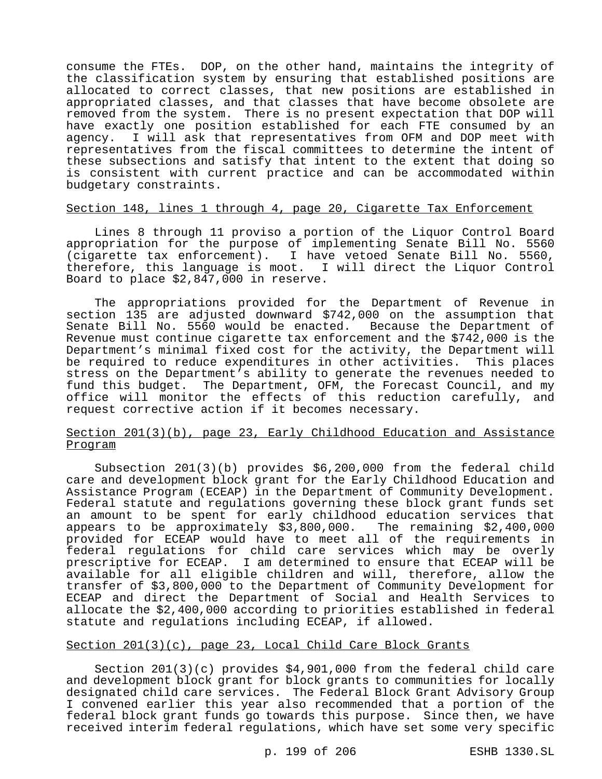consume the FTEs. DOP, on the other hand, maintains the integrity of the classification system by ensuring that established positions are allocated to correct classes, that new positions are established in appropriated classes, and that classes that have become obsolete are removed from the system. There is no present expectation that DOP will have exactly one position established for each FTE consumed by an agency. I will ask that representatives from OFM and DOP meet with representatives from the fiscal committees to determine the intent of these subsections and satisfy that intent to the extent that doing so is consistent with current practice and can be accommodated within budgetary constraints.

#### Section 148, lines 1 through 4, page 20, Cigarette Tax Enforcement

Lines 8 through 11 proviso a portion of the Liquor Control Board appropriation for the purpose of implementing Senate Bill No. 5560 (cigarette tax enforcement). I have vetoed Senate Bill No. 5560, therefore, this language is moot. I will direct the Liquor Control Board to place \$2,847,000 in reserve.

The appropriations provided for the Department of Revenue in section 135 are adjusted downward \$742,000 on the assumption that Senate Bill No. 5560 would be enacted. Because the Department of Revenue must continue cigarette tax enforcement and the \$742,000 is the Department's minimal fixed cost for the activity, the Department will be required to reduce expenditures in other activities. This places stress on the Department's ability to generate the revenues needed to fund this budget. The Department, OFM, the Forecast Council, and my office will monitor the effects of this reduction carefully, and request corrective action if it becomes necessary.

## Section 201(3)(b), page 23, Early Childhood Education and Assistance Program

Subsection 201(3)(b) provides \$6,200,000 from the federal child care and development block grant for the Early Childhood Education and Assistance Program (ECEAP) in the Department of Community Development. Federal statute and regulations governing these block grant funds set an amount to be spent for early childhood education services that appears to be approximately \$3,800,000. The remaining \$2,400,000 provided for ECEAP would have to meet all of the requirements in federal regulations for child care services which may be overly prescriptive for ECEAP. I am determined to ensure that ECEAP will be available for all eligible children and will, therefore, allow the transfer of \$3,800,000 to the Department of Community Development for ECEAP and direct the Department of Social and Health Services to allocate the \$2,400,000 according to priorities established in federal statute and regulations including ECEAP, if allowed.

## Section 201(3)(c), page 23, Local Child Care Block Grants

Section 201(3)(c) provides \$4,901,000 from the federal child care and development block grant for block grants to communities for locally designated child care services. The Federal Block Grant Advisory Group I convened earlier this year also recommended that a portion of the federal block grant funds go towards this purpose. Since then, we have received interim federal regulations, which have set some very specific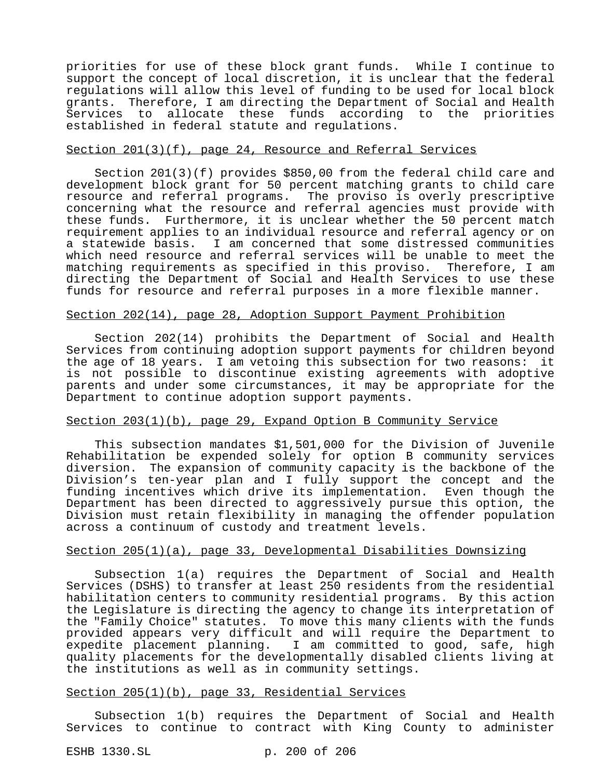priorities for use of these block grant funds. While I continue to support the concept of local discretion, it is unclear that the federal regulations will allow this level of funding to be used for local block grants. Therefore, I am directing the Department of Social and Health Services to allocate these funds according to the priorities established in federal statute and regulations.

### Section 201(3)(f), page 24, Resource and Referral Services

Section 201(3)(f) provides \$850,00 from the federal child care and development block grant for 50 percent matching grants to child care resource and referral programs. The proviso is overly prescriptive concerning what the resource and referral agencies must provide with these funds. Furthermore, it is unclear whether the 50 percent match requirement applies to an individual resource and referral agency or on a statewide basis. I am concerned that some distressed communities which need resource and referral services will be unable to meet the matching requirements as specified in this proviso. Therefore, I am directing the Department of Social and Health Services to use these funds for resource and referral purposes in a more flexible manner.

#### Section 202(14), page 28, Adoption Support Payment Prohibition

Section 202(14) prohibits the Department of Social and Health Services from continuing adoption support payments for children beyond the age of 18 years. I am vetoing this subsection for two reasons: it is not possible to discontinue existing agreements with adoptive parents and under some circumstances, it may be appropriate for the Department to continue adoption support payments.

## Section 203(1)(b), page 29, Expand Option B Community Service

This subsection mandates \$1,501,000 for the Division of Juvenile Rehabilitation be expended solely for option B community services diversion. The expansion of community capacity is the backbone of the Division's ten-year plan and I fully support the concept and the funding incentives which drive its implementation. Even though the Department has been directed to aggressively pursue this option, the Division must retain flexibility in managing the offender population across a continuum of custody and treatment levels.

## Section 205(1)(a), page 33, Developmental Disabilities Downsizing

Subsection 1(a) requires the Department of Social and Health Services (DSHS) to transfer at least 250 residents from the residential habilitation centers to community residential programs. By this action the Legislature is directing the agency to change its interpretation of the "Family Choice" statutes. To move this many clients with the funds provided appears very difficult and will require the Department to expedite placement planning. I am committed to good, safe, high quality placements for the developmentally disabled clients living at the institutions as well as in community settings.

## Section 205(1)(b), page 33, Residential Services

Subsection 1(b) requires the Department of Social and Health Services to continue to contract with King County to administer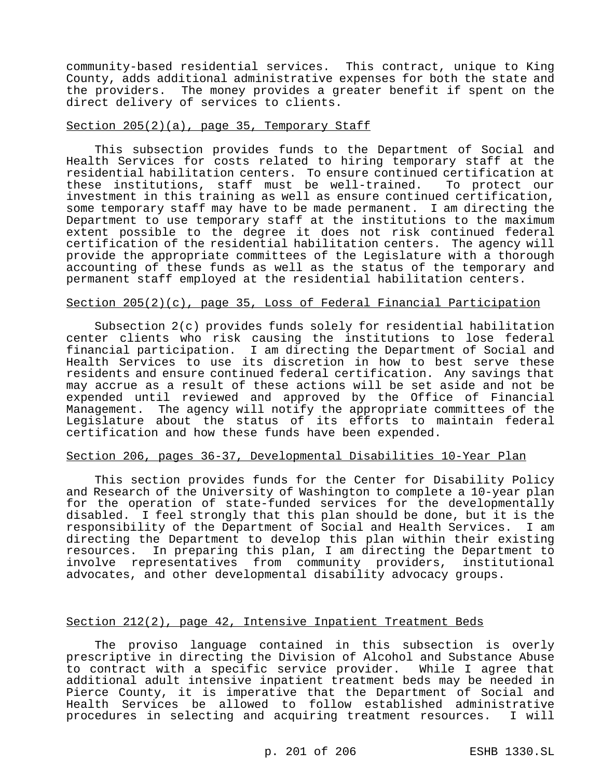community-based residential services. This contract, unique to King County, adds additional administrative expenses for both the state and the providers. The money provides a greater benefit if spent on the direct delivery of services to clients.

## Section 205(2)(a), page 35, Temporary Staff

This subsection provides funds to the Department of Social and Health Services for costs related to hiring temporary staff at the residential habilitation centers. To ensure continued certification at these institutions, staff must be well-trained. To protect our investment in this training as well as ensure continued certification, some temporary staff may have to be made permanent. I am directing the Department to use temporary staff at the institutions to the maximum extent possible to the degree it does not risk continued federal certification of the residential habilitation centers. The agency will provide the appropriate committees of the Legislature with a thorough accounting of these funds as well as the status of the temporary and permanent staff employed at the residential habilitation centers.

#### Section 205(2)(c), page 35, Loss of Federal Financial Participation

Subsection 2(c) provides funds solely for residential habilitation center clients who risk causing the institutions to lose federal financial participation. I am directing the Department of Social and Health Services to use its discretion in how to best serve these residents and ensure continued federal certification. Any savings that may accrue as a result of these actions will be set aside and not be expended until reviewed and approved by the Office of Financial Management. The agency will notify the appropriate committees of the Legislature about the status of its efforts to maintain federal certification and how these funds have been expended.

## Section 206, pages 36-37, Developmental Disabilities 10-Year Plan

This section provides funds for the Center for Disability Policy and Research of the University of Washington to complete a 10-year plan for the operation of state-funded services for the developmentally disabled. I feel strongly that this plan should be done, but it is the responsibility of the Department of Social and Health Services. I am directing the Department to develop this plan within their existing resources. In preparing this plan, I am directing the Department to involve representatives from community providers, institutional advocates, and other developmental disability advocacy groups.

## Section 212(2), page 42, Intensive Inpatient Treatment Beds

The proviso language contained in this subsection is overly prescriptive in directing the Division of Alcohol and Substance Abuse to contract with a specific service provider. While I agree that additional adult intensive inpatient treatment beds may be needed in Pierce County, it is imperative that the Department of Social and Health Services be allowed to follow established administrative procedures in selecting and acquiring treatment resources. I will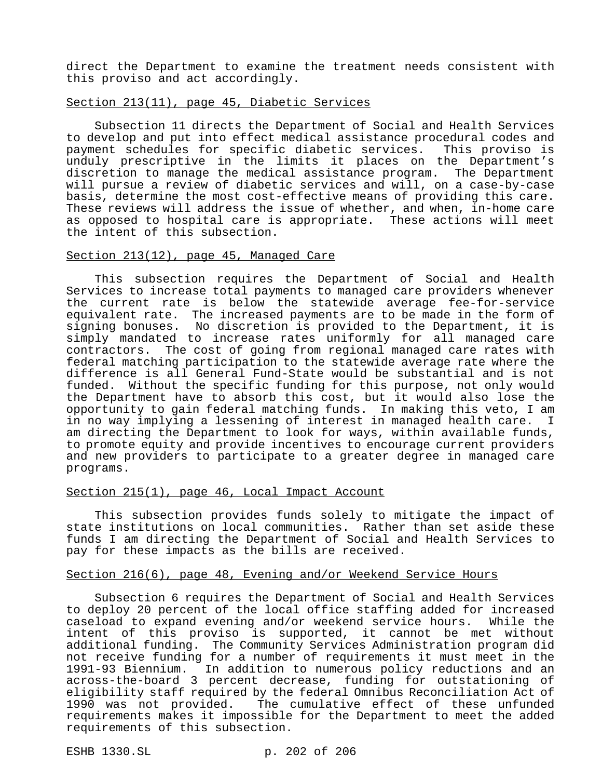direct the Department to examine the treatment needs consistent with this proviso and act accordingly.

## Section 213(11), page 45, Diabetic Services

Subsection 11 directs the Department of Social and Health Services to develop and put into effect medical assistance procedural codes and payment schedules for specific diabetic services. This proviso is unduly prescriptive in the limits it places on the Department's discretion to manage the medical assistance program. The Department will pursue a review of diabetic services and will, on a case-by-case basis, determine the most cost-effective means of providing this care. These reviews will address the issue of whether, and when, in-home care as opposed to hospital care is appropriate. These actions will meet the intent of this subsection.

#### Section 213(12), page 45, Managed Care

This subsection requires the Department of Social and Health Services to increase total payments to managed care providers whenever the current rate is below the statewide average fee-for-service equivalent rate. The increased payments are to be made in the form of signing bonuses. No discretion is provided to the Department, it is simply mandated to increase rates uniformly for all managed care contractors. The cost of going from regional managed care rates with federal matching participation to the statewide average rate where the difference is all General Fund-State would be substantial and is not funded. Without the specific funding for this purpose, not only would the Department have to absorb this cost, but it would also lose the opportunity to gain federal matching funds. In making this veto, I am in no way implying a lessening of interest in managed health care. I am directing the Department to look for ways, within available funds, to promote equity and provide incentives to encourage current providers and new providers to participate to a greater degree in managed care programs.

#### Section 215(1), page 46, Local Impact Account

This subsection provides funds solely to mitigate the impact of state institutions on local communities. Rather than set aside these funds I am directing the Department of Social and Health Services to pay for these impacts as the bills are received.

#### Section 216(6), page 48, Evening and/or Weekend Service Hours

Subsection 6 requires the Department of Social and Health Services to deploy 20 percent of the local office staffing added for increased caseload to expand evening and/or weekend service hours. While the intent of this proviso is supported, it cannot be met without additional funding. The Community Services Administration program did not receive funding for a number of requirements it must meet in the 1991-93 Biennium. In addition to numerous policy reductions and an across-the-board 3 percent decrease, funding for outstationing of eligibility staff required by the federal Omnibus Reconciliation Act of 1990 was not provided. The cumulative effect of these unfunded requirements makes it impossible for the Department to meet the added requirements of this subsection.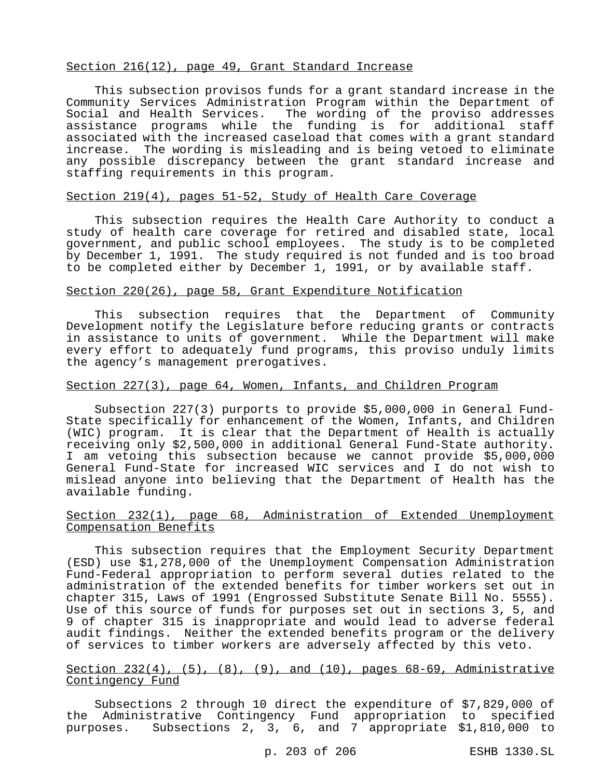#### Section 216(12), page 49, Grant Standard Increase

This subsection provisos funds for a grant standard increase in the Community Services Administration Program within the Department of Social and Health Services. The wording of the proviso addresses assistance programs while the funding is for additional staff associated with the increased caseload that comes with a grant standard increase. The wording is misleading and is being vetoed to eliminate any possible discrepancy between the grant standard increase and staffing requirements in this program.

## Section 219(4), pages 51-52, Study of Health Care Coverage

This subsection requires the Health Care Authority to conduct a study of health care coverage for retired and disabled state, local government, and public school employees. The study is to be completed by December 1, 1991. The study required is not funded and is too broad to be completed either by December 1, 1991, or by available staff.

#### Section 220(26), page 58, Grant Expenditure Notification

This subsection requires that the Department of Community Development notify the Legislature before reducing grants or contracts in assistance to units of government. While the Department will make every effort to adequately fund programs, this proviso unduly limits the agency's management prerogatives.

#### Section 227(3), page 64, Women, Infants, and Children Program

Subsection 227(3) purports to provide \$5,000,000 in General Fund-State specifically for enhancement of the Women, Infants, and Children (WIC) program. It is clear that the Department of Health is actually receiving only \$2,500,000 in additional General Fund-State authority. I am vetoing this subsection because we cannot provide \$5,000,000 General Fund-State for increased WIC services and I do not wish to mislead anyone into believing that the Department of Health has the available funding.

## Section 232(1), page 68, Administration of Extended Unemployment Compensation Benefits

This subsection requires that the Employment Security Department (ESD) use \$1,278,000 of the Unemployment Compensation Administration Fund-Federal appropriation to perform several duties related to the administration of the extended benefits for timber workers set out in chapter 315, Laws of 1991 (Engrossed Substitute Senate Bill No. 5555). Use of this source of funds for purposes set out in sections 3, 5, and 9 of chapter 315 is inappropriate and would lead to adverse federal audit findings. Neither the extended benefits program or the delivery of services to timber workers are adversely affected by this veto.

## Section 232(4), (5), (8), (9), and (10), pages 68-69, Administrative Contingency Fund

Subsections 2 through 10 direct the expenditure of \$7,829,000 of the Administrative Contingency Fund appropriation to specified purposes. Subsections 2, 3, 6, and 7 appropriate \$1,810,000 to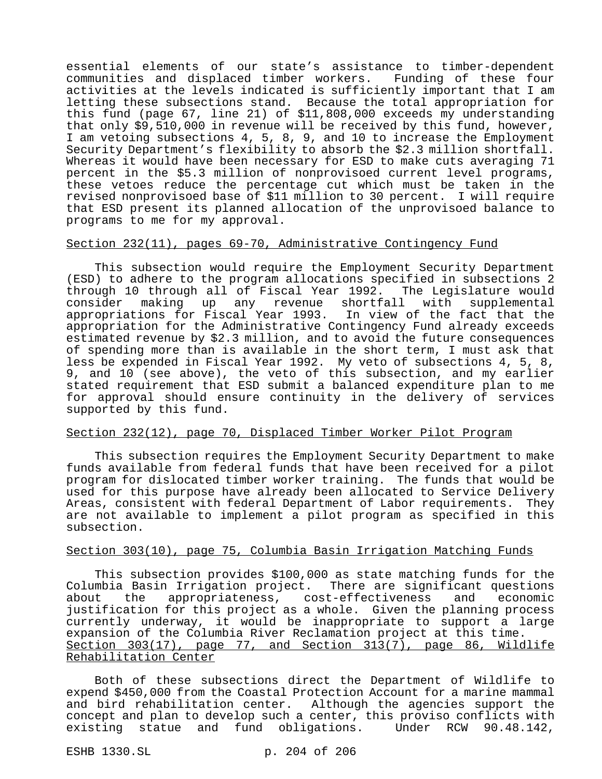essential elements of our state's assistance to timber-dependent communities and displaced timber workers. Funding of these four activities at the levels indicated is sufficiently important that I am letting these subsections stand. Because the total appropriation for this fund (page 67, line 21) of \$11,808,000 exceeds my understanding that only \$9,510,000 in revenue will be received by this fund, however, I am vetoing subsections 4, 5, 8, 9, and 10 to increase the Employment Security Department's flexibility to absorb the \$2.3 million shortfall. Whereas it would have been necessary for ESD to make cuts averaging 71 percent in the \$5.3 million of nonprovisoed current level programs, these vetoes reduce the percentage cut which must be taken in the revised nonprovisoed base of \$11 million to 30 percent. I will require that ESD present its planned allocation of the unprovisoed balance to programs to me for my approval.

#### Section 232(11), pages 69-70, Administrative Contingency Fund

This subsection would require the Employment Security Department (ESD) to adhere to the program allocations specified in subsections 2 through 10 through all of Fiscal Year 1992. The Legislature would consider making up any revenue shortfall with supplemental appropriations for Fiscal Year 1993. In view of the fact that the appropriation for the Administrative Contingency Fund already exceeds estimated revenue by \$2.3 million, and to avoid the future consequences of spending more than is available in the short term, I must ask that less be expended in Fiscal Year 1992. My veto of subsections 4, 5, 8, 9, and 10 (see above), the veto of this subsection, and my earlier stated requirement that ESD submit a balanced expenditure plan to me for approval should ensure continuity in the delivery of services supported by this fund.

### Section 232(12), page 70, Displaced Timber Worker Pilot Program

This subsection requires the Employment Security Department to make funds available from federal funds that have been received for a pilot program for dislocated timber worker training. The funds that would be used for this purpose have already been allocated to Service Delivery Areas, consistent with federal Department of Labor requirements. They are not available to implement a pilot program as specified in this subsection.

## Section 303(10), page 75, Columbia Basin Irrigation Matching Funds

This subsection provides \$100,000 as state matching funds for the Columbia Basin Irrigation project. There are significant questions about the appropriateness, cost-effectiveness and economic justification for this project as a whole. Given the planning process currently underway, it would be inappropriate to support a large expansion of the Columbia River Reclamation project at this time. Section 303(17), page 77, and Section 313(7), page 86, Wildlife Rehabilitation Center

Both of these subsections direct the Department of Wildlife to expend \$450,000 from the Coastal Protection Account for a marine mammal and bird rehabilitation center. Although the agencies support the concept and plan to develop such a center, this proviso conflicts with existing statue and fund obligations. Under RCW 90.48.142,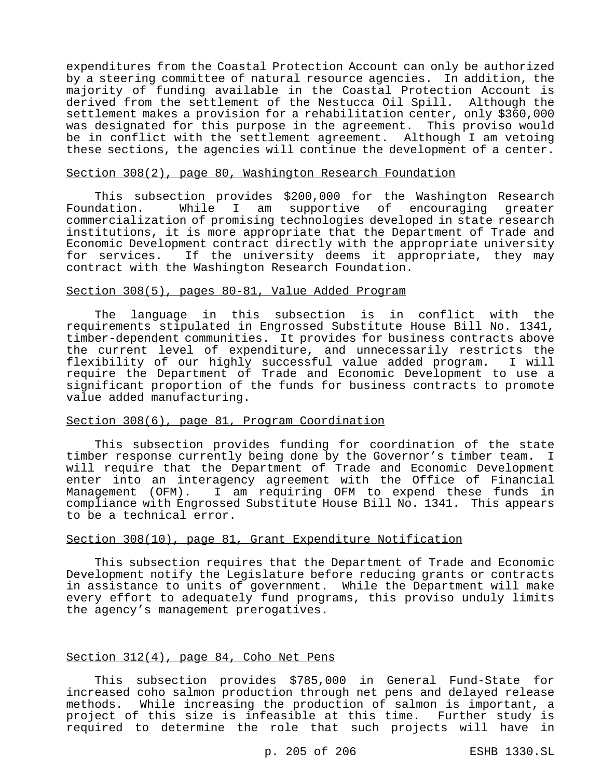expenditures from the Coastal Protection Account can only be authorized by a steering committee of natural resource agencies. In addition, the majority of funding available in the Coastal Protection Account is derived from the settlement of the Nestucca Oil Spill. Although the settlement makes a provision for a rehabilitation center, only \$360,000 was designated for this purpose in the agreement. This proviso would be in conflict with the settlement agreement. Although I am vetoing these sections, the agencies will continue the development of a center.

#### Section 308(2), page 80, Washington Research Foundation

This subsection provides \$200,000 for the Washington Research<br>dation. While I am supportive of encouraging greater Foundation. While I am supportive of encouraging greater commercialization of promising technologies developed in state research institutions, it is more appropriate that the Department of Trade and Economic Development contract directly with the appropriate university for services. If the university deems it appropriate, they may contract with the Washington Research Foundation.

#### Section 308(5), pages 80-81, Value Added Program

The language in this subsection is in conflict with the requirements stipulated in Engrossed Substitute House Bill No. 1341, timber-dependent communities. It provides for business contracts above the current level of expenditure, and unnecessarily restricts the flexibility of our highly successful value added program. I will require the Department of Trade and Economic Development to use a significant proportion of the funds for business contracts to promote value added manufacturing.

### Section 308(6), page 81, Program Coordination

This subsection provides funding for coordination of the state timber response currently being done by the Governor's timber team. I will require that the Department of Trade and Economic Development enter into an interagency agreement with the Office of Financial Management (OFM). I am requiring OFM to expend these funds in compliance with Engrossed Substitute House Bill No. 1341. This appears to be a technical error.

## Section 308(10), page 81, Grant Expenditure Notification

This subsection requires that the Department of Trade and Economic Development notify the Legislature before reducing grants or contracts in assistance to units of government. While the Department will make every effort to adequately fund programs, this proviso unduly limits the agency's management prerogatives.

#### Section 312(4), page 84, Coho Net Pens

This subsection provides \$785,000 in General Fund-State for increased coho salmon production through net pens and delayed release methods. While increasing the production of salmon is important, a project of this size is infeasible at this time. Further study is required to determine the role that such projects will have in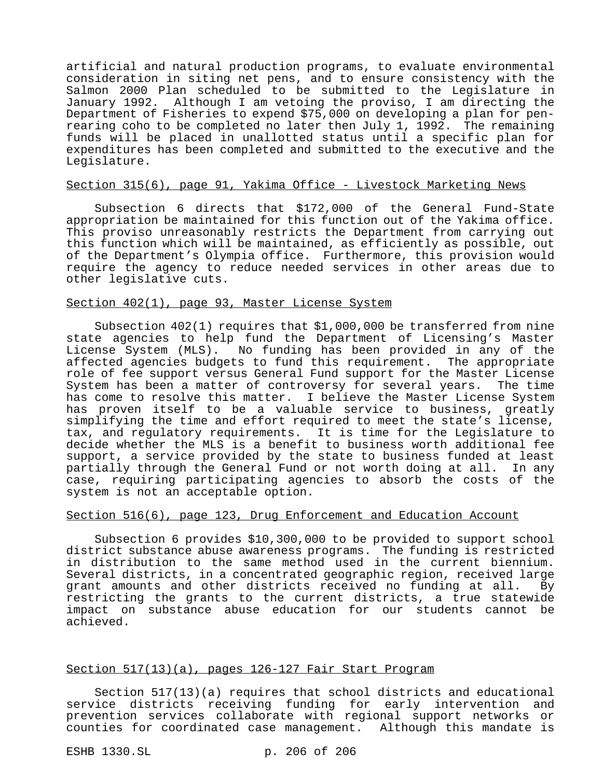artificial and natural production programs, to evaluate environmental consideration in siting net pens, and to ensure consistency with the Salmon 2000 Plan scheduled to be submitted to the Legislature in January 1992. Although I am vetoing the proviso, I am directing the Department of Fisheries to expend \$75,000 on developing a plan for penrearing coho to be completed no later then July 1, 1992. The remaining funds will be placed in unallotted status until a specific plan for expenditures has been completed and submitted to the executive and the Legislature.

## Section 315(6), page 91, Yakima Office - Livestock Marketing News

Subsection 6 directs that \$172,000 of the General Fund-State appropriation be maintained for this function out of the Yakima office. This proviso unreasonably restricts the Department from carrying out this function which will be maintained, as efficiently as possible, out of the Department's Olympia office. Furthermore, this provision would require the agency to reduce needed services in other areas due to other legislative cuts.

#### Section 402(1), page 93, Master License System

Subsection 402(1) requires that \$1,000,000 be transferred from nine state agencies to help fund the Department of Licensing's Master License System (MLS). No funding has been provided in any of the affected agencies budgets to fund this requirement. The appropriate role of fee support versus General Fund support for the Master License System has been a matter of controversy for several years. The time has come to resolve this matter. I believe the Master License System has proven itself to be a valuable service to business, greatly simplifying the time and effort required to meet the state's license, tax, and regulatory requirements. It is time for the Legislature to decide whether the MLS is a benefit to business worth additional fee support, a service provided by the state to business funded at least partially through the General Fund or not worth doing at all. In any case, requiring participating agencies to absorb the costs of the system is not an acceptable option.

#### Section 516(6), page 123, Drug Enforcement and Education Account

Subsection 6 provides \$10,300,000 to be provided to support school district substance abuse awareness programs. The funding is restricted in distribution to the same method used in the current biennium. Several districts, in a concentrated geographic region, received large grant amounts and other districts received no funding at all. By restricting the grants to the current districts, a true statewide impact on substance abuse education for our students cannot be achieved.

#### Section 517(13)(a), pages 126-127 Fair Start Program

Section 517(13)(a) requires that school districts and educational service districts receiving funding for early intervention and prevention services collaborate with regional support networks or counties for coordinated case management. Although this mandate is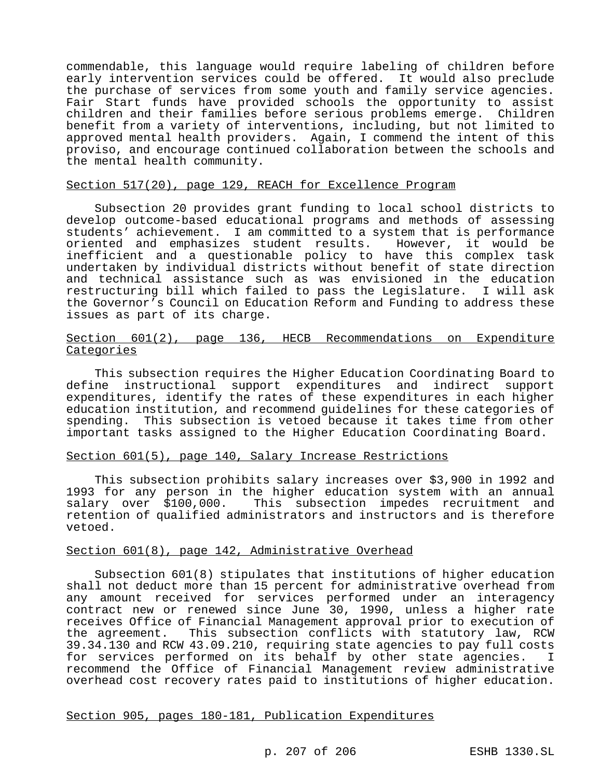commendable, this language would require labeling of children before early intervention services could be offered. It would also preclude the purchase of services from some youth and family service agencies. Fair Start funds have provided schools the opportunity to assist children and their families before serious problems emerge. Children benefit from a variety of interventions, including, but not limited to approved mental health providers. Again, I commend the intent of this proviso, and encourage continued collaboration between the schools and the mental health community.

## Section 517(20), page 129, REACH for Excellence Program

Subsection 20 provides grant funding to local school districts to develop outcome-based educational programs and methods of assessing students' achievement. I am committed to a system that is performance oriented and emphasizes student results. However, it would be inefficient and a questionable policy to have this complex task undertaken by individual districts without benefit of state direction and technical assistance such as was envisioned in the education restructuring bill which failed to pass the Legislature. I will ask the Governor's Council on Education Reform and Funding to address these issues as part of its charge.

## Section 601(2), page 136, HECB Recommendations on Expenditure **Categories**

This subsection requires the Higher Education Coordinating Board to define instructional support expenditures and indirect support expenditures, identify the rates of these expenditures in each higher education institution, and recommend guidelines for these categories of spending. This subsection is vetoed because it takes time from other important tasks assigned to the Higher Education Coordinating Board.

### Section 601(5), page 140, Salary Increase Restrictions

This subsection prohibits salary increases over \$3,900 in 1992 and 1993 for any person in the higher education system with an annual salary over \$100,000. This subsection impedes recruitment and retention of qualified administrators and instructors and is therefore vetoed.

#### Section 601(8), page 142, Administrative Overhead

Subsection 601(8) stipulates that institutions of higher education shall not deduct more than 15 percent for administrative overhead from any amount received for services performed under an interagency contract new or renewed since June 30, 1990, unless a higher rate receives Office of Financial Management approval prior to execution of the agreement. This subsection conflicts with statutory law, RCW 39.34.130 and RCW 43.09.210, requiring state agencies to pay full costs for services performed on its behalf by other state agencies. I recommend the Office of Financial Management review administrative overhead cost recovery rates paid to institutions of higher education.

Section 905, pages 180-181, Publication Expenditures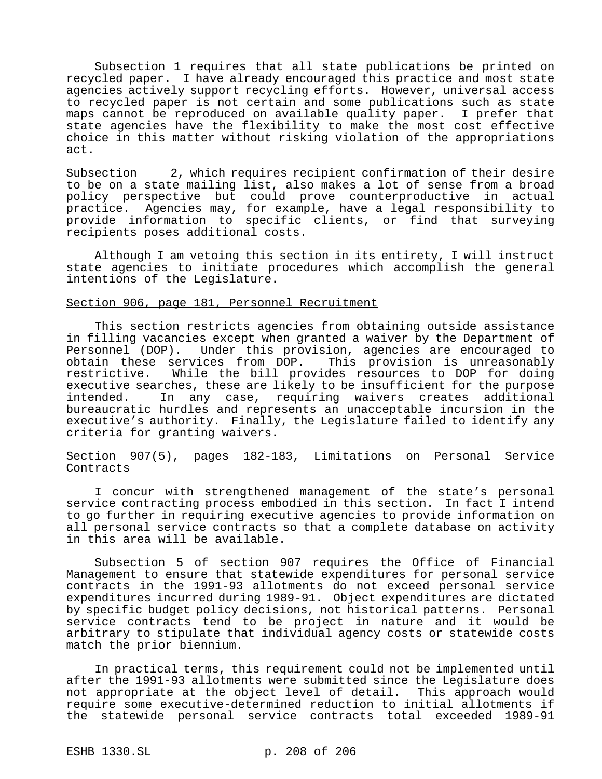Subsection 1 requires that all state publications be printed on recycled paper. I have already encouraged this practice and most state agencies actively support recycling efforts. However, universal access to recycled paper is not certain and some publications such as state maps cannot be reproduced on available quality paper. I prefer that state agencies have the flexibility to make the most cost effective choice in this matter without risking violation of the appropriations act.

Subsection 2, which requires recipient confirmation of their desire to be on a state mailing list, also makes a lot of sense from a broad policy perspective but could prove counterproductive in actual practice. Agencies may, for example, have a legal responsibility to provide information to specific clients, or find that surveying recipients poses additional costs.

Although I am vetoing this section in its entirety, I will instruct state agencies to initiate procedures which accomplish the general intentions of the Legislature.

## Section 906, page 181, Personnel Recruitment

This section restricts agencies from obtaining outside assistance in filling vacancies except when granted a waiver by the Department of Personnel (DOP). Under this provision, agencies are encouraged to obtain these services from DOP. This provision is unreasonably restrictive. While the bill provides resources to DOP for doing executive searches, these are likely to be insufficient for the purpose intended. In any case, requiring waivers creates additional bureaucratic hurdles and represents an unacceptable incursion in the executive's authority. Finally, the Legislature failed to identify any criteria for granting waivers.

## Section 907(5), pages 182-183, Limitations on Personal Service **Contracts**

I concur with strengthened management of the state's personal service contracting process embodied in this section. In fact I intend to go further in requiring executive agencies to provide information on all personal service contracts so that a complete database on activity in this area will be available.

Subsection 5 of section 907 requires the Office of Financial Management to ensure that statewide expenditures for personal service contracts in the 1991-93 allotments do not exceed personal service expenditures incurred during 1989-91. Object expenditures are dictated by specific budget policy decisions, not historical patterns. Personal service contracts tend to be project in nature and it would be arbitrary to stipulate that individual agency costs or statewide costs match the prior biennium.

In practical terms, this requirement could not be implemented until after the 1991-93 allotments were submitted since the Legislature does not appropriate at the object level of detail. This approach would require some executive-determined reduction to initial allotments if the statewide personal service contracts total exceeded 1989-91